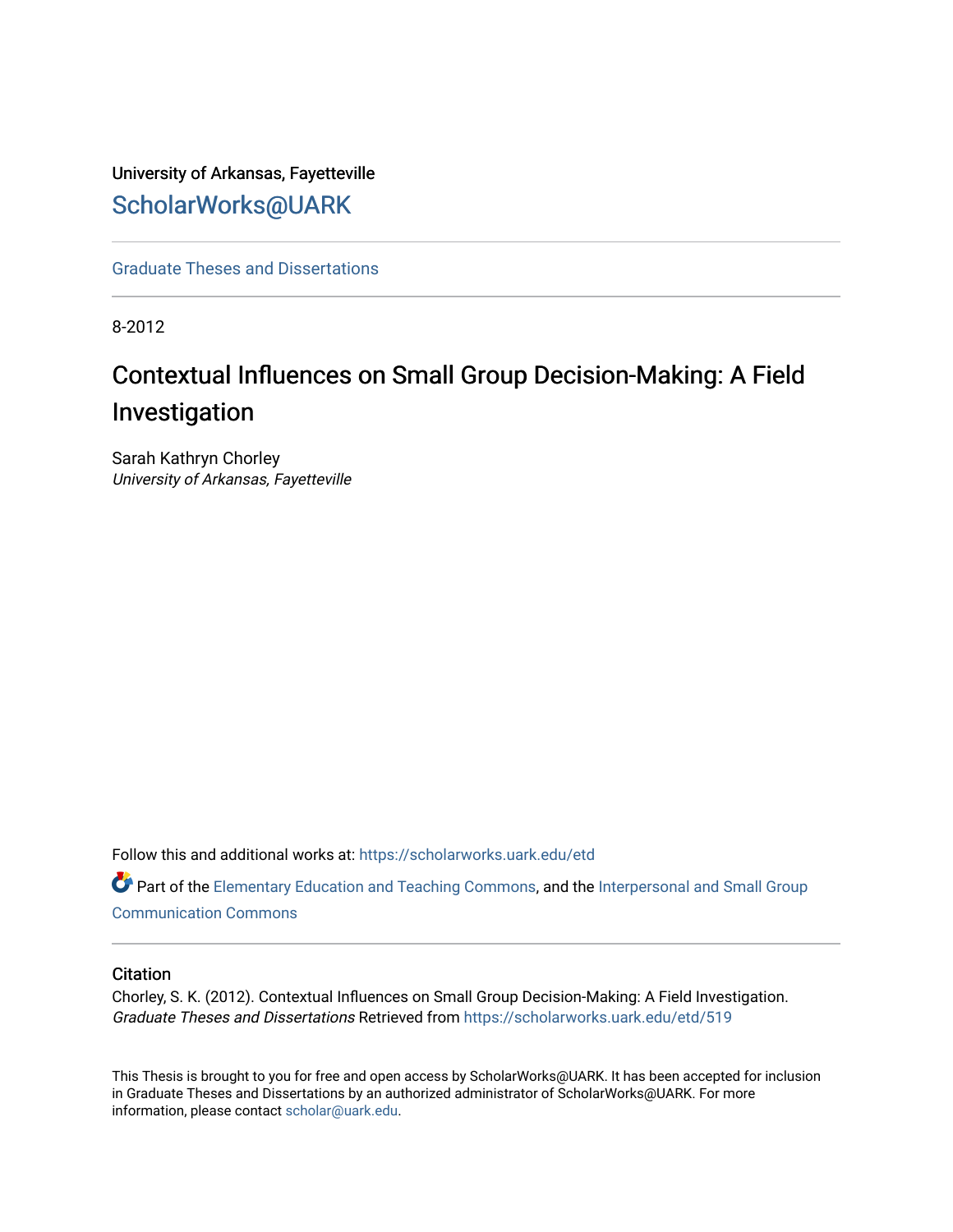# University of Arkansas, Fayetteville [ScholarWorks@UARK](https://scholarworks.uark.edu/)

[Graduate Theses and Dissertations](https://scholarworks.uark.edu/etd) 

8-2012

# Contextual Influences on Small Group Decision-Making: A Field Investigation

Sarah Kathryn Chorley University of Arkansas, Fayetteville

Follow this and additional works at: [https://scholarworks.uark.edu/etd](https://scholarworks.uark.edu/etd?utm_source=scholarworks.uark.edu%2Fetd%2F519&utm_medium=PDF&utm_campaign=PDFCoverPages)

Part of the [Elementary Education and Teaching Commons,](http://network.bepress.com/hgg/discipline/805?utm_source=scholarworks.uark.edu%2Fetd%2F519&utm_medium=PDF&utm_campaign=PDFCoverPages) and the [Interpersonal and Small Group](http://network.bepress.com/hgg/discipline/332?utm_source=scholarworks.uark.edu%2Fetd%2F519&utm_medium=PDF&utm_campaign=PDFCoverPages) [Communication Commons](http://network.bepress.com/hgg/discipline/332?utm_source=scholarworks.uark.edu%2Fetd%2F519&utm_medium=PDF&utm_campaign=PDFCoverPages)

### **Citation**

Chorley, S. K. (2012). Contextual Influences on Small Group Decision-Making: A Field Investigation. Graduate Theses and Dissertations Retrieved from [https://scholarworks.uark.edu/etd/519](https://scholarworks.uark.edu/etd/519?utm_source=scholarworks.uark.edu%2Fetd%2F519&utm_medium=PDF&utm_campaign=PDFCoverPages) 

This Thesis is brought to you for free and open access by ScholarWorks@UARK. It has been accepted for inclusion in Graduate Theses and Dissertations by an authorized administrator of ScholarWorks@UARK. For more information, please contact [scholar@uark.edu.](mailto:scholar@uark.edu)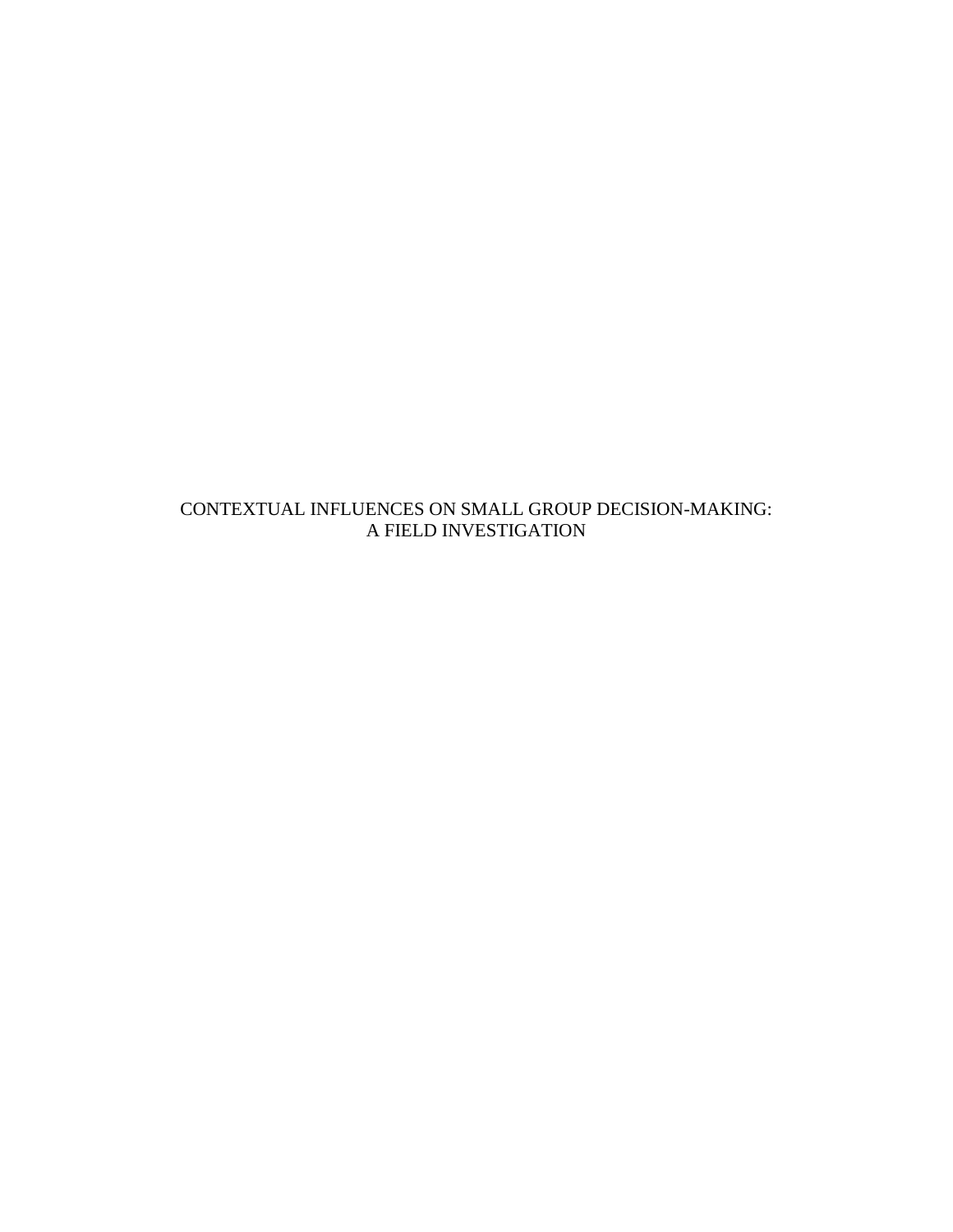CONTEXTUAL INFLUENCES ON SMALL GROUP DECISION-MAKING: A FIELD INVESTIGATION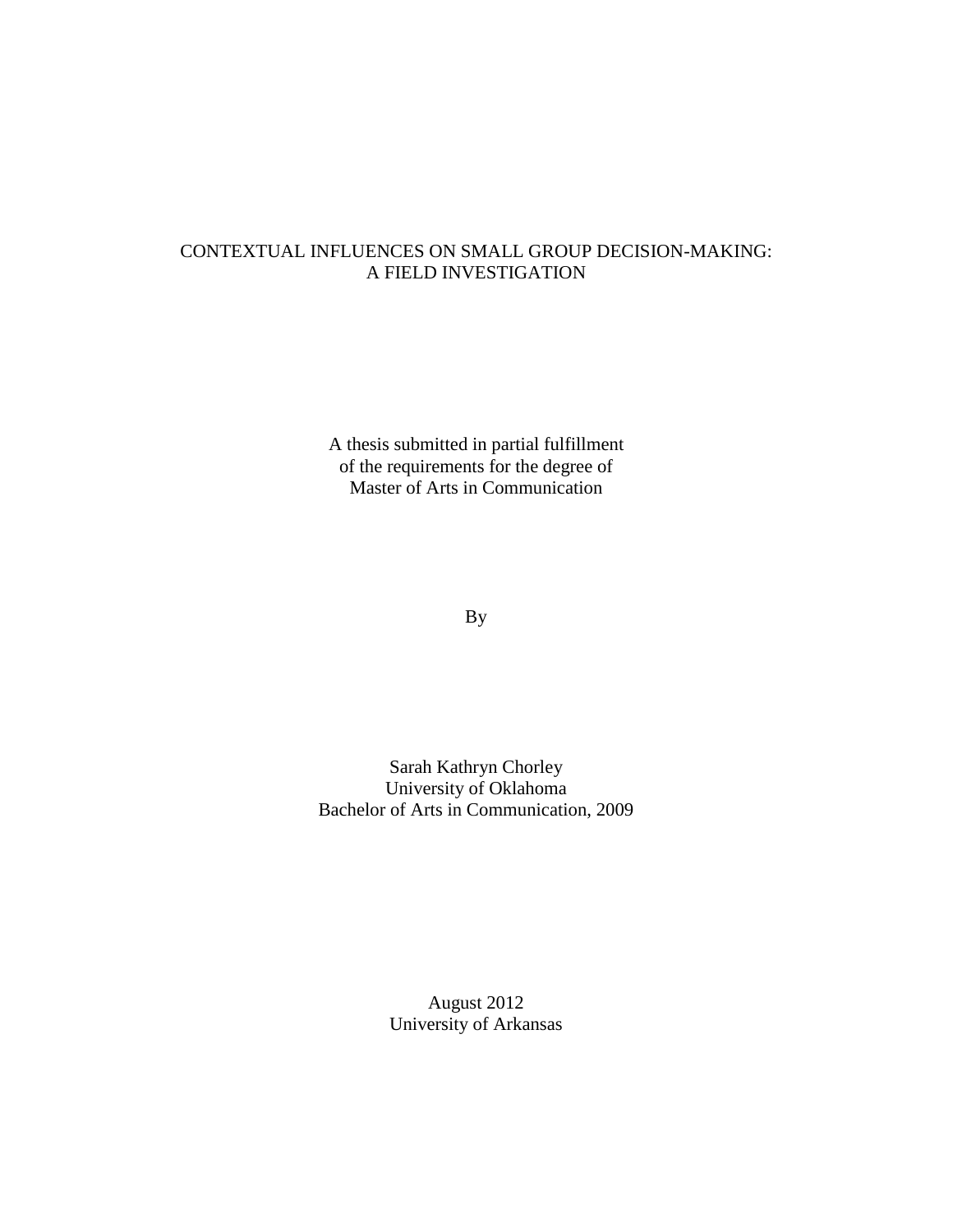### CONTEXTUAL INFLUENCES ON SMALL GROUP DECISION-MAKING: A FIELD INVESTIGATION

A thesis submitted in partial fulfillment of the requirements for the degree of Master of Arts in Communication

By

Sarah Kathryn Chorley University of Oklahoma Bachelor of Arts in Communication, 2009

> August 2012 University of Arkansas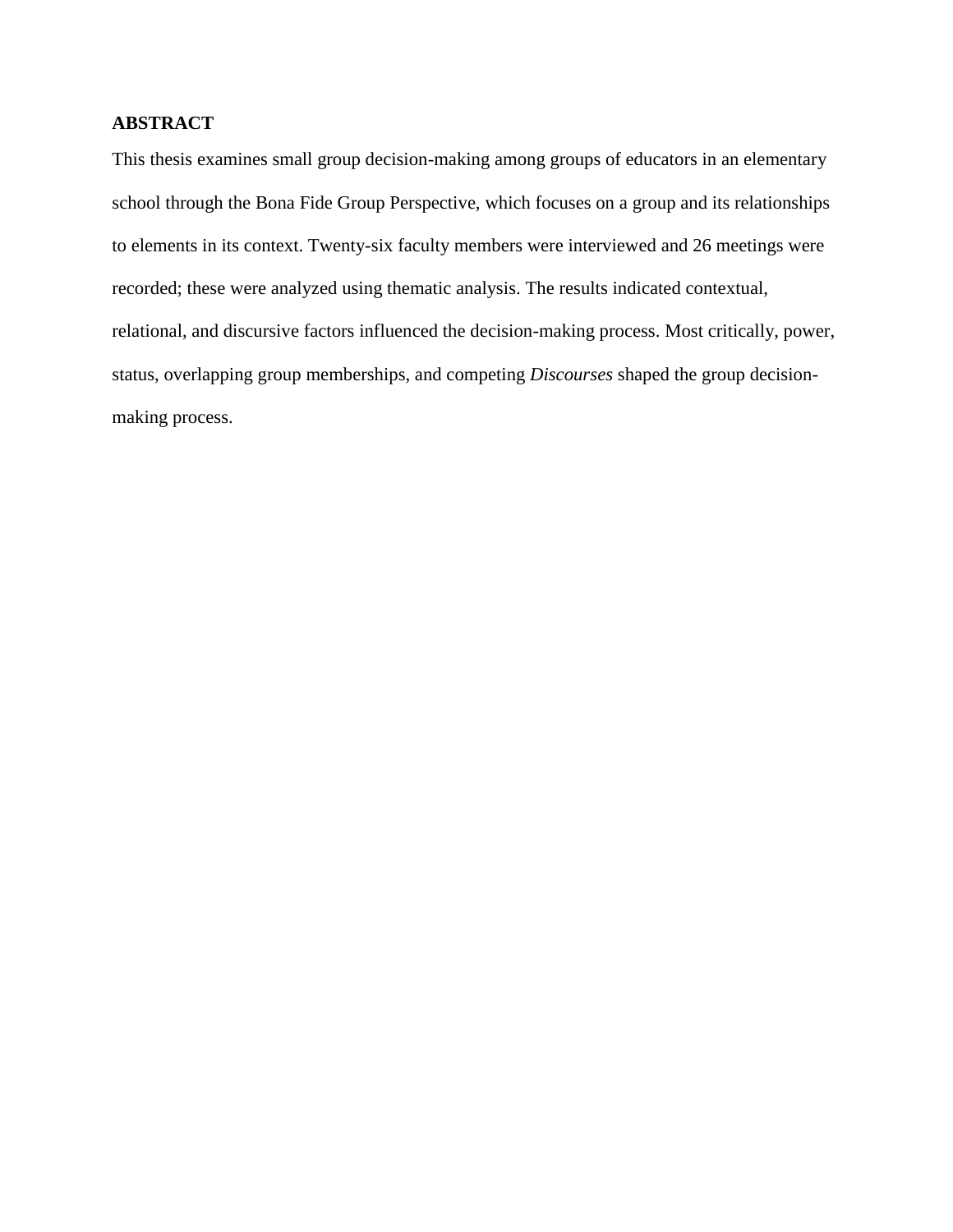### **ABSTRACT**

This thesis examines small group decision-making among groups of educators in an elementary school through the Bona Fide Group Perspective, which focuses on a group and its relationships to elements in its context. Twenty-six faculty members were interviewed and 26 meetings were recorded; these were analyzed using thematic analysis. The results indicated contextual, relational, and discursive factors influenced the decision-making process. Most critically, power, status, overlapping group memberships, and competing *Discourses* shaped the group decisionmaking process.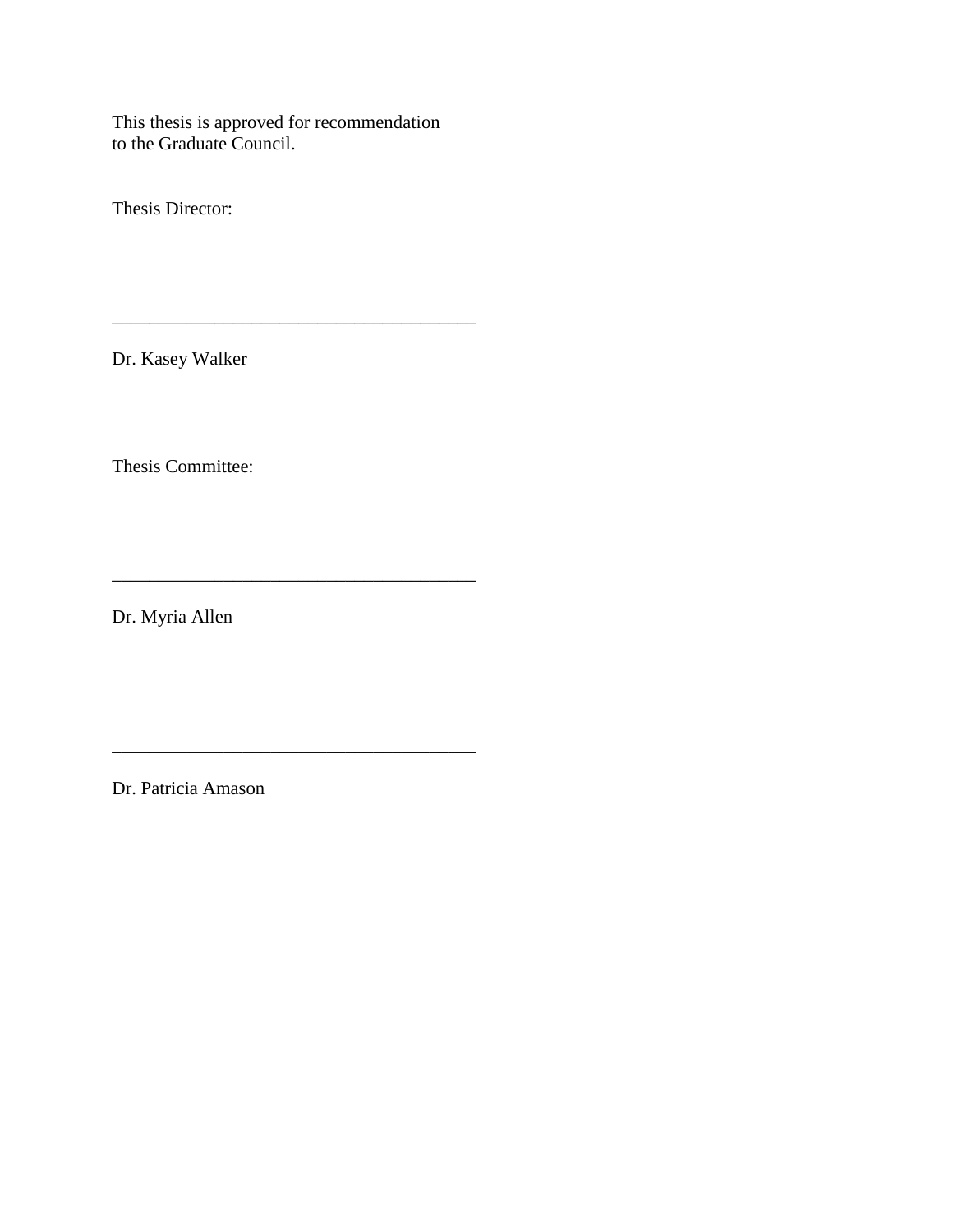This thesis is approved for recommendation to the Graduate Council.

\_\_\_\_\_\_\_\_\_\_\_\_\_\_\_\_\_\_\_\_\_\_\_\_\_\_\_\_\_\_\_\_\_\_\_\_\_\_\_

\_\_\_\_\_\_\_\_\_\_\_\_\_\_\_\_\_\_\_\_\_\_\_\_\_\_\_\_\_\_\_\_\_\_\_\_\_\_\_

Thesis Director:

Dr. Kasey Walker

Thesis Committee:

Dr. Myria Allen

Dr. Patricia Amason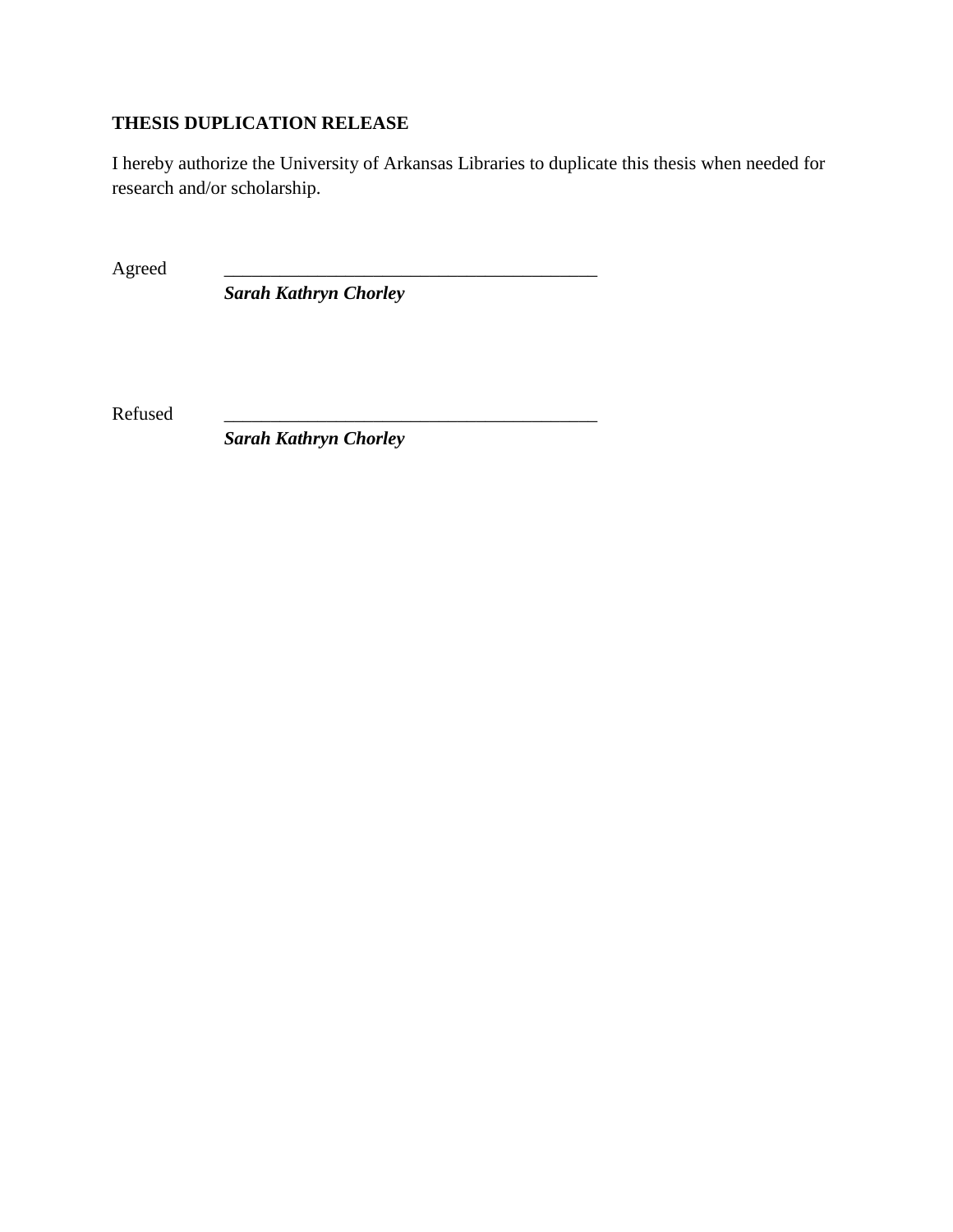# **THESIS DUPLICATION RELEASE**

I hereby authorize the University of Arkansas Libraries to duplicate this thesis when needed for research and/or scholarship.

Agreed

*Sarah Kathryn Chorley*

Refused

*Sarah Kathryn Chorley*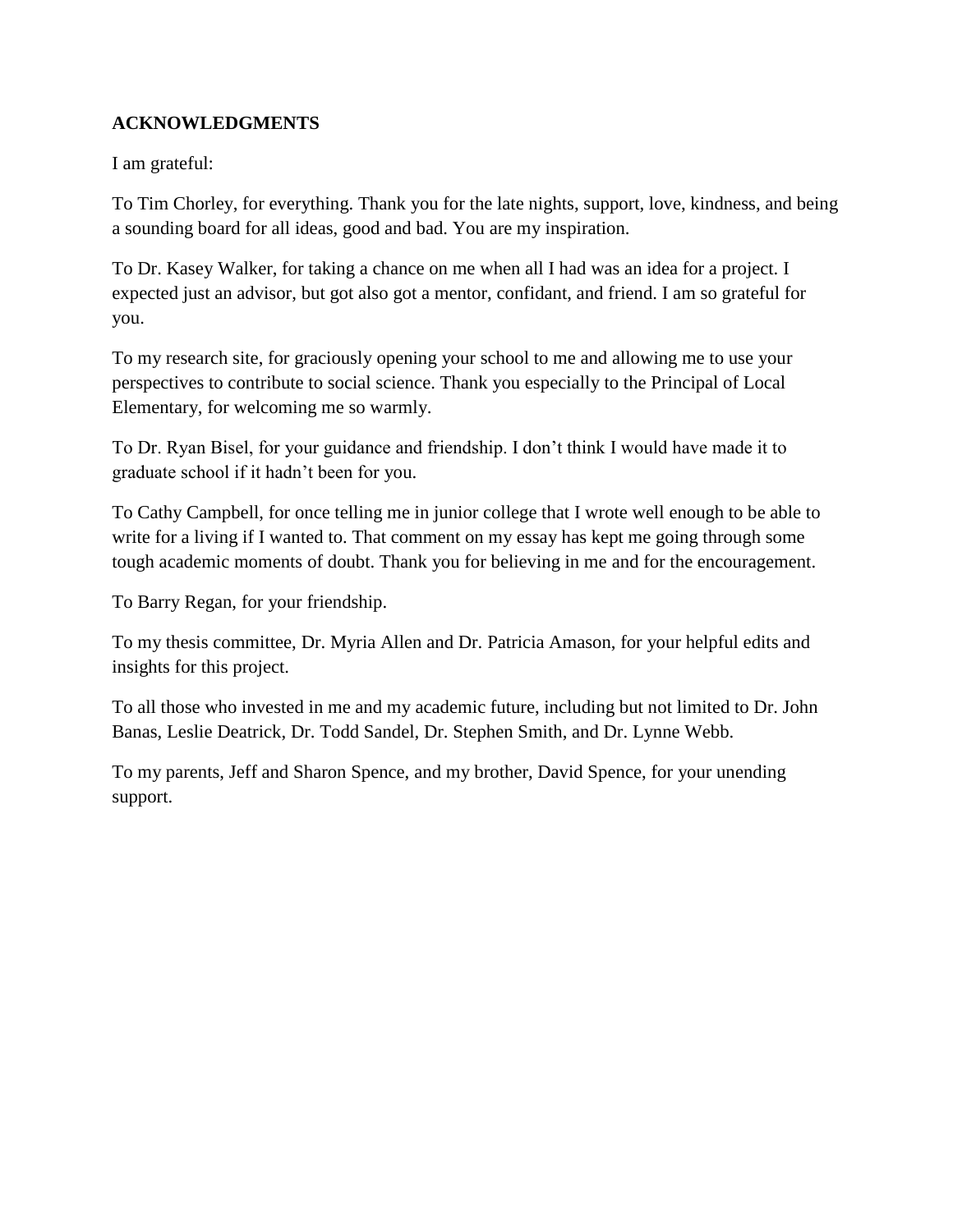### **ACKNOWLEDGMENTS**

I am grateful:

To Tim Chorley, for everything. Thank you for the late nights, support, love, kindness, and being a sounding board for all ideas, good and bad. You are my inspiration.

To Dr. Kasey Walker, for taking a chance on me when all I had was an idea for a project. I expected just an advisor, but got also got a mentor, confidant, and friend. I am so grateful for you.

To my research site, for graciously opening your school to me and allowing me to use your perspectives to contribute to social science. Thank you especially to the Principal of Local Elementary, for welcoming me so warmly.

To Dr. Ryan Bisel, for your guidance and friendship. I don't think I would have made it to graduate school if it hadn't been for you.

To Cathy Campbell, for once telling me in junior college that I wrote well enough to be able to write for a living if I wanted to. That comment on my essay has kept me going through some tough academic moments of doubt. Thank you for believing in me and for the encouragement.

To Barry Regan, for your friendship.

To my thesis committee, Dr. Myria Allen and Dr. Patricia Amason, for your helpful edits and insights for this project.

To all those who invested in me and my academic future, including but not limited to Dr. John Banas, Leslie Deatrick, Dr. Todd Sandel, Dr. Stephen Smith, and Dr. Lynne Webb.

To my parents, Jeff and Sharon Spence, and my brother, David Spence, for your unending support.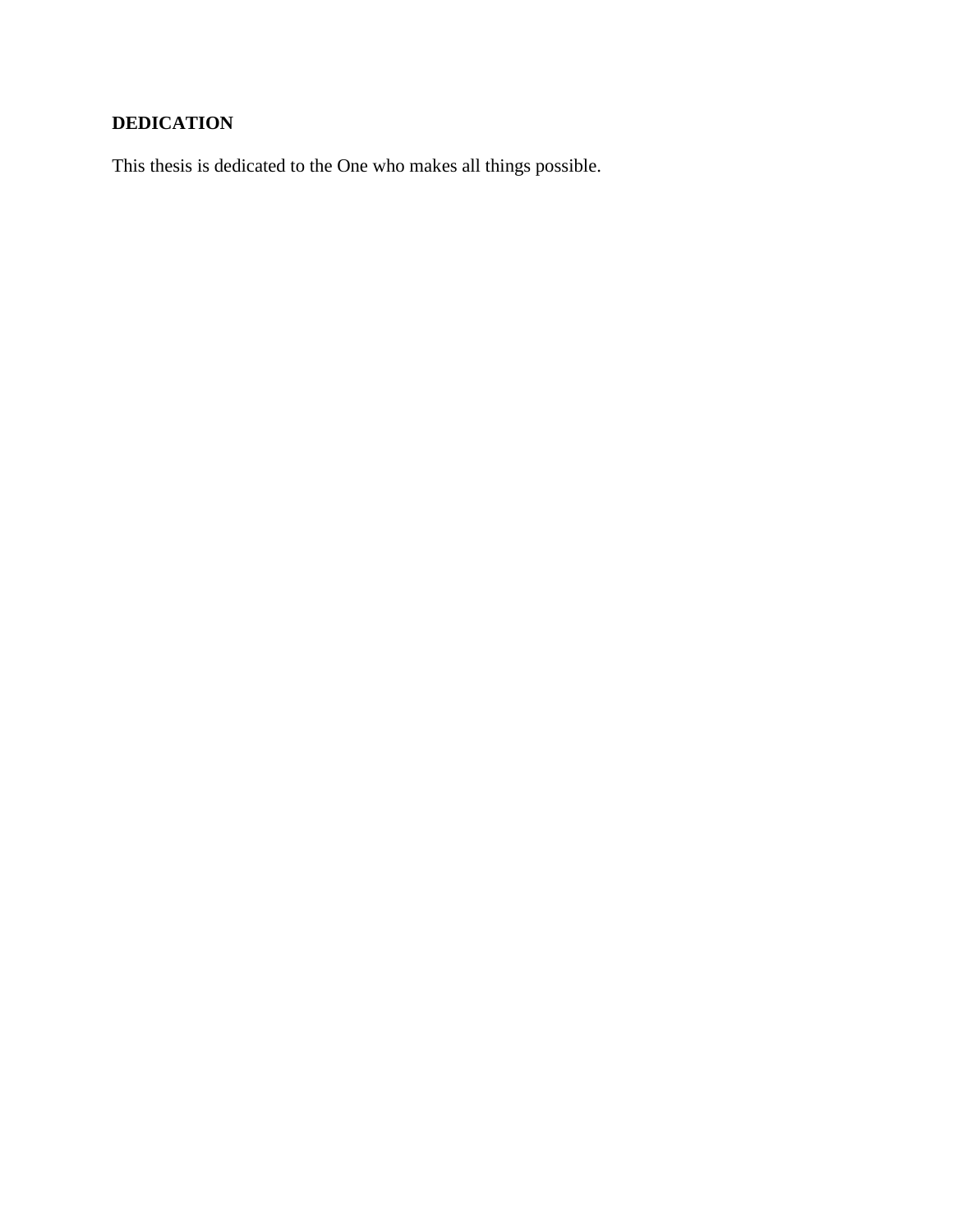# **DEDICATION**

This thesis is dedicated to the One who makes all things possible.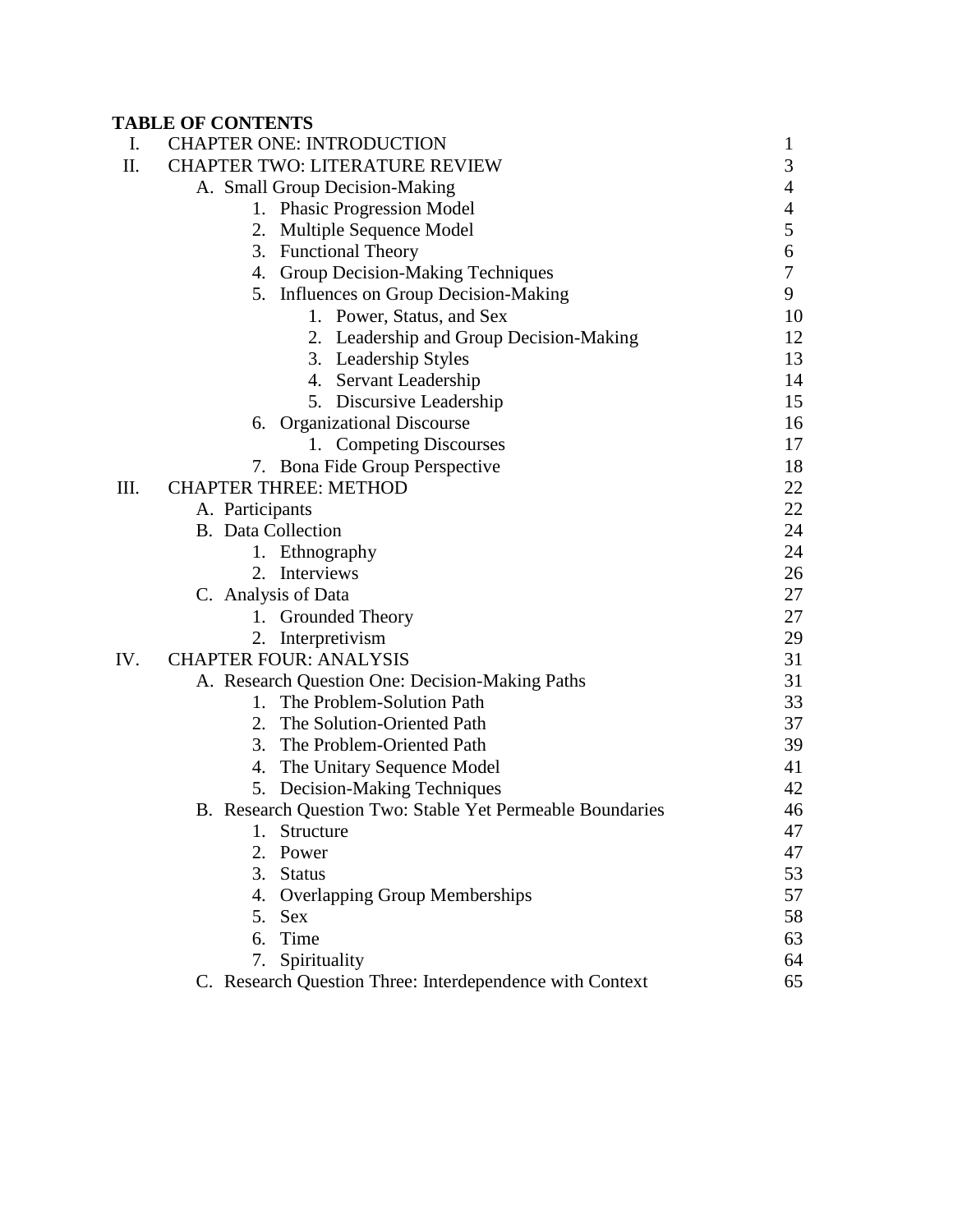# **TABLE OF CONTENTS**

| I.   | <b>CHAPTER ONE: INTRODUCTION</b>                          | 1              |
|------|-----------------------------------------------------------|----------------|
| II.  | <b>CHAPTER TWO: LITERATURE REVIEW</b>                     | 3              |
|      | A. Small Group Decision-Making                            | $\overline{4}$ |
|      | 1. Phasic Progression Model                               | $\overline{4}$ |
|      | Multiple Sequence Model<br>2.                             | 5              |
|      | 3. Functional Theory                                      | 6              |
|      | 4. Group Decision-Making Techniques                       | $\tau$         |
|      | 5. Influences on Group Decision-Making                    | 9              |
|      | 1. Power, Status, and Sex                                 | 10             |
|      | 2. Leadership and Group Decision-Making                   | 12             |
|      | 3. Leadership Styles                                      | 13             |
|      | 4. Servant Leadership                                     | 14             |
|      | 5. Discursive Leadership                                  | 15             |
|      | <b>Organizational Discourse</b><br>6.                     | 16             |
|      | 1. Competing Discourses                                   | 17             |
|      | 7. Bona Fide Group Perspective                            | 18             |
| III. | <b>CHAPTER THREE: METHOD</b>                              | 22             |
|      | A. Participants                                           | 22             |
|      | <b>B.</b> Data Collection                                 | 24             |
|      | 1. Ethnography                                            | 24             |
|      | 2. Interviews                                             | 26             |
|      | C. Analysis of Data                                       | 27             |
|      | 1. Grounded Theory                                        | 27             |
|      | Interpretivism                                            | 29             |
| IV.  | <b>CHAPTER FOUR: ANALYSIS</b>                             | 31             |
|      | A. Research Question One: Decision-Making Paths           | 31             |
|      | 1. The Problem-Solution Path                              | 33             |
|      | 2. The Solution-Oriented Path                             | 37             |
|      | 3. The Problem-Oriented Path                              | 39             |
|      | 4. The Unitary Sequence Model                             | 41             |
|      | 5. Decision-Making Techniques                             | 42             |
|      | B. Research Question Two: Stable Yet Permeable Boundaries | 46             |
|      | 1.<br>Structure                                           | 47             |
|      | 2.<br>Power                                               | 47             |
|      | <b>Status</b><br>3.                                       | 53             |
|      | 4. Overlapping Group Memberships                          | 57             |
|      | 5. Sex                                                    | 58             |
|      | 6. Time                                                   | 63             |
|      | 7. Spirituality                                           | 64             |
|      | C. Research Question Three: Interdependence with Context  | 65             |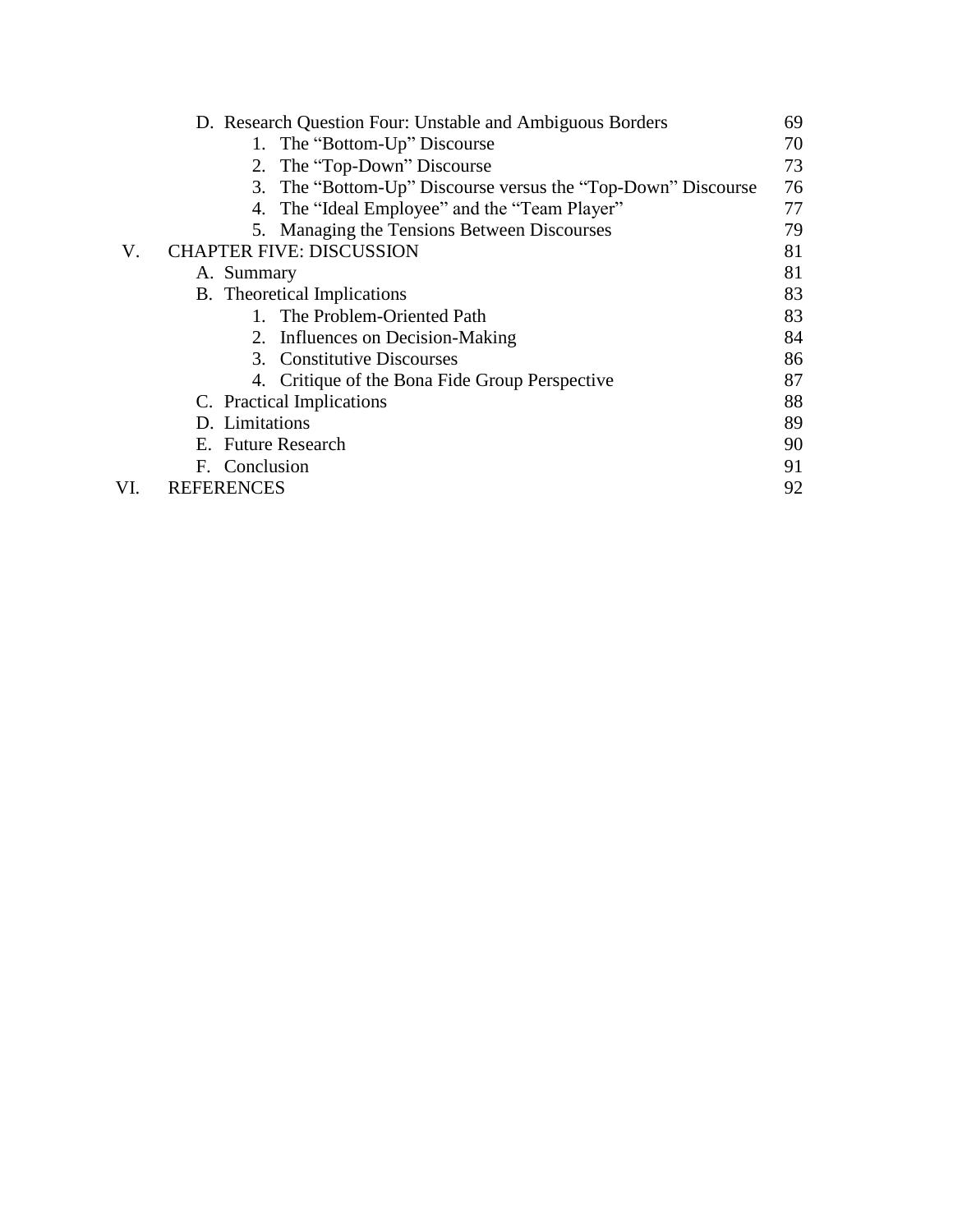|     | D. Research Question Four: Unstable and Ambiguous Borders    | 69 |  |  |
|-----|--------------------------------------------------------------|----|--|--|
|     | 1. The "Bottom-Up" Discourse                                 | 70 |  |  |
|     | 2. The "Top-Down" Discourse                                  | 73 |  |  |
|     | 3. The "Bottom-Up" Discourse versus the "Top-Down" Discourse | 76 |  |  |
|     | 4. The "Ideal Employee" and the "Team Player"                | 77 |  |  |
|     | 5. Managing the Tensions Between Discourses                  | 79 |  |  |
| V.  | <b>CHAPTER FIVE: DISCUSSION</b>                              | 81 |  |  |
|     | A. Summary                                                   | 81 |  |  |
|     | B. Theoretical Implications                                  | 83 |  |  |
|     | 1. The Problem-Oriented Path                                 | 83 |  |  |
|     | 2. Influences on Decision-Making                             | 84 |  |  |
|     | 3. Constitutive Discourses                                   | 86 |  |  |
|     | 4. Critique of the Bona Fide Group Perspective               | 87 |  |  |
|     | C. Practical Implications                                    | 88 |  |  |
|     | D. Limitations                                               |    |  |  |
|     | E. Future Research                                           | 90 |  |  |
|     | F. Conclusion                                                | 91 |  |  |
| VI. | <b>REFERENCES</b>                                            | 92 |  |  |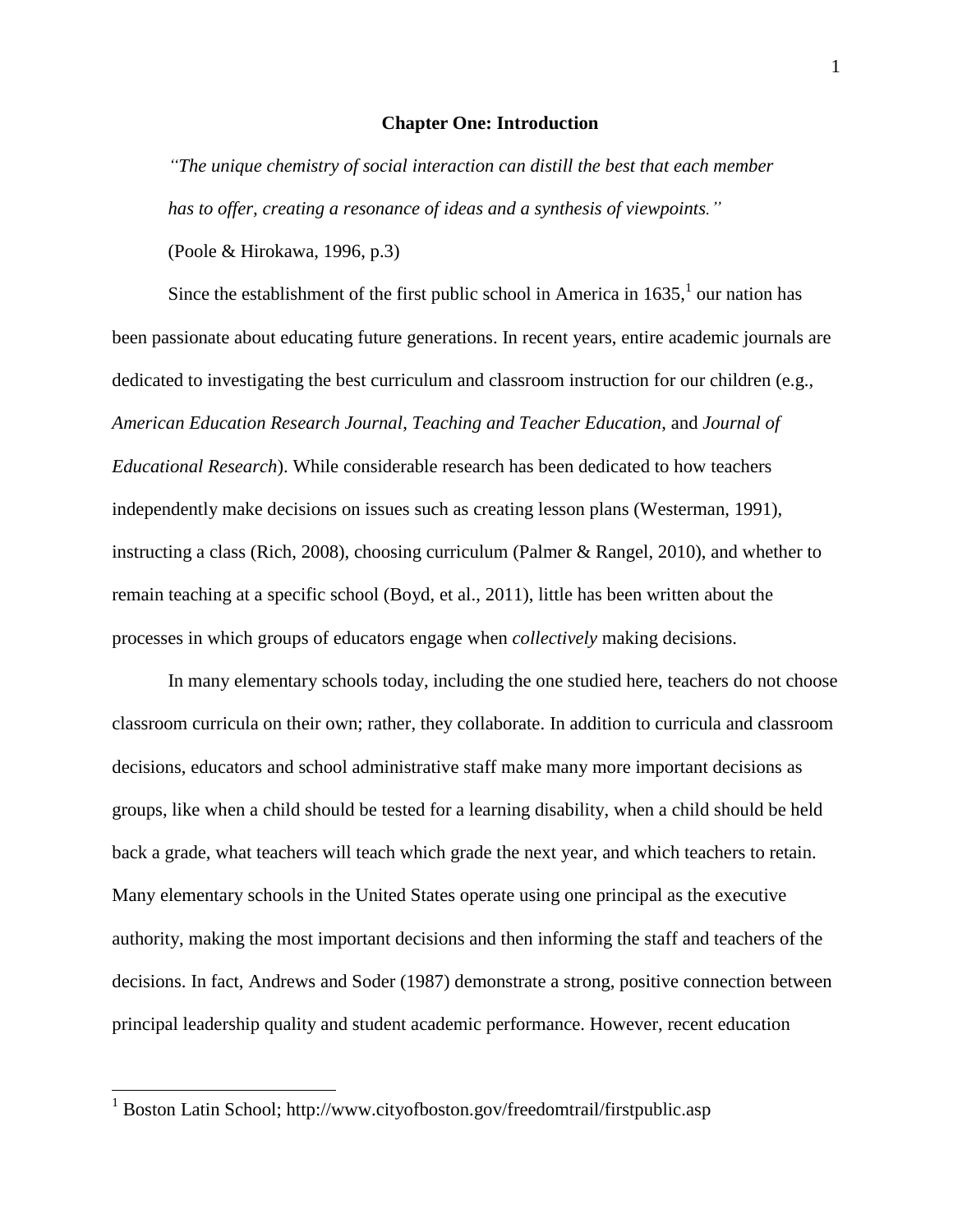#### **Chapter One: Introduction**

*"The unique chemistry of social interaction can distill the best that each member has to offer, creating a resonance of ideas and a synthesis of viewpoints."* 

(Poole & Hirokawa, 1996, p.3)

Since the establishment of the first public school in America in  $1635$ ,  $\frac{1}{1}$  our nation has been passionate about educating future generations. In recent years, entire academic journals are dedicated to investigating the best curriculum and classroom instruction for our children (e.g., *American Education Research Journal*, *Teaching and Teacher Education*, and *Journal of Educational Research*). While considerable research has been dedicated to how teachers independently make decisions on issues such as creating lesson plans (Westerman, 1991), instructing a class (Rich, 2008), choosing curriculum (Palmer & Rangel, 2010), and whether to remain teaching at a specific school (Boyd, et al., 2011), little has been written about the processes in which groups of educators engage when *collectively* making decisions.

In many elementary schools today, including the one studied here, teachers do not choose classroom curricula on their own; rather, they collaborate. In addition to curricula and classroom decisions, educators and school administrative staff make many more important decisions as groups, like when a child should be tested for a learning disability, when a child should be held back a grade, what teachers will teach which grade the next year, and which teachers to retain. Many elementary schools in the United States operate using one principal as the executive authority, making the most important decisions and then informing the staff and teachers of the decisions. In fact, Andrews and Soder (1987) demonstrate a strong, positive connection between principal leadership quality and student academic performance. However, recent education

 $\overline{\phantom{a}}$ 

<sup>&</sup>lt;sup>1</sup> Boston Latin School; http://www.cityofboston.gov/freedomtrail/firstpublic.asp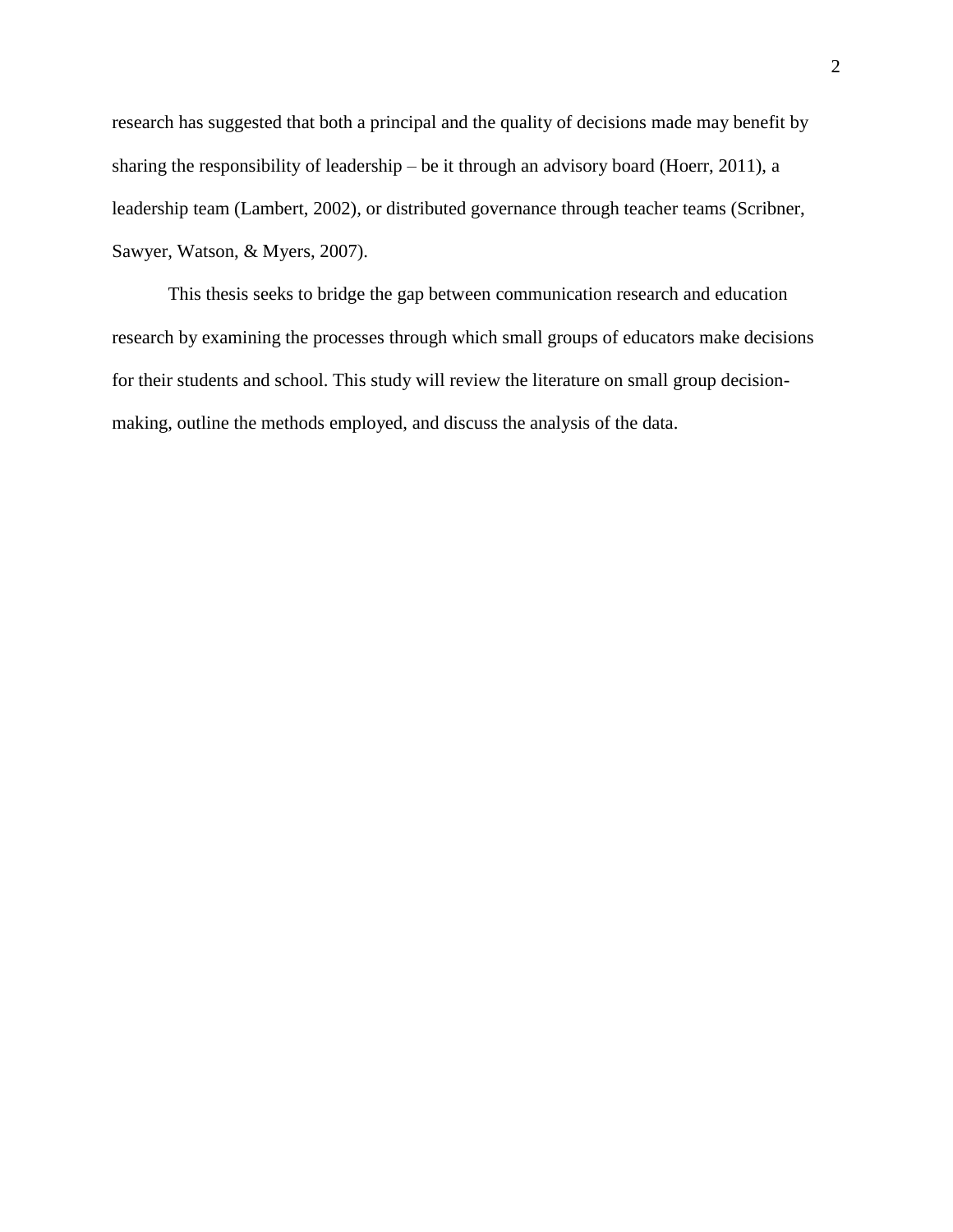research has suggested that both a principal and the quality of decisions made may benefit by sharing the responsibility of leadership – be it through an advisory board (Hoerr, 2011), a leadership team (Lambert, 2002), or distributed governance through teacher teams (Scribner, Sawyer, Watson, & Myers, 2007).

This thesis seeks to bridge the gap between communication research and education research by examining the processes through which small groups of educators make decisions for their students and school. This study will review the literature on small group decisionmaking, outline the methods employed, and discuss the analysis of the data.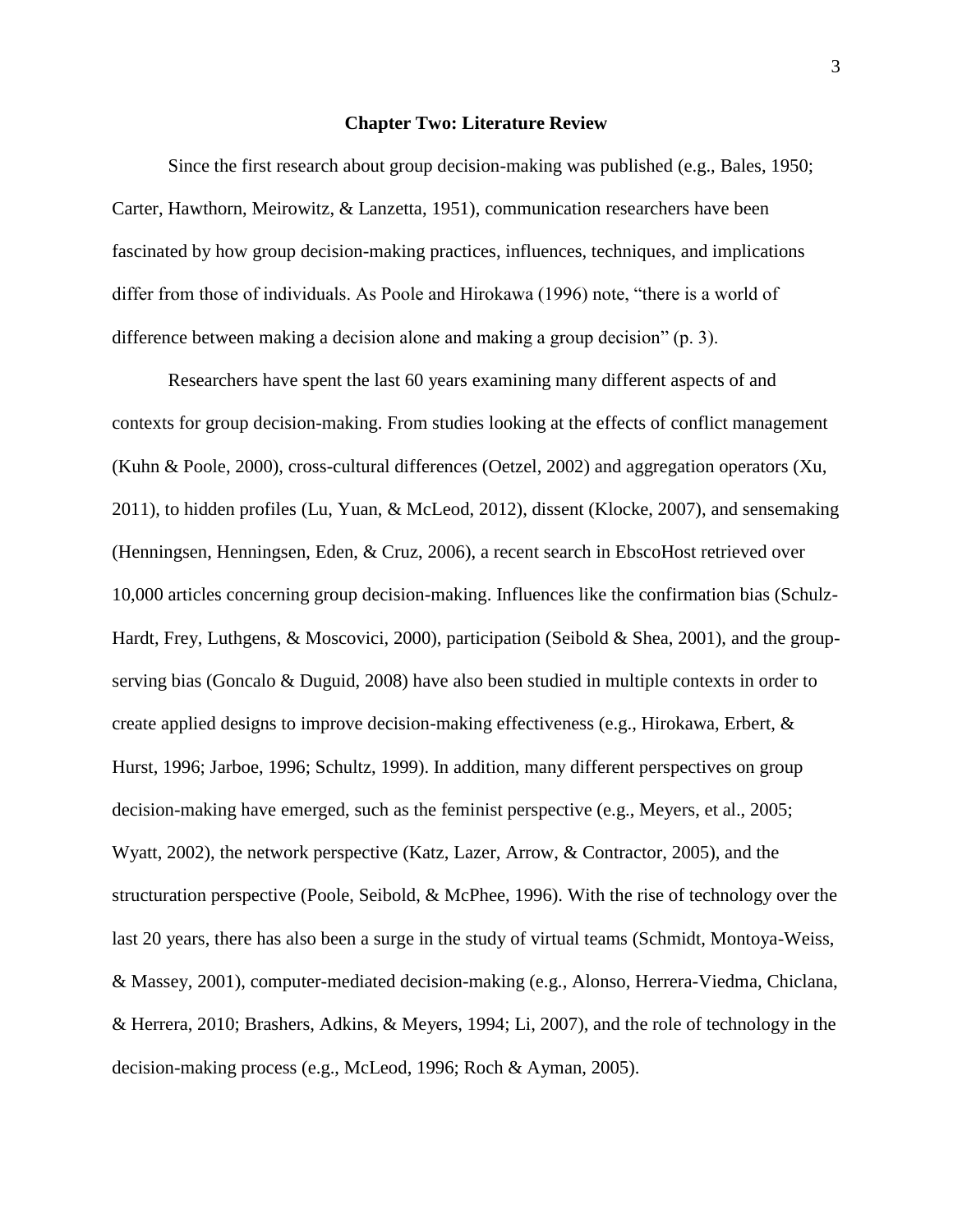#### **Chapter Two: Literature Review**

Since the first research about group decision-making was published (e.g., Bales, 1950; Carter, Hawthorn, Meirowitz, & Lanzetta, 1951), communication researchers have been fascinated by how group decision-making practices, influences, techniques, and implications differ from those of individuals. As Poole and Hirokawa (1996) note, "there is a world of difference between making a decision alone and making a group decision" (p. 3).

Researchers have spent the last 60 years examining many different aspects of and contexts for group decision-making. From studies looking at the effects of conflict management (Kuhn & Poole, 2000), cross-cultural differences (Oetzel, 2002) and aggregation operators (Xu, 2011), to hidden profiles (Lu, Yuan, & McLeod, 2012), dissent (Klocke, 2007), and sensemaking (Henningsen, Henningsen, Eden, & Cruz, 2006), a recent search in EbscoHost retrieved over 10,000 articles concerning group decision-making. Influences like the confirmation bias (Schulz-Hardt, Frey, Luthgens, & Moscovici, 2000), participation (Seibold & Shea, 2001), and the groupserving bias (Goncalo & Duguid, 2008) have also been studied in multiple contexts in order to create applied designs to improve decision-making effectiveness (e.g., Hirokawa, Erbert, & Hurst, 1996; Jarboe, 1996; Schultz, 1999). In addition, many different perspectives on group decision-making have emerged, such as the feminist perspective (e.g., Meyers, et al., 2005; Wyatt, 2002), the network perspective (Katz, Lazer, Arrow, & Contractor, 2005), and the structuration perspective (Poole, Seibold, & McPhee, 1996). With the rise of technology over the last 20 years, there has also been a surge in the study of virtual teams (Schmidt, Montoya-Weiss, & Massey, 2001), computer-mediated decision-making (e.g., Alonso, Herrera-Viedma, Chiclana, & Herrera, 2010; Brashers, Adkins, & Meyers, 1994; Li, 2007), and the role of technology in the decision-making process (e.g., McLeod, 1996; Roch & Ayman, 2005).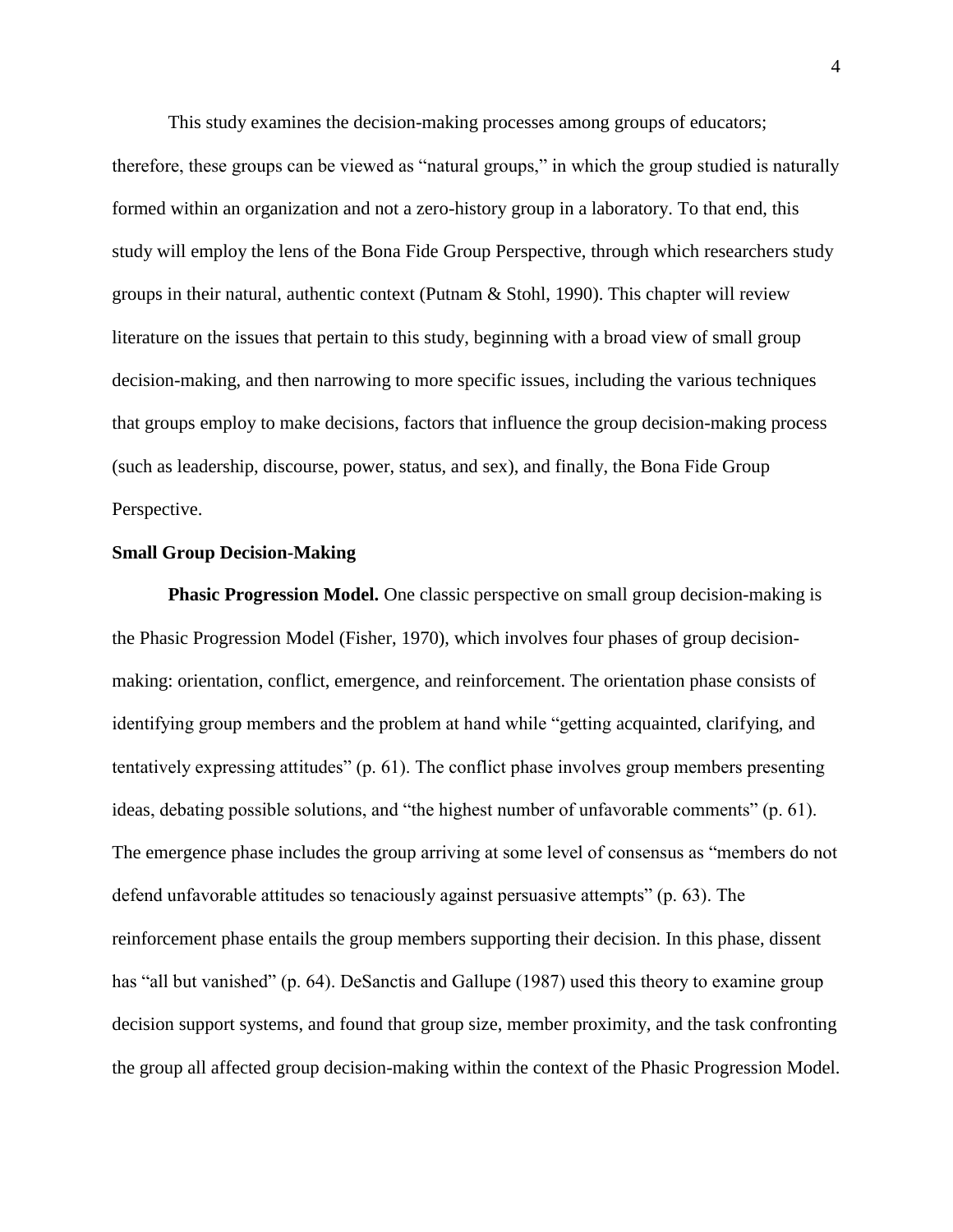This study examines the decision-making processes among groups of educators;

therefore, these groups can be viewed as "natural groups," in which the group studied is naturally formed within an organization and not a zero-history group in a laboratory. To that end, this study will employ the lens of the Bona Fide Group Perspective, through which researchers study groups in their natural, authentic context (Putnam & Stohl, 1990). This chapter will review literature on the issues that pertain to this study, beginning with a broad view of small group decision-making, and then narrowing to more specific issues, including the various techniques that groups employ to make decisions, factors that influence the group decision-making process (such as leadership, discourse, power, status, and sex), and finally, the Bona Fide Group Perspective.

#### **Small Group Decision-Making**

**Phasic Progression Model.** One classic perspective on small group decision-making is the Phasic Progression Model (Fisher, 1970), which involves four phases of group decisionmaking: orientation, conflict, emergence, and reinforcement. The orientation phase consists of identifying group members and the problem at hand while "getting acquainted, clarifying, and tentatively expressing attitudes" (p. 61). The conflict phase involves group members presenting ideas, debating possible solutions, and "the highest number of unfavorable comments" (p. 61). The emergence phase includes the group arriving at some level of consensus as "members do not defend unfavorable attitudes so tenaciously against persuasive attempts" (p. 63). The reinforcement phase entails the group members supporting their decision. In this phase, dissent has "all but vanished" (p. 64). DeSanctis and Gallupe (1987) used this theory to examine group decision support systems, and found that group size, member proximity, and the task confronting the group all affected group decision-making within the context of the Phasic Progression Model.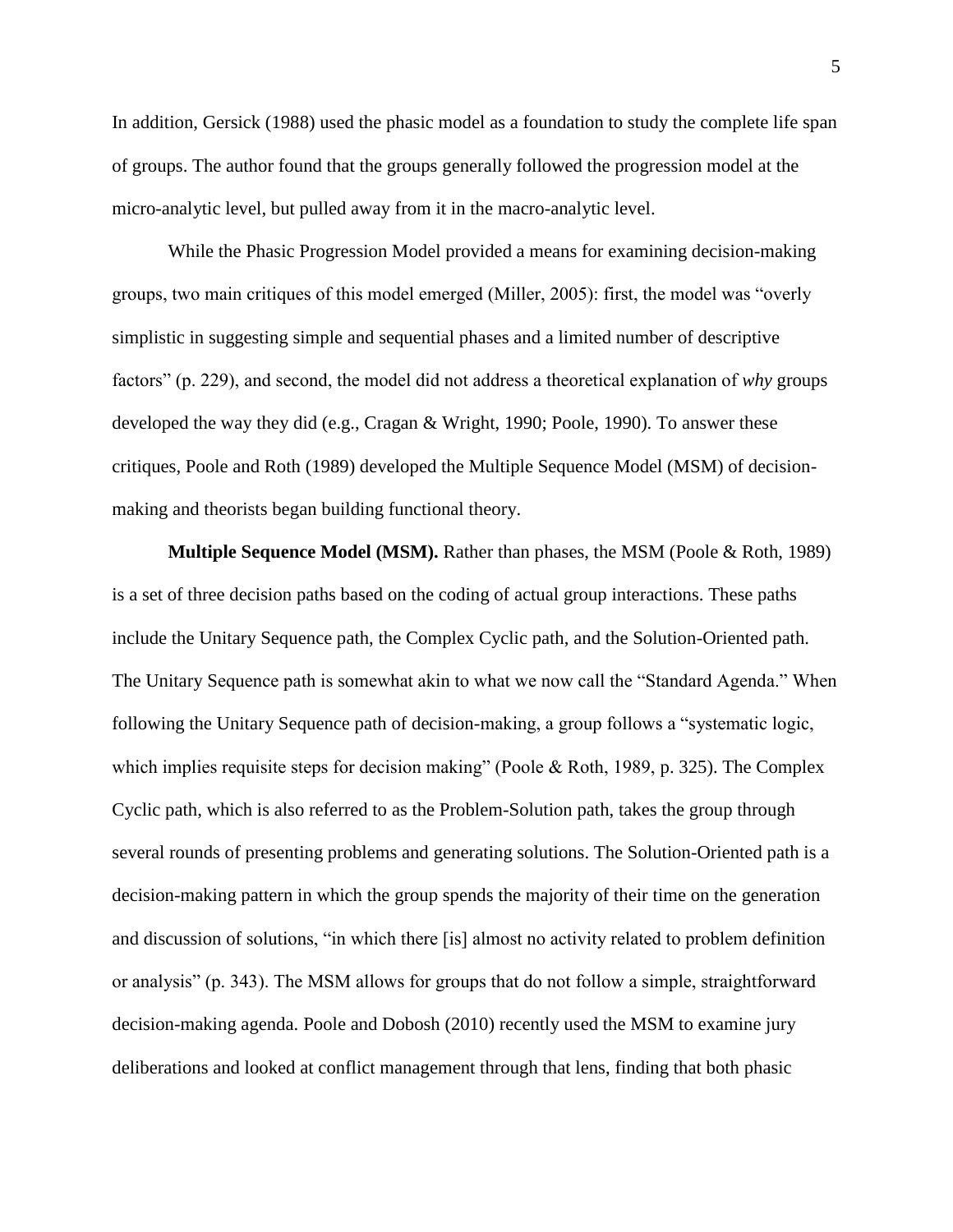In addition, Gersick (1988) used the phasic model as a foundation to study the complete life span of groups. The author found that the groups generally followed the progression model at the micro-analytic level, but pulled away from it in the macro-analytic level.

While the Phasic Progression Model provided a means for examining decision-making groups, two main critiques of this model emerged (Miller, 2005): first, the model was "overly simplistic in suggesting simple and sequential phases and a limited number of descriptive factors" (p. 229), and second, the model did not address a theoretical explanation of *why* groups developed the way they did (e.g., Cragan & Wright, 1990; Poole, 1990). To answer these critiques, Poole and Roth (1989) developed the Multiple Sequence Model (MSM) of decisionmaking and theorists began building functional theory.

**Multiple Sequence Model (MSM).** Rather than phases, the MSM (Poole & Roth, 1989) is a set of three decision paths based on the coding of actual group interactions. These paths include the Unitary Sequence path, the Complex Cyclic path, and the Solution-Oriented path. The Unitary Sequence path is somewhat akin to what we now call the "Standard Agenda." When following the Unitary Sequence path of decision-making, a group follows a "systematic logic, which implies requisite steps for decision making" (Poole & Roth, 1989, p. 325). The Complex Cyclic path, which is also referred to as the Problem-Solution path, takes the group through several rounds of presenting problems and generating solutions. The Solution-Oriented path is a decision-making pattern in which the group spends the majority of their time on the generation and discussion of solutions, "in which there [is] almost no activity related to problem definition or analysis" (p. 343). The MSM allows for groups that do not follow a simple, straightforward decision-making agenda. Poole and Dobosh (2010) recently used the MSM to examine jury deliberations and looked at conflict management through that lens, finding that both phasic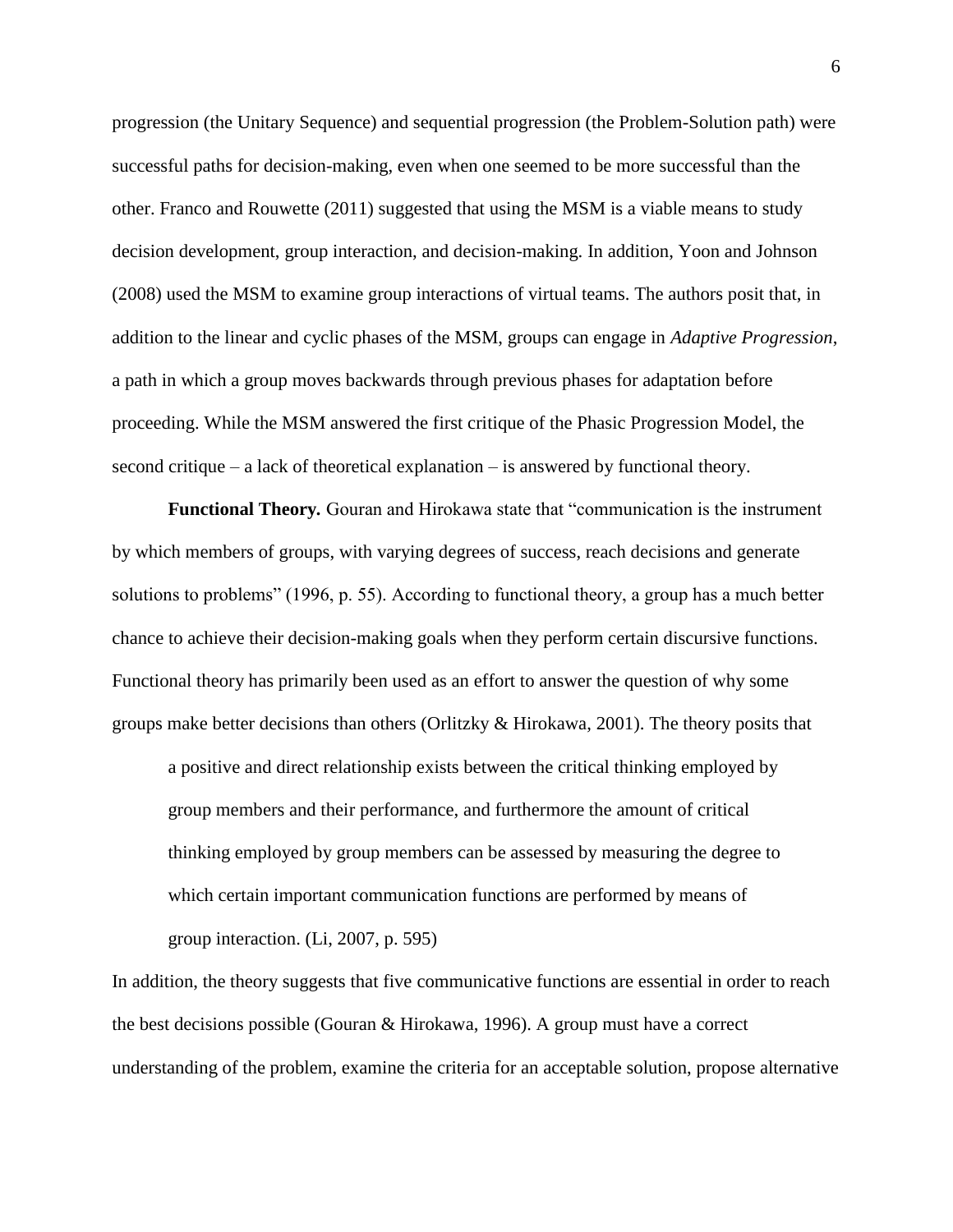progression (the Unitary Sequence) and sequential progression (the Problem-Solution path) were successful paths for decision-making, even when one seemed to be more successful than the other. Franco and Rouwette (2011) suggested that using the MSM is a viable means to study decision development, group interaction, and decision-making. In addition, Yoon and Johnson (2008) used the MSM to examine group interactions of virtual teams. The authors posit that, in addition to the linear and cyclic phases of the MSM, groups can engage in *Adaptive Progression*, a path in which a group moves backwards through previous phases for adaptation before proceeding. While the MSM answered the first critique of the Phasic Progression Model, the second critique – a lack of theoretical explanation – is answered by functional theory.

**Functional Theory***.* Gouran and Hirokawa state that "communication is the instrument by which members of groups, with varying degrees of success, reach decisions and generate solutions to problems" (1996, p. 55). According to functional theory, a group has a much better chance to achieve their decision-making goals when they perform certain discursive functions. Functional theory has primarily been used as an effort to answer the question of why some groups make better decisions than others (Orlitzky & Hirokawa, 2001). The theory posits that

a positive and direct relationship exists between the critical thinking employed by group members and their performance, and furthermore the amount of critical thinking employed by group members can be assessed by measuring the degree to which certain important communication functions are performed by means of group interaction. (Li, 2007, p. 595)

In addition, the theory suggests that five communicative functions are essential in order to reach the best decisions possible (Gouran & Hirokawa, 1996). A group must have a correct understanding of the problem, examine the criteria for an acceptable solution, propose alternative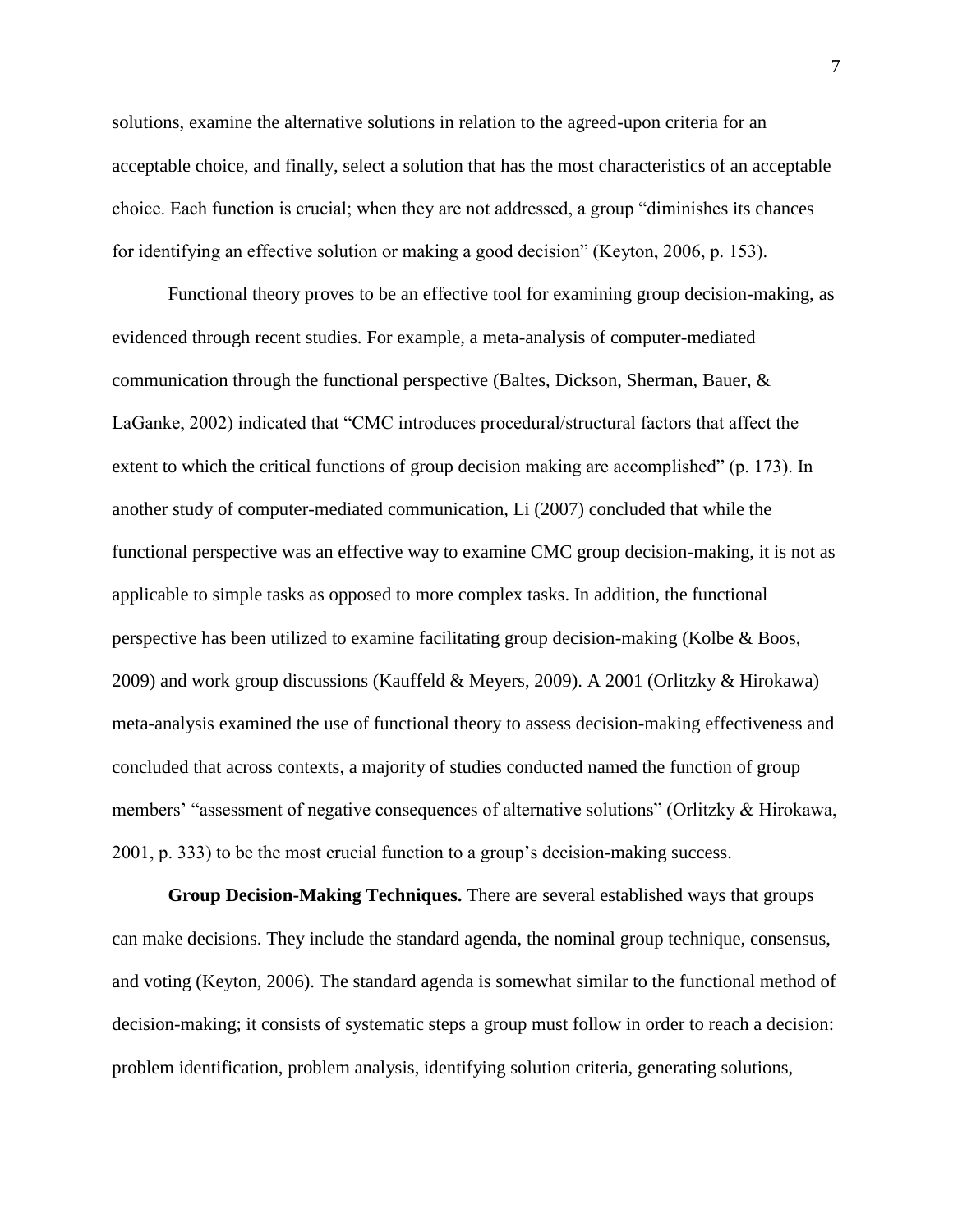solutions, examine the alternative solutions in relation to the agreed-upon criteria for an acceptable choice, and finally, select a solution that has the most characteristics of an acceptable choice. Each function is crucial; when they are not addressed, a group "diminishes its chances for identifying an effective solution or making a good decision" (Keyton, 2006, p. 153).

Functional theory proves to be an effective tool for examining group decision-making, as evidenced through recent studies. For example, a meta-analysis of computer-mediated communication through the functional perspective (Baltes, Dickson, Sherman, Bauer, & LaGanke, 2002) indicated that "CMC introduces procedural/structural factors that affect the extent to which the critical functions of group decision making are accomplished" (p. 173). In another study of computer-mediated communication, Li (2007) concluded that while the functional perspective was an effective way to examine CMC group decision-making, it is not as applicable to simple tasks as opposed to more complex tasks. In addition, the functional perspective has been utilized to examine facilitating group decision-making (Kolbe & Boos, 2009) and work group discussions (Kauffeld & Meyers, 2009). A 2001 (Orlitzky & Hirokawa) meta-analysis examined the use of functional theory to assess decision-making effectiveness and concluded that across contexts, a majority of studies conducted named the function of group members' "assessment of negative consequences of alternative solutions" (Orlitzky & Hirokawa, 2001, p. 333) to be the most crucial function to a group's decision-making success.

**Group Decision-Making Techniques.** There are several established ways that groups can make decisions. They include the standard agenda, the nominal group technique, consensus, and voting (Keyton, 2006). The standard agenda is somewhat similar to the functional method of decision-making; it consists of systematic steps a group must follow in order to reach a decision: problem identification, problem analysis, identifying solution criteria, generating solutions,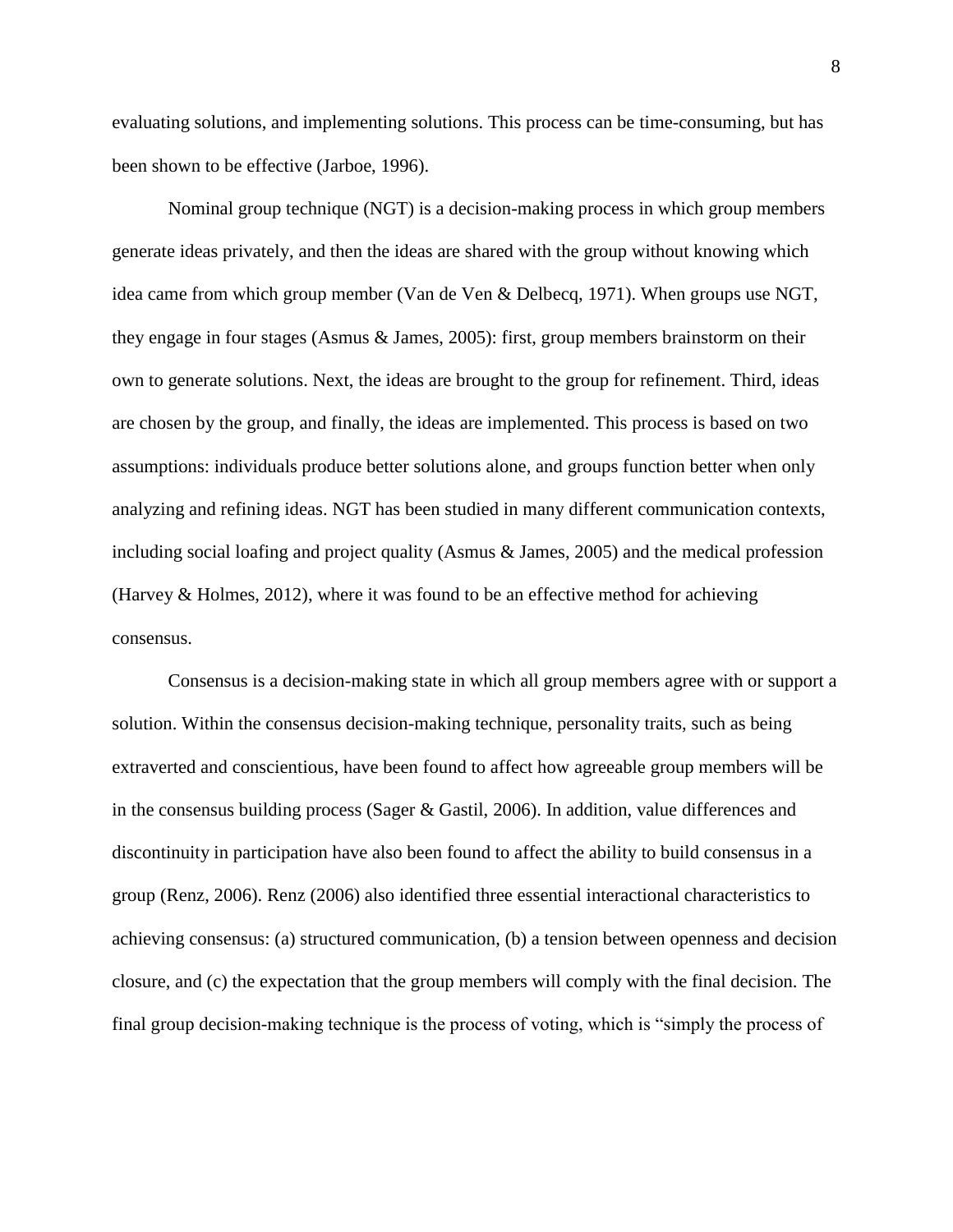evaluating solutions, and implementing solutions. This process can be time-consuming, but has been shown to be effective (Jarboe, 1996).

Nominal group technique (NGT) is a decision-making process in which group members generate ideas privately, and then the ideas are shared with the group without knowing which idea came from which group member (Van de Ven & Delbecq, 1971). When groups use NGT, they engage in four stages (Asmus & James, 2005): first, group members brainstorm on their own to generate solutions. Next, the ideas are brought to the group for refinement. Third, ideas are chosen by the group, and finally, the ideas are implemented. This process is based on two assumptions: individuals produce better solutions alone, and groups function better when only analyzing and refining ideas. NGT has been studied in many different communication contexts, including social loafing and project quality (Asmus & James, 2005) and the medical profession (Harvey & Holmes, 2012), where it was found to be an effective method for achieving consensus.

Consensus is a decision-making state in which all group members agree with or support a solution. Within the consensus decision-making technique, personality traits, such as being extraverted and conscientious, have been found to affect how agreeable group members will be in the consensus building process (Sager  $\&$  Gastil, 2006). In addition, value differences and discontinuity in participation have also been found to affect the ability to build consensus in a group (Renz, 2006). Renz (2006) also identified three essential interactional characteristics to achieving consensus: (a) structured communication, (b) a tension between openness and decision closure, and (c) the expectation that the group members will comply with the final decision. The final group decision-making technique is the process of voting, which is "simply the process of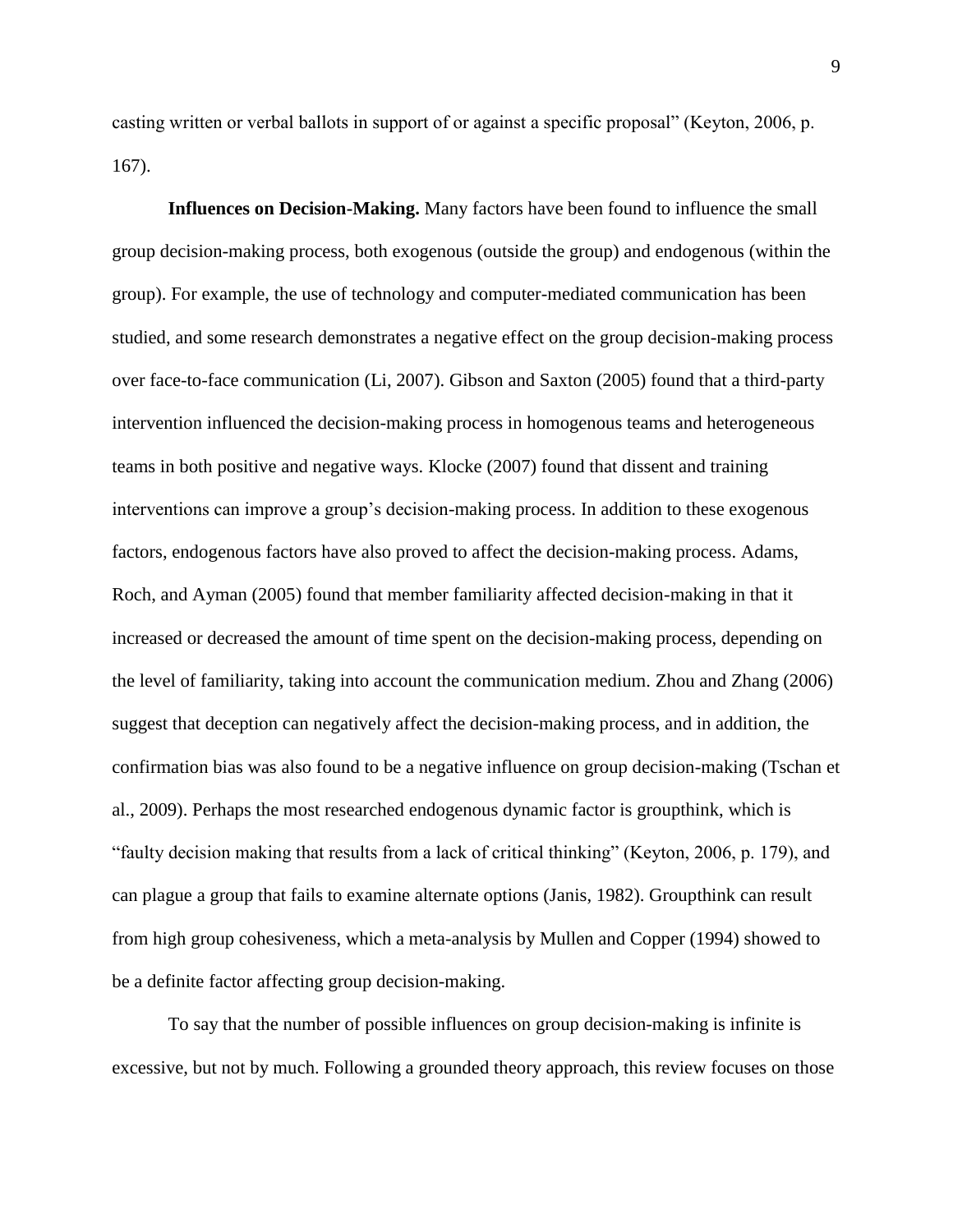casting written or verbal ballots in support of or against a specific proposal" (Keyton, 2006, p. 167).

**Influences on Decision-Making.** Many factors have been found to influence the small group decision-making process, both exogenous (outside the group) and endogenous (within the group). For example, the use of technology and computer-mediated communication has been studied, and some research demonstrates a negative effect on the group decision-making process over face-to-face communication (Li, 2007). Gibson and Saxton (2005) found that a third-party intervention influenced the decision-making process in homogenous teams and heterogeneous teams in both positive and negative ways. Klocke (2007) found that dissent and training interventions can improve a group's decision-making process. In addition to these exogenous factors, endogenous factors have also proved to affect the decision-making process. Adams, Roch, and Ayman (2005) found that member familiarity affected decision-making in that it increased or decreased the amount of time spent on the decision-making process, depending on the level of familiarity, taking into account the communication medium. Zhou and Zhang (2006) suggest that deception can negatively affect the decision-making process, and in addition, the confirmation bias was also found to be a negative influence on group decision-making (Tschan et al., 2009). Perhaps the most researched endogenous dynamic factor is groupthink, which is "faulty decision making that results from a lack of critical thinking" (Keyton, 2006, p. 179), and can plague a group that fails to examine alternate options (Janis, 1982). Groupthink can result from high group cohesiveness, which a meta-analysis by Mullen and Copper (1994) showed to be a definite factor affecting group decision-making.

To say that the number of possible influences on group decision-making is infinite is excessive, but not by much. Following a grounded theory approach, this review focuses on those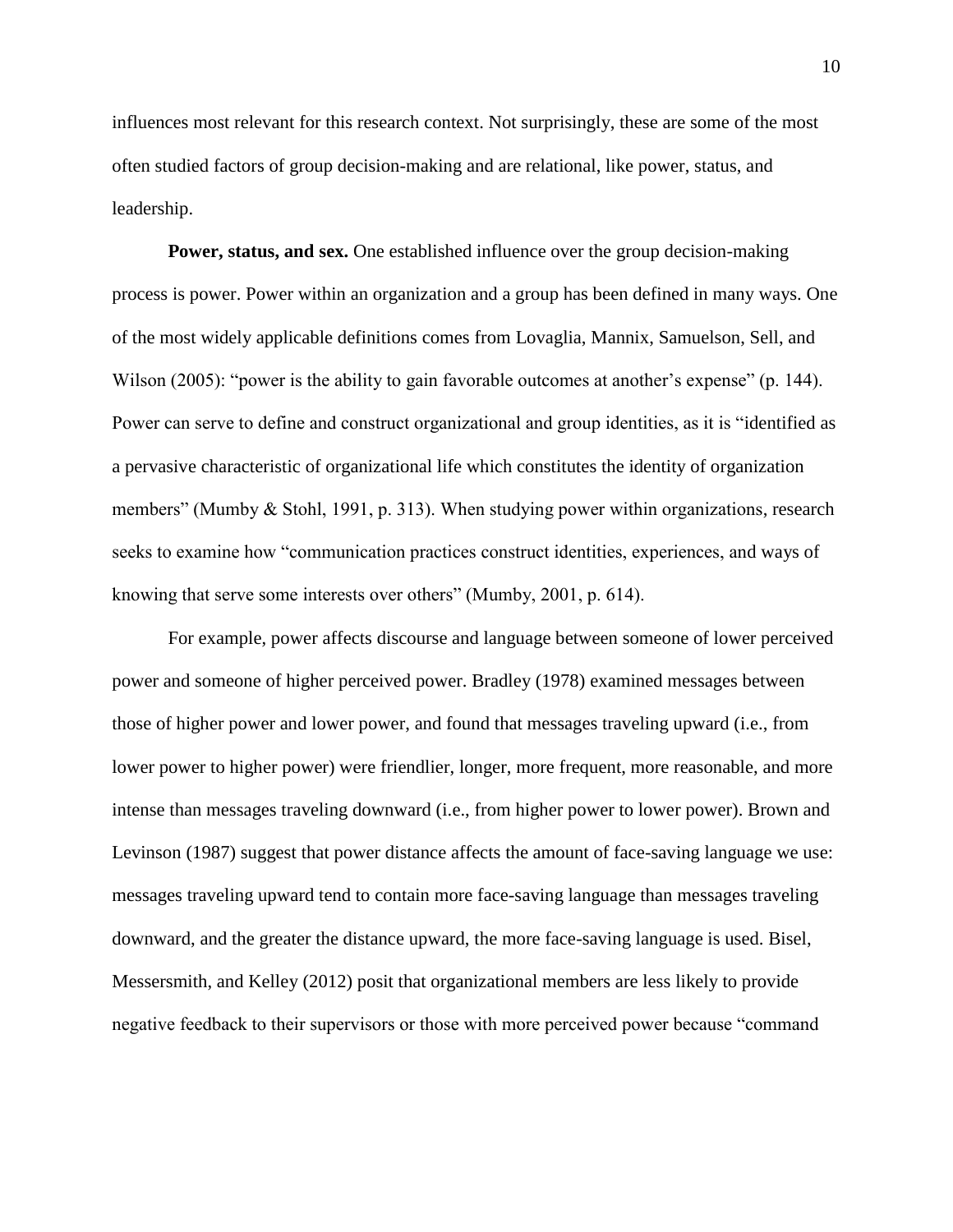influences most relevant for this research context. Not surprisingly, these are some of the most often studied factors of group decision-making and are relational, like power, status, and leadership.

**Power, status, and sex.** One established influence over the group decision-making process is power. Power within an organization and a group has been defined in many ways. One of the most widely applicable definitions comes from Lovaglia, Mannix, Samuelson, Sell, and Wilson (2005): "power is the ability to gain favorable outcomes at another's expense" (p. 144). Power can serve to define and construct organizational and group identities, as it is "identified as a pervasive characteristic of organizational life which constitutes the identity of organization members" (Mumby & Stohl, 1991, p. 313). When studying power within organizations, research seeks to examine how "communication practices construct identities, experiences, and ways of knowing that serve some interests over others" (Mumby, 2001, p. 614).

For example, power affects discourse and language between someone of lower perceived power and someone of higher perceived power. Bradley (1978) examined messages between those of higher power and lower power, and found that messages traveling upward (i.e., from lower power to higher power) were friendlier, longer, more frequent, more reasonable, and more intense than messages traveling downward (i.e., from higher power to lower power). Brown and Levinson (1987) suggest that power distance affects the amount of face-saving language we use: messages traveling upward tend to contain more face-saving language than messages traveling downward, and the greater the distance upward, the more face-saving language is used. Bisel, Messersmith, and Kelley (2012) posit that organizational members are less likely to provide negative feedback to their supervisors or those with more perceived power because "command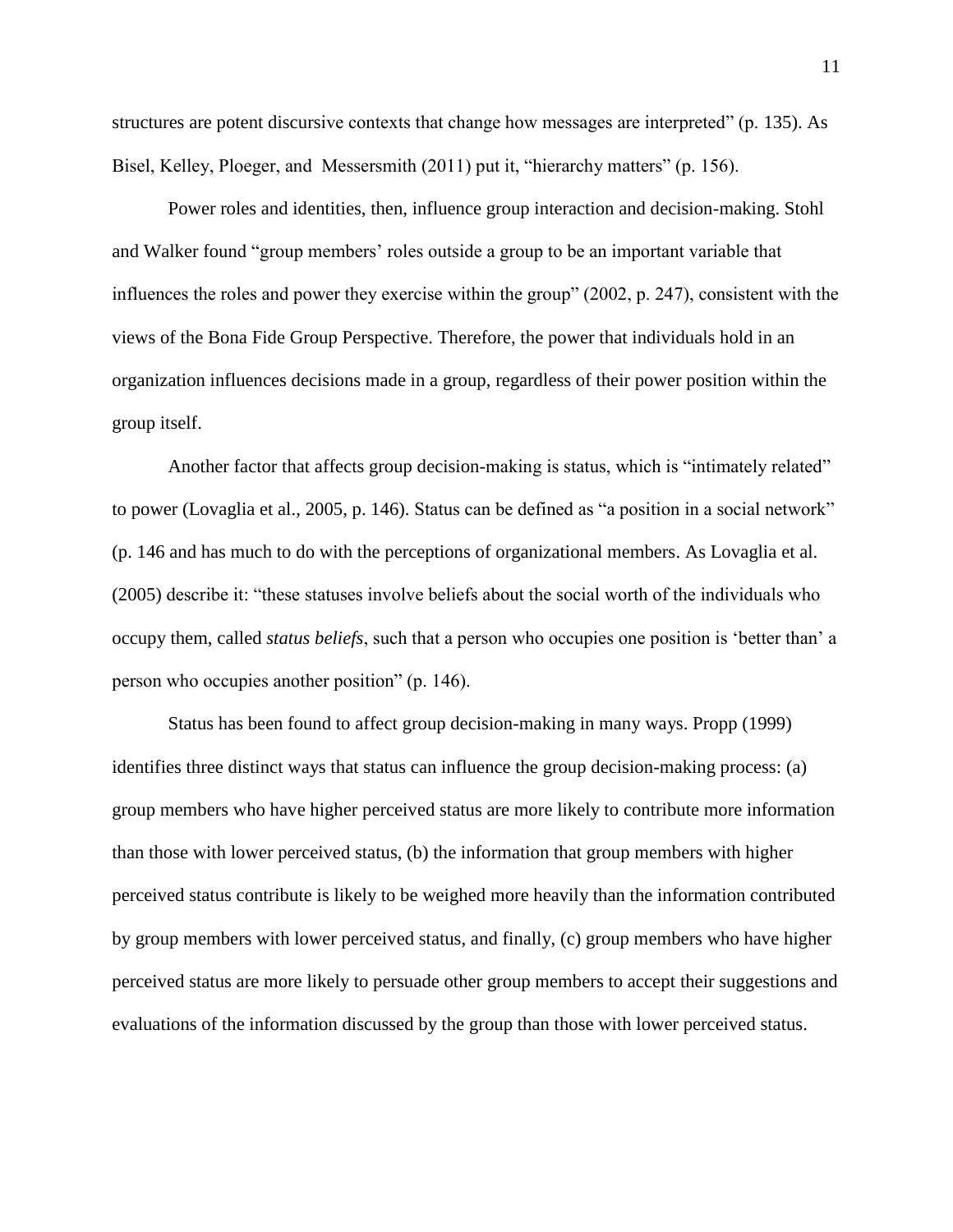structures are potent discursive contexts that change how messages are interpreted" (p. 135). As Bisel, Kelley, Ploeger, and Messersmith (2011) put it, "hierarchy matters" (p. 156).

Power roles and identities, then, influence group interaction and decision-making. Stohl and Walker found "group members' roles outside a group to be an important variable that influences the roles and power they exercise within the group" (2002, p. 247), consistent with the views of the Bona Fide Group Perspective. Therefore, the power that individuals hold in an organization influences decisions made in a group, regardless of their power position within the group itself.

Another factor that affects group decision-making is status, which is "intimately related" to power (Lovaglia et al., 2005, p. 146). Status can be defined as "a position in a social network" (p. 146 and has much to do with the perceptions of organizational members. As Lovaglia et al. (2005) describe it: "these statuses involve beliefs about the social worth of the individuals who occupy them, called *status beliefs*, such that a person who occupies one position is 'better than' a person who occupies another position" (p. 146).

Status has been found to affect group decision-making in many ways. Propp (1999) identifies three distinct ways that status can influence the group decision-making process: (a) group members who have higher perceived status are more likely to contribute more information than those with lower perceived status, (b) the information that group members with higher perceived status contribute is likely to be weighed more heavily than the information contributed by group members with lower perceived status, and finally, (c) group members who have higher perceived status are more likely to persuade other group members to accept their suggestions and evaluations of the information discussed by the group than those with lower perceived status.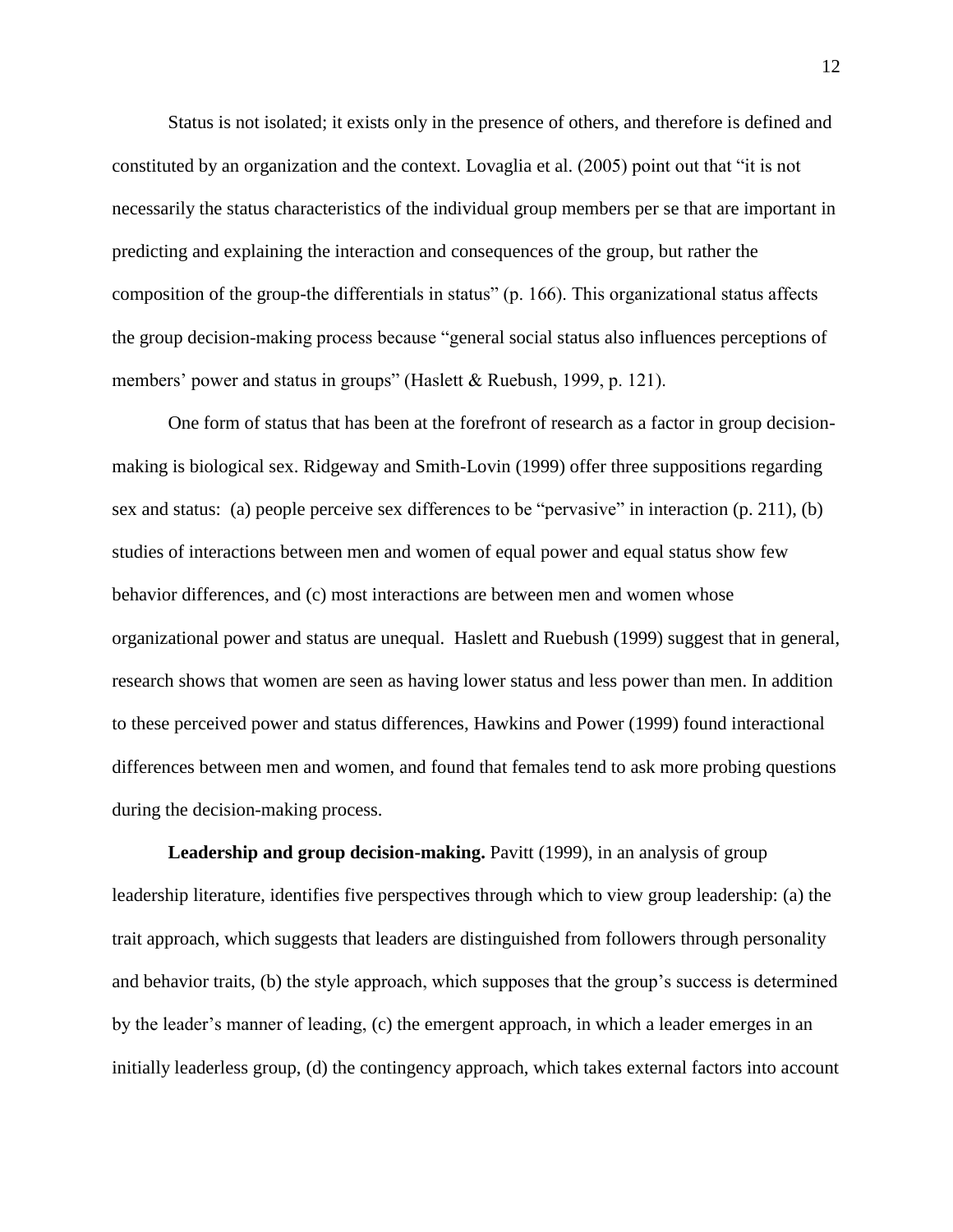Status is not isolated; it exists only in the presence of others, and therefore is defined and constituted by an organization and the context. Lovaglia et al. (2005) point out that "it is not necessarily the status characteristics of the individual group members per se that are important in predicting and explaining the interaction and consequences of the group, but rather the composition of the group-the differentials in status" (p. 166). This organizational status affects the group decision-making process because "general social status also influences perceptions of members' power and status in groups" (Haslett & Ruebush, 1999, p. 121).

One form of status that has been at the forefront of research as a factor in group decisionmaking is biological sex. Ridgeway and Smith-Lovin (1999) offer three suppositions regarding sex and status: (a) people perceive sex differences to be "pervasive" in interaction (p. 211), (b) studies of interactions between men and women of equal power and equal status show few behavior differences, and (c) most interactions are between men and women whose organizational power and status are unequal. Haslett and Ruebush (1999) suggest that in general, research shows that women are seen as having lower status and less power than men. In addition to these perceived power and status differences, Hawkins and Power (1999) found interactional differences between men and women, and found that females tend to ask more probing questions during the decision-making process.

**Leadership and group decision-making.** Pavitt (1999), in an analysis of group leadership literature, identifies five perspectives through which to view group leadership: (a) the trait approach, which suggests that leaders are distinguished from followers through personality and behavior traits, (b) the style approach, which supposes that the group's success is determined by the leader's manner of leading, (c) the emergent approach, in which a leader emerges in an initially leaderless group, (d) the contingency approach, which takes external factors into account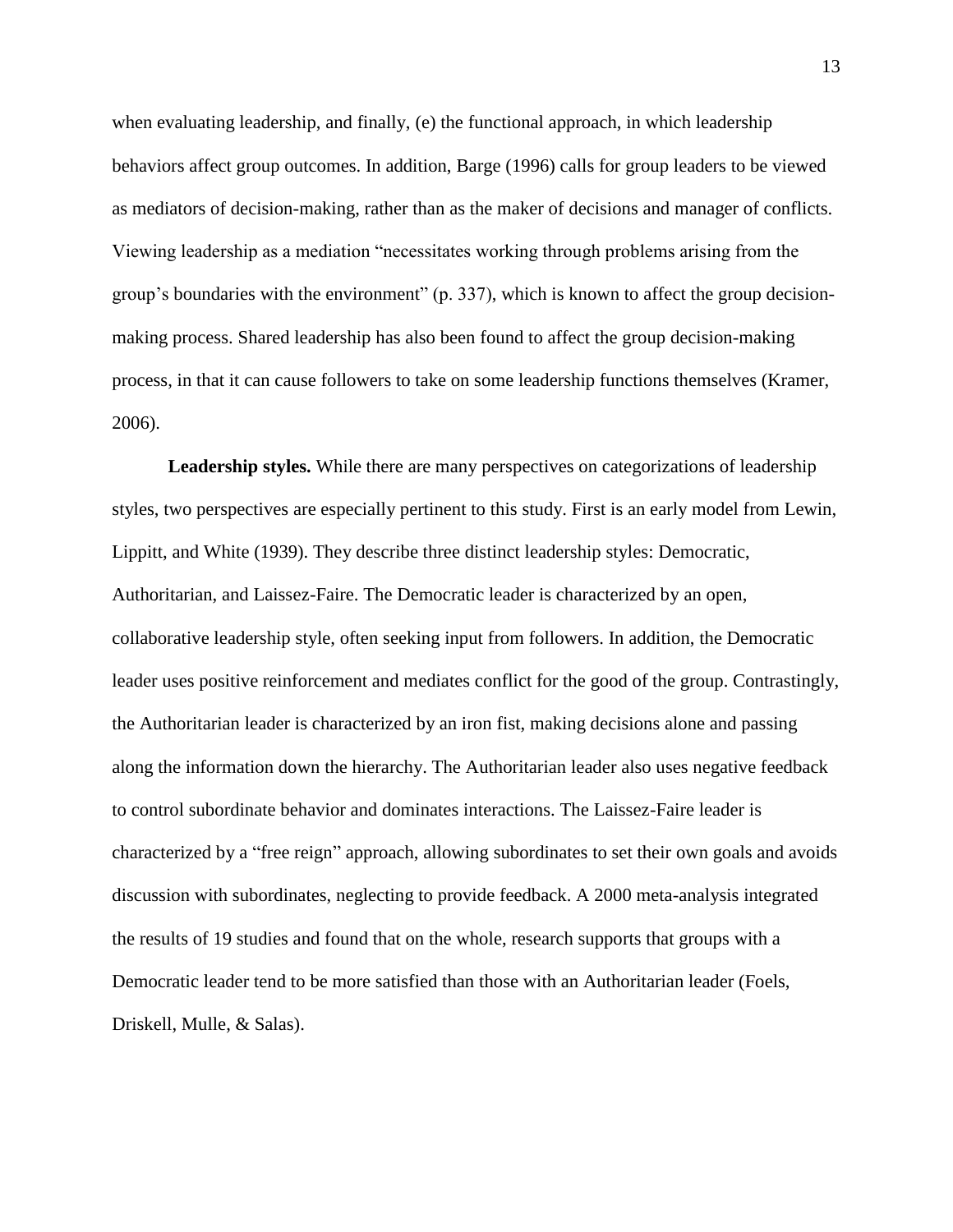when evaluating leadership, and finally, (e) the functional approach, in which leadership behaviors affect group outcomes. In addition, Barge (1996) calls for group leaders to be viewed as mediators of decision-making, rather than as the maker of decisions and manager of conflicts. Viewing leadership as a mediation "necessitates working through problems arising from the group's boundaries with the environment" (p. 337), which is known to affect the group decisionmaking process. Shared leadership has also been found to affect the group decision-making process, in that it can cause followers to take on some leadership functions themselves (Kramer, 2006).

**Leadership styles.** While there are many perspectives on categorizations of leadership styles, two perspectives are especially pertinent to this study. First is an early model from Lewin, Lippitt, and White (1939). They describe three distinct leadership styles: Democratic, Authoritarian, and Laissez-Faire. The Democratic leader is characterized by an open, collaborative leadership style, often seeking input from followers. In addition, the Democratic leader uses positive reinforcement and mediates conflict for the good of the group. Contrastingly, the Authoritarian leader is characterized by an iron fist, making decisions alone and passing along the information down the hierarchy. The Authoritarian leader also uses negative feedback to control subordinate behavior and dominates interactions. The Laissez-Faire leader is characterized by a "free reign" approach, allowing subordinates to set their own goals and avoids discussion with subordinates, neglecting to provide feedback. A 2000 meta-analysis integrated the results of 19 studies and found that on the whole, research supports that groups with a Democratic leader tend to be more satisfied than those with an Authoritarian leader (Foels, Driskell, Mulle, & Salas).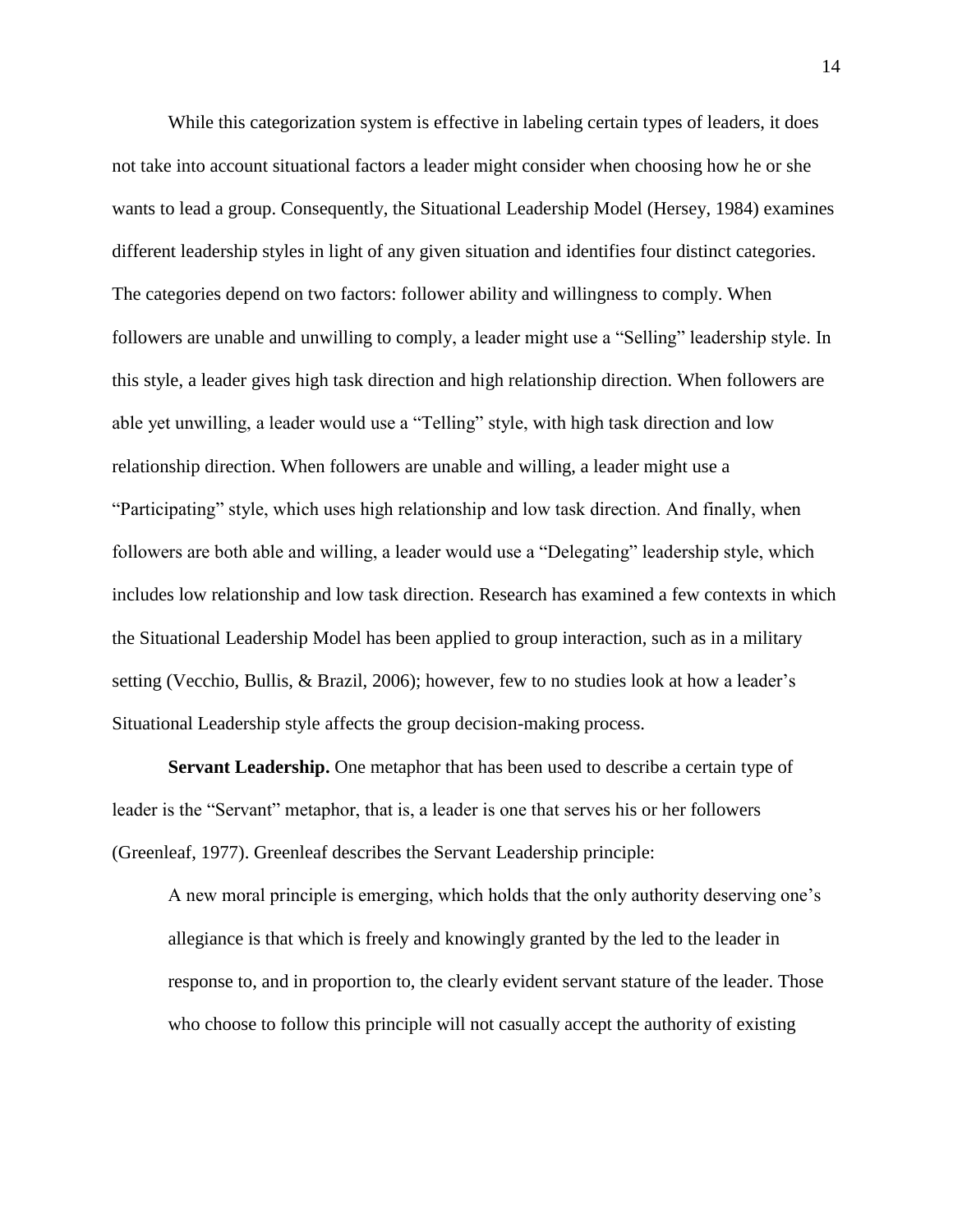While this categorization system is effective in labeling certain types of leaders, it does not take into account situational factors a leader might consider when choosing how he or she wants to lead a group. Consequently, the Situational Leadership Model (Hersey, 1984) examines different leadership styles in light of any given situation and identifies four distinct categories. The categories depend on two factors: follower ability and willingness to comply. When followers are unable and unwilling to comply, a leader might use a "Selling" leadership style. In this style, a leader gives high task direction and high relationship direction. When followers are able yet unwilling, a leader would use a "Telling" style, with high task direction and low relationship direction. When followers are unable and willing, a leader might use a "Participating" style, which uses high relationship and low task direction. And finally, when followers are both able and willing, a leader would use a "Delegating" leadership style, which includes low relationship and low task direction. Research has examined a few contexts in which the Situational Leadership Model has been applied to group interaction, such as in a military setting (Vecchio, Bullis, & Brazil, 2006); however, few to no studies look at how a leader's Situational Leadership style affects the group decision-making process.

**Servant Leadership.** One metaphor that has been used to describe a certain type of leader is the "Servant" metaphor, that is, a leader is one that serves his or her followers (Greenleaf, 1977). Greenleaf describes the Servant Leadership principle:

A new moral principle is emerging, which holds that the only authority deserving one's allegiance is that which is freely and knowingly granted by the led to the leader in response to, and in proportion to, the clearly evident servant stature of the leader. Those who choose to follow this principle will not casually accept the authority of existing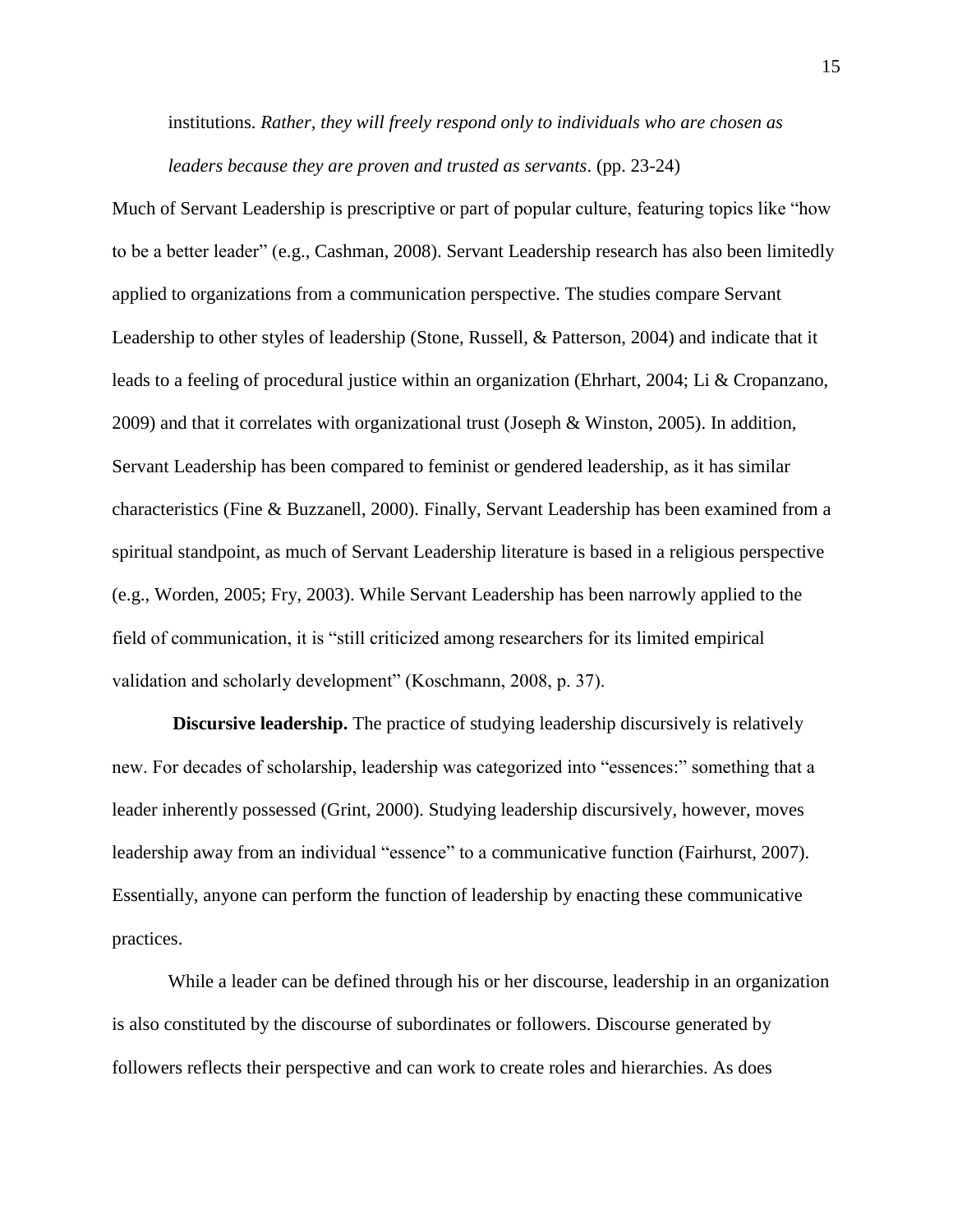institutions. *Rather, they will freely respond only to individuals who are chosen as leaders because they are proven and trusted as servants*. (pp. 23-24)

Much of Servant Leadership is prescriptive or part of popular culture, featuring topics like "how to be a better leader" (e.g., Cashman, 2008). Servant Leadership research has also been limitedly applied to organizations from a communication perspective. The studies compare Servant Leadership to other styles of leadership (Stone, Russell, & Patterson, 2004) and indicate that it leads to a feeling of procedural justice within an organization (Ehrhart, 2004; Li & Cropanzano, 2009) and that it correlates with organizational trust (Joseph & Winston, 2005). In addition, Servant Leadership has been compared to feminist or gendered leadership, as it has similar characteristics (Fine & Buzzanell, 2000). Finally, Servant Leadership has been examined from a spiritual standpoint, as much of Servant Leadership literature is based in a religious perspective (e.g., Worden, 2005; Fry, 2003). While Servant Leadership has been narrowly applied to the field of communication, it is "still criticized among researchers for its limited empirical validation and scholarly development" (Koschmann, 2008, p. 37).

**Discursive leadership.** The practice of studying leadership discursively is relatively new. For decades of scholarship, leadership was categorized into "essences:" something that a leader inherently possessed (Grint, 2000). Studying leadership discursively, however, moves leadership away from an individual "essence" to a communicative function (Fairhurst, 2007). Essentially, anyone can perform the function of leadership by enacting these communicative practices.

While a leader can be defined through his or her discourse, leadership in an organization is also constituted by the discourse of subordinates or followers. Discourse generated by followers reflects their perspective and can work to create roles and hierarchies. As does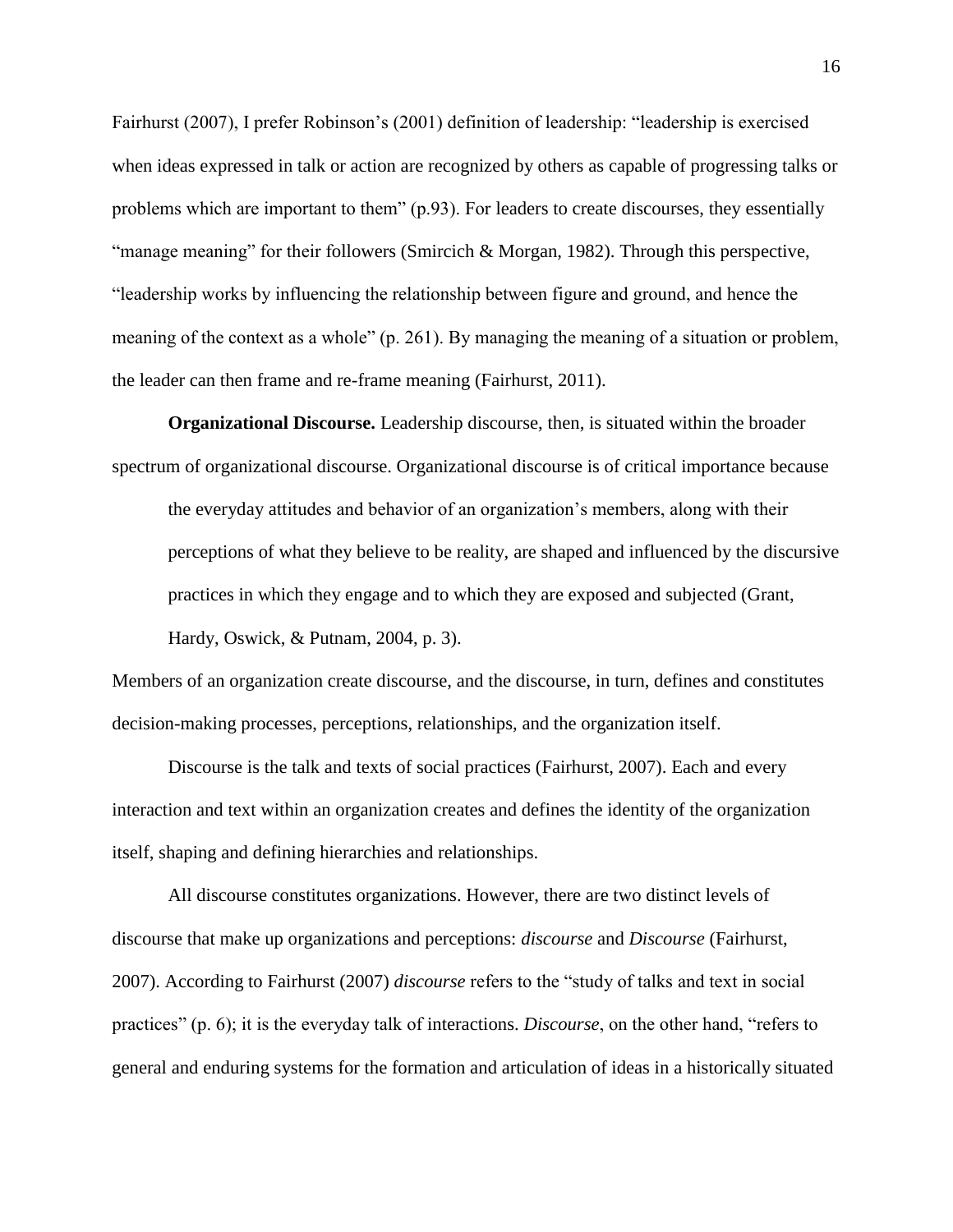Fairhurst (2007), I prefer Robinson's (2001) definition of leadership: "leadership is exercised when ideas expressed in talk or action are recognized by others as capable of progressing talks or problems which are important to them" (p.93). For leaders to create discourses, they essentially "manage meaning" for their followers (Smircich & Morgan, 1982). Through this perspective, "leadership works by influencing the relationship between figure and ground, and hence the meaning of the context as a whole" (p. 261). By managing the meaning of a situation or problem, the leader can then frame and re-frame meaning (Fairhurst, 2011).

**Organizational Discourse.** Leadership discourse, then, is situated within the broader spectrum of organizational discourse. Organizational discourse is of critical importance because

the everyday attitudes and behavior of an organization's members, along with their perceptions of what they believe to be reality, are shaped and influenced by the discursive practices in which they engage and to which they are exposed and subjected (Grant, Hardy, Oswick, & Putnam, 2004, p. 3).

Members of an organization create discourse, and the discourse, in turn, defines and constitutes decision-making processes, perceptions, relationships, and the organization itself.

Discourse is the talk and texts of social practices (Fairhurst, 2007). Each and every interaction and text within an organization creates and defines the identity of the organization itself, shaping and defining hierarchies and relationships.

All discourse constitutes organizations. However, there are two distinct levels of discourse that make up organizations and perceptions: *discourse* and *Discourse* (Fairhurst, 2007). According to Fairhurst (2007) *discourse* refers to the "study of talks and text in social practices" (p. 6); it is the everyday talk of interactions. *Discourse*, on the other hand, "refers to general and enduring systems for the formation and articulation of ideas in a historically situated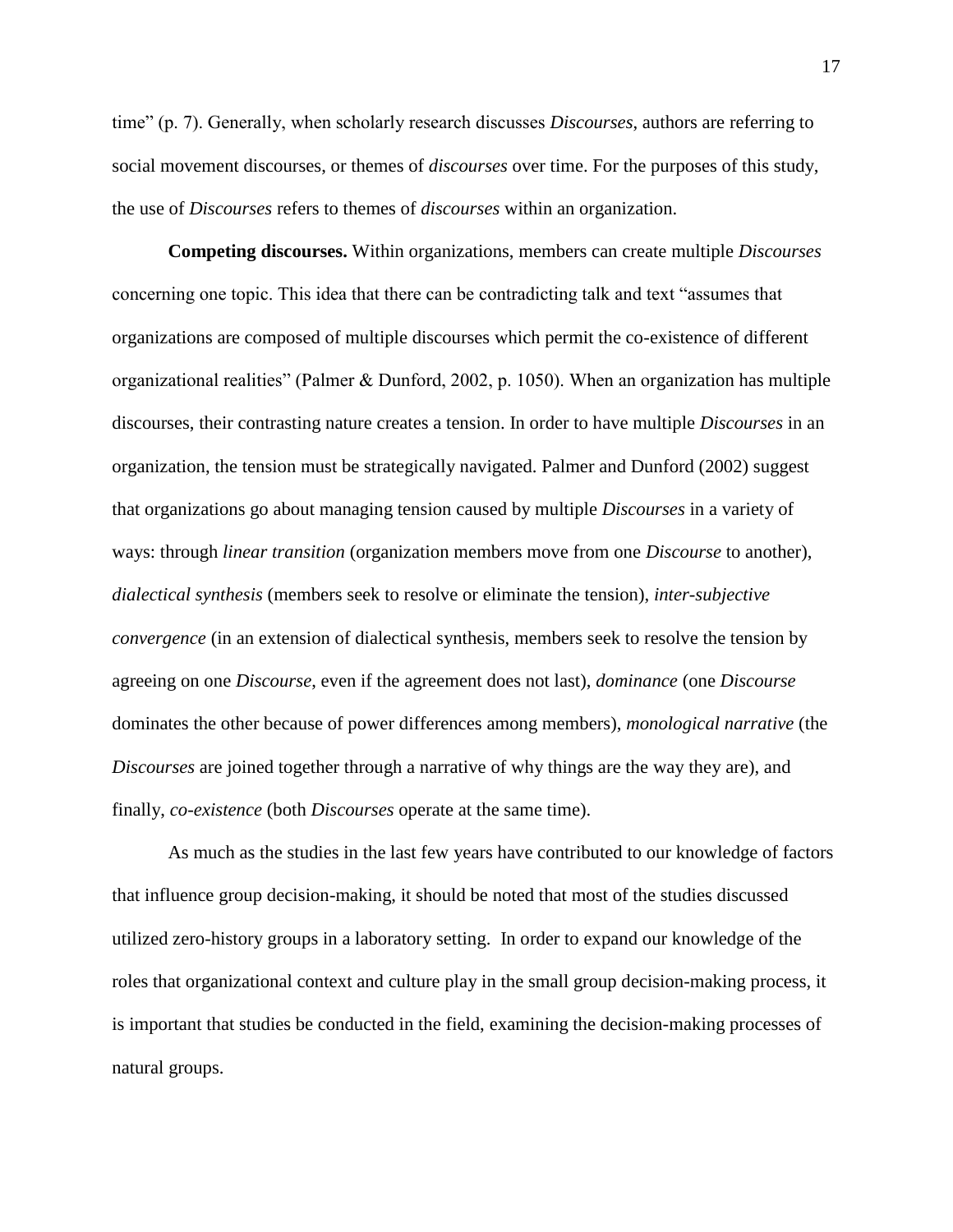time" (p. 7). Generally, when scholarly research discusses *Discourses*, authors are referring to social movement discourses, or themes of *discourses* over time. For the purposes of this study, the use of *Discourses* refers to themes of *discourses* within an organization.

**Competing discourses.** Within organizations, members can create multiple *Discourses*  concerning one topic. This idea that there can be contradicting talk and text "assumes that organizations are composed of multiple discourses which permit the co-existence of different organizational realities" (Palmer & Dunford, 2002, p. 1050). When an organization has multiple discourses, their contrasting nature creates a tension. In order to have multiple *Discourses* in an organization, the tension must be strategically navigated. Palmer and Dunford (2002) suggest that organizations go about managing tension caused by multiple *Discourses* in a variety of ways: through *linear transition* (organization members move from one *Discourse* to another), *dialectical synthesis* (members seek to resolve or eliminate the tension), *inter-subjective convergence* (in an extension of dialectical synthesis, members seek to resolve the tension by agreeing on one *Discourse*, even if the agreement does not last), *dominance* (one *Discourse* dominates the other because of power differences among members), *monological narrative* (the *Discourses* are joined together through a narrative of why things are the way they are), and finally, *co-existence* (both *Discourses* operate at the same time).

As much as the studies in the last few years have contributed to our knowledge of factors that influence group decision-making, it should be noted that most of the studies discussed utilized zero-history groups in a laboratory setting. In order to expand our knowledge of the roles that organizational context and culture play in the small group decision-making process, it is important that studies be conducted in the field, examining the decision-making processes of natural groups.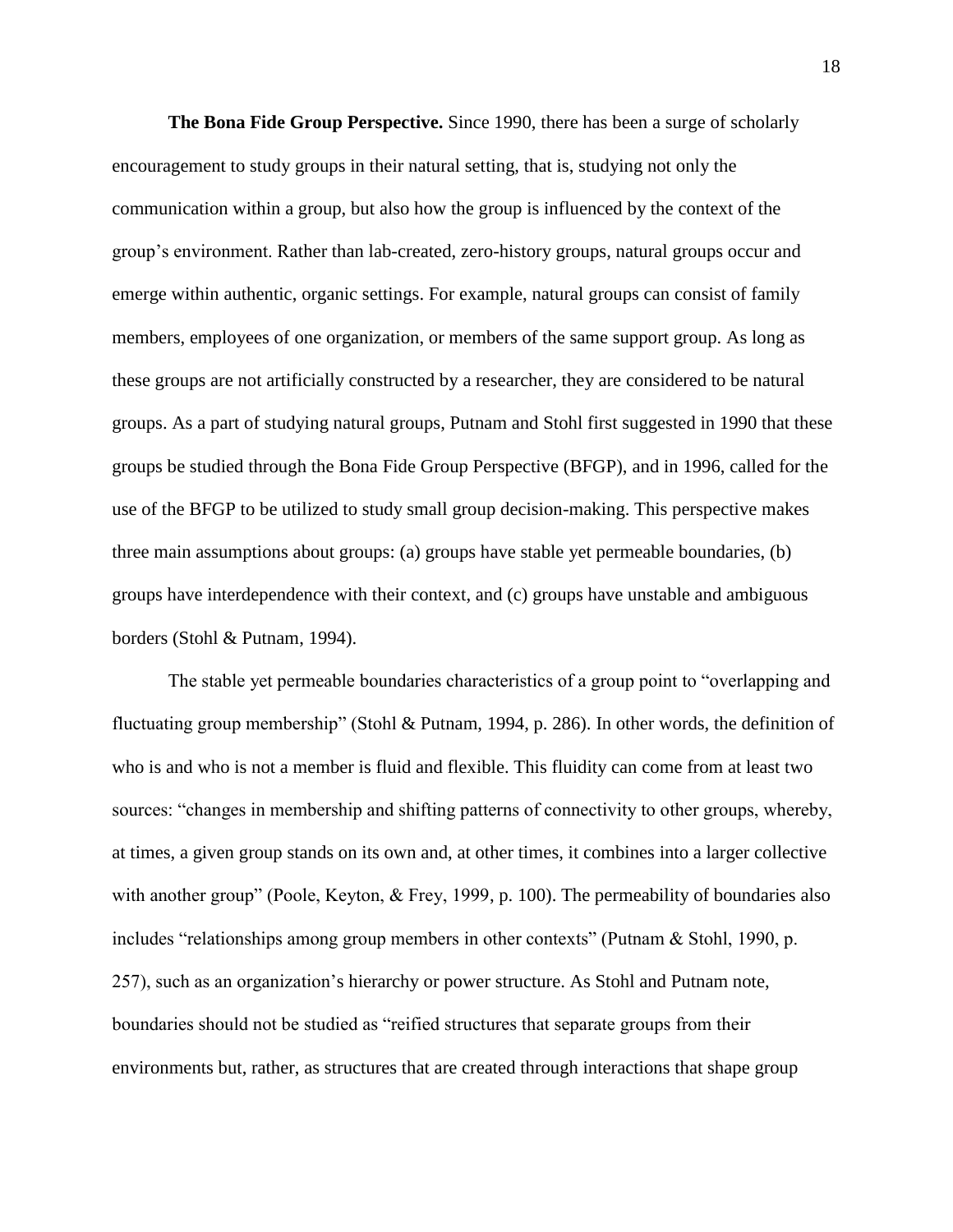**The Bona Fide Group Perspective.** Since 1990, there has been a surge of scholarly encouragement to study groups in their natural setting, that is, studying not only the communication within a group, but also how the group is influenced by the context of the group's environment. Rather than lab-created, zero-history groups, natural groups occur and emerge within authentic, organic settings. For example, natural groups can consist of family members, employees of one organization, or members of the same support group. As long as these groups are not artificially constructed by a researcher, they are considered to be natural groups. As a part of studying natural groups, Putnam and Stohl first suggested in 1990 that these groups be studied through the Bona Fide Group Perspective (BFGP), and in 1996, called for the use of the BFGP to be utilized to study small group decision-making. This perspective makes three main assumptions about groups: (a) groups have stable yet permeable boundaries, (b) groups have interdependence with their context, and (c) groups have unstable and ambiguous borders (Stohl & Putnam, 1994).

The stable yet permeable boundaries characteristics of a group point to "overlapping and fluctuating group membership" (Stohl & Putnam, 1994, p. 286). In other words, the definition of who is and who is not a member is fluid and flexible. This fluidity can come from at least two sources: "changes in membership and shifting patterns of connectivity to other groups, whereby, at times, a given group stands on its own and, at other times, it combines into a larger collective with another group" (Poole, Keyton, & Frey, 1999, p. 100). The permeability of boundaries also includes "relationships among group members in other contexts" (Putnam & Stohl, 1990, p. 257), such as an organization's hierarchy or power structure. As Stohl and Putnam note, boundaries should not be studied as "reified structures that separate groups from their environments but, rather, as structures that are created through interactions that shape group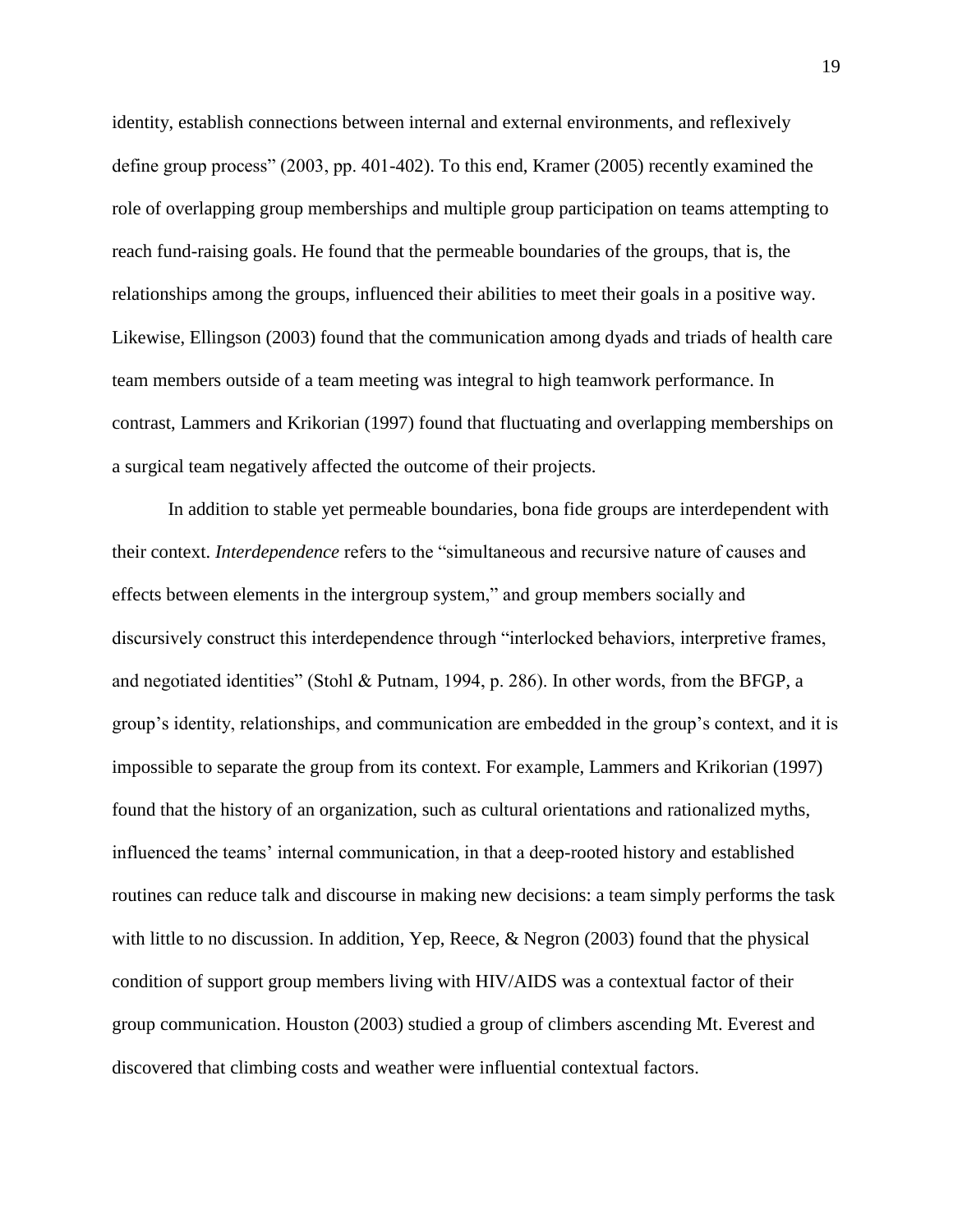identity, establish connections between internal and external environments, and reflexively define group process" (2003, pp. 401-402). To this end, Kramer (2005) recently examined the role of overlapping group memberships and multiple group participation on teams attempting to reach fund-raising goals. He found that the permeable boundaries of the groups, that is, the relationships among the groups, influenced their abilities to meet their goals in a positive way. Likewise, Ellingson (2003) found that the communication among dyads and triads of health care team members outside of a team meeting was integral to high teamwork performance. In contrast, Lammers and Krikorian (1997) found that fluctuating and overlapping memberships on a surgical team negatively affected the outcome of their projects.

In addition to stable yet permeable boundaries, bona fide groups are interdependent with their context. *Interdependence* refers to the "simultaneous and recursive nature of causes and effects between elements in the intergroup system," and group members socially and discursively construct this interdependence through "interlocked behaviors, interpretive frames, and negotiated identities" (Stohl & Putnam, 1994, p. 286). In other words, from the BFGP, a group's identity, relationships, and communication are embedded in the group's context, and it is impossible to separate the group from its context. For example, Lammers and Krikorian (1997) found that the history of an organization, such as cultural orientations and rationalized myths, influenced the teams' internal communication, in that a deep-rooted history and established routines can reduce talk and discourse in making new decisions: a team simply performs the task with little to no discussion. In addition, Yep, Reece, & Negron (2003) found that the physical condition of support group members living with HIV/AIDS was a contextual factor of their group communication. Houston (2003) studied a group of climbers ascending Mt. Everest and discovered that climbing costs and weather were influential contextual factors.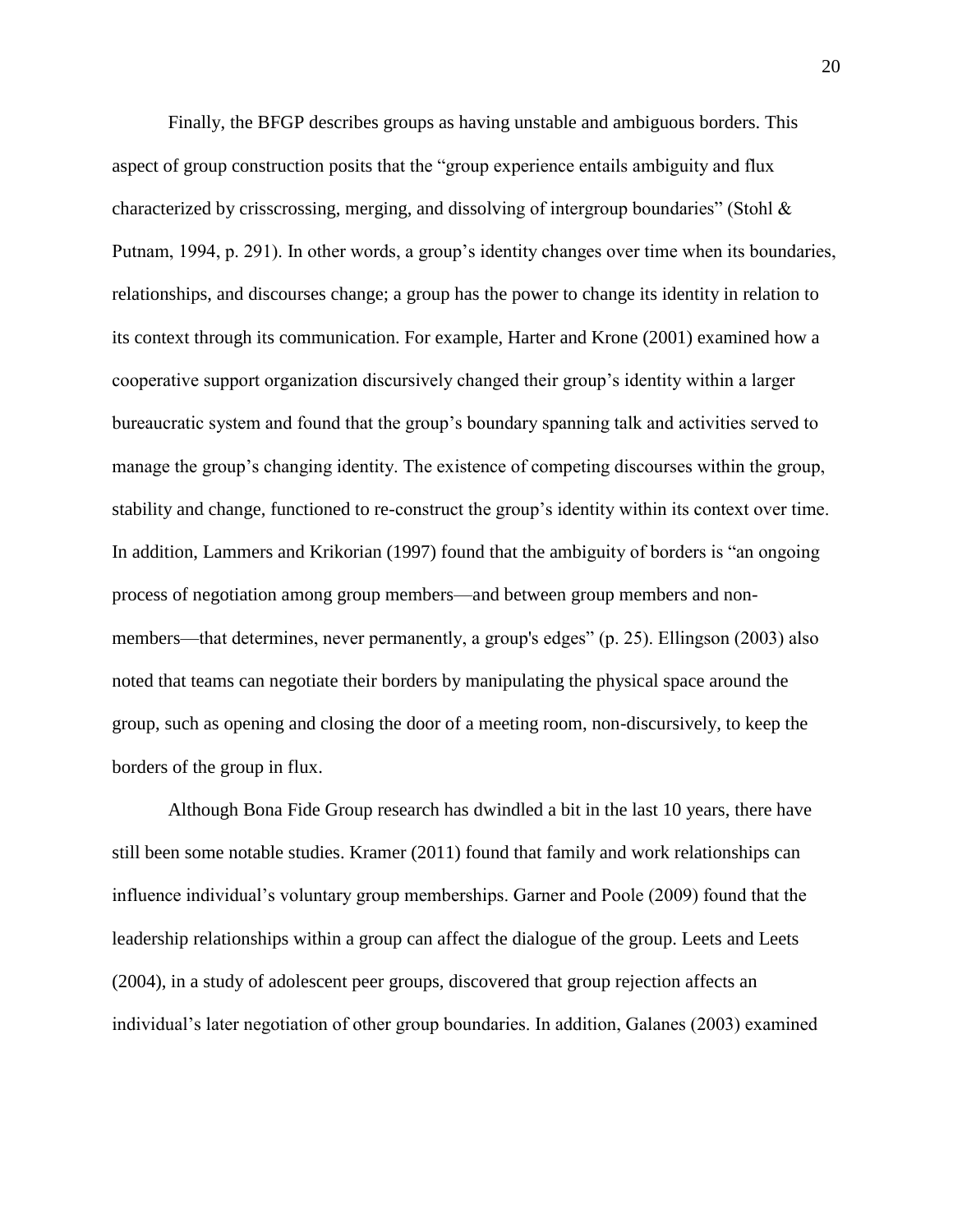Finally, the BFGP describes groups as having unstable and ambiguous borders. This aspect of group construction posits that the "group experience entails ambiguity and flux characterized by crisscrossing, merging, and dissolving of intergroup boundaries" (Stohl  $\&$ Putnam, 1994, p. 291). In other words, a group's identity changes over time when its boundaries, relationships, and discourses change; a group has the power to change its identity in relation to its context through its communication. For example, Harter and Krone (2001) examined how a cooperative support organization discursively changed their group's identity within a larger bureaucratic system and found that the group's boundary spanning talk and activities served to manage the group's changing identity. The existence of competing discourses within the group, stability and change, functioned to re-construct the group's identity within its context over time. In addition, Lammers and Krikorian (1997) found that the ambiguity of borders is "an ongoing process of negotiation among group members—and between group members and nonmembers—that determines, never permanently, a group's edges" (p. 25). Ellingson (2003) also noted that teams can negotiate their borders by manipulating the physical space around the group, such as opening and closing the door of a meeting room, non-discursively, to keep the borders of the group in flux.

Although Bona Fide Group research has dwindled a bit in the last 10 years, there have still been some notable studies. Kramer (2011) found that family and work relationships can influence individual's voluntary group memberships. Garner and Poole (2009) found that the leadership relationships within a group can affect the dialogue of the group. Leets and Leets (2004), in a study of adolescent peer groups, discovered that group rejection affects an individual's later negotiation of other group boundaries. In addition, Galanes (2003) examined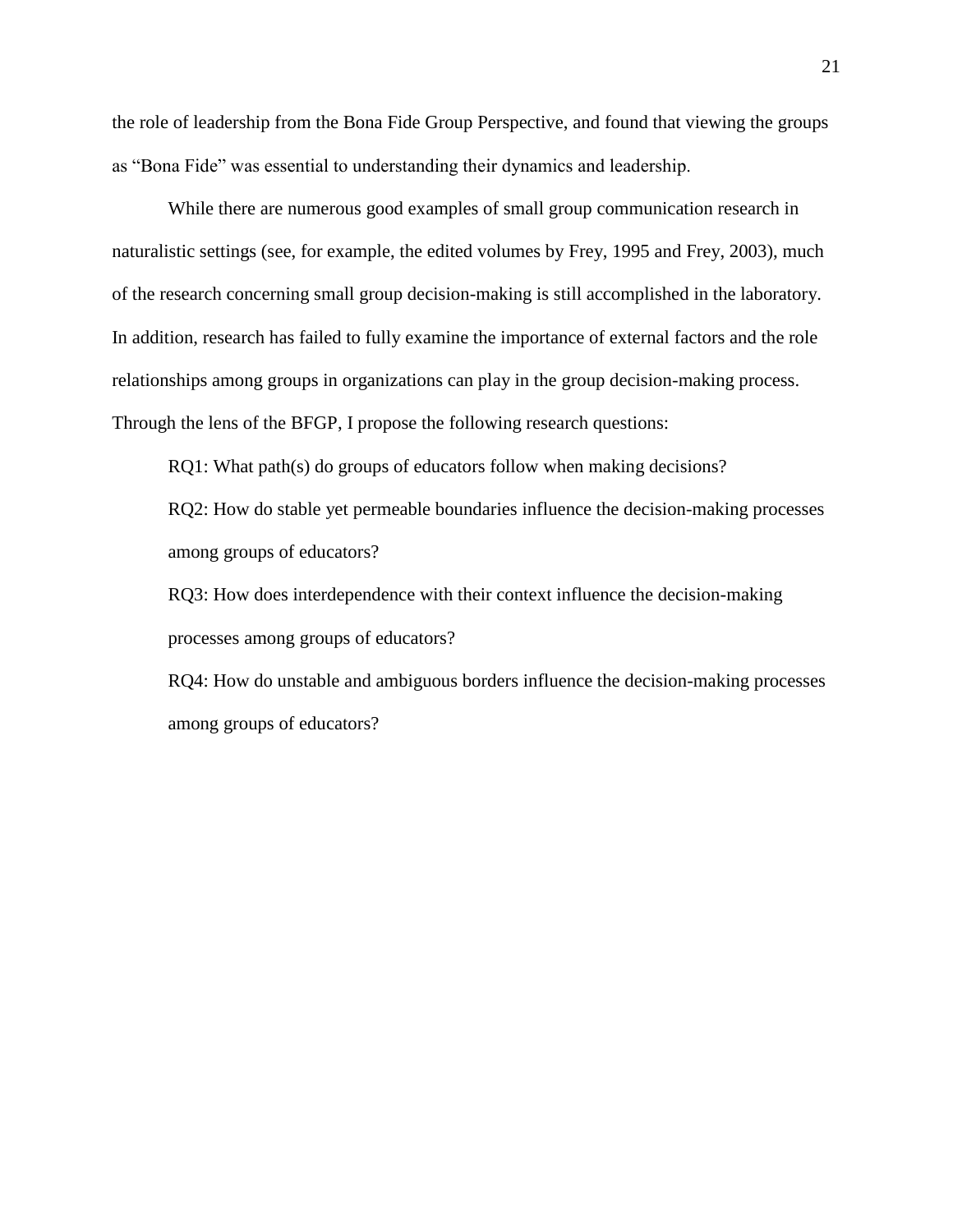the role of leadership from the Bona Fide Group Perspective, and found that viewing the groups as "Bona Fide" was essential to understanding their dynamics and leadership.

While there are numerous good examples of small group communication research in naturalistic settings (see, for example, the edited volumes by Frey, 1995 and Frey, 2003), much of the research concerning small group decision-making is still accomplished in the laboratory. In addition, research has failed to fully examine the importance of external factors and the role relationships among groups in organizations can play in the group decision-making process. Through the lens of the BFGP, I propose the following research questions:

RQ1: What path(s) do groups of educators follow when making decisions?

RQ2: How do stable yet permeable boundaries influence the decision-making processes among groups of educators?

RQ3: How does interdependence with their context influence the decision-making processes among groups of educators?

RQ4: How do unstable and ambiguous borders influence the decision-making processes among groups of educators?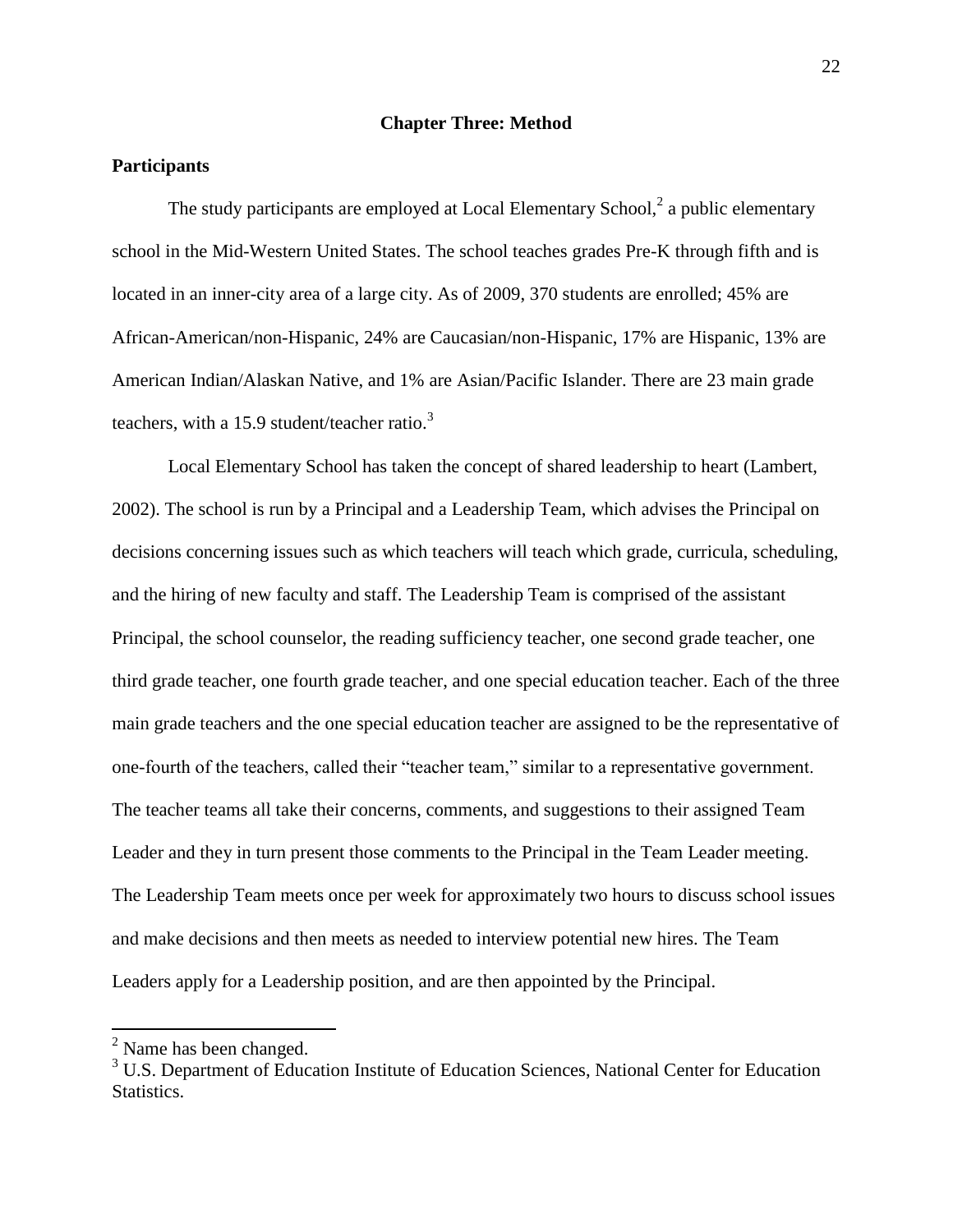### **Chapter Three: Method**

### **Participants**

The study participants are employed at Local Elementary School, $2$  a public elementary school in the Mid-Western United States. The school teaches grades Pre-K through fifth and is located in an inner-city area of a large city. As of 2009, 370 students are enrolled; 45% are African-American/non-Hispanic, 24% are Caucasian/non-Hispanic, 17% are Hispanic, 13% are American Indian/Alaskan Native, and 1% are Asian/Pacific Islander. There are 23 main grade teachers, with a 15.9 student/teacher ratio. $3$ 

Local Elementary School has taken the concept of shared leadership to heart (Lambert, 2002). The school is run by a Principal and a Leadership Team, which advises the Principal on decisions concerning issues such as which teachers will teach which grade, curricula, scheduling, and the hiring of new faculty and staff. The Leadership Team is comprised of the assistant Principal, the school counselor, the reading sufficiency teacher, one second grade teacher, one third grade teacher, one fourth grade teacher, and one special education teacher. Each of the three main grade teachers and the one special education teacher are assigned to be the representative of one-fourth of the teachers, called their "teacher team," similar to a representative government. The teacher teams all take their concerns, comments, and suggestions to their assigned Team Leader and they in turn present those comments to the Principal in the Team Leader meeting. The Leadership Team meets once per week for approximately two hours to discuss school issues and make decisions and then meets as needed to interview potential new hires. The Team Leaders apply for a Leadership position, and are then appointed by the Principal.

 $\overline{a}$ 

 $2$  Name has been changed.

<sup>&</sup>lt;sup>3</sup> U.S. Department of Education Institute of Education Sciences, National Center for Education Statistics.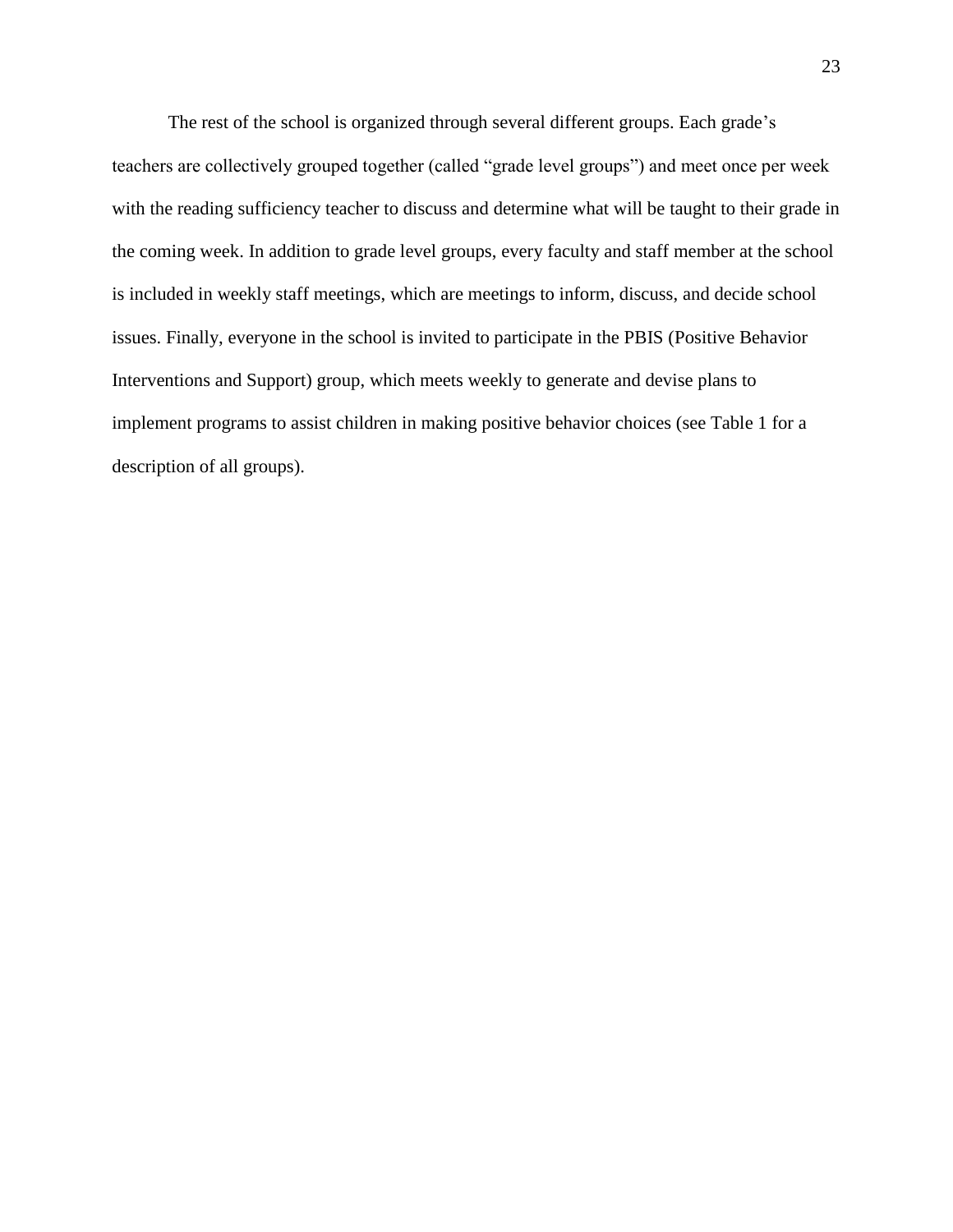The rest of the school is organized through several different groups. Each grade's teachers are collectively grouped together (called "grade level groups") and meet once per week with the reading sufficiency teacher to discuss and determine what will be taught to their grade in the coming week. In addition to grade level groups, every faculty and staff member at the school is included in weekly staff meetings, which are meetings to inform, discuss, and decide school issues. Finally, everyone in the school is invited to participate in the PBIS (Positive Behavior Interventions and Support) group, which meets weekly to generate and devise plans to implement programs to assist children in making positive behavior choices (see Table 1 for a description of all groups).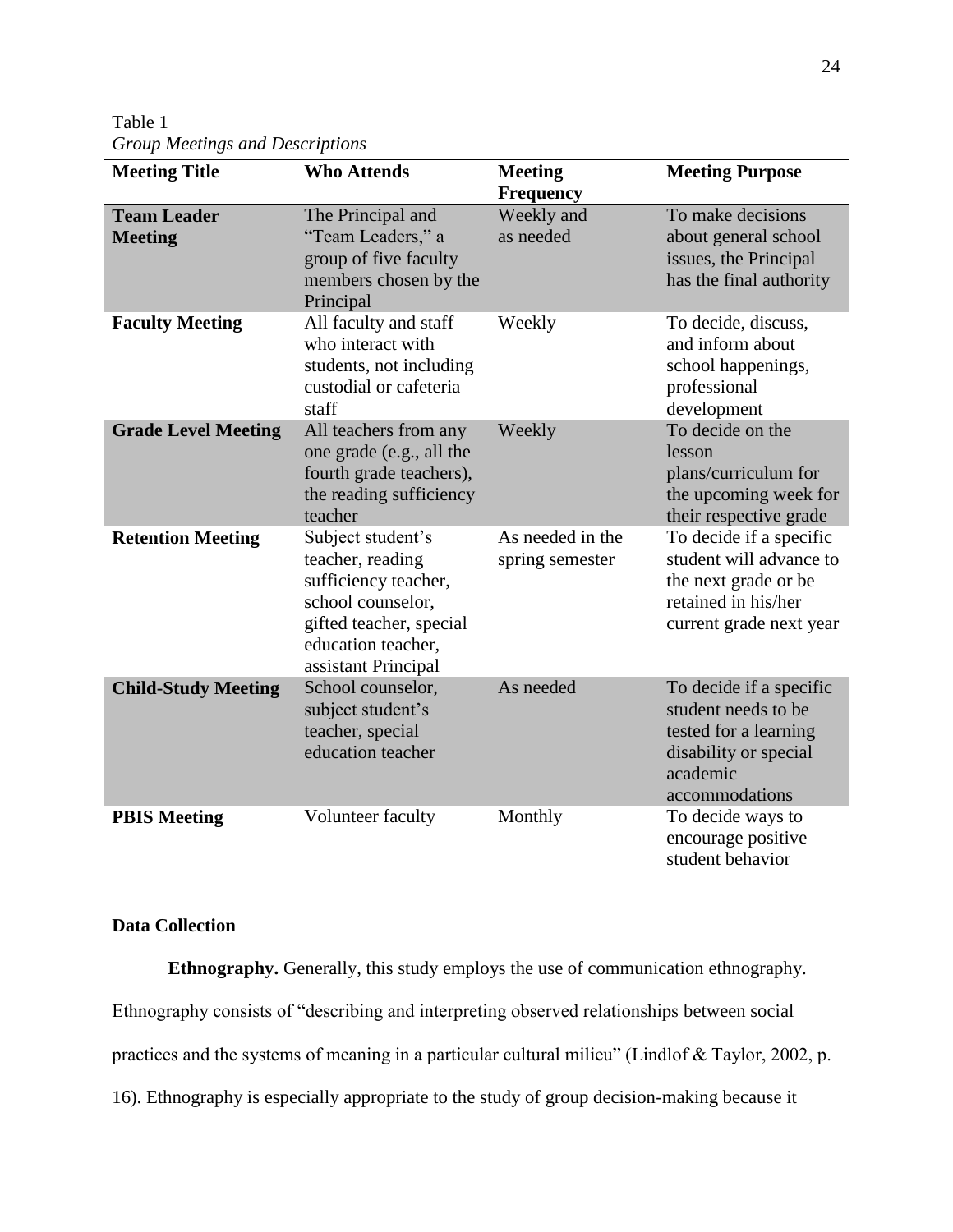Table 1 *Group Meetings and Descriptions*

| <b>Meeting Title</b>                 | <b>Who Attends</b>                                                                                                                                         | <b>Meeting</b><br><b>Frequency</b>  | <b>Meeting Purpose</b>                                                                                                         |
|--------------------------------------|------------------------------------------------------------------------------------------------------------------------------------------------------------|-------------------------------------|--------------------------------------------------------------------------------------------------------------------------------|
| <b>Team Leader</b><br><b>Meeting</b> | The Principal and<br>"Team Leaders," a<br>group of five faculty<br>members chosen by the<br>Principal                                                      | Weekly and<br>as needed             | To make decisions<br>about general school<br>issues, the Principal<br>has the final authority                                  |
| <b>Faculty Meeting</b>               | All faculty and staff<br>who interact with<br>students, not including<br>custodial or cafeteria<br>staff                                                   | Weekly                              | To decide, discuss,<br>and inform about<br>school happenings,<br>professional<br>development                                   |
| <b>Grade Level Meeting</b>           | All teachers from any<br>one grade (e.g., all the<br>fourth grade teachers),<br>the reading sufficiency<br>teacher                                         | Weekly                              | To decide on the<br>lesson<br>plans/curriculum for<br>the upcoming week for<br>their respective grade                          |
| <b>Retention Meeting</b>             | Subject student's<br>teacher, reading<br>sufficiency teacher,<br>school counselor,<br>gifted teacher, special<br>education teacher,<br>assistant Principal | As needed in the<br>spring semester | To decide if a specific<br>student will advance to<br>the next grade or be<br>retained in his/her<br>current grade next year   |
| <b>Child-Study Meeting</b>           | School counselor,<br>subject student's<br>teacher, special<br>education teacher                                                                            | As needed                           | To decide if a specific<br>student needs to be<br>tested for a learning<br>disability or special<br>academic<br>accommodations |
| <b>PBIS Meeting</b>                  | Volunteer faculty                                                                                                                                          | Monthly                             | To decide ways to<br>encourage positive<br>student behavior                                                                    |

### **Data Collection**

**Ethnography.** Generally, this study employs the use of communication ethnography. Ethnography consists of "describing and interpreting observed relationships between social practices and the systems of meaning in a particular cultural milieu" (Lindlof & Taylor, 2002, p. 16). Ethnography is especially appropriate to the study of group decision-making because it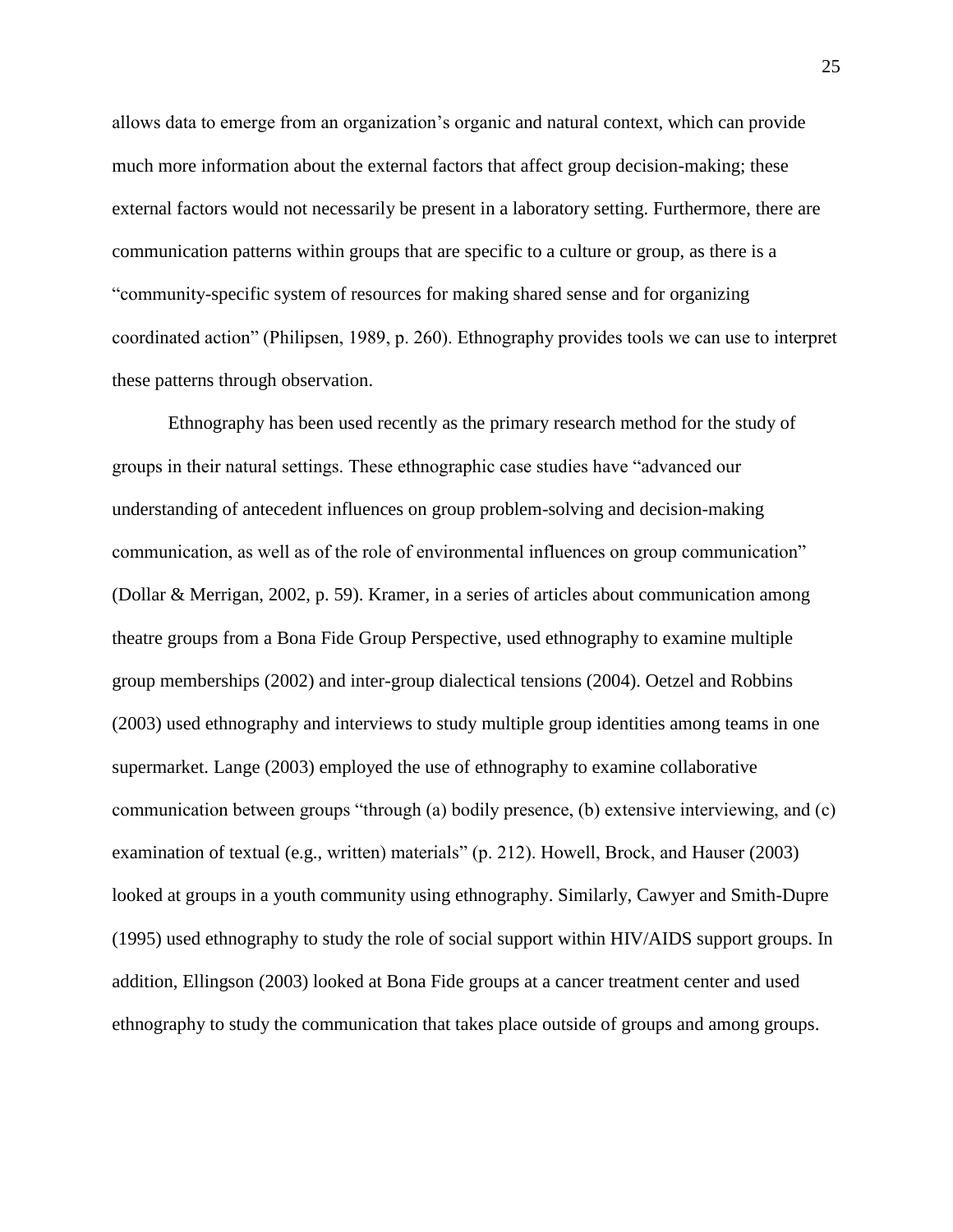allows data to emerge from an organization's organic and natural context, which can provide much more information about the external factors that affect group decision-making; these external factors would not necessarily be present in a laboratory setting. Furthermore, there are communication patterns within groups that are specific to a culture or group, as there is a "community-specific system of resources for making shared sense and for organizing coordinated action" (Philipsen, 1989, p. 260). Ethnography provides tools we can use to interpret these patterns through observation.

Ethnography has been used recently as the primary research method for the study of groups in their natural settings. These ethnographic case studies have "advanced our understanding of antecedent influences on group problem-solving and decision-making communication, as well as of the role of environmental influences on group communication" (Dollar & Merrigan, 2002, p. 59). Kramer, in a series of articles about communication among theatre groups from a Bona Fide Group Perspective, used ethnography to examine multiple group memberships (2002) and inter-group dialectical tensions (2004). Oetzel and Robbins (2003) used ethnography and interviews to study multiple group identities among teams in one supermarket. Lange (2003) employed the use of ethnography to examine collaborative communication between groups "through (a) bodily presence, (b) extensive interviewing, and (c) examination of textual (e.g., written) materials" (p. 212). Howell, Brock, and Hauser (2003) looked at groups in a youth community using ethnography. Similarly, Cawyer and Smith-Dupre (1995) used ethnography to study the role of social support within HIV/AIDS support groups. In addition, Ellingson (2003) looked at Bona Fide groups at a cancer treatment center and used ethnography to study the communication that takes place outside of groups and among groups.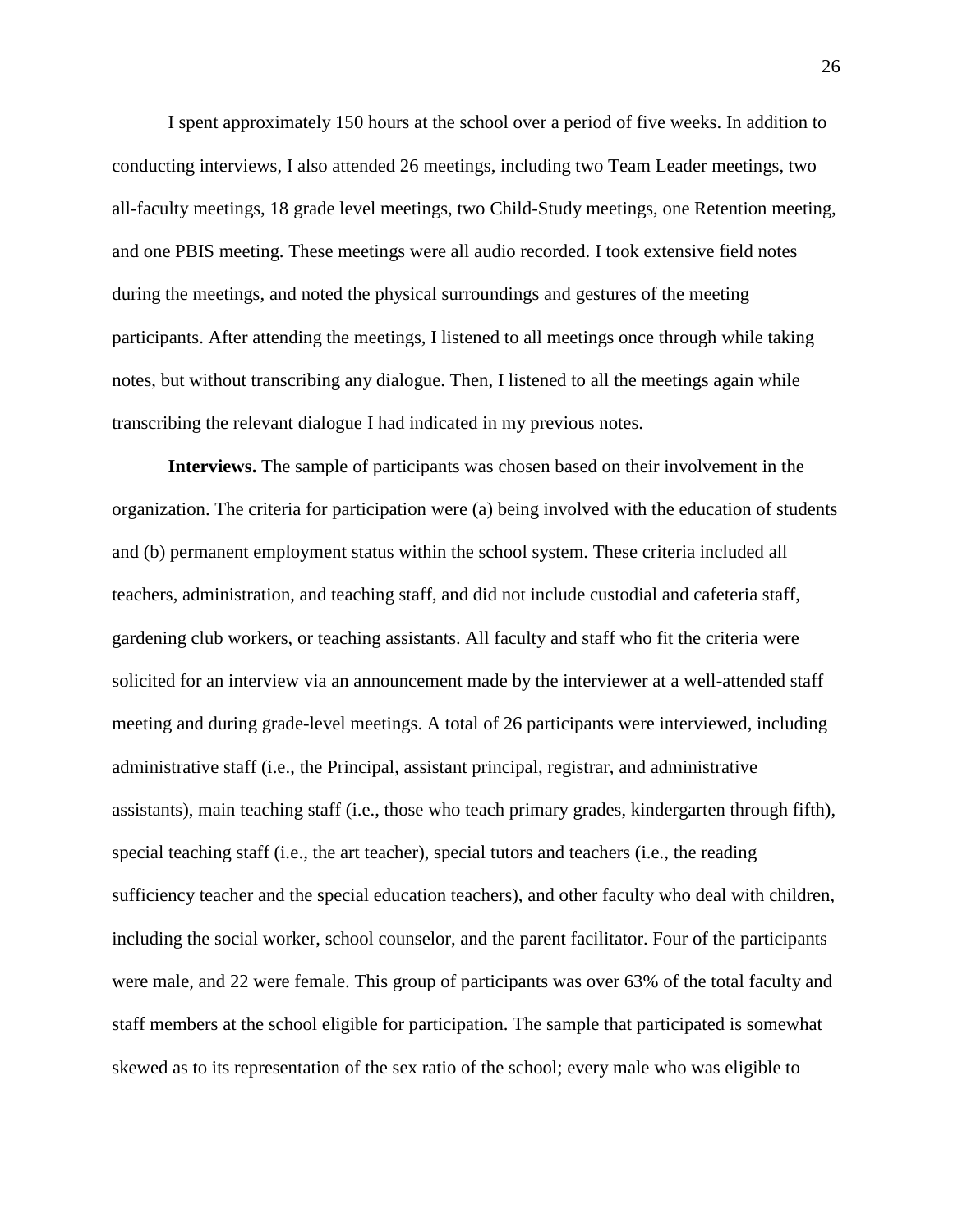I spent approximately 150 hours at the school over a period of five weeks. In addition to conducting interviews, I also attended 26 meetings, including two Team Leader meetings, two all-faculty meetings, 18 grade level meetings, two Child-Study meetings, one Retention meeting, and one PBIS meeting. These meetings were all audio recorded. I took extensive field notes during the meetings, and noted the physical surroundings and gestures of the meeting participants. After attending the meetings, I listened to all meetings once through while taking notes, but without transcribing any dialogue. Then, I listened to all the meetings again while transcribing the relevant dialogue I had indicated in my previous notes.

**Interviews.** The sample of participants was chosen based on their involvement in the organization. The criteria for participation were (a) being involved with the education of students and (b) permanent employment status within the school system. These criteria included all teachers, administration, and teaching staff, and did not include custodial and cafeteria staff, gardening club workers, or teaching assistants. All faculty and staff who fit the criteria were solicited for an interview via an announcement made by the interviewer at a well-attended staff meeting and during grade-level meetings. A total of 26 participants were interviewed, including administrative staff (i.e., the Principal, assistant principal, registrar, and administrative assistants), main teaching staff (i.e., those who teach primary grades, kindergarten through fifth), special teaching staff (i.e., the art teacher), special tutors and teachers (i.e., the reading sufficiency teacher and the special education teachers), and other faculty who deal with children, including the social worker, school counselor, and the parent facilitator. Four of the participants were male, and 22 were female. This group of participants was over 63% of the total faculty and staff members at the school eligible for participation. The sample that participated is somewhat skewed as to its representation of the sex ratio of the school; every male who was eligible to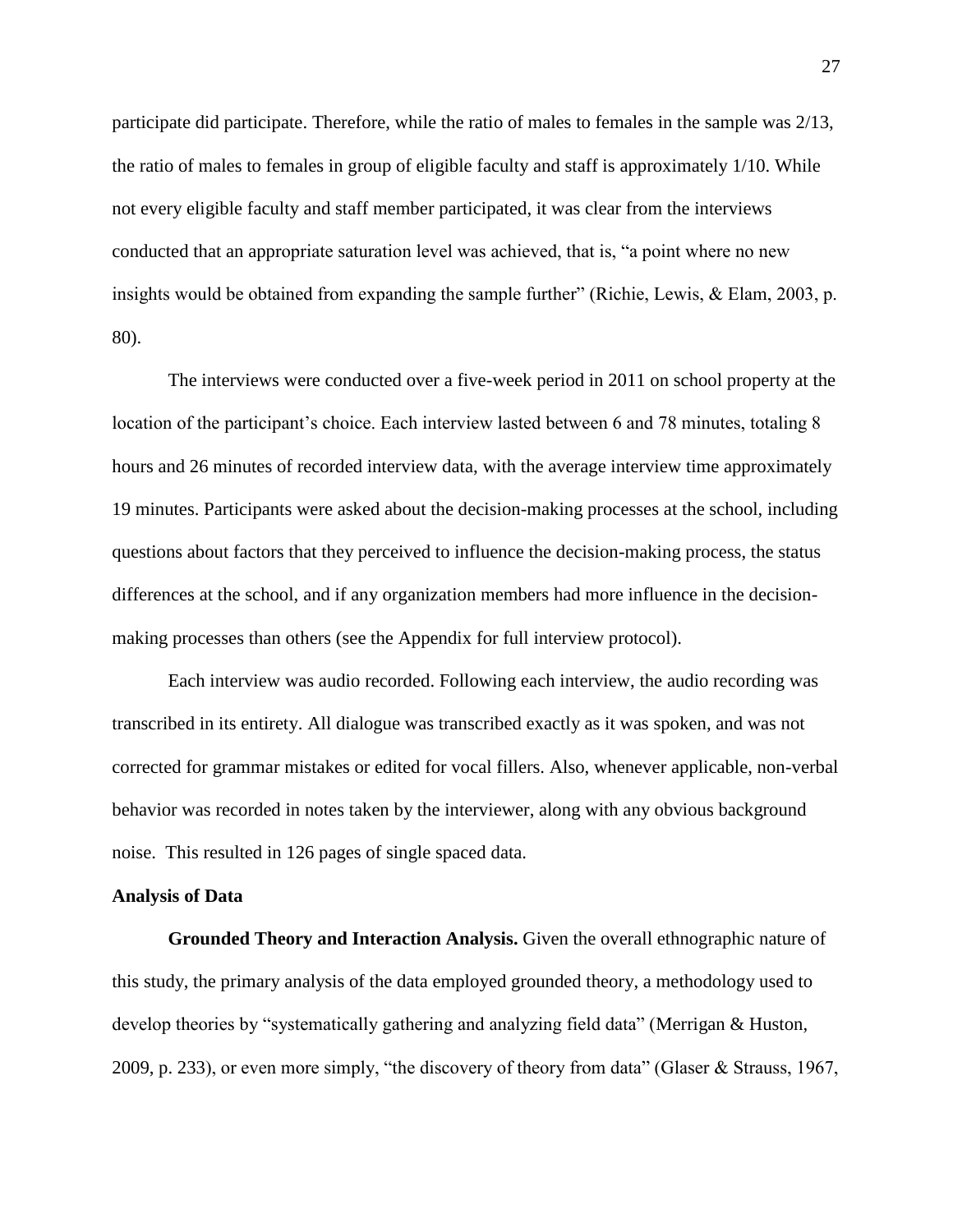participate did participate. Therefore, while the ratio of males to females in the sample was 2/13, the ratio of males to females in group of eligible faculty and staff is approximately 1/10. While not every eligible faculty and staff member participated, it was clear from the interviews conducted that an appropriate saturation level was achieved, that is, "a point where no new insights would be obtained from expanding the sample further" (Richie, Lewis, & Elam, 2003, p. 80).

The interviews were conducted over a five-week period in 2011 on school property at the location of the participant's choice. Each interview lasted between 6 and 78 minutes, totaling 8 hours and 26 minutes of recorded interview data, with the average interview time approximately 19 minutes. Participants were asked about the decision-making processes at the school, including questions about factors that they perceived to influence the decision-making process, the status differences at the school, and if any organization members had more influence in the decisionmaking processes than others (see the Appendix for full interview protocol).

Each interview was audio recorded. Following each interview, the audio recording was transcribed in its entirety. All dialogue was transcribed exactly as it was spoken, and was not corrected for grammar mistakes or edited for vocal fillers. Also, whenever applicable, non-verbal behavior was recorded in notes taken by the interviewer, along with any obvious background noise. This resulted in 126 pages of single spaced data.

#### **Analysis of Data**

**Grounded Theory and Interaction Analysis.** Given the overall ethnographic nature of this study, the primary analysis of the data employed grounded theory, a methodology used to develop theories by "systematically gathering and analyzing field data" (Merrigan & Huston, 2009, p. 233), or even more simply, "the discovery of theory from data" (Glaser & Strauss, 1967,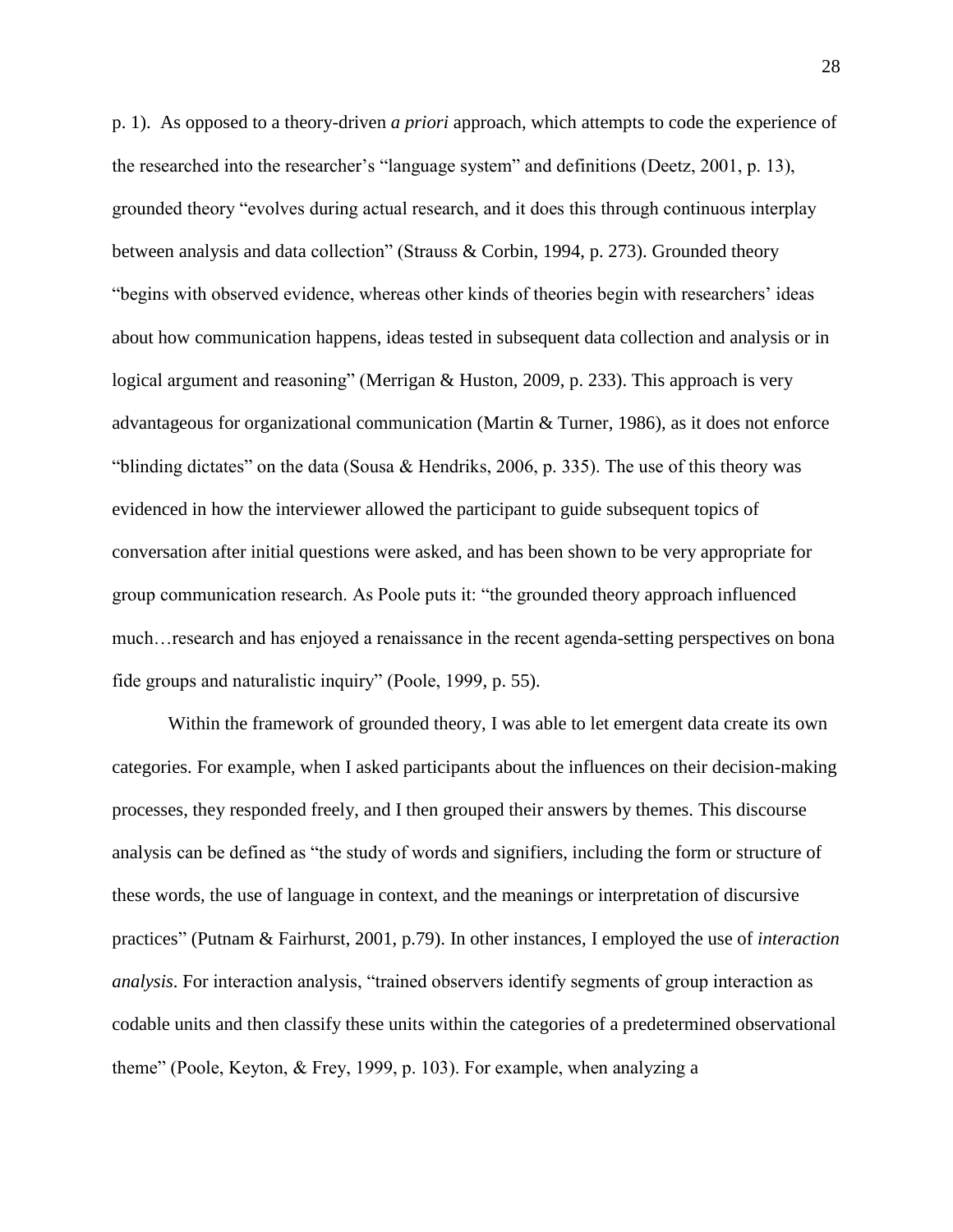p. 1). As opposed to a theory-driven *a priori* approach, which attempts to code the experience of the researched into the researcher's "language system" and definitions (Deetz, 2001, p. 13), grounded theory "evolves during actual research, and it does this through continuous interplay between analysis and data collection" (Strauss & Corbin, 1994, p. 273). Grounded theory "begins with observed evidence, whereas other kinds of theories begin with researchers' ideas about how communication happens, ideas tested in subsequent data collection and analysis or in logical argument and reasoning" (Merrigan & Huston, 2009, p. 233). This approach is very advantageous for organizational communication (Martin & Turner, 1986), as it does not enforce "blinding dictates" on the data (Sousa & Hendriks, 2006, p. 335). The use of this theory was evidenced in how the interviewer allowed the participant to guide subsequent topics of conversation after initial questions were asked, and has been shown to be very appropriate for group communication research. As Poole puts it: "the grounded theory approach influenced much…research and has enjoyed a renaissance in the recent agenda-setting perspectives on bona fide groups and naturalistic inquiry" (Poole, 1999, p. 55).

Within the framework of grounded theory, I was able to let emergent data create its own categories. For example, when I asked participants about the influences on their decision-making processes, they responded freely, and I then grouped their answers by themes. This discourse analysis can be defined as "the study of words and signifiers, including the form or structure of these words, the use of language in context, and the meanings or interpretation of discursive practices" (Putnam & Fairhurst, 2001, p.79). In other instances, I employed the use of *interaction analysis*. For interaction analysis, "trained observers identify segments of group interaction as codable units and then classify these units within the categories of a predetermined observational theme" (Poole, Keyton, & Frey, 1999, p. 103). For example, when analyzing a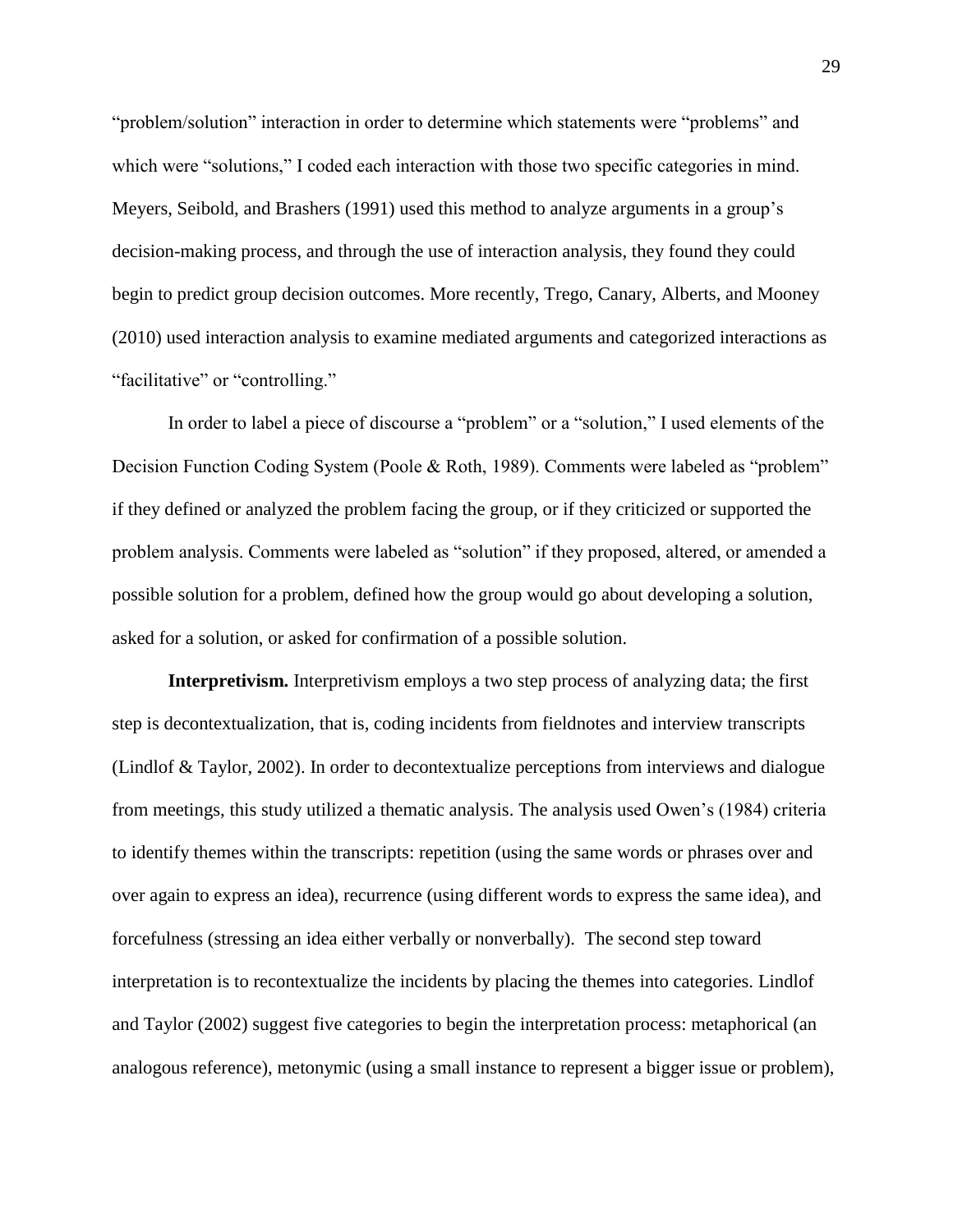"problem/solution" interaction in order to determine which statements were "problems" and which were "solutions," I coded each interaction with those two specific categories in mind. Meyers, Seibold, and Brashers (1991) used this method to analyze arguments in a group's decision-making process, and through the use of interaction analysis, they found they could begin to predict group decision outcomes. More recently, Trego, Canary, Alberts, and Mooney (2010) used interaction analysis to examine mediated arguments and categorized interactions as "facilitative" or "controlling."

In order to label a piece of discourse a "problem" or a "solution," I used elements of the Decision Function Coding System (Poole & Roth, 1989). Comments were labeled as "problem" if they defined or analyzed the problem facing the group, or if they criticized or supported the problem analysis. Comments were labeled as "solution" if they proposed, altered, or amended a possible solution for a problem, defined how the group would go about developing a solution, asked for a solution, or asked for confirmation of a possible solution.

**Interpretivism.** Interpretivism employs a two step process of analyzing data; the first step is decontextualization, that is, coding incidents from fieldnotes and interview transcripts (Lindlof & Taylor, 2002). In order to decontextualize perceptions from interviews and dialogue from meetings, this study utilized a thematic analysis. The analysis used Owen's (1984) criteria to identify themes within the transcripts: repetition (using the same words or phrases over and over again to express an idea), recurrence (using different words to express the same idea), and forcefulness (stressing an idea either verbally or nonverbally). The second step toward interpretation is to recontextualize the incidents by placing the themes into categories. Lindlof and Taylor (2002) suggest five categories to begin the interpretation process: metaphorical (an analogous reference), metonymic (using a small instance to represent a bigger issue or problem),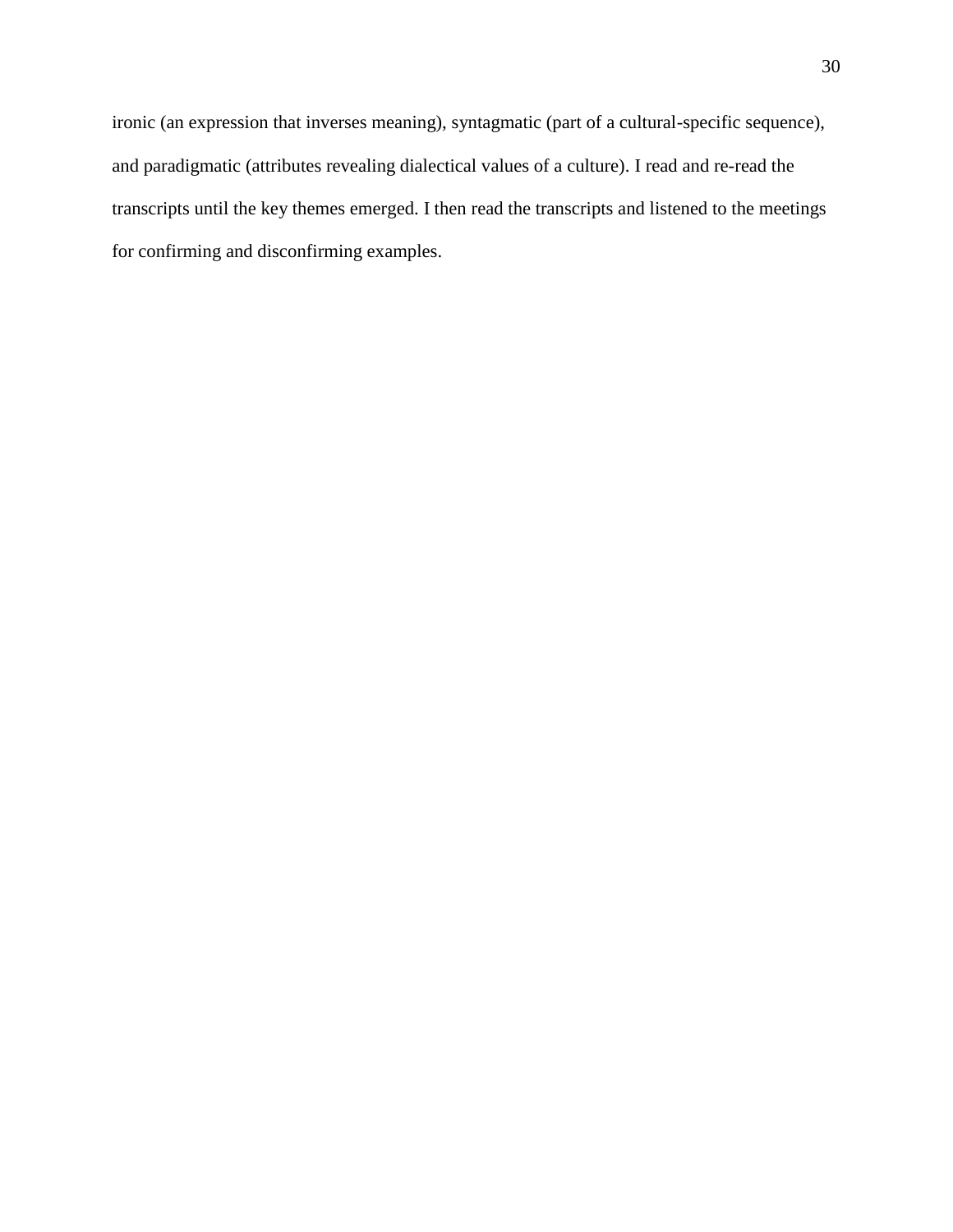ironic (an expression that inverses meaning), syntagmatic (part of a cultural-specific sequence), and paradigmatic (attributes revealing dialectical values of a culture). I read and re-read the transcripts until the key themes emerged. I then read the transcripts and listened to the meetings for confirming and disconfirming examples.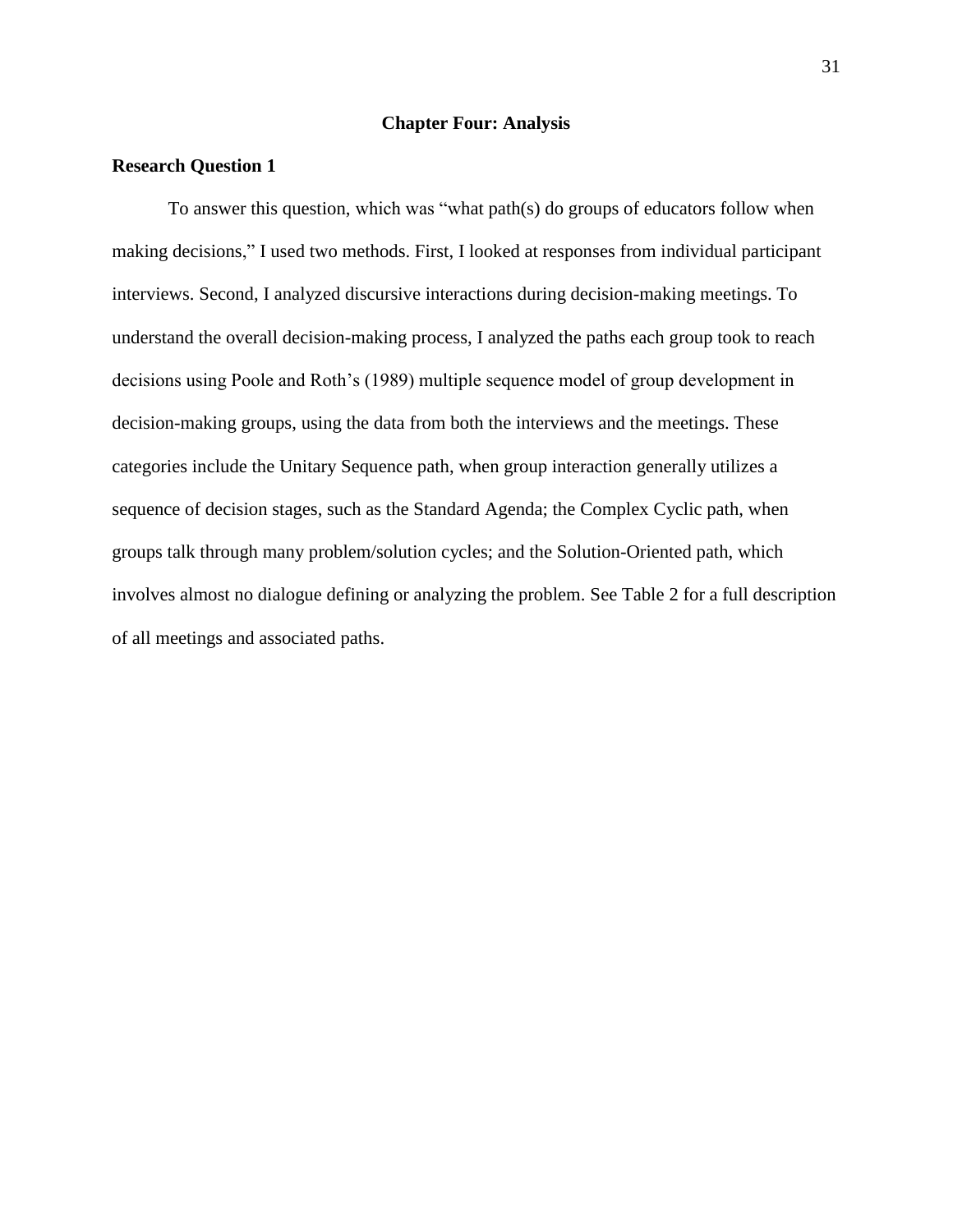### **Chapter Four: Analysis**

# **Research Question 1**

To answer this question, which was "what path(s) do groups of educators follow when making decisions," I used two methods. First, I looked at responses from individual participant interviews. Second, I analyzed discursive interactions during decision-making meetings. To understand the overall decision-making process, I analyzed the paths each group took to reach decisions using Poole and Roth's (1989) multiple sequence model of group development in decision-making groups, using the data from both the interviews and the meetings. These categories include the Unitary Sequence path, when group interaction generally utilizes a sequence of decision stages, such as the Standard Agenda; the Complex Cyclic path, when groups talk through many problem/solution cycles; and the Solution-Oriented path, which involves almost no dialogue defining or analyzing the problem. See Table 2 for a full description of all meetings and associated paths.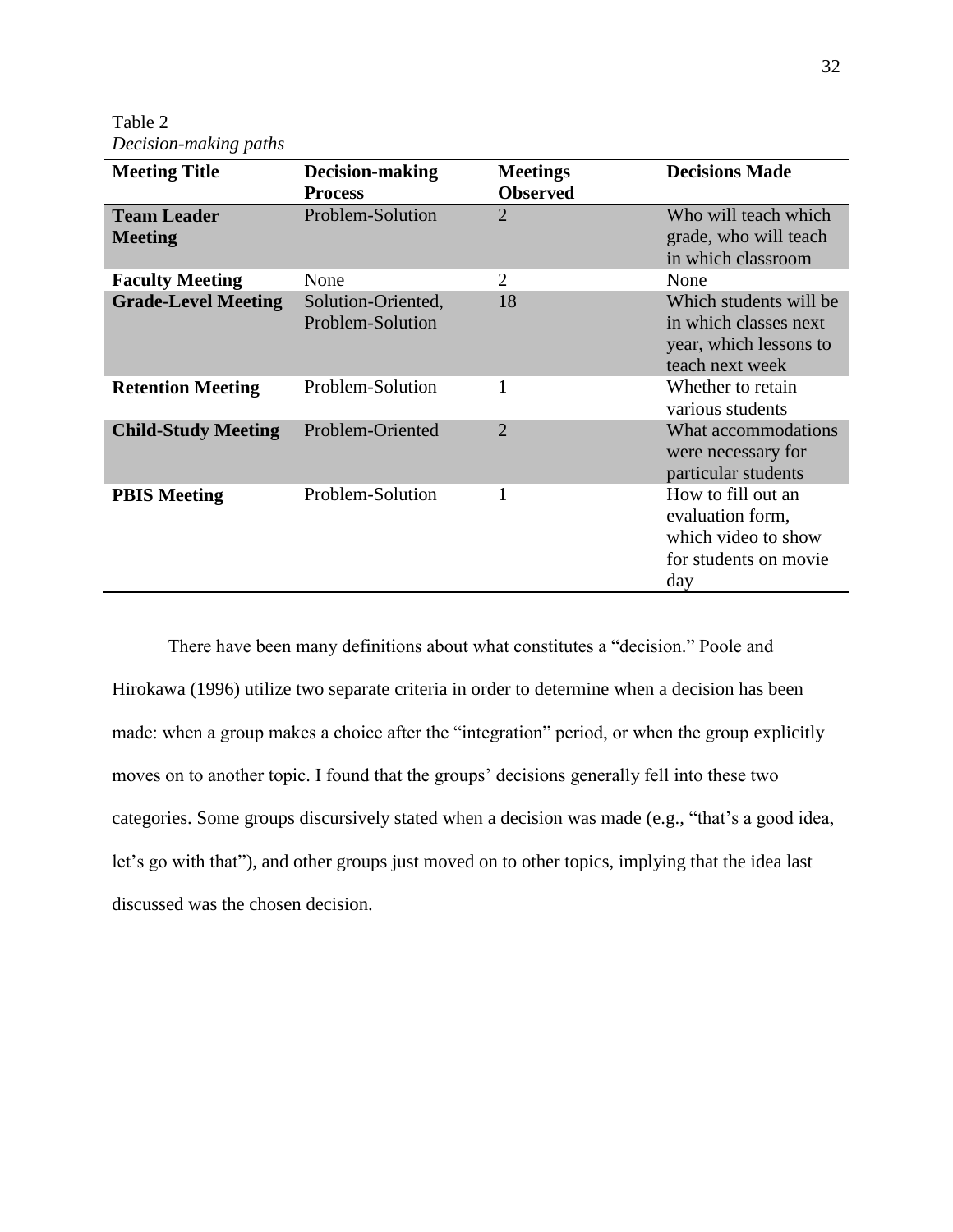Table 2 *Decision-making paths*

| <b>Meeting Title</b>                 | Decision-making<br><b>Process</b>      | <b>Meetings</b><br><b>Observed</b> | <b>Decisions Made</b>                                                                         |
|--------------------------------------|----------------------------------------|------------------------------------|-----------------------------------------------------------------------------------------------|
| <b>Team Leader</b><br><b>Meeting</b> | Problem-Solution                       | $\overline{2}$                     | Who will teach which<br>grade, who will teach<br>in which classroom                           |
| <b>Faculty Meeting</b>               | None                                   | 2                                  | None                                                                                          |
| <b>Grade-Level Meeting</b>           | Solution-Oriented,<br>Problem-Solution | 18                                 | Which students will be<br>in which classes next<br>year, which lessons to<br>teach next week  |
| <b>Retention Meeting</b>             | Problem-Solution                       | 1                                  | Whether to retain<br>various students                                                         |
| <b>Child-Study Meeting</b>           | Problem-Oriented                       | $\overline{2}$                     | What accommodations<br>were necessary for<br>particular students                              |
| <b>PBIS Meeting</b>                  | Problem-Solution                       |                                    | How to fill out an<br>evaluation form,<br>which video to show<br>for students on movie<br>day |

There have been many definitions about what constitutes a "decision." Poole and Hirokawa (1996) utilize two separate criteria in order to determine when a decision has been made: when a group makes a choice after the "integration" period, or when the group explicitly moves on to another topic. I found that the groups' decisions generally fell into these two categories. Some groups discursively stated when a decision was made (e.g., "that's a good idea, let's go with that"), and other groups just moved on to other topics, implying that the idea last discussed was the chosen decision.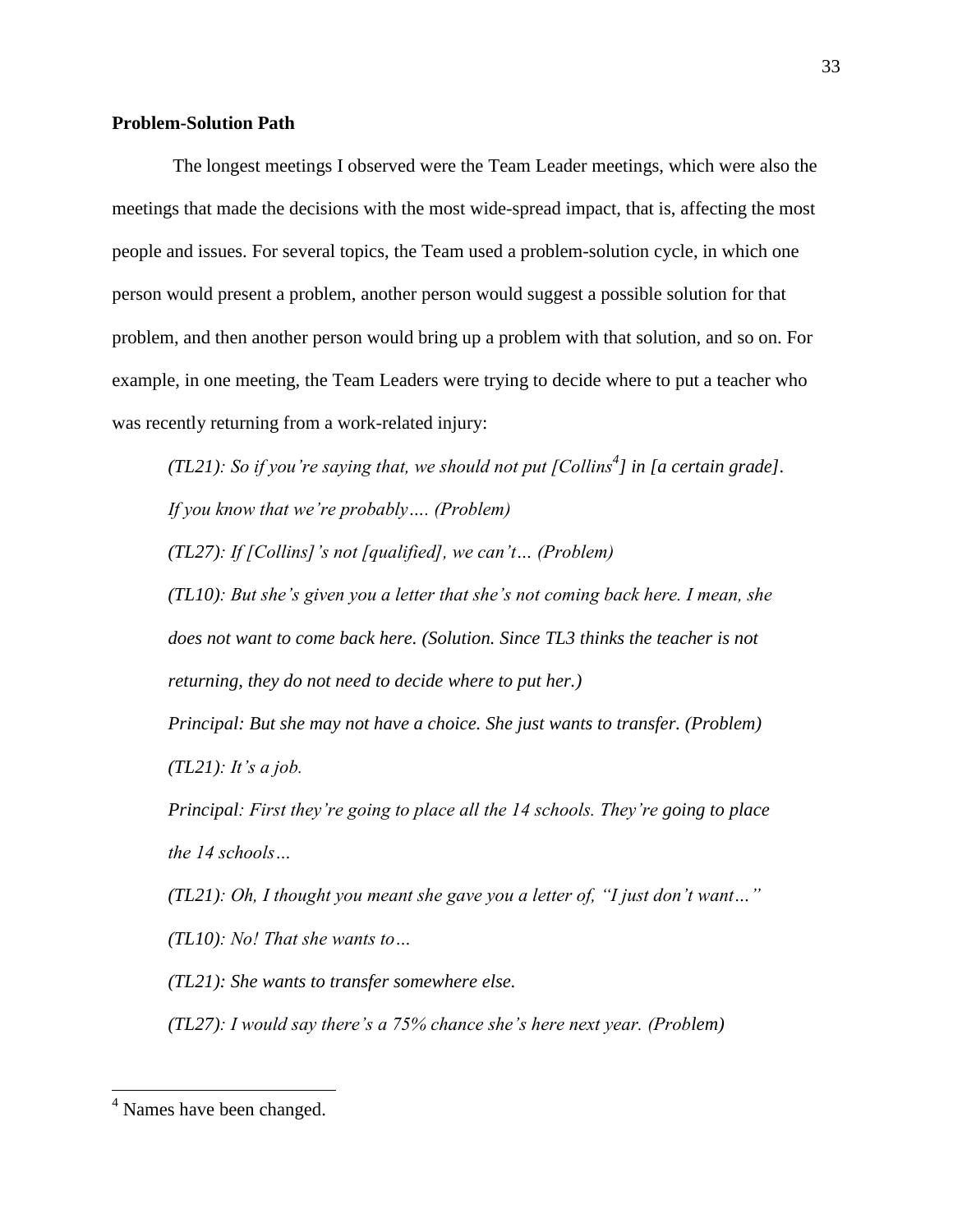## **Problem-Solution Path**

The longest meetings I observed were the Team Leader meetings, which were also the meetings that made the decisions with the most wide-spread impact, that is, affecting the most people and issues. For several topics, the Team used a problem-solution cycle, in which one person would present a problem, another person would suggest a possible solution for that problem, and then another person would bring up a problem with that solution, and so on. For example, in one meeting, the Team Leaders were trying to decide where to put a teacher who was recently returning from a work-related injury:

*(TL21): So if you're saying that, we should not put [Collins<sup>4</sup> ] in [a certain grade]. If you know that we're probably…. (Problem)*

*(TL27): If [Collins]'s not [qualified], we can't… (Problem)*

*(TL10): But she's given you a letter that she's not coming back here. I mean, she does not want to come back here. (Solution. Since TL3 thinks the teacher is not returning, they do not need to decide where to put her.)*

*Principal: But she may not have a choice. She just wants to transfer. (Problem) (TL21): It's a job.*

*Principal: First they're going to place all the 14 schools. They're going to place the 14 schools…*

*(TL21): Oh, I thought you meant she gave you a letter of, "I just don't want…" (TL10): No! That she wants to…*

*(TL21): She wants to transfer somewhere else.* 

*(TL27): I would say there's a 75% chance she's here next year. (Problem)*

 $\overline{\phantom{a}}$ 

<sup>4</sup> Names have been changed.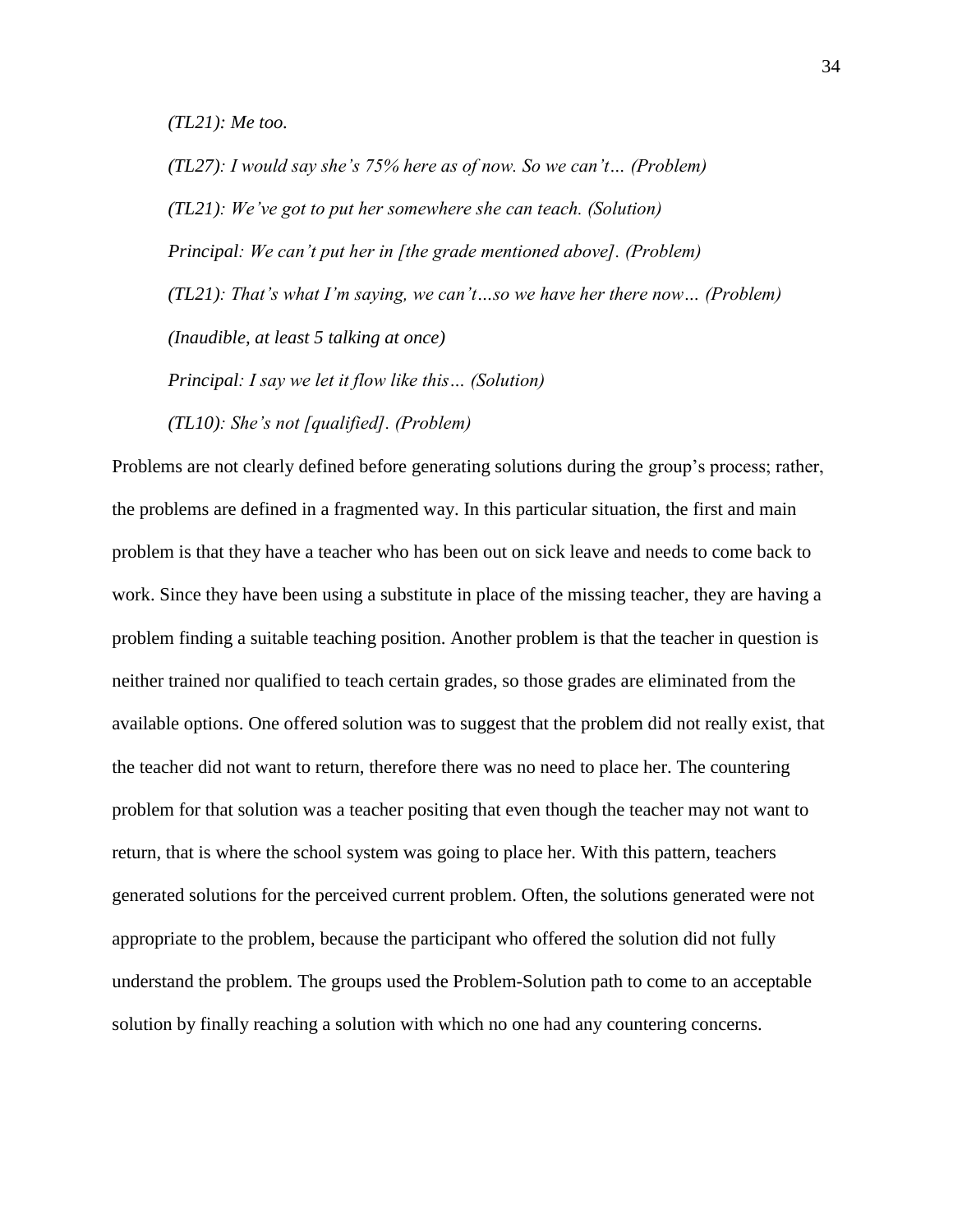*(TL21): Me too.*

*(TL27): I would say she's 75% here as of now. So we can't… (Problem) (TL21): We've got to put her somewhere she can teach. (Solution) Principal: We can't put her in [the grade mentioned above]. (Problem) (TL21): That's what I'm saying, we can't…so we have her there now… (Problem) (Inaudible, at least 5 talking at once) Principal: I say we let it flow like this… (Solution)*

*(TL10): She's not [qualified]. (Problem)*

Problems are not clearly defined before generating solutions during the group's process; rather, the problems are defined in a fragmented way. In this particular situation, the first and main problem is that they have a teacher who has been out on sick leave and needs to come back to work. Since they have been using a substitute in place of the missing teacher, they are having a problem finding a suitable teaching position. Another problem is that the teacher in question is neither trained nor qualified to teach certain grades, so those grades are eliminated from the available options. One offered solution was to suggest that the problem did not really exist, that the teacher did not want to return, therefore there was no need to place her. The countering problem for that solution was a teacher positing that even though the teacher may not want to return, that is where the school system was going to place her. With this pattern, teachers generated solutions for the perceived current problem. Often, the solutions generated were not appropriate to the problem, because the participant who offered the solution did not fully understand the problem. The groups used the Problem-Solution path to come to an acceptable solution by finally reaching a solution with which no one had any countering concerns.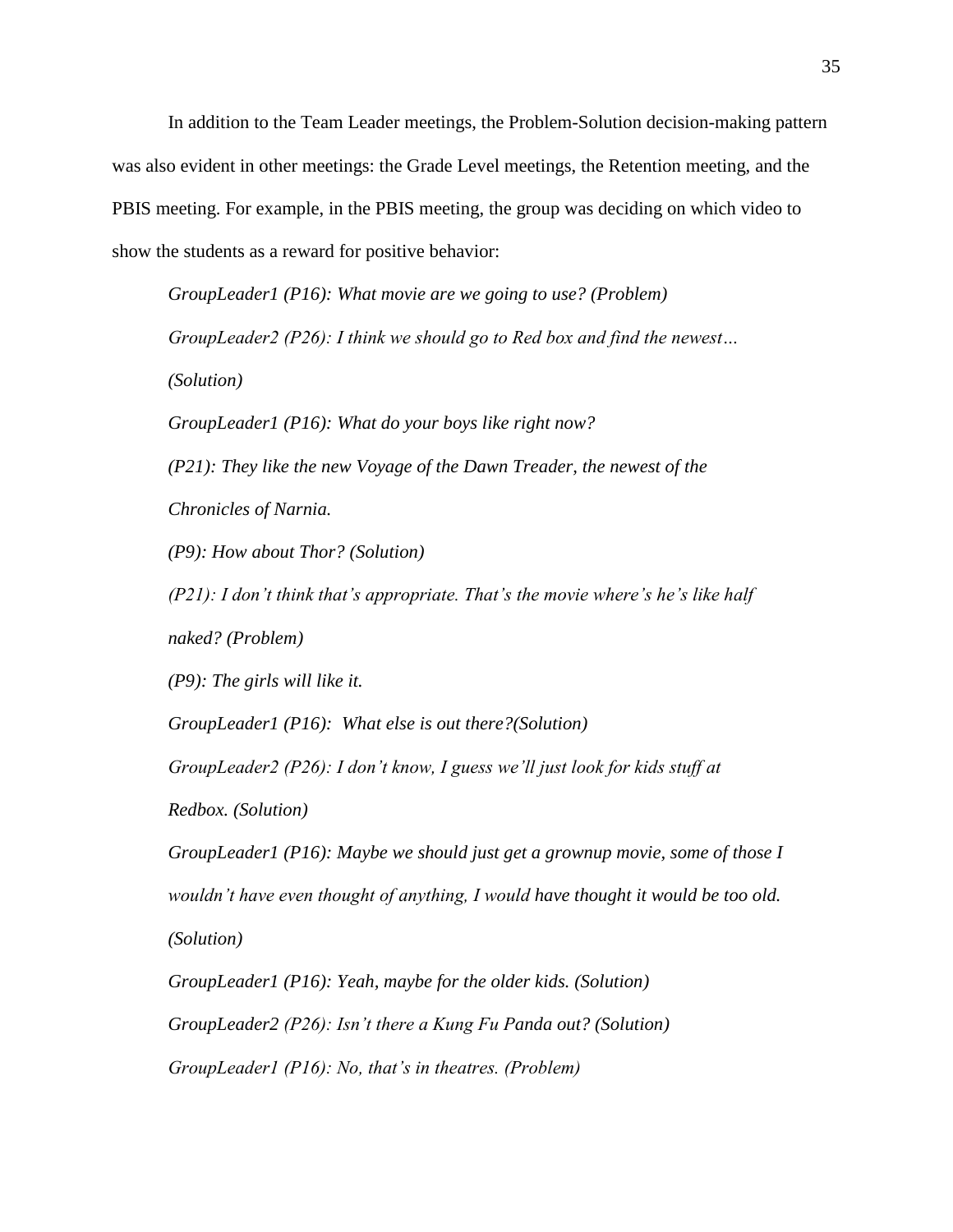In addition to the Team Leader meetings, the Problem-Solution decision-making pattern was also evident in other meetings: the Grade Level meetings, the Retention meeting, and the PBIS meeting. For example, in the PBIS meeting, the group was deciding on which video to show the students as a reward for positive behavior:

*GroupLeader1 (P16): What movie are we going to use? (Problem) GroupLeader2 (P26): I think we should go to Red box and find the newest… (Solution) GroupLeader1 (P16): What do your boys like right now? (P21): They like the new Voyage of the Dawn Treader, the newest of the Chronicles of Narnia. (P9): How about Thor? (Solution) (P21): I don't think that's appropriate. That's the movie where's he's like half* 

*naked? (Problem)*

*(P9): The girls will like it.* 

*GroupLeader1 (P16): What else is out there?(Solution)*

*GroupLeader2 (P26): I don't know, I guess we'll just look for kids stuff at* 

*Redbox. (Solution)*

*GroupLeader1 (P16): Maybe we should just get a grownup movie, some of those I wouldn't have even thought of anything, I would have thought it would be too old. (Solution)*

*GroupLeader1 (P16): Yeah, maybe for the older kids. (Solution) GroupLeader2 (P26): Isn't there a Kung Fu Panda out? (Solution) GroupLeader1 (P16): No, that's in theatres. (Problem)*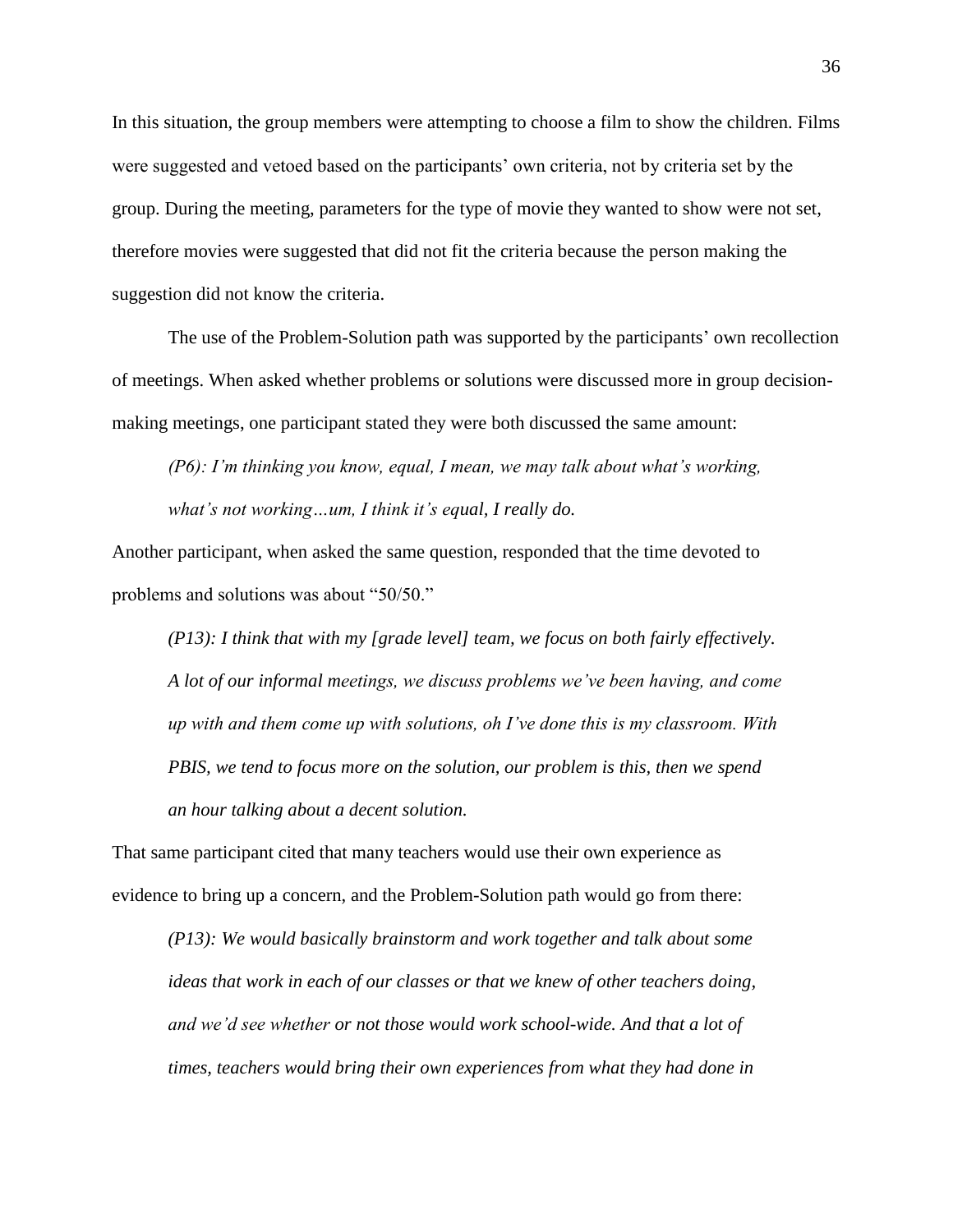In this situation, the group members were attempting to choose a film to show the children. Films were suggested and vetoed based on the participants' own criteria, not by criteria set by the group. During the meeting, parameters for the type of movie they wanted to show were not set, therefore movies were suggested that did not fit the criteria because the person making the suggestion did not know the criteria.

The use of the Problem-Solution path was supported by the participants' own recollection of meetings. When asked whether problems or solutions were discussed more in group decisionmaking meetings, one participant stated they were both discussed the same amount:

*(P6): I'm thinking you know, equal, I mean, we may talk about what's working, what's not working…um, I think it's equal, I really do.* 

Another participant, when asked the same question, responded that the time devoted to problems and solutions was about "50/50."

*(P13): I think that with my [grade level] team, we focus on both fairly effectively. A lot of our informal meetings, we discuss problems we've been having, and come up with and them come up with solutions, oh I've done this is my classroom. With PBIS, we tend to focus more on the solution, our problem is this, then we spend an hour talking about a decent solution.* 

That same participant cited that many teachers would use their own experience as evidence to bring up a concern, and the Problem-Solution path would go from there:

*(P13): We would basically brainstorm and work together and talk about some ideas that work in each of our classes or that we knew of other teachers doing, and we'd see whether or not those would work school-wide. And that a lot of times, teachers would bring their own experiences from what they had done in*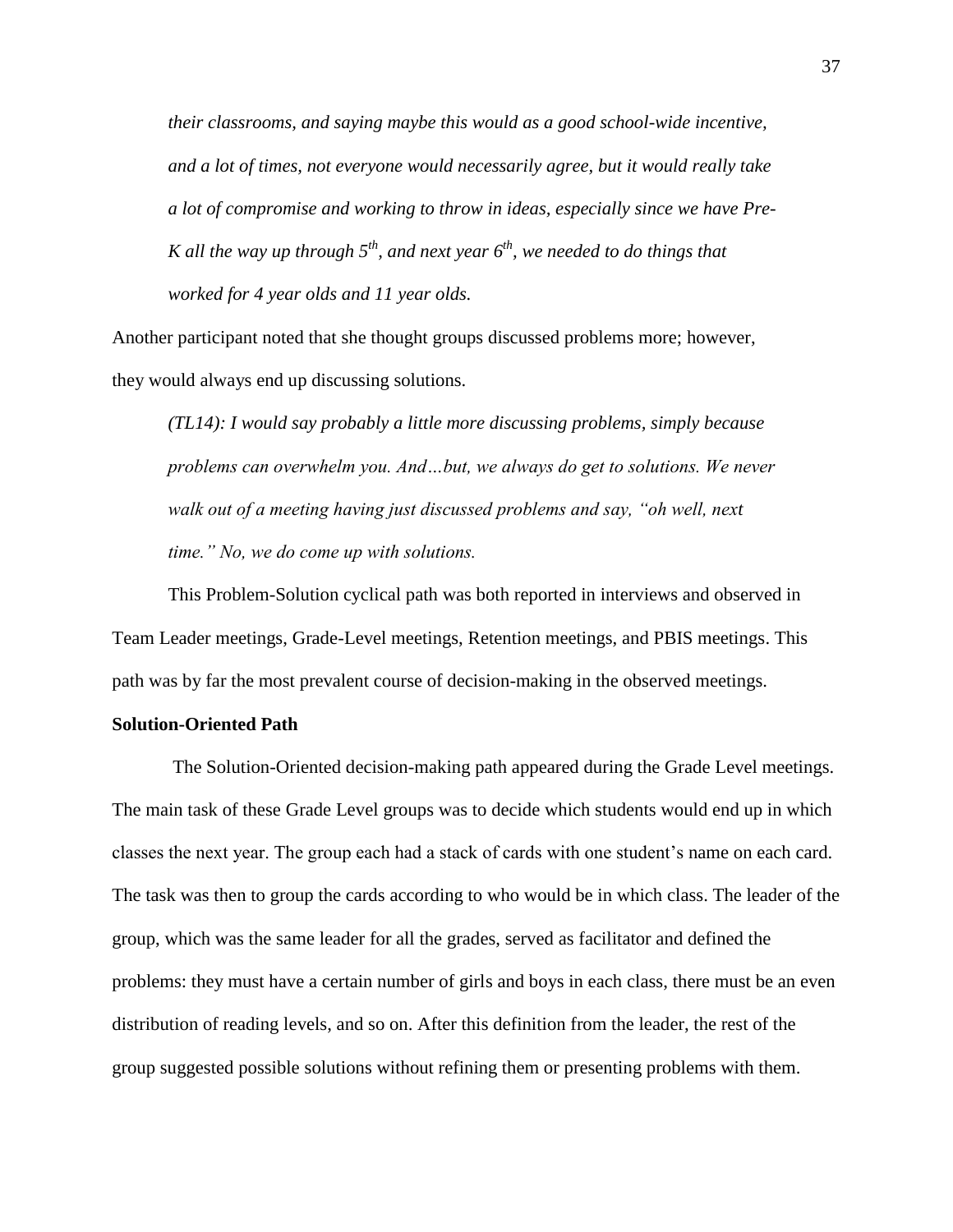*their classrooms, and saying maybe this would as a good school-wide incentive, and a lot of times, not everyone would necessarily agree, but it would really take a lot of compromise and working to throw in ideas, especially since we have Pre-K all the way up through*  $5<sup>th</sup>$ *, and next year*  $6<sup>th</sup>$ *, we needed to do things that worked for 4 year olds and 11 year olds.*

Another participant noted that she thought groups discussed problems more; however, they would always end up discussing solutions.

*(TL14): I would say probably a little more discussing problems, simply because problems can overwhelm you. And…but, we always do get to solutions. We never walk out of a meeting having just discussed problems and say, "oh well, next time." No, we do come up with solutions.* 

This Problem-Solution cyclical path was both reported in interviews and observed in Team Leader meetings, Grade-Level meetings, Retention meetings, and PBIS meetings. This path was by far the most prevalent course of decision-making in the observed meetings.

### **Solution-Oriented Path**

The Solution-Oriented decision-making path appeared during the Grade Level meetings. The main task of these Grade Level groups was to decide which students would end up in which classes the next year. The group each had a stack of cards with one student's name on each card. The task was then to group the cards according to who would be in which class. The leader of the group, which was the same leader for all the grades, served as facilitator and defined the problems: they must have a certain number of girls and boys in each class, there must be an even distribution of reading levels, and so on. After this definition from the leader, the rest of the group suggested possible solutions without refining them or presenting problems with them.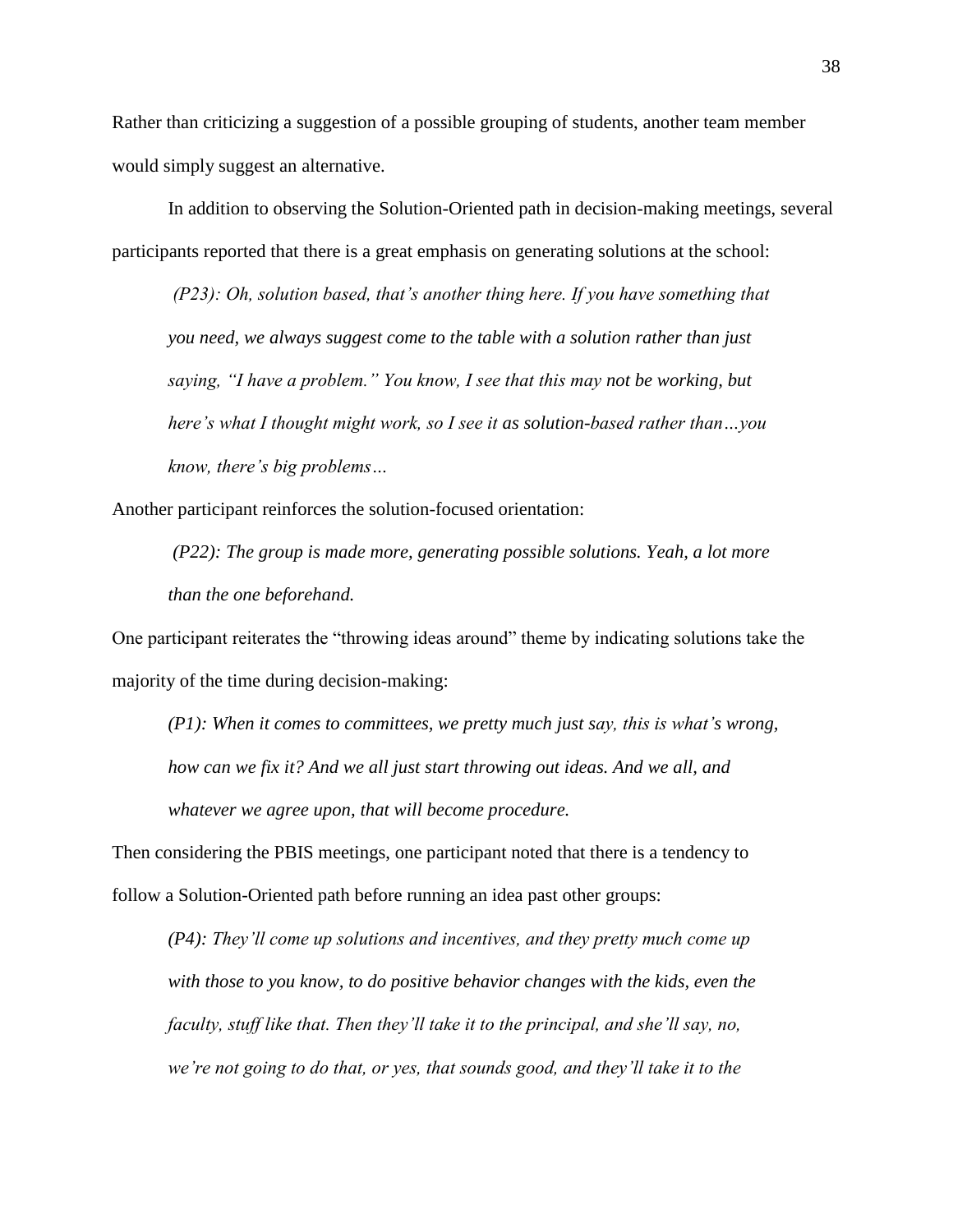Rather than criticizing a suggestion of a possible grouping of students, another team member would simply suggest an alternative.

In addition to observing the Solution-Oriented path in decision-making meetings, several participants reported that there is a great emphasis on generating solutions at the school:

*(P23): Oh, solution based, that's another thing here. If you have something that you need, we always suggest come to the table with a solution rather than just saying, "I have a problem." You know, I see that this may not be working, but here's what I thought might work, so I see it as solution-based rather than…you know, there's big problems…*

Another participant reinforces the solution-focused orientation:

*(P22): The group is made more, generating possible solutions. Yeah, a lot more than the one beforehand.* 

One participant reiterates the "throwing ideas around" theme by indicating solutions take the majority of the time during decision-making:

*(P1): When it comes to committees, we pretty much just say, this is what's wrong, how can we fix it? And we all just start throwing out ideas. And we all, and whatever we agree upon, that will become procedure.* 

Then considering the PBIS meetings, one participant noted that there is a tendency to follow a Solution-Oriented path before running an idea past other groups:

*(P4): They'll come up solutions and incentives, and they pretty much come up with those to you know, to do positive behavior changes with the kids, even the faculty, stuff like that. Then they'll take it to the principal, and she'll say, no, we're not going to do that, or yes, that sounds good, and they'll take it to the*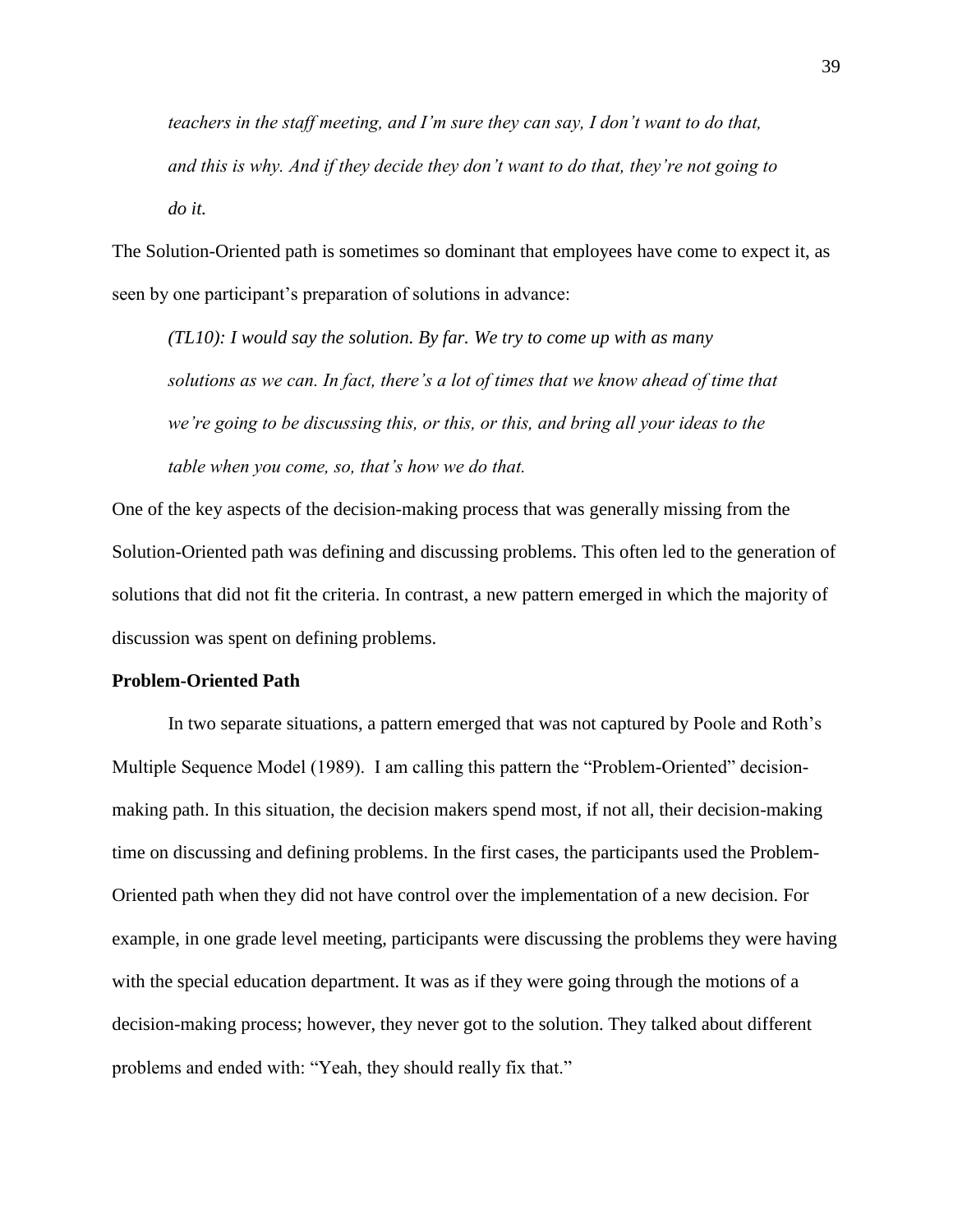*teachers in the staff meeting, and I'm sure they can say, I don't want to do that, and this is why. And if they decide they don't want to do that, they're not going to do it.*

The Solution-Oriented path is sometimes so dominant that employees have come to expect it, as seen by one participant's preparation of solutions in advance:

*(TL10): I would say the solution. By far. We try to come up with as many solutions as we can. In fact, there's a lot of times that we know ahead of time that we're going to be discussing this, or this, or this, and bring all your ideas to the table when you come, so, that's how we do that.* 

One of the key aspects of the decision-making process that was generally missing from the Solution-Oriented path was defining and discussing problems. This often led to the generation of solutions that did not fit the criteria. In contrast, a new pattern emerged in which the majority of discussion was spent on defining problems.

### **Problem-Oriented Path**

In two separate situations, a pattern emerged that was not captured by Poole and Roth's Multiple Sequence Model (1989). I am calling this pattern the "Problem-Oriented" decisionmaking path. In this situation, the decision makers spend most, if not all, their decision-making time on discussing and defining problems. In the first cases, the participants used the Problem-Oriented path when they did not have control over the implementation of a new decision. For example, in one grade level meeting, participants were discussing the problems they were having with the special education department. It was as if they were going through the motions of a decision-making process; however, they never got to the solution. They talked about different problems and ended with: "Yeah, they should really fix that."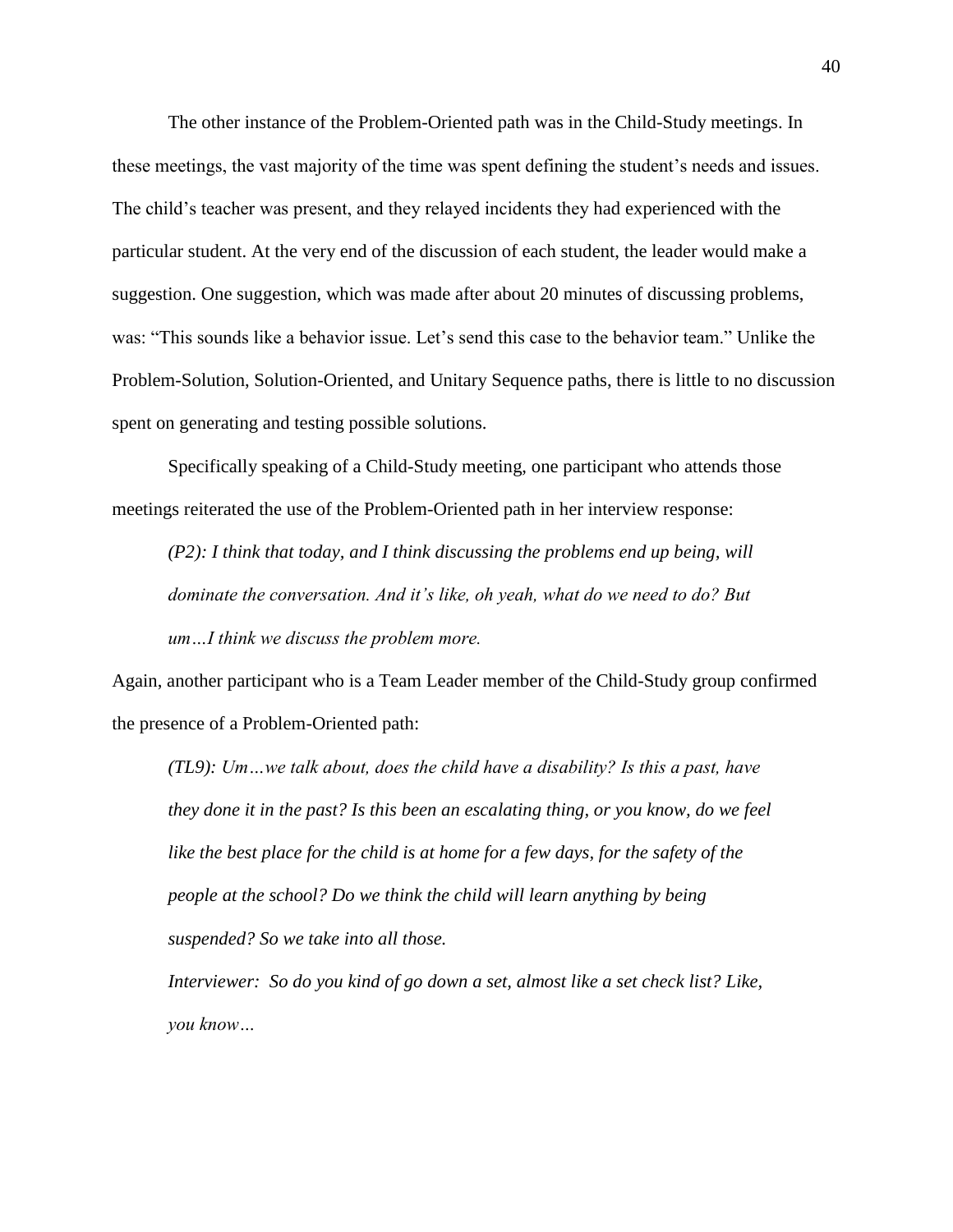The other instance of the Problem-Oriented path was in the Child-Study meetings. In these meetings, the vast majority of the time was spent defining the student's needs and issues. The child's teacher was present, and they relayed incidents they had experienced with the particular student. At the very end of the discussion of each student, the leader would make a suggestion. One suggestion, which was made after about 20 minutes of discussing problems, was: "This sounds like a behavior issue. Let's send this case to the behavior team." Unlike the Problem-Solution, Solution-Oriented, and Unitary Sequence paths, there is little to no discussion spent on generating and testing possible solutions.

Specifically speaking of a Child-Study meeting, one participant who attends those meetings reiterated the use of the Problem-Oriented path in her interview response:

*(P2): I think that today, and I think discussing the problems end up being, will dominate the conversation. And it's like, oh yeah, what do we need to do? But um…I think we discuss the problem more.* 

Again, another participant who is a Team Leader member of the Child-Study group confirmed the presence of a Problem-Oriented path:

*(TL9): Um…we talk about, does the child have a disability? Is this a past, have they done it in the past? Is this been an escalating thing, or you know, do we feel*  like the best place for the child is at home for a few days, for the safety of the *people at the school? Do we think the child will learn anything by being suspended? So we take into all those.* 

*Interviewer: So do you kind of go down a set, almost like a set check list? Like, you know…*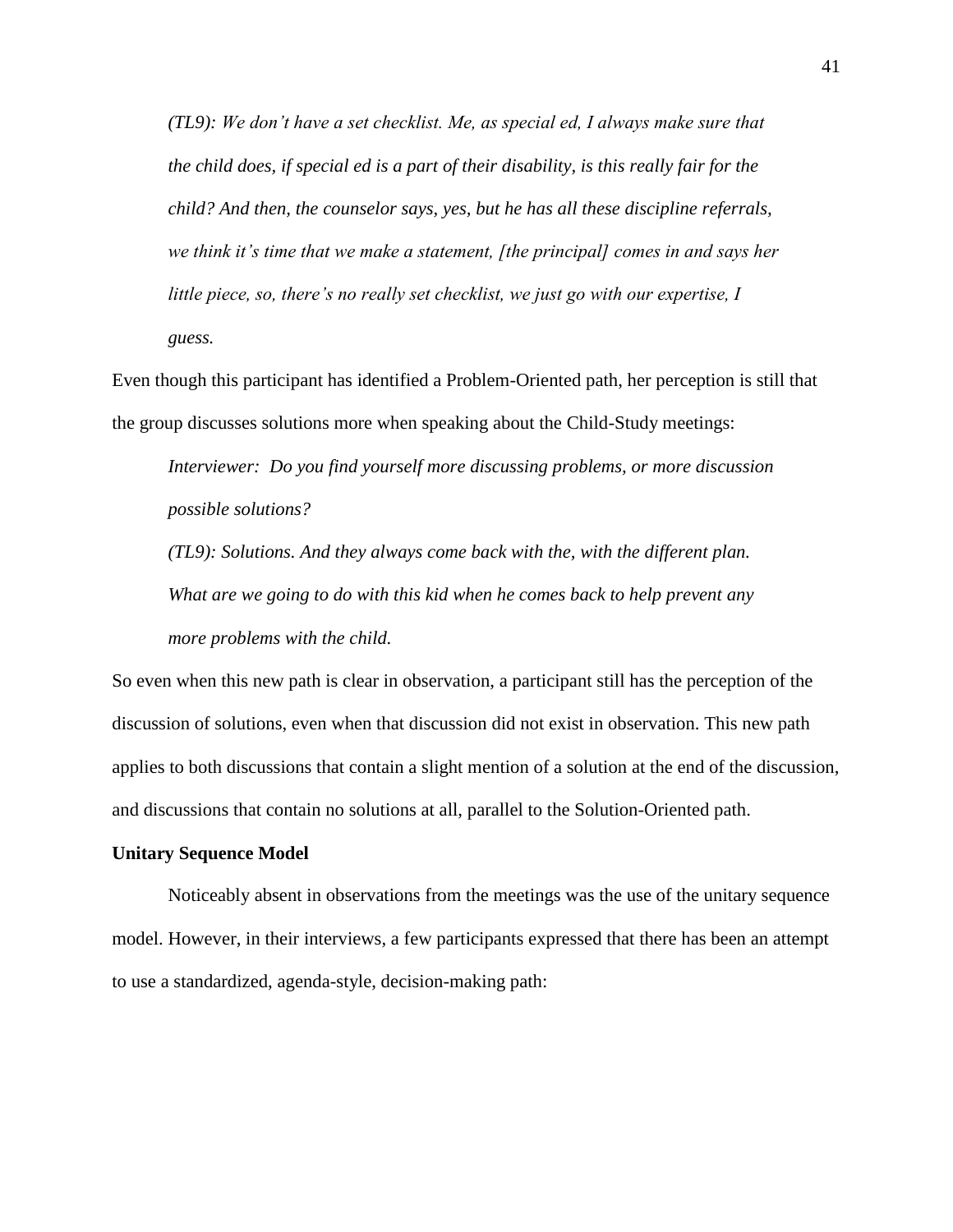*(TL9): We don't have a set checklist. Me, as special ed, I always make sure that the child does, if special ed is a part of their disability, is this really fair for the child? And then, the counselor says, yes, but he has all these discipline referrals, we think it's time that we make a statement, [the principal] comes in and says her little piece, so, there's no really set checklist, we just go with our expertise, I guess.* 

Even though this participant has identified a Problem-Oriented path, her perception is still that the group discusses solutions more when speaking about the Child-Study meetings:

*Interviewer: Do you find yourself more discussing problems, or more discussion possible solutions?*

*(TL9): Solutions. And they always come back with the, with the different plan. What are we going to do with this kid when he comes back to help prevent any more problems with the child.* 

So even when this new path is clear in observation, a participant still has the perception of the discussion of solutions, even when that discussion did not exist in observation. This new path applies to both discussions that contain a slight mention of a solution at the end of the discussion, and discussions that contain no solutions at all, parallel to the Solution-Oriented path.

#### **Unitary Sequence Model**

Noticeably absent in observations from the meetings was the use of the unitary sequence model. However, in their interviews, a few participants expressed that there has been an attempt to use a standardized, agenda-style, decision-making path: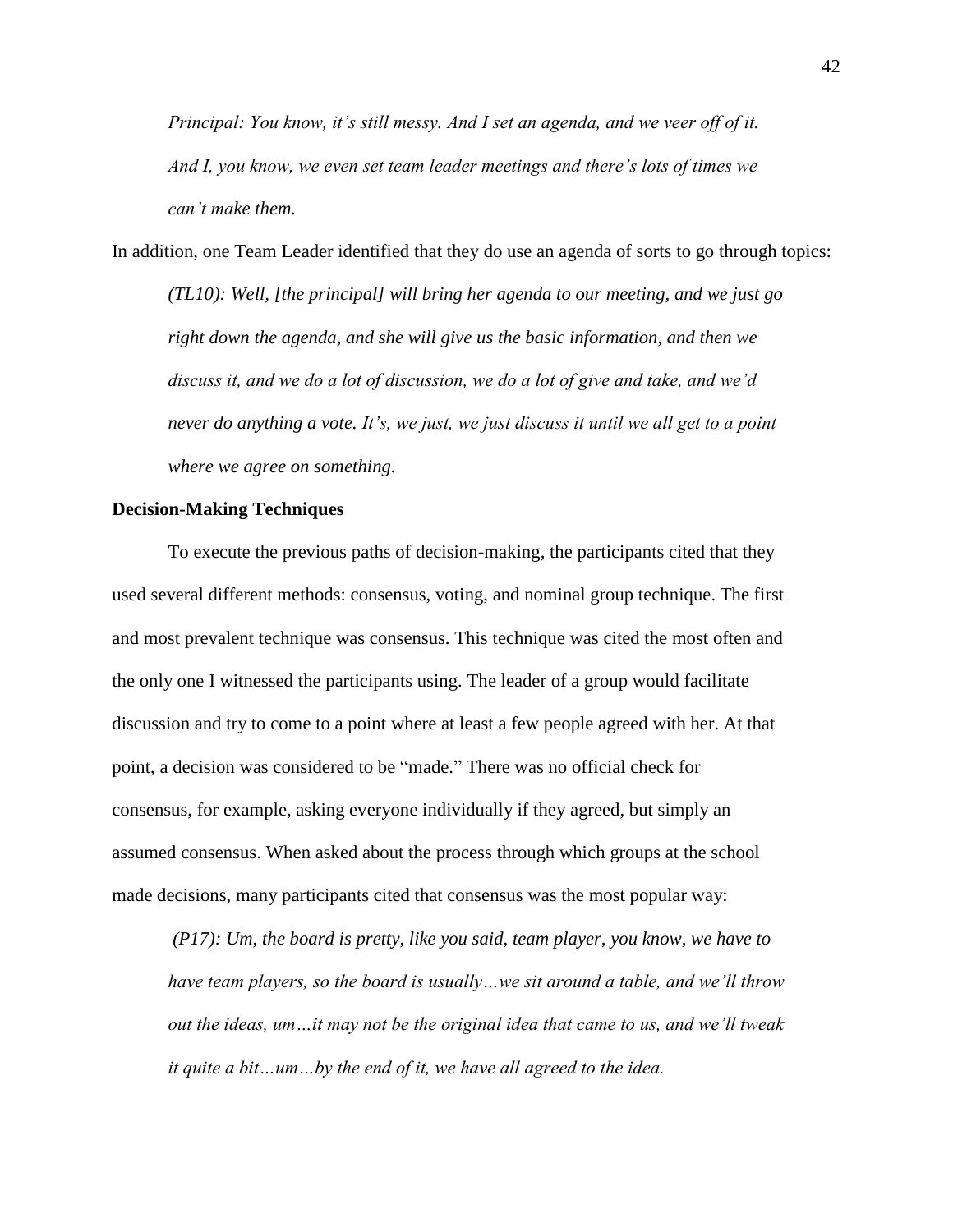*Principal: You know, it's still messy. And I set an agenda, and we veer off of it. And I, you know, we even set team leader meetings and there's lots of times we can't make them.* 

In addition, one Team Leader identified that they do use an agenda of sorts to go through topics: *(TL10): Well, [the principal] will bring her agenda to our meeting, and we just go right down the agenda, and she will give us the basic information, and then we discuss it, and we do a lot of discussion, we do a lot of give and take, and we'd never do anything a vote. It's, we just, we just discuss it until we all get to a point where we agree on something.*

## **Decision-Making Techniques**

To execute the previous paths of decision-making, the participants cited that they used several different methods: consensus, voting, and nominal group technique. The first and most prevalent technique was consensus. This technique was cited the most often and the only one I witnessed the participants using. The leader of a group would facilitate discussion and try to come to a point where at least a few people agreed with her. At that point, a decision was considered to be "made." There was no official check for consensus, for example, asking everyone individually if they agreed, but simply an assumed consensus. When asked about the process through which groups at the school made decisions, many participants cited that consensus was the most popular way:

*(P17): Um, the board is pretty, like you said, team player, you know, we have to have team players, so the board is usually…we sit around a table, and we'll throw out the ideas, um…it may not be the original idea that came to us, and we'll tweak it quite a bit…um…by the end of it, we have all agreed to the idea.*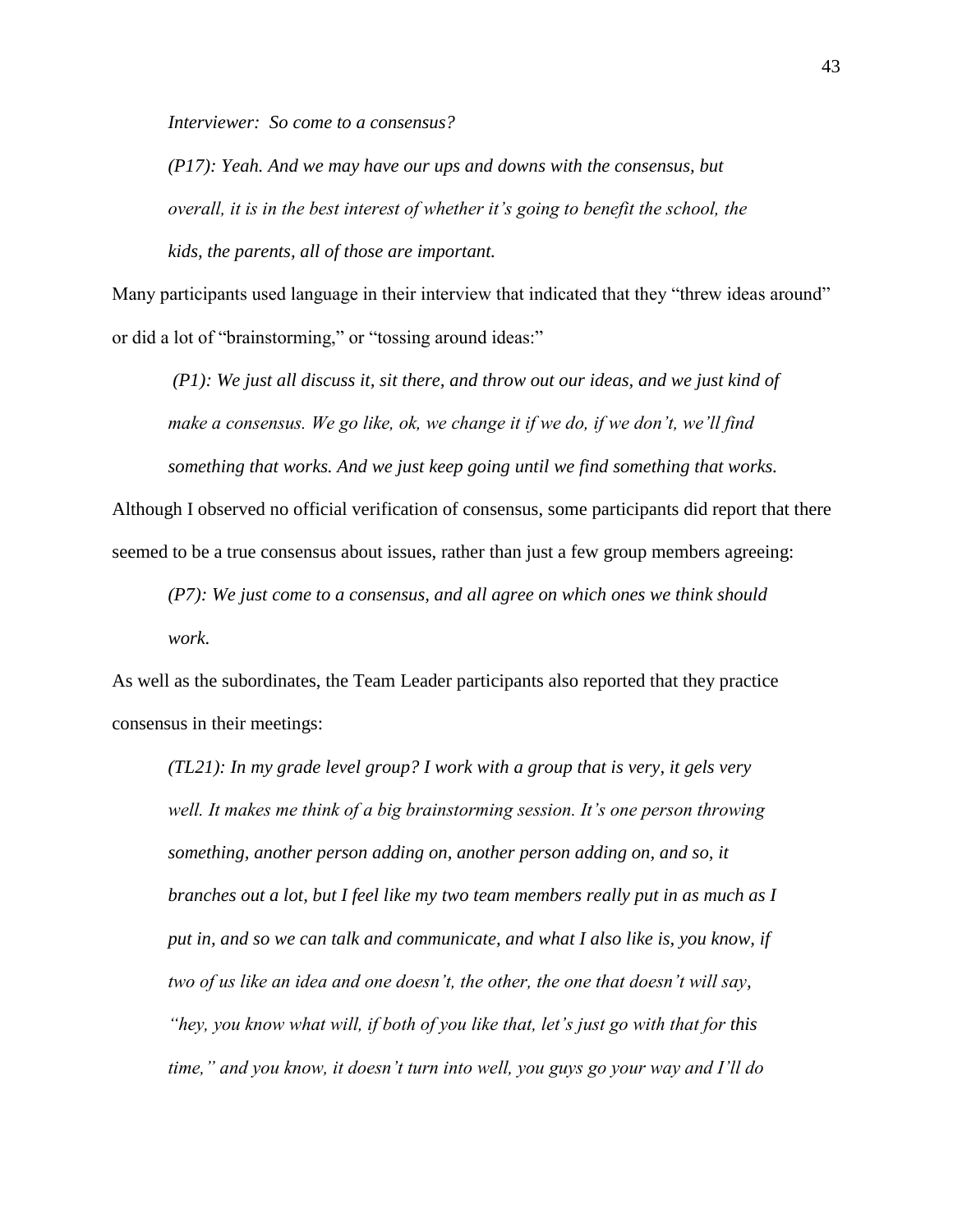*Interviewer: So come to a consensus?*

*(P17): Yeah. And we may have our ups and downs with the consensus, but overall, it is in the best interest of whether it's going to benefit the school, the kids, the parents, all of those are important.*

Many participants used language in their interview that indicated that they "threw ideas around" or did a lot of "brainstorming," or "tossing around ideas:"

*(P1): We just all discuss it, sit there, and throw out our ideas, and we just kind of make a consensus. We go like, ok, we change it if we do, if we don't, we'll find something that works. And we just keep going until we find something that works.* 

Although I observed no official verification of consensus, some participants did report that there seemed to be a true consensus about issues, rather than just a few group members agreeing:

*(P7): We just come to a consensus, and all agree on which ones we think should work.* 

As well as the subordinates, the Team Leader participants also reported that they practice consensus in their meetings:

*(TL21): In my grade level group? I work with a group that is very, it gels very well. It makes me think of a big brainstorming session. It's one person throwing something, another person adding on, another person adding on, and so, it branches out a lot, but I feel like my two team members really put in as much as I put in, and so we can talk and communicate, and what I also like is, you know, if two of us like an idea and one doesn't, the other, the one that doesn't will say, "hey, you know what will, if both of you like that, let's just go with that for this time," and you know, it doesn't turn into well, you guys go your way and I'll do*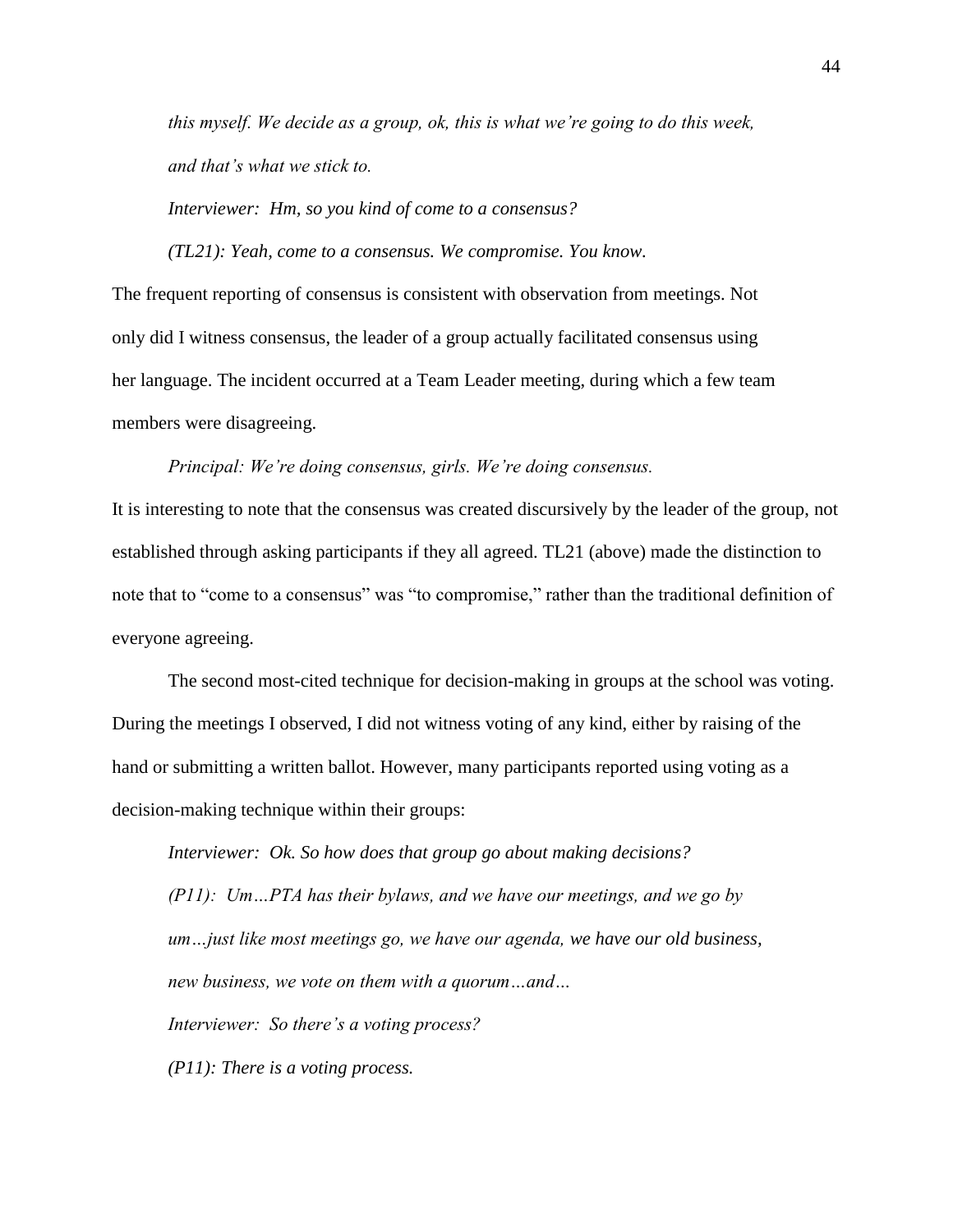*this myself. We decide as a group, ok, this is what we're going to do this week, and that's what we stick to.* 

*Interviewer: Hm, so you kind of come to a consensus?*

*(TL21): Yeah, come to a consensus. We compromise. You know.* 

The frequent reporting of consensus is consistent with observation from meetings. Not only did I witness consensus, the leader of a group actually facilitated consensus using her language. The incident occurred at a Team Leader meeting, during which a few team members were disagreeing.

*Principal: We're doing consensus, girls. We're doing consensus.* 

It is interesting to note that the consensus was created discursively by the leader of the group, not established through asking participants if they all agreed. TL21 (above) made the distinction to note that to "come to a consensus" was "to compromise," rather than the traditional definition of everyone agreeing.

The second most-cited technique for decision-making in groups at the school was voting. During the meetings I observed, I did not witness voting of any kind, either by raising of the hand or submitting a written ballot. However, many participants reported using voting as a decision-making technique within their groups:

*Interviewer: Ok. So how does that group go about making decisions? (P11): Um…PTA has their bylaws, and we have our meetings, and we go by um…just like most meetings go, we have our agenda, we have our old business, new business, we vote on them with a quorum…and… Interviewer: So there's a voting process?*

*(P11): There is a voting process.*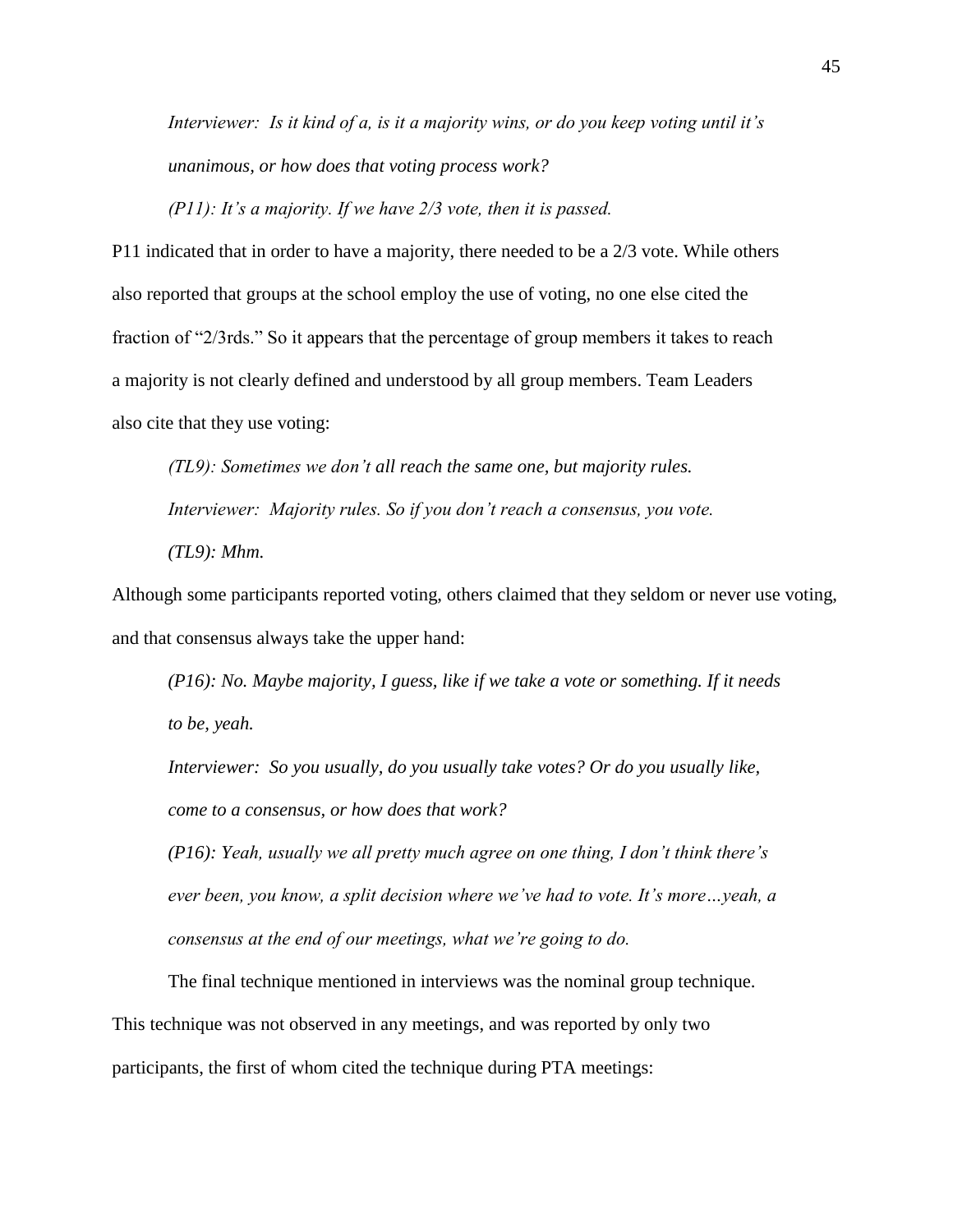*Interviewer: Is it kind of a, is it a majority wins, or do you keep voting until it's unanimous, or how does that voting process work?*

*(P11): It's a majority. If we have 2/3 vote, then it is passed.* 

P11 indicated that in order to have a majority, there needed to be a 2/3 vote. While others also reported that groups at the school employ the use of voting, no one else cited the fraction of "2/3rds." So it appears that the percentage of group members it takes to reach a majority is not clearly defined and understood by all group members. Team Leaders also cite that they use voting:

*(TL9): Sometimes we don't all reach the same one, but majority rules. Interviewer: Majority rules. So if you don't reach a consensus, you vote. (TL9): Mhm.* 

Although some participants reported voting, others claimed that they seldom or never use voting, and that consensus always take the upper hand:

*(P16): No. Maybe majority, I guess, like if we take a vote or something. If it needs to be, yeah.* 

*Interviewer: So you usually, do you usually take votes? Or do you usually like, come to a consensus, or how does that work?*

*(P16): Yeah, usually we all pretty much agree on one thing, I don't think there's ever been, you know, a split decision where we've had to vote. It's more…yeah, a consensus at the end of our meetings, what we're going to do.*

The final technique mentioned in interviews was the nominal group technique. This technique was not observed in any meetings, and was reported by only two participants, the first of whom cited the technique during PTA meetings: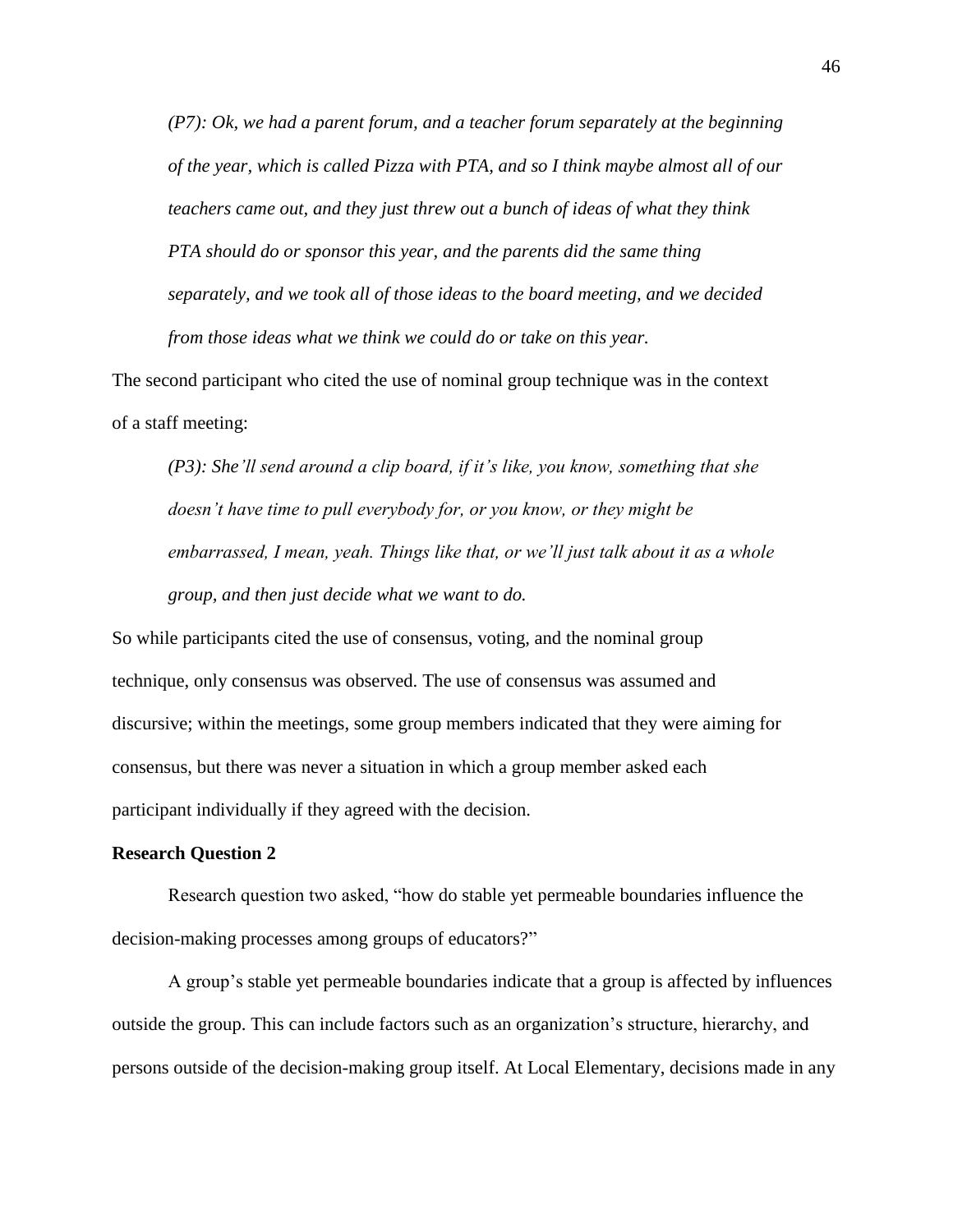*(P7): Ok, we had a parent forum, and a teacher forum separately at the beginning of the year, which is called Pizza with PTA, and so I think maybe almost all of our teachers came out, and they just threw out a bunch of ideas of what they think PTA should do or sponsor this year, and the parents did the same thing separately, and we took all of those ideas to the board meeting, and we decided from those ideas what we think we could do or take on this year.* 

The second participant who cited the use of nominal group technique was in the context of a staff meeting:

*(P3): She'll send around a clip board, if it's like, you know, something that she doesn't have time to pull everybody for, or you know, or they might be embarrassed, I mean, yeah. Things like that, or we'll just talk about it as a whole group, and then just decide what we want to do.* 

So while participants cited the use of consensus, voting, and the nominal group technique, only consensus was observed. The use of consensus was assumed and discursive; within the meetings, some group members indicated that they were aiming for consensus, but there was never a situation in which a group member asked each participant individually if they agreed with the decision.

# **Research Question 2**

Research question two asked, "how do stable yet permeable boundaries influence the decision-making processes among groups of educators?"

A group's stable yet permeable boundaries indicate that a group is affected by influences outside the group. This can include factors such as an organization's structure, hierarchy, and persons outside of the decision-making group itself. At Local Elementary, decisions made in any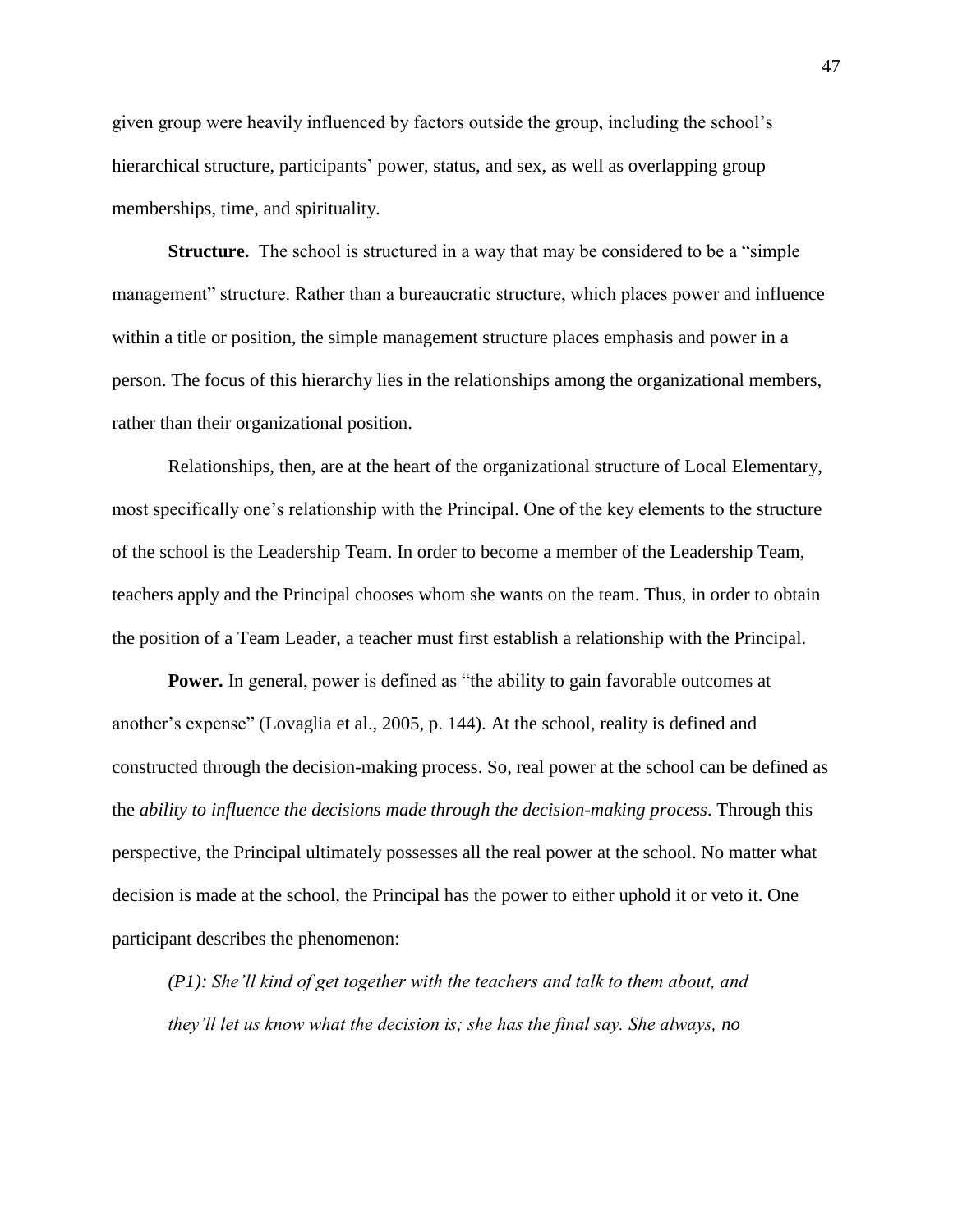given group were heavily influenced by factors outside the group, including the school's hierarchical structure, participants' power, status, and sex, as well as overlapping group memberships, time, and spirituality.

**Structure.** The school is structured in a way that may be considered to be a "simple management" structure. Rather than a bureaucratic structure, which places power and influence within a title or position, the simple management structure places emphasis and power in a person. The focus of this hierarchy lies in the relationships among the organizational members, rather than their organizational position.

Relationships, then, are at the heart of the organizational structure of Local Elementary, most specifically one's relationship with the Principal. One of the key elements to the structure of the school is the Leadership Team. In order to become a member of the Leadership Team, teachers apply and the Principal chooses whom she wants on the team. Thus, in order to obtain the position of a Team Leader, a teacher must first establish a relationship with the Principal.

**Power.** In general, power is defined as "the ability to gain favorable outcomes at another's expense" (Lovaglia et al., 2005, p. 144). At the school, reality is defined and constructed through the decision-making process. So, real power at the school can be defined as the *ability to influence the decisions made through the decision-making process*. Through this perspective, the Principal ultimately possesses all the real power at the school. No matter what decision is made at the school, the Principal has the power to either uphold it or veto it. One participant describes the phenomenon:

*(P1): She'll kind of get together with the teachers and talk to them about, and they'll let us know what the decision is; she has the final say. She always, no* 

47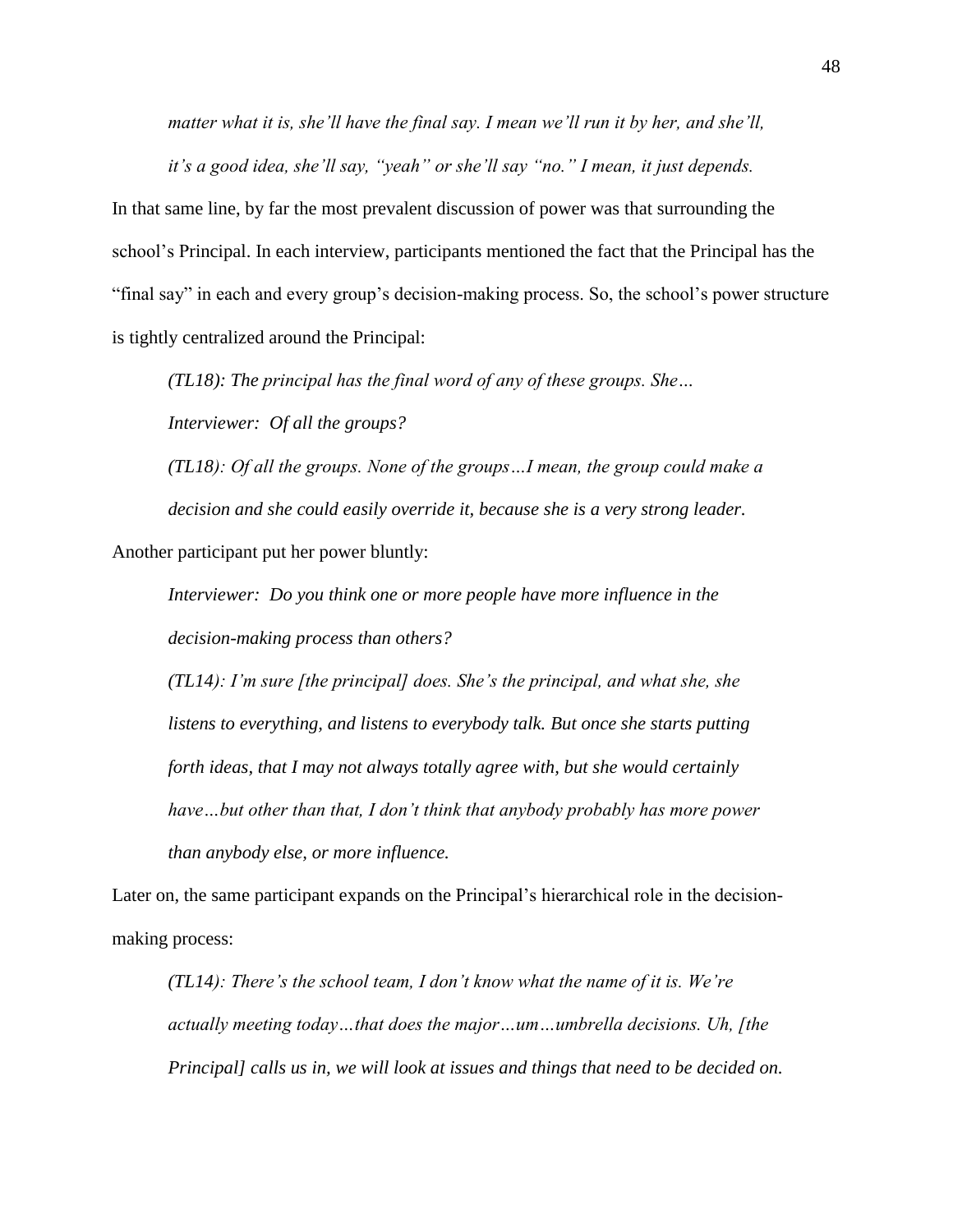*matter what it is, she'll have the final say. I mean we'll run it by her, and she'll, it's a good idea, she'll say, "yeah" or she'll say "no." I mean, it just depends.*

In that same line, by far the most prevalent discussion of power was that surrounding the school's Principal. In each interview, participants mentioned the fact that the Principal has the "final say" in each and every group's decision-making process. So, the school's power structure is tightly centralized around the Principal:

*(TL18): The principal has the final word of any of these groups. She… Interviewer: Of all the groups?*

*(TL18): Of all the groups. None of the groups…I mean, the group could make a decision and she could easily override it, because she is a very strong leader.* Another participant put her power bluntly:

*Interviewer: Do you think one or more people have more influence in the decision-making process than others?*

*(TL14): I'm sure [the principal] does. She's the principal, and what she, she listens to everything, and listens to everybody talk. But once she starts putting forth ideas, that I may not always totally agree with, but she would certainly have…but other than that, I don't think that anybody probably has more power than anybody else, or more influence.* 

Later on, the same participant expands on the Principal's hierarchical role in the decisionmaking process:

*(TL14): There's the school team, I don't know what the name of it is. We're actually meeting today…that does the major…um…umbrella decisions. Uh, [the Principal] calls us in, we will look at issues and things that need to be decided on.*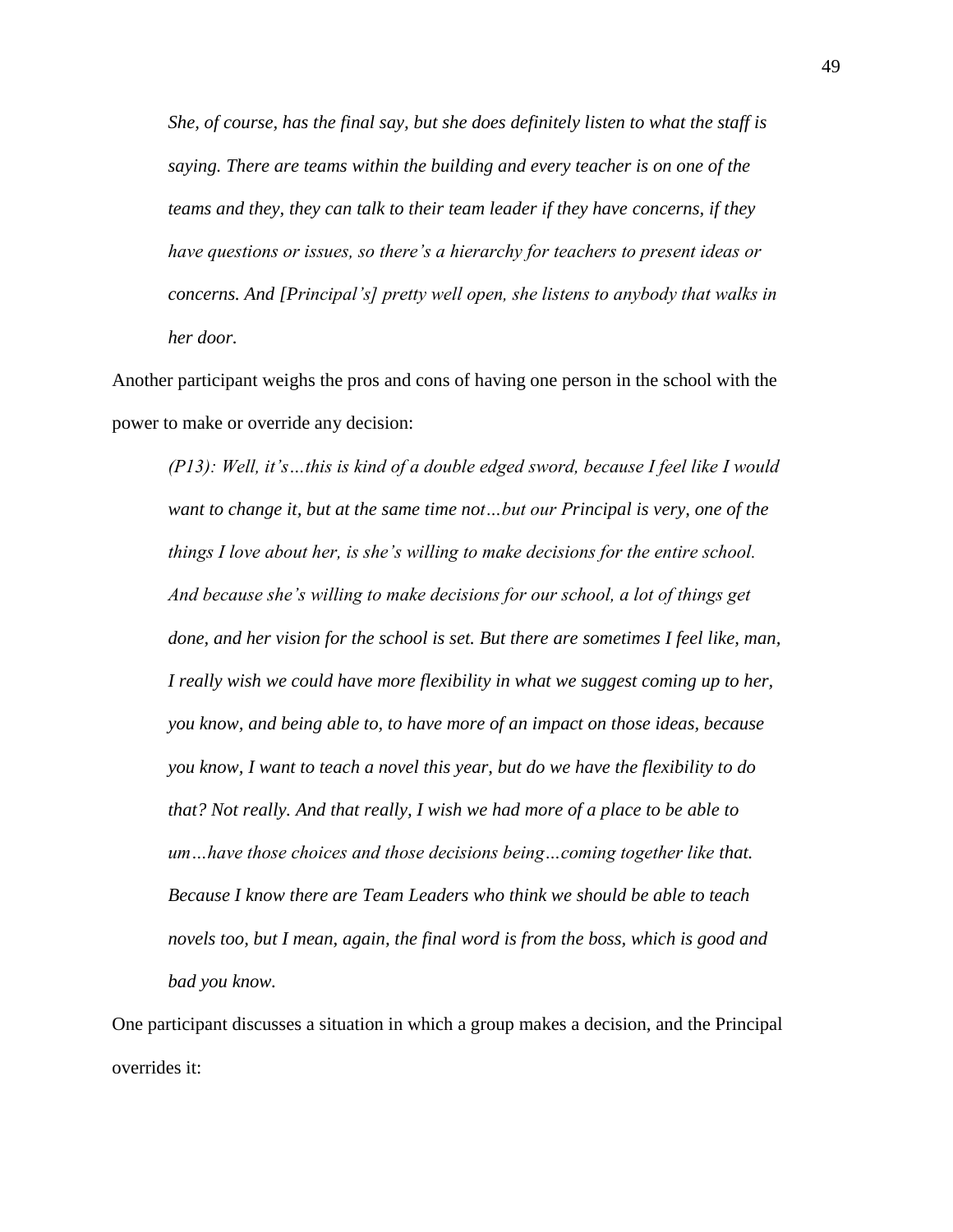*She, of course, has the final say, but she does definitely listen to what the staff is saying. There are teams within the building and every teacher is on one of the teams and they, they can talk to their team leader if they have concerns, if they have questions or issues, so there's a hierarchy for teachers to present ideas or concerns. And [Principal's] pretty well open, she listens to anybody that walks in her door.* 

Another participant weighs the pros and cons of having one person in the school with the power to make or override any decision:

*(P13): Well, it's…this is kind of a double edged sword, because I feel like I would want to change it, but at the same time not…but our Principal is very, one of the things I love about her, is she's willing to make decisions for the entire school. And because she's willing to make decisions for our school, a lot of things get done, and her vision for the school is set. But there are sometimes I feel like, man, I really wish we could have more flexibility in what we suggest coming up to her, you know, and being able to, to have more of an impact on those ideas, because you know, I want to teach a novel this year, but do we have the flexibility to do that? Not really. And that really, I wish we had more of a place to be able to um…have those choices and those decisions being…coming together like that. Because I know there are Team Leaders who think we should be able to teach novels too, but I mean, again, the final word is from the boss, which is good and bad you know.*

One participant discusses a situation in which a group makes a decision, and the Principal overrides it: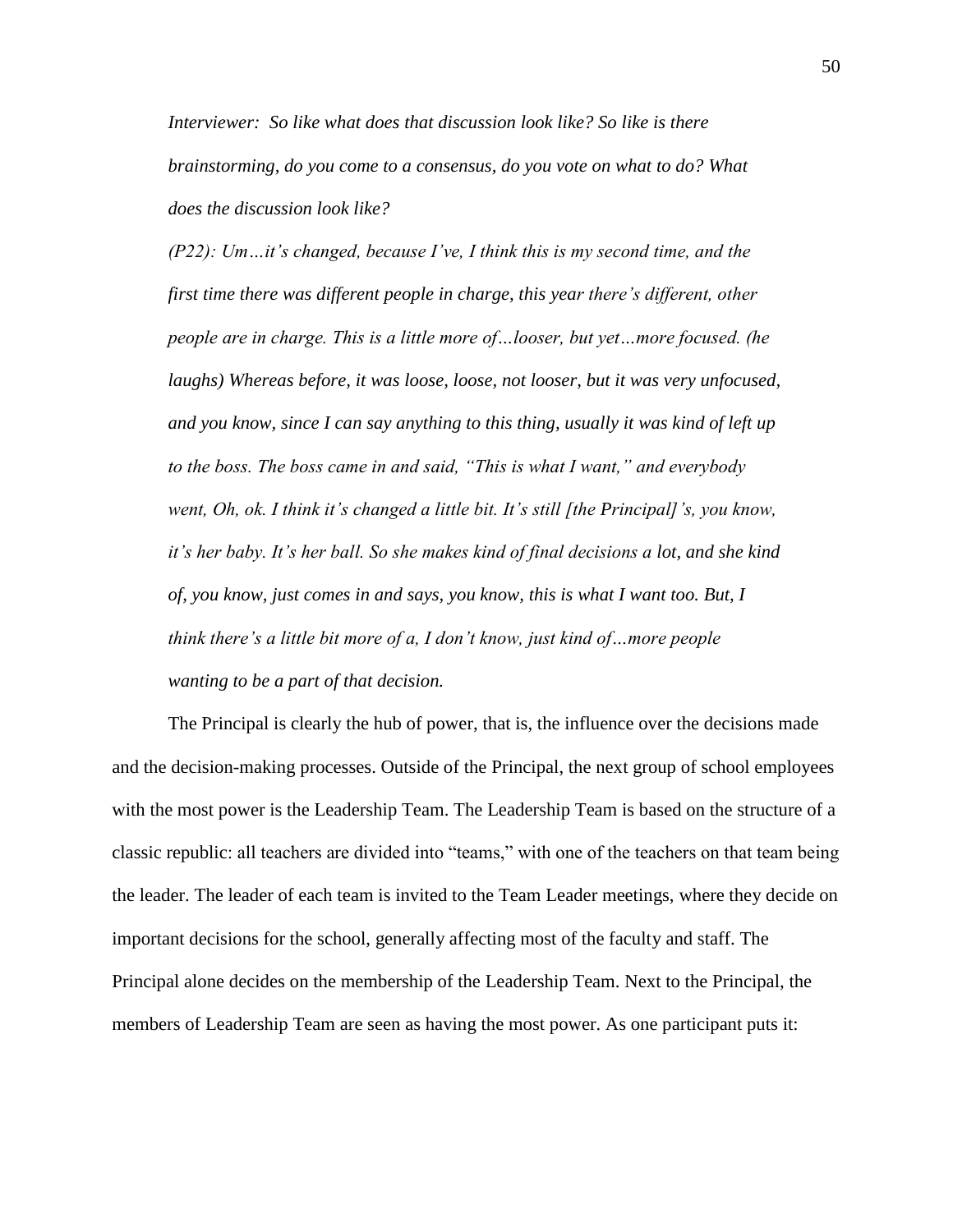*Interviewer: So like what does that discussion look like? So like is there brainstorming, do you come to a consensus, do you vote on what to do? What does the discussion look like?*

*(P22): Um…it's changed, because I've, I think this is my second time, and the first time there was different people in charge, this year there's different, other people are in charge. This is a little more of…looser, but yet…more focused. (he laughs) Whereas before, it was loose, loose, not looser, but it was very unfocused, and you know, since I can say anything to this thing, usually it was kind of left up to the boss. The boss came in and said, "This is what I want," and everybody went, Oh, ok. I think it's changed a little bit. It's still [the Principal]'s, you know, it's her baby. It's her ball. So she makes kind of final decisions a lot, and she kind of, you know, just comes in and says, you know, this is what I want too. But, I think there's a little bit more of a, I don't know, just kind of…more people wanting to be a part of that decision.* 

The Principal is clearly the hub of power, that is, the influence over the decisions made and the decision-making processes. Outside of the Principal, the next group of school employees with the most power is the Leadership Team. The Leadership Team is based on the structure of a classic republic: all teachers are divided into "teams," with one of the teachers on that team being the leader. The leader of each team is invited to the Team Leader meetings, where they decide on important decisions for the school, generally affecting most of the faculty and staff. The Principal alone decides on the membership of the Leadership Team. Next to the Principal, the members of Leadership Team are seen as having the most power. As one participant puts it: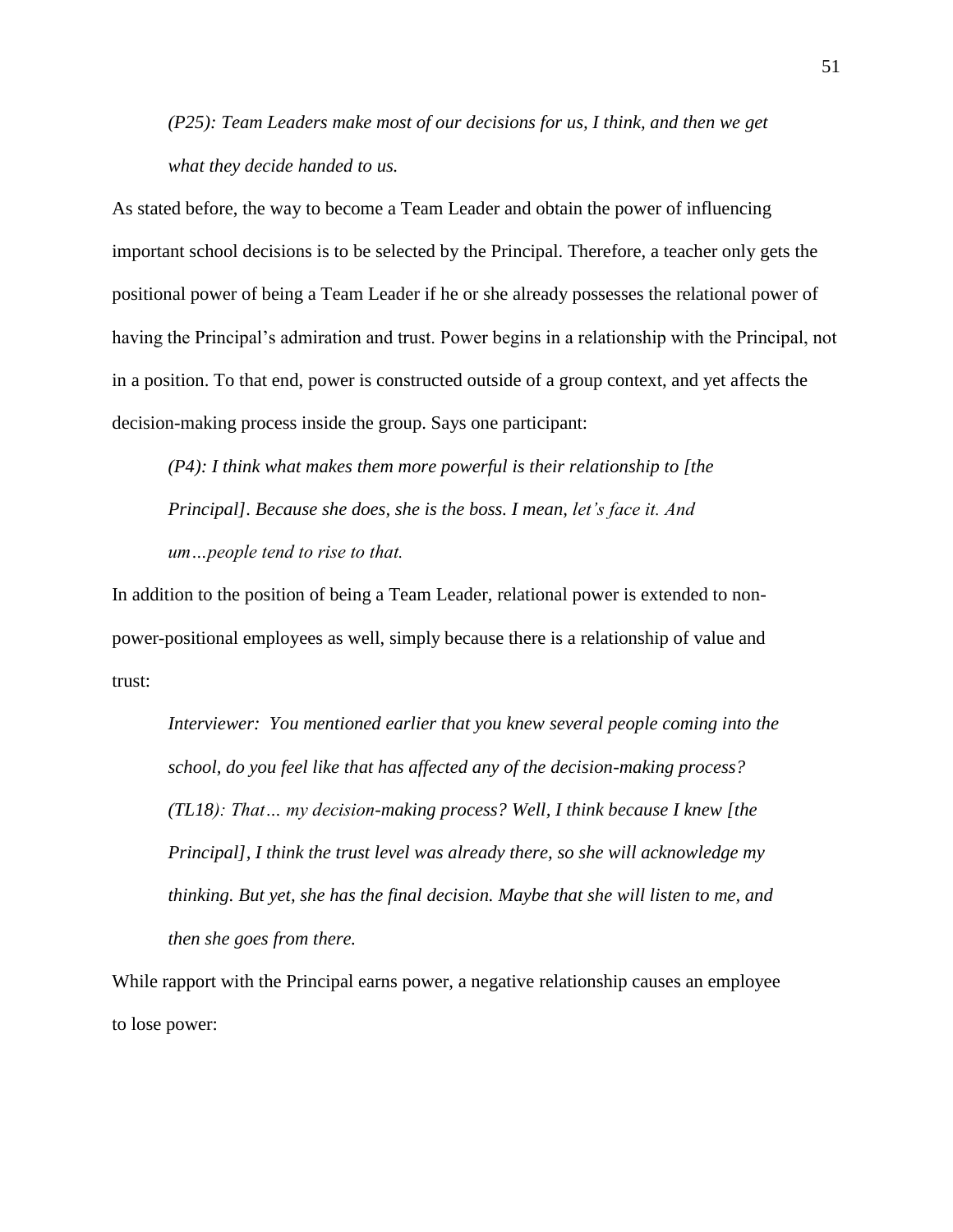*(P25): Team Leaders make most of our decisions for us, I think, and then we get what they decide handed to us.* 

As stated before, the way to become a Team Leader and obtain the power of influencing important school decisions is to be selected by the Principal. Therefore, a teacher only gets the positional power of being a Team Leader if he or she already possesses the relational power of having the Principal's admiration and trust. Power begins in a relationship with the Principal, not in a position. To that end, power is constructed outside of a group context, and yet affects the decision-making process inside the group. Says one participant:

*(P4): I think what makes them more powerful is their relationship to [the Principal]. Because she does, she is the boss. I mean, let's face it. And um…people tend to rise to that.*

In addition to the position of being a Team Leader, relational power is extended to nonpower-positional employees as well, simply because there is a relationship of value and trust:

*Interviewer: You mentioned earlier that you knew several people coming into the school, do you feel like that has affected any of the decision-making process? (TL18): That… my decision-making process? Well, I think because I knew [the Principal], I think the trust level was already there, so she will acknowledge my thinking. But yet, she has the final decision. Maybe that she will listen to me, and then she goes from there.* 

While rapport with the Principal earns power, a negative relationship causes an employee to lose power: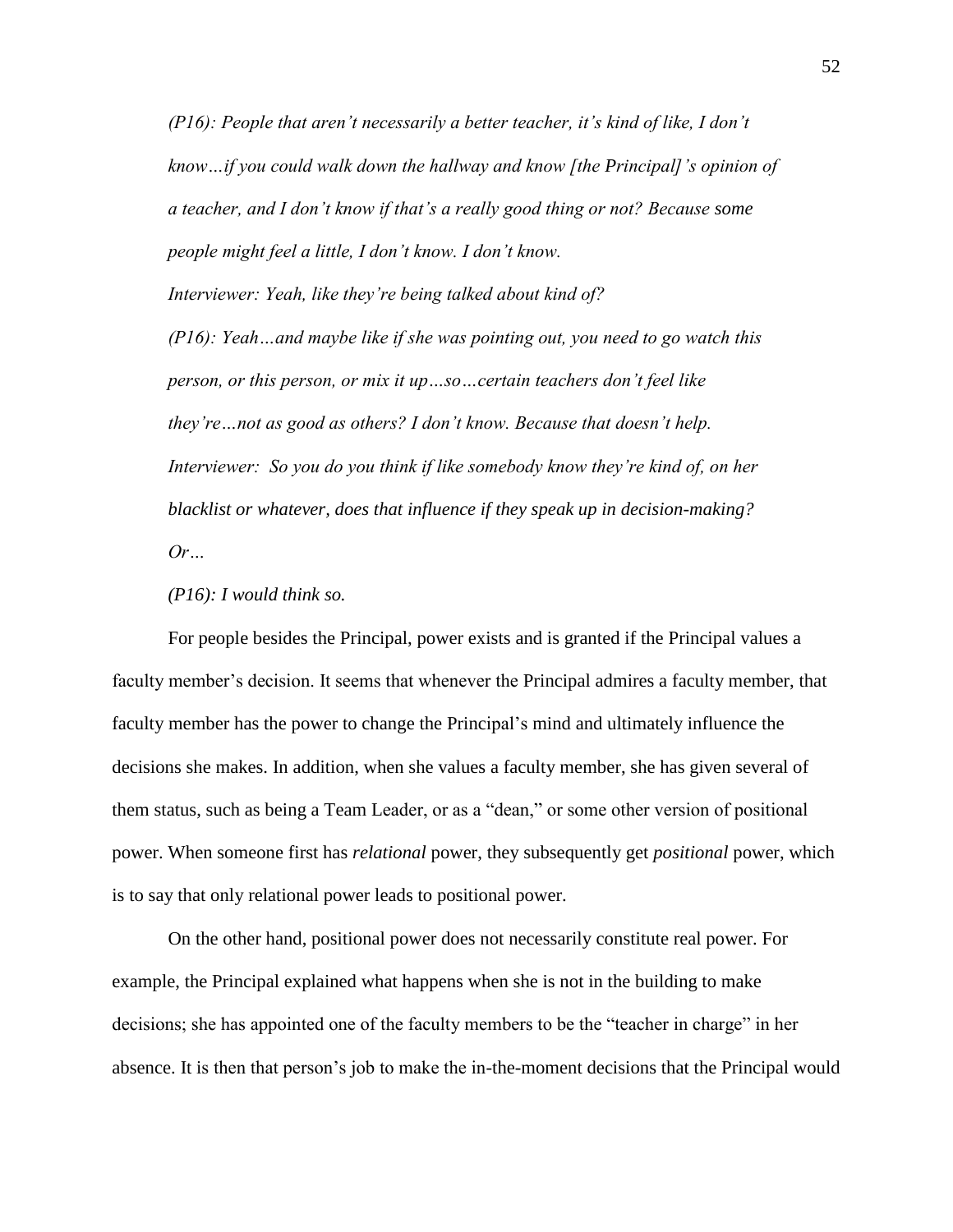*(P16): People that aren't necessarily a better teacher, it's kind of like, I don't know…if you could walk down the hallway and know [the Principal]'s opinion of a teacher, and I don't know if that's a really good thing or not? Because some people might feel a little, I don't know. I don't know.* 

*Interviewer: Yeah, like they're being talked about kind of?*

*(P16): Yeah…and maybe like if she was pointing out, you need to go watch this person, or this person, or mix it up…so…certain teachers don't feel like they're…not as good as others? I don't know. Because that doesn't help. Interviewer: So you do you think if like somebody know they're kind of, on her blacklist or whatever, does that influence if they speak up in decision-making? Or…*

*(P16): I would think so.*

For people besides the Principal, power exists and is granted if the Principal values a faculty member's decision. It seems that whenever the Principal admires a faculty member, that faculty member has the power to change the Principal's mind and ultimately influence the decisions she makes. In addition, when she values a faculty member, she has given several of them status, such as being a Team Leader, or as a "dean," or some other version of positional power. When someone first has *relational* power, they subsequently get *positional* power, which is to say that only relational power leads to positional power.

On the other hand, positional power does not necessarily constitute real power. For example, the Principal explained what happens when she is not in the building to make decisions; she has appointed one of the faculty members to be the "teacher in charge" in her absence. It is then that person's job to make the in-the-moment decisions that the Principal would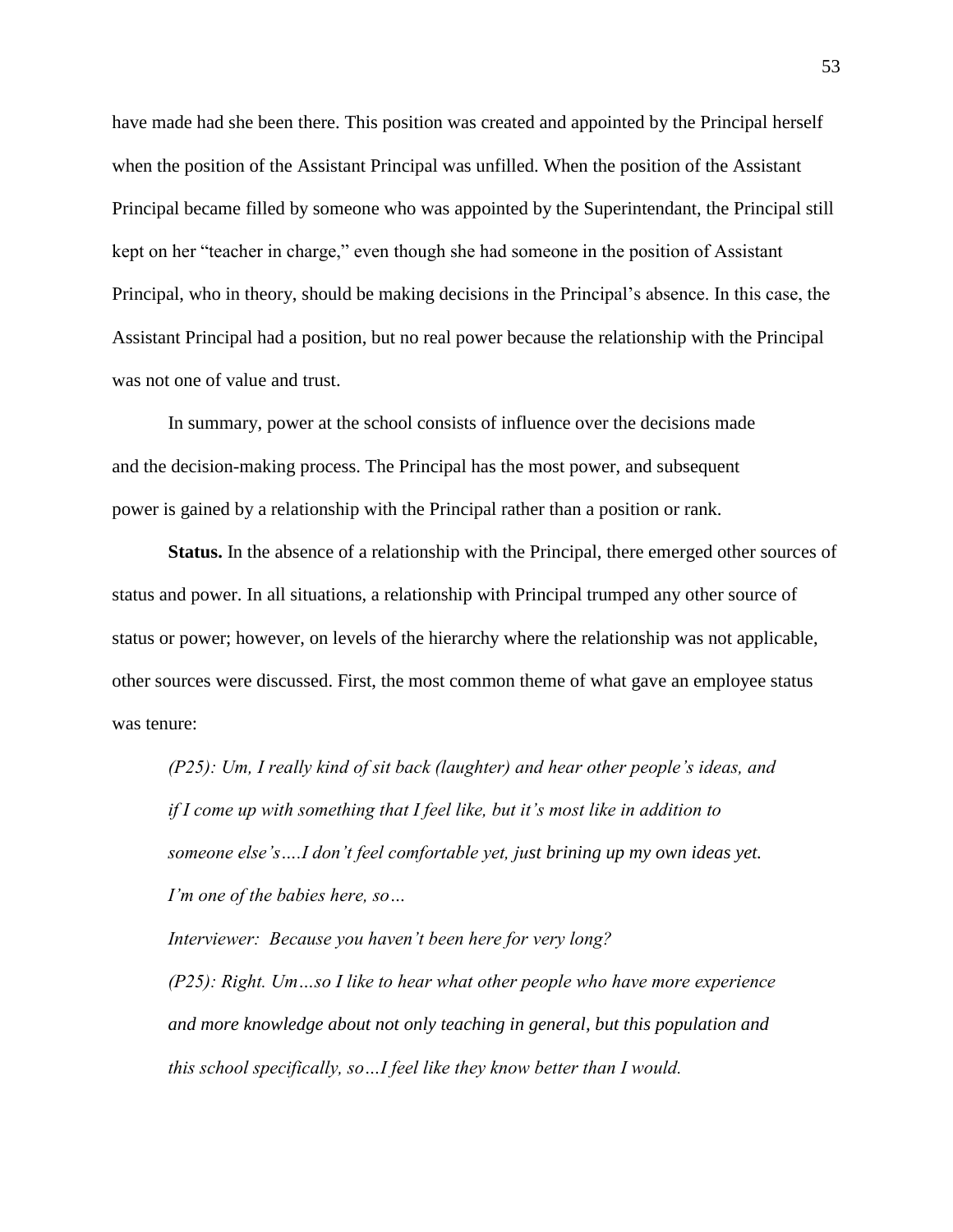have made had she been there. This position was created and appointed by the Principal herself when the position of the Assistant Principal was unfilled. When the position of the Assistant Principal became filled by someone who was appointed by the Superintendant, the Principal still kept on her "teacher in charge," even though she had someone in the position of Assistant Principal, who in theory, should be making decisions in the Principal's absence. In this case, the Assistant Principal had a position, but no real power because the relationship with the Principal was not one of value and trust.

In summary, power at the school consists of influence over the decisions made and the decision-making process. The Principal has the most power, and subsequent power is gained by a relationship with the Principal rather than a position or rank.

**Status.** In the absence of a relationship with the Principal, there emerged other sources of status and power. In all situations, a relationship with Principal trumped any other source of status or power; however, on levels of the hierarchy where the relationship was not applicable, other sources were discussed. First, the most common theme of what gave an employee status was tenure:

*(P25): Um, I really kind of sit back (laughter) and hear other people's ideas, and if I come up with something that I feel like, but it's most like in addition to someone else's….I don't feel comfortable yet, just brining up my own ideas yet. I'm one of the babies here, so…*

*Interviewer: Because you haven't been here for very long? (P25): Right. Um…so I like to hear what other people who have more experience and more knowledge about not only teaching in general, but this population and this school specifically, so…I feel like they know better than I would.*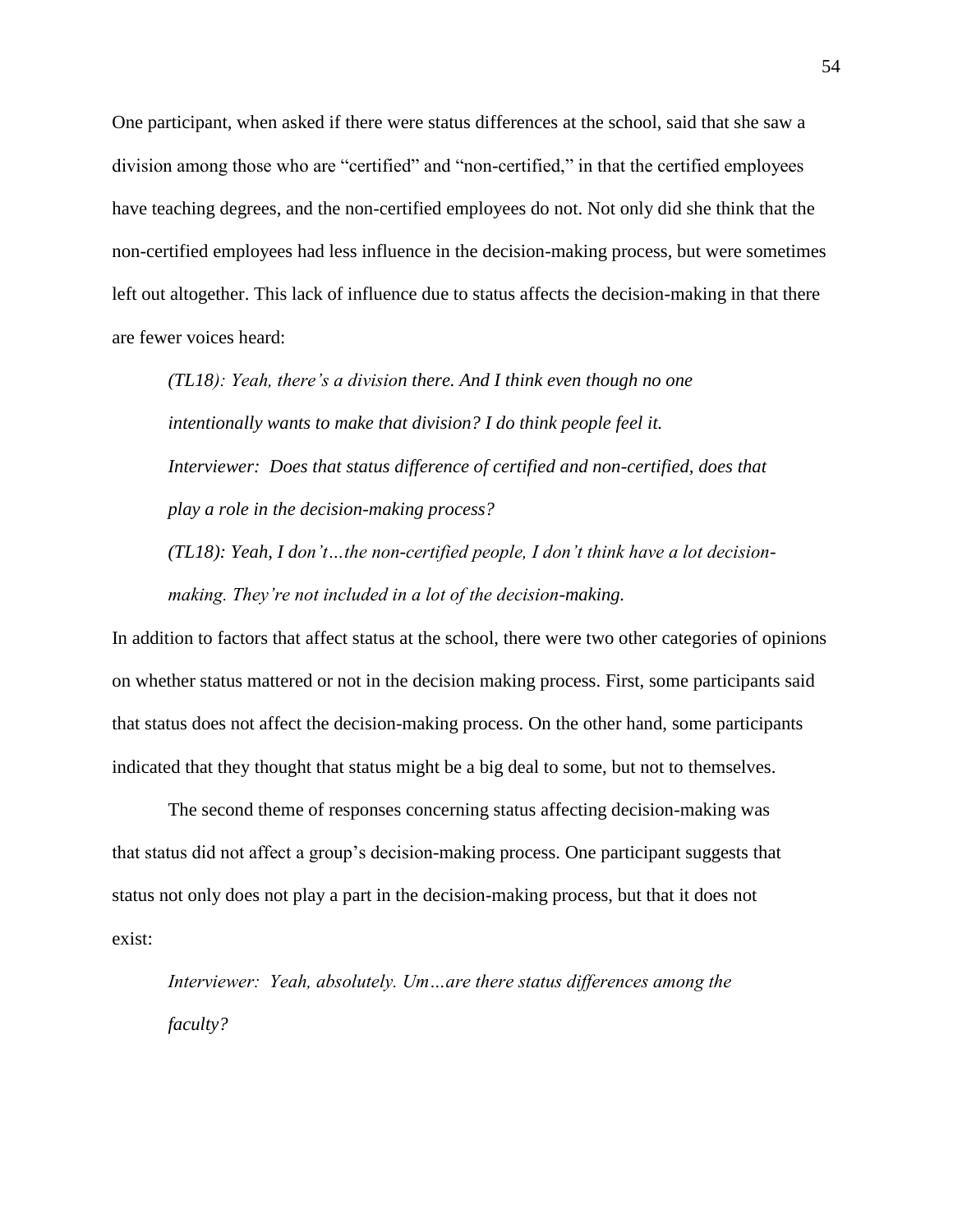One participant, when asked if there were status differences at the school, said that she saw a division among those who are "certified" and "non-certified," in that the certified employees have teaching degrees, and the non-certified employees do not. Not only did she think that the non-certified employees had less influence in the decision-making process, but were sometimes left out altogether. This lack of influence due to status affects the decision-making in that there are fewer voices heard:

*(TL18): Yeah, there's a division there. And I think even though no one intentionally wants to make that division? I do think people feel it. Interviewer: Does that status difference of certified and non-certified, does that play a role in the decision-making process?*

*(TL18): Yeah, I don't…the non-certified people, I don't think have a lot decisionmaking. They're not included in a lot of the decision-making.* 

In addition to factors that affect status at the school, there were two other categories of opinions on whether status mattered or not in the decision making process. First, some participants said that status does not affect the decision-making process. On the other hand, some participants indicated that they thought that status might be a big deal to some, but not to themselves.

The second theme of responses concerning status affecting decision-making was that status did not affect a group's decision-making process. One participant suggests that status not only does not play a part in the decision-making process, but that it does not exist:

*Interviewer: Yeah, absolutely. Um…are there status differences among the faculty?*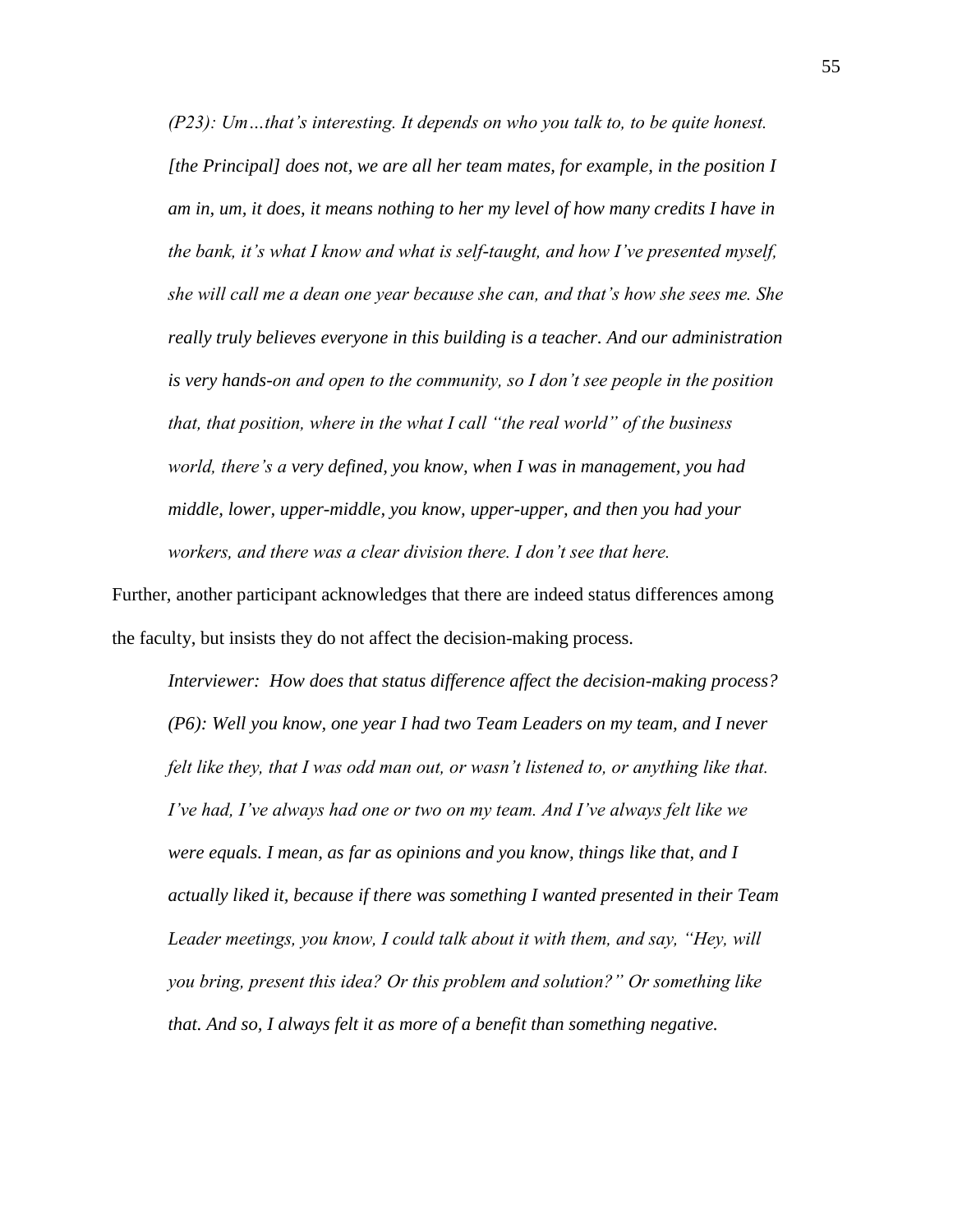*(P23): Um…that's interesting. It depends on who you talk to, to be quite honest. [the Principal] does not, we are all her team mates, for example, in the position I am in, um, it does, it means nothing to her my level of how many credits I have in the bank, it's what I know and what is self-taught, and how I've presented myself, she will call me a dean one year because she can, and that's how she sees me. She really truly believes everyone in this building is a teacher. And our administration is very hands-on and open to the community, so I don't see people in the position that, that position, where in the what I call "the real world" of the business world, there's a very defined, you know, when I was in management, you had middle, lower, upper-middle, you know, upper-upper, and then you had your workers, and there was a clear division there. I don't see that here.* 

Further, another participant acknowledges that there are indeed status differences among the faculty, but insists they do not affect the decision-making process.

*Interviewer: How does that status difference affect the decision-making process? (P6): Well you know, one year I had two Team Leaders on my team, and I never felt like they, that I was odd man out, or wasn't listened to, or anything like that. I've had, I've always had one or two on my team. And I've always felt like we were equals. I mean, as far as opinions and you know, things like that, and I actually liked it, because if there was something I wanted presented in their Team Leader meetings, you know, I could talk about it with them, and say, "Hey, will you bring, present this idea? Or this problem and solution?" Or something like that. And so, I always felt it as more of a benefit than something negative.*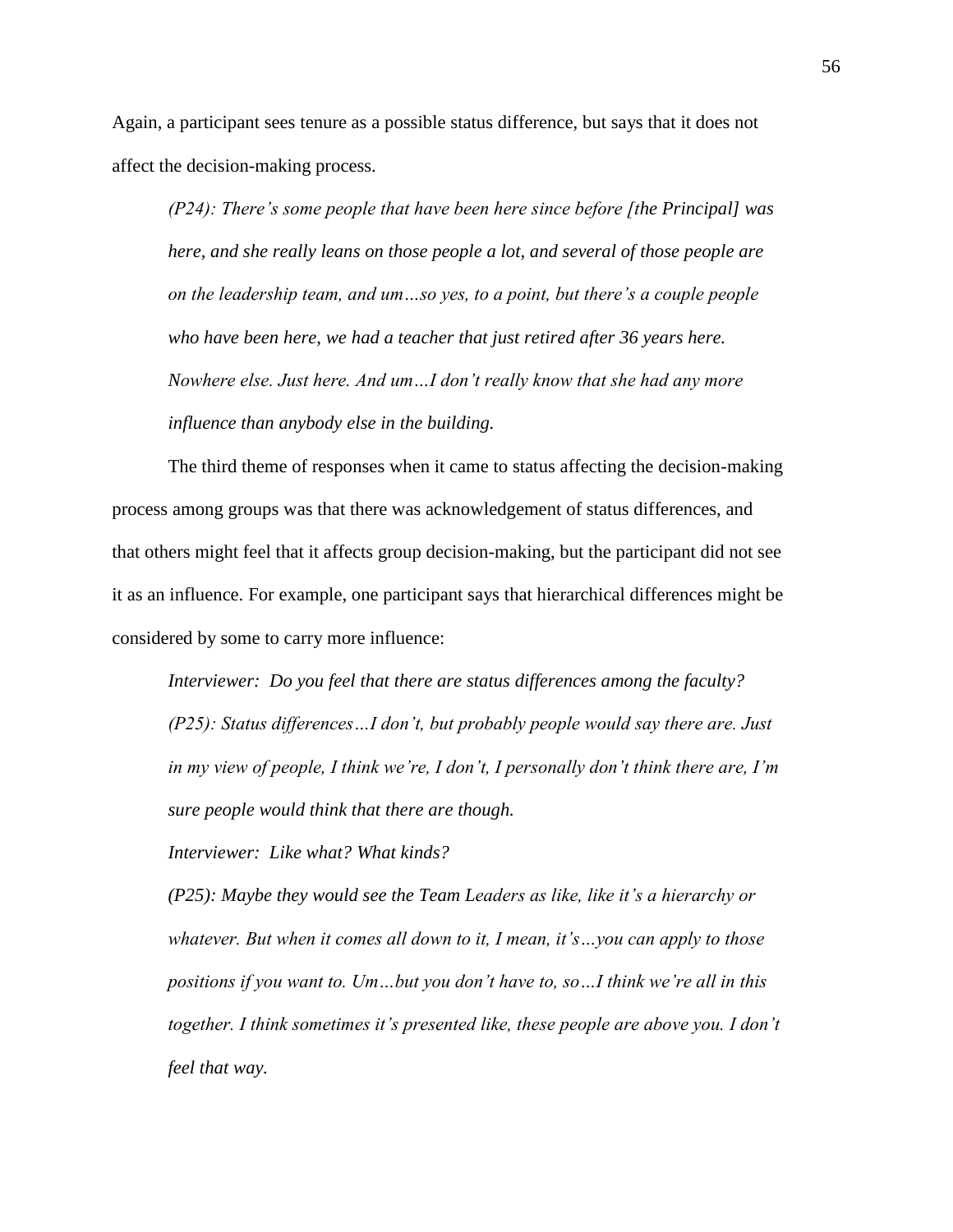Again, a participant sees tenure as a possible status difference, but says that it does not affect the decision-making process.

*(P24): There's some people that have been here since before [the Principal] was here, and she really leans on those people a lot, and several of those people are on the leadership team, and um…so yes, to a point, but there's a couple people who have been here, we had a teacher that just retired after 36 years here. Nowhere else. Just here. And um…I don't really know that she had any more influence than anybody else in the building.* 

The third theme of responses when it came to status affecting the decision-making process among groups was that there was acknowledgement of status differences, and that others might feel that it affects group decision-making, but the participant did not see it as an influence. For example, one participant says that hierarchical differences might be considered by some to carry more influence:

*Interviewer: Do you feel that there are status differences among the faculty? (P25): Status differences…I don't, but probably people would say there are. Just in my view of people, I think we're, I don't, I personally don't think there are, I'm sure people would think that there are though.* 

*Interviewer: Like what? What kinds?* 

*(P25): Maybe they would see the Team Leaders as like, like it's a hierarchy or whatever. But when it comes all down to it, I mean, it's…you can apply to those positions if you want to. Um…but you don't have to, so…I think we're all in this together. I think sometimes it's presented like, these people are above you. I don't feel that way.*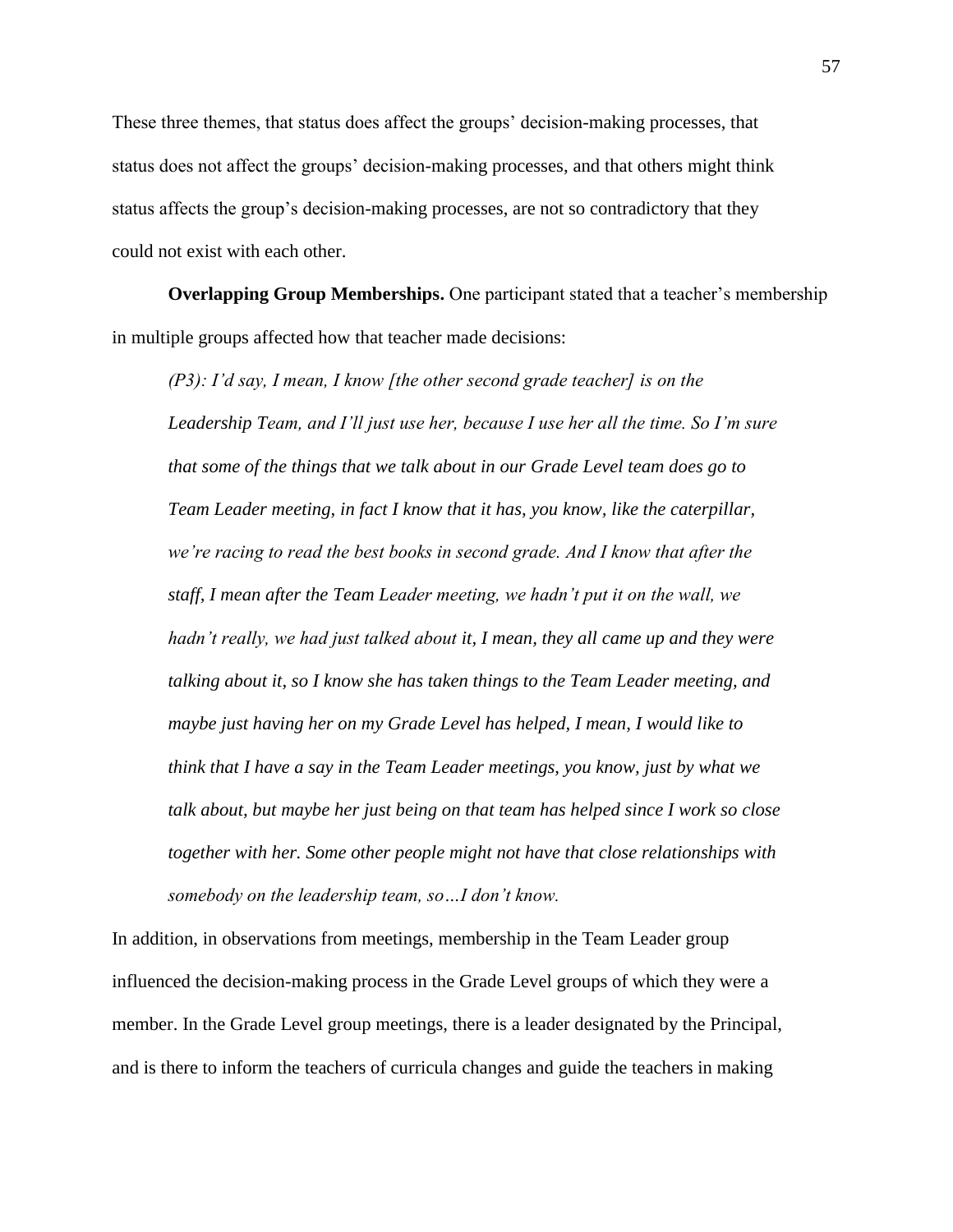These three themes, that status does affect the groups' decision-making processes, that status does not affect the groups' decision-making processes, and that others might think status affects the group's decision-making processes, are not so contradictory that they could not exist with each other.

**Overlapping Group Memberships.** One participant stated that a teacher's membership in multiple groups affected how that teacher made decisions:

*(P3): I'd say, I mean, I know [the other second grade teacher] is on the Leadership Team, and I'll just use her, because I use her all the time. So I'm sure that some of the things that we talk about in our Grade Level team does go to Team Leader meeting, in fact I know that it has, you know, like the caterpillar, we're racing to read the best books in second grade. And I know that after the staff, I mean after the Team Leader meeting, we hadn't put it on the wall, we hadn't really, we had just talked about it, I mean, they all came up and they were talking about it, so I know she has taken things to the Team Leader meeting, and maybe just having her on my Grade Level has helped, I mean, I would like to think that I have a say in the Team Leader meetings, you know, just by what we talk about, but maybe her just being on that team has helped since I work so close together with her. Some other people might not have that close relationships with somebody on the leadership team, so…I don't know.* 

In addition, in observations from meetings, membership in the Team Leader group influenced the decision-making process in the Grade Level groups of which they were a member. In the Grade Level group meetings, there is a leader designated by the Principal, and is there to inform the teachers of curricula changes and guide the teachers in making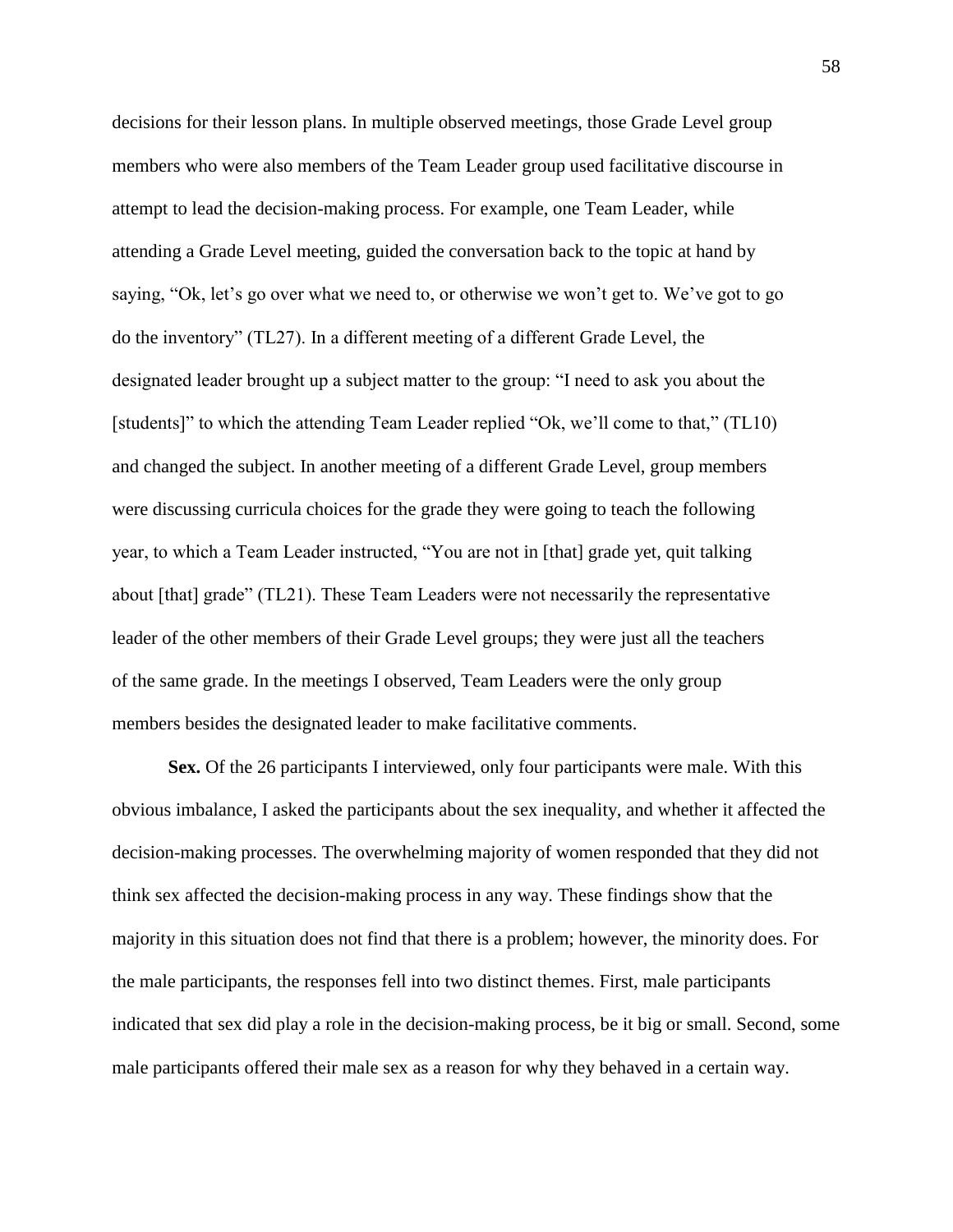decisions for their lesson plans. In multiple observed meetings, those Grade Level group members who were also members of the Team Leader group used facilitative discourse in attempt to lead the decision-making process. For example, one Team Leader, while attending a Grade Level meeting, guided the conversation back to the topic at hand by saying, "Ok, let's go over what we need to, or otherwise we won't get to. We've got to go do the inventory" (TL27). In a different meeting of a different Grade Level, the designated leader brought up a subject matter to the group: "I need to ask you about the [students]" to which the attending Team Leader replied "Ok, we'll come to that," (TL10) and changed the subject. In another meeting of a different Grade Level, group members were discussing curricula choices for the grade they were going to teach the following year, to which a Team Leader instructed, "You are not in [that] grade yet, quit talking about [that] grade" (TL21). These Team Leaders were not necessarily the representative leader of the other members of their Grade Level groups; they were just all the teachers of the same grade. In the meetings I observed, Team Leaders were the only group members besides the designated leader to make facilitative comments.

**Sex.** Of the 26 participants I interviewed, only four participants were male. With this obvious imbalance, I asked the participants about the sex inequality, and whether it affected the decision-making processes. The overwhelming majority of women responded that they did not think sex affected the decision-making process in any way. These findings show that the majority in this situation does not find that there is a problem; however, the minority does. For the male participants, the responses fell into two distinct themes. First, male participants indicated that sex did play a role in the decision-making process, be it big or small. Second, some male participants offered their male sex as a reason for why they behaved in a certain way.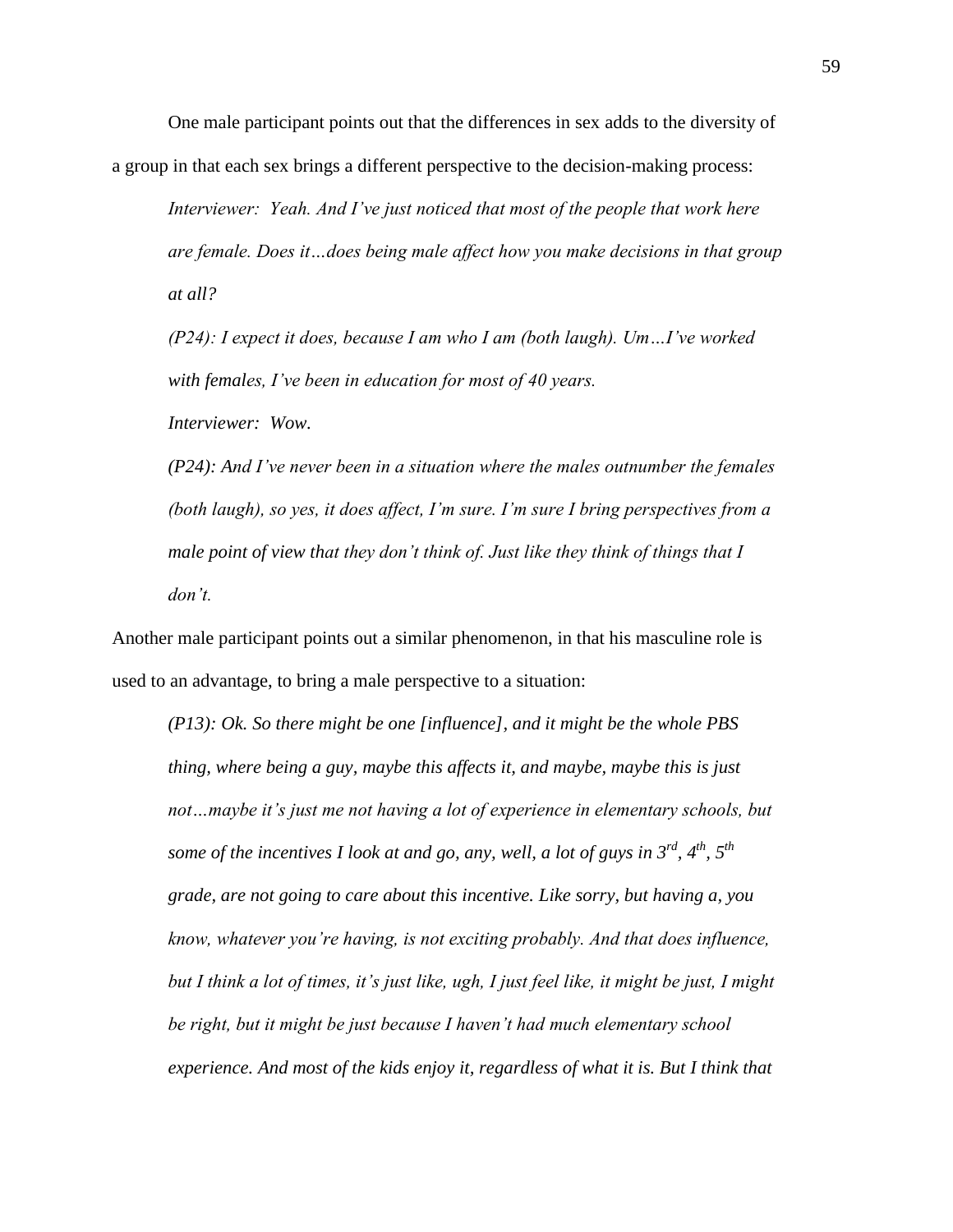One male participant points out that the differences in sex adds to the diversity of a group in that each sex brings a different perspective to the decision-making process:

*Interviewer: Yeah. And I've just noticed that most of the people that work here are female. Does it…does being male affect how you make decisions in that group at all?*

*(P24): I expect it does, because I am who I am (both laugh). Um…I've worked with females, I've been in education for most of 40 years.* 

*Interviewer: Wow.* 

*(P24): And I've never been in a situation where the males outnumber the females (both laugh), so yes, it does affect, I'm sure. I'm sure I bring perspectives from a male point of view that they don't think of. Just like they think of things that I don't.* 

Another male participant points out a similar phenomenon, in that his masculine role is used to an advantage, to bring a male perspective to a situation:

*(P13): Ok. So there might be one [influence], and it might be the whole PBS thing, where being a guy, maybe this affects it, and maybe, maybe this is just not…maybe it's just me not having a lot of experience in elementary schools, but some of the incentives I look at and go, any, well, a lot of guys in 3rd, 4th, 5th grade, are not going to care about this incentive. Like sorry, but having a, you know, whatever you're having, is not exciting probably. And that does influence, but I think a lot of times, it's just like, ugh, I just feel like, it might be just, I might be right, but it might be just because I haven't had much elementary school experience. And most of the kids enjoy it, regardless of what it is. But I think that*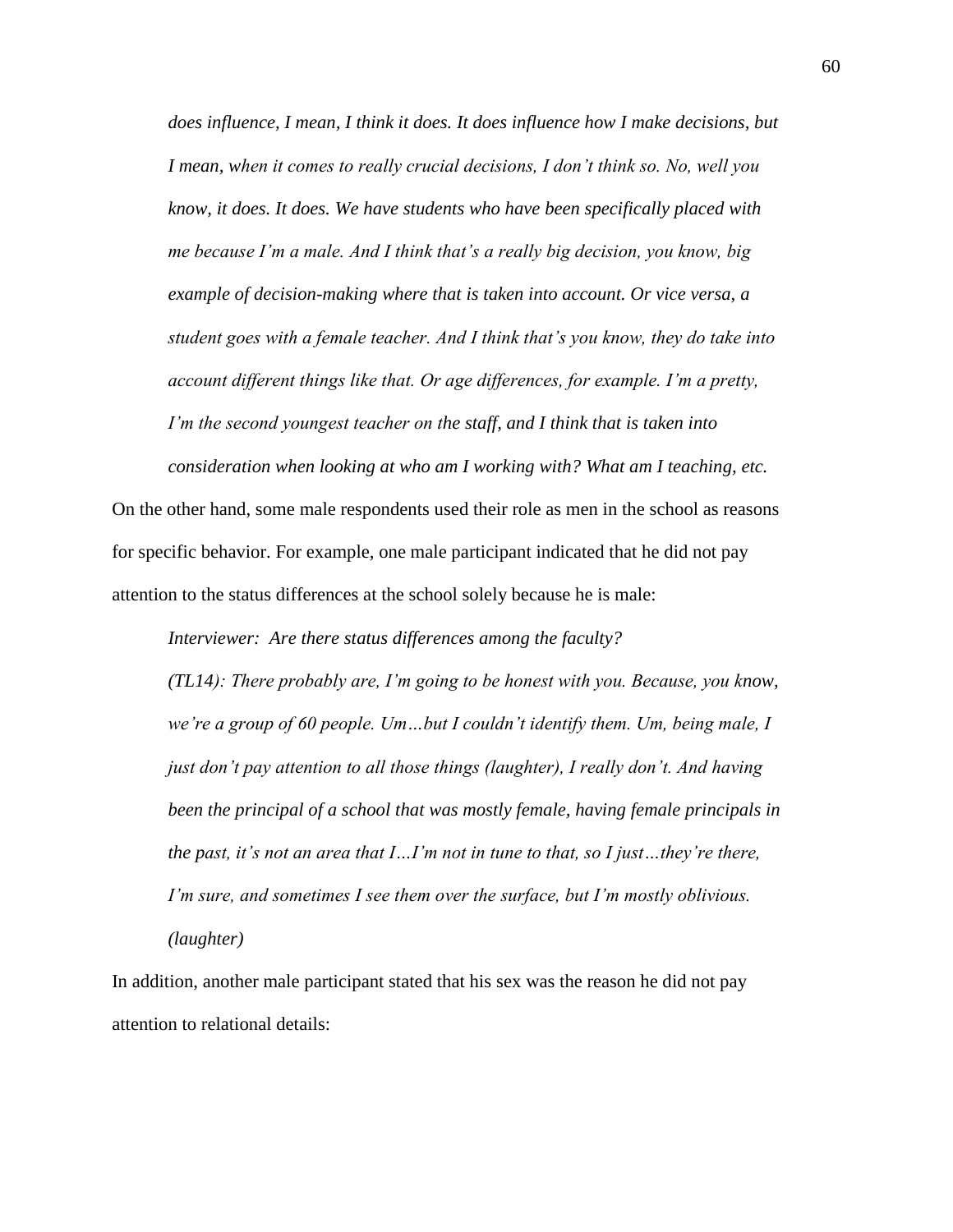*does influence, I mean, I think it does. It does influence how I make decisions, but I mean, when it comes to really crucial decisions, I don't think so. No, well you know, it does. It does. We have students who have been specifically placed with me because I'm a male. And I think that's a really big decision, you know, big example of decision-making where that is taken into account. Or vice versa, a student goes with a female teacher. And I think that's you know, they do take into account different things like that. Or age differences, for example. I'm a pretty, I'm the second youngest teacher on the staff, and I think that is taken into* 

On the other hand, some male respondents used their role as men in the school as reasons for specific behavior. For example, one male participant indicated that he did not pay attention to the status differences at the school solely because he is male:

*consideration when looking at who am I working with? What am I teaching, etc.* 

*Interviewer: Are there status differences among the faculty?* 

*(TL14): There probably are, I'm going to be honest with you. Because, you know, we're a group of 60 people. Um…but I couldn't identify them. Um, being male, I just don't pay attention to all those things (laughter), I really don't. And having been the principal of a school that was mostly female, having female principals in the past, it's not an area that I…I'm not in tune to that, so I just…they're there, I'm sure, and sometimes I see them over the surface, but I'm mostly oblivious. (laughter)*

In addition, another male participant stated that his sex was the reason he did not pay attention to relational details: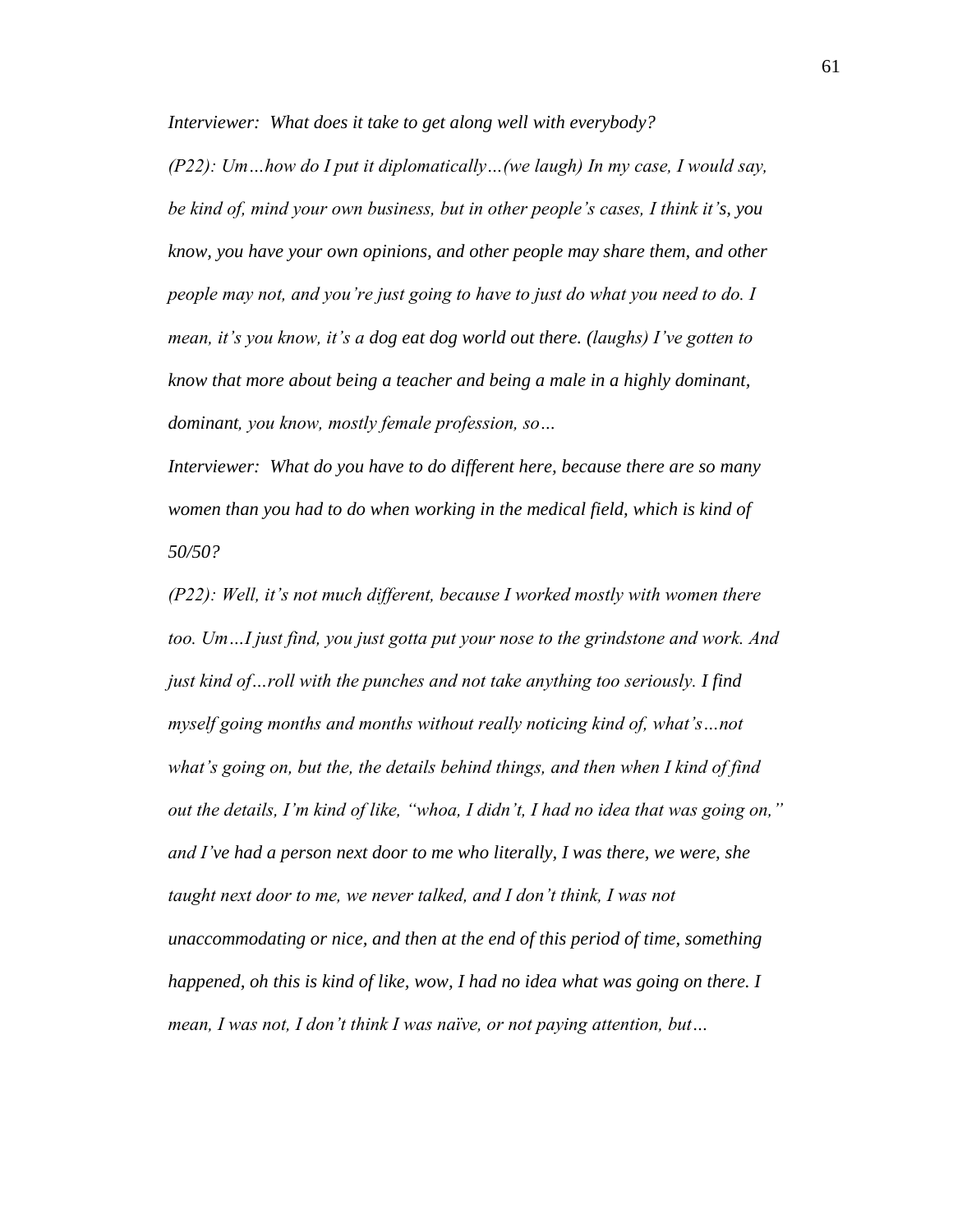*Interviewer: What does it take to get along well with everybody?*

*(P22): Um…how do I put it diplomatically…(we laugh) In my case, I would say, be kind of, mind your own business, but in other people's cases, I think it's, you know, you have your own opinions, and other people may share them, and other people may not, and you're just going to have to just do what you need to do. I mean, it's you know, it's a dog eat dog world out there. (laughs) I've gotten to know that more about being a teacher and being a male in a highly dominant, dominant, you know, mostly female profession, so…* 

*Interviewer: What do you have to do different here, because there are so many*  women than you had to do when working in the medical field, which is kind of *50/50?*

*(P22): Well, it's not much different, because I worked mostly with women there too. Um…I just find, you just gotta put your nose to the grindstone and work. And just kind of…roll with the punches and not take anything too seriously. I find myself going months and months without really noticing kind of, what's…not what's going on, but the, the details behind things, and then when I kind of find out the details, I'm kind of like, "whoa, I didn't, I had no idea that was going on," and I've had a person next door to me who literally, I was there, we were, she taught next door to me, we never talked, and I don't think, I was not unaccommodating or nice, and then at the end of this period of time, something happened, oh this is kind of like, wow, I had no idea what was going on there. I mean, I was not, I don't think I was naïve, or not paying attention, but…*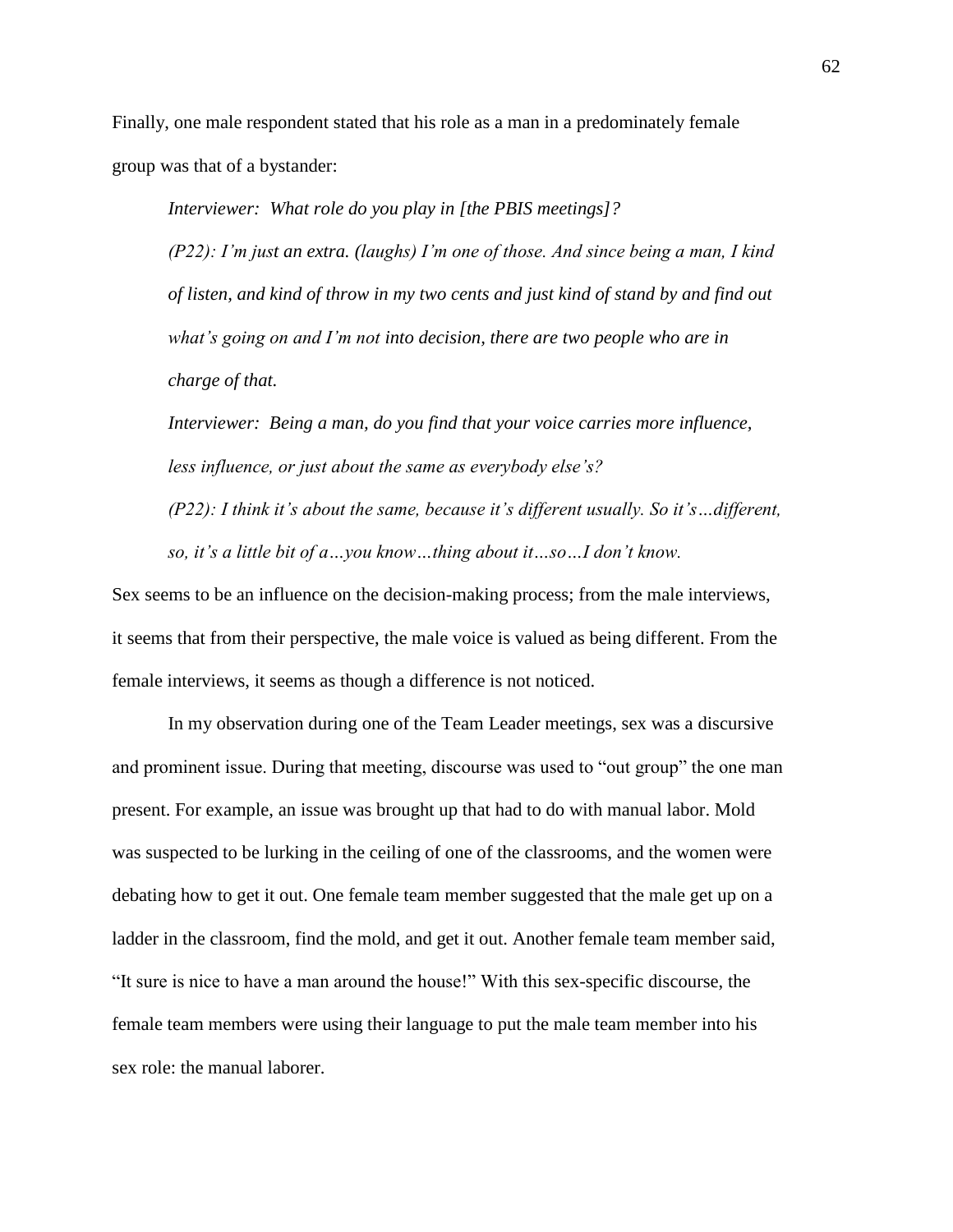Finally, one male respondent stated that his role as a man in a predominately female group was that of a bystander:

*Interviewer: What role do you play in [the PBIS meetings]?*

*(P22): I'm just an extra. (laughs) I'm one of those. And since being a man, I kind of listen, and kind of throw in my two cents and just kind of stand by and find out what's going on and I'm not into decision, there are two people who are in charge of that.* 

*Interviewer: Being a man, do you find that your voice carries more influence, less influence, or just about the same as everybody else's?*

*(P22): I think it's about the same, because it's different usually. So it's…different, so, it's a little bit of a…you know…thing about it…so…I don't know.* 

Sex seems to be an influence on the decision-making process; from the male interviews, it seems that from their perspective, the male voice is valued as being different. From the female interviews, it seems as though a difference is not noticed.

In my observation during one of the Team Leader meetings, sex was a discursive and prominent issue. During that meeting, discourse was used to "out group" the one man present. For example, an issue was brought up that had to do with manual labor. Mold was suspected to be lurking in the ceiling of one of the classrooms, and the women were debating how to get it out. One female team member suggested that the male get up on a ladder in the classroom, find the mold, and get it out. Another female team member said, "It sure is nice to have a man around the house!" With this sex-specific discourse, the female team members were using their language to put the male team member into his sex role: the manual laborer.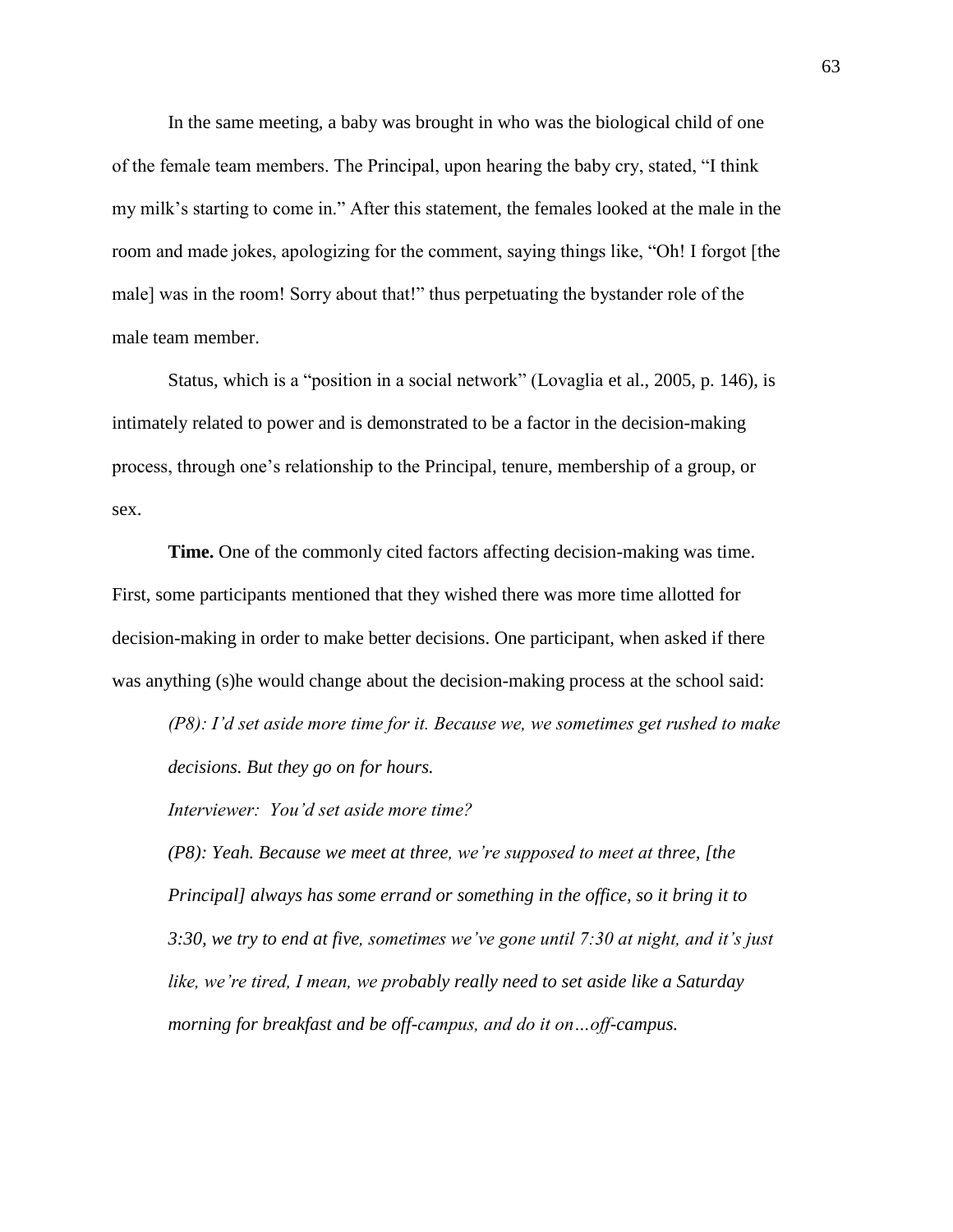In the same meeting, a baby was brought in who was the biological child of one of the female team members. The Principal, upon hearing the baby cry, stated, "I think my milk's starting to come in." After this statement, the females looked at the male in the room and made jokes, apologizing for the comment, saying things like, "Oh! I forgot [the male] was in the room! Sorry about that!" thus perpetuating the bystander role of the male team member.

Status, which is a "position in a social network" (Lovaglia et al., 2005, p. 146), is intimately related to power and is demonstrated to be a factor in the decision-making process, through one's relationship to the Principal, tenure, membership of a group, or sex.

**Time.** One of the commonly cited factors affecting decision-making was time. First, some participants mentioned that they wished there was more time allotted for decision-making in order to make better decisions. One participant, when asked if there was anything (s)he would change about the decision-making process at the school said:

*(P8): I'd set aside more time for it. Because we, we sometimes get rushed to make decisions. But they go on for hours.* 

*Interviewer: You'd set aside more time?*

*(P8): Yeah. Because we meet at three, we're supposed to meet at three, [the Principal] always has some errand or something in the office, so it bring it to 3:30, we try to end at five, sometimes we've gone until 7:30 at night, and it's just like, we're tired, I mean, we probably really need to set aside like a Saturday morning for breakfast and be off-campus, and do it on…off-campus.*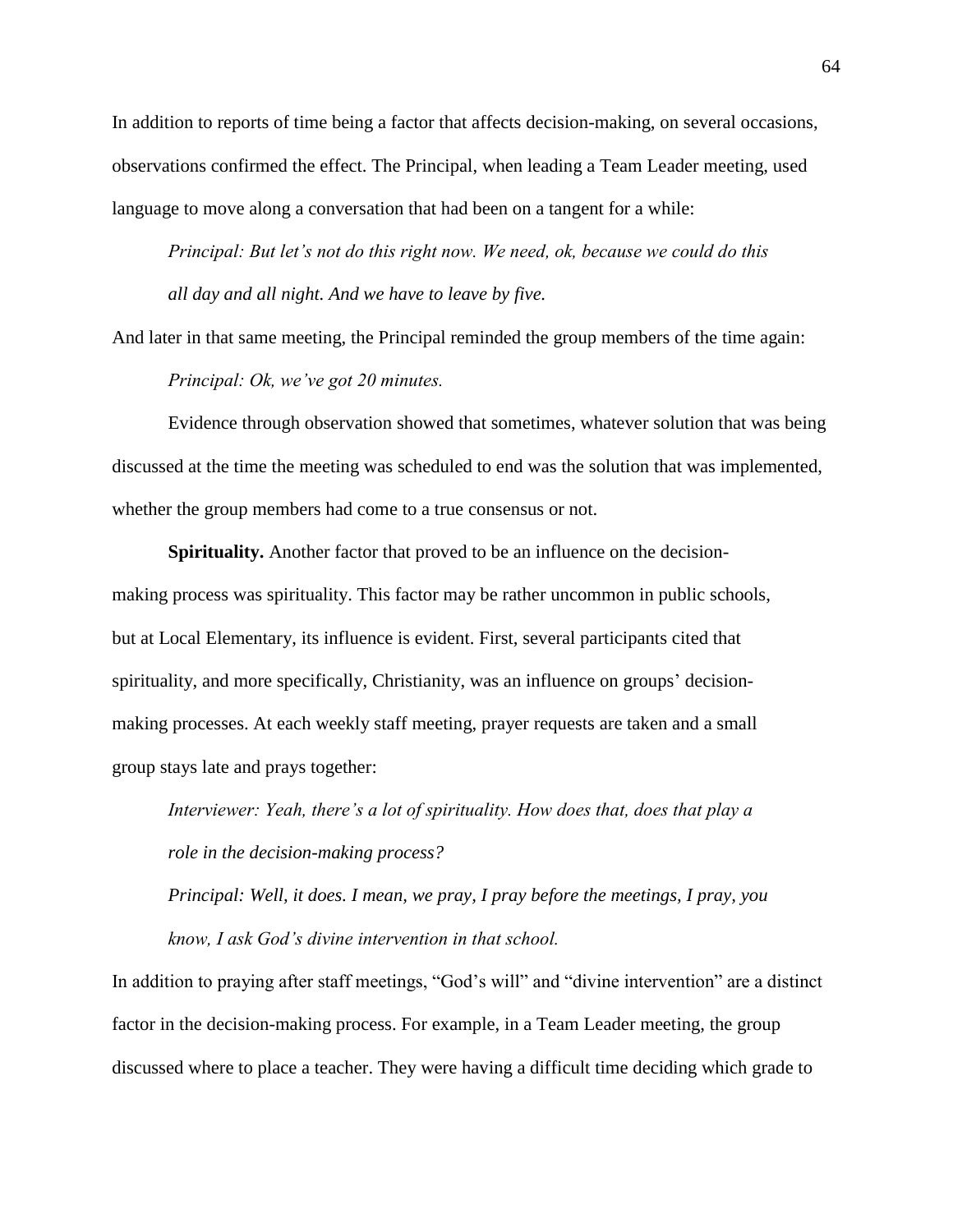In addition to reports of time being a factor that affects decision-making, on several occasions, observations confirmed the effect. The Principal, when leading a Team Leader meeting, used language to move along a conversation that had been on a tangent for a while:

*Principal: But let's not do this right now. We need, ok, because we could do this all day and all night. And we have to leave by five.* 

And later in that same meeting, the Principal reminded the group members of the time again:

*Principal: Ok, we've got 20 minutes.* 

Evidence through observation showed that sometimes, whatever solution that was being discussed at the time the meeting was scheduled to end was the solution that was implemented, whether the group members had come to a true consensus or not.

**Spirituality.** Another factor that proved to be an influence on the decisionmaking process was spirituality. This factor may be rather uncommon in public schools, but at Local Elementary, its influence is evident. First, several participants cited that spirituality, and more specifically, Christianity, was an influence on groups' decisionmaking processes. At each weekly staff meeting, prayer requests are taken and a small group stays late and prays together:

*Interviewer: Yeah, there's a lot of spirituality. How does that, does that play a role in the decision-making process?*

*Principal: Well, it does. I mean, we pray, I pray before the meetings, I pray, you know, I ask God's divine intervention in that school.*

In addition to praying after staff meetings, "God's will" and "divine intervention" are a distinct factor in the decision-making process. For example, in a Team Leader meeting, the group discussed where to place a teacher. They were having a difficult time deciding which grade to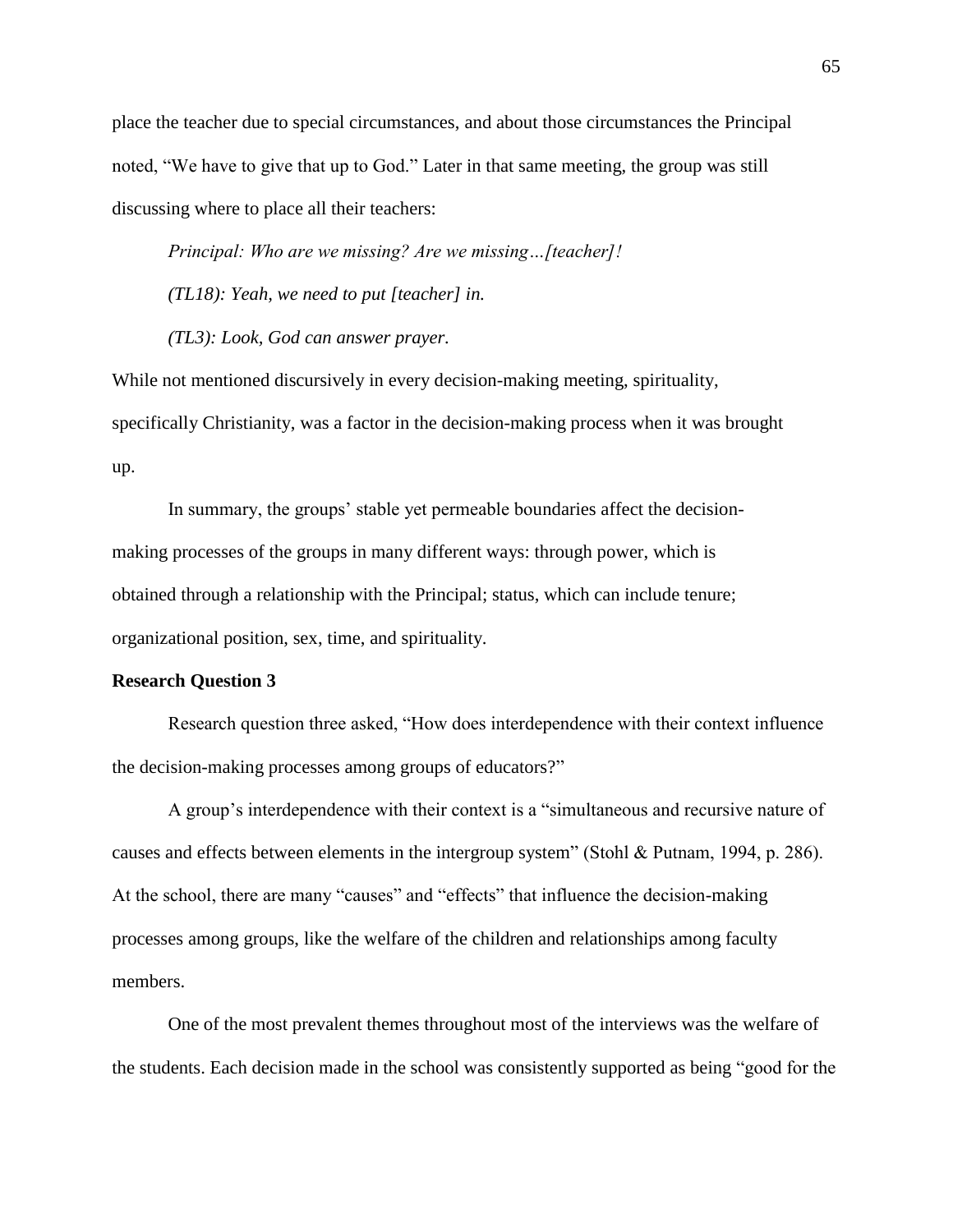place the teacher due to special circumstances, and about those circumstances the Principal noted, "We have to give that up to God." Later in that same meeting, the group was still discussing where to place all their teachers:

*Principal: Who are we missing? Are we missing…[teacher]!*

*(TL18): Yeah, we need to put [teacher] in.*

*(TL3): Look, God can answer prayer.* 

While not mentioned discursively in every decision-making meeting, spirituality, specifically Christianity, was a factor in the decision-making process when it was brought up.

In summary, the groups' stable yet permeable boundaries affect the decisionmaking processes of the groups in many different ways: through power, which is obtained through a relationship with the Principal; status, which can include tenure; organizational position, sex, time, and spirituality.

### **Research Question 3**

Research question three asked, "How does interdependence with their context influence the decision-making processes among groups of educators?"

A group's interdependence with their context is a "simultaneous and recursive nature of causes and effects between elements in the intergroup system" (Stohl & Putnam, 1994, p. 286). At the school, there are many "causes" and "effects" that influence the decision-making processes among groups, like the welfare of the children and relationships among faculty members.

One of the most prevalent themes throughout most of the interviews was the welfare of the students. Each decision made in the school was consistently supported as being "good for the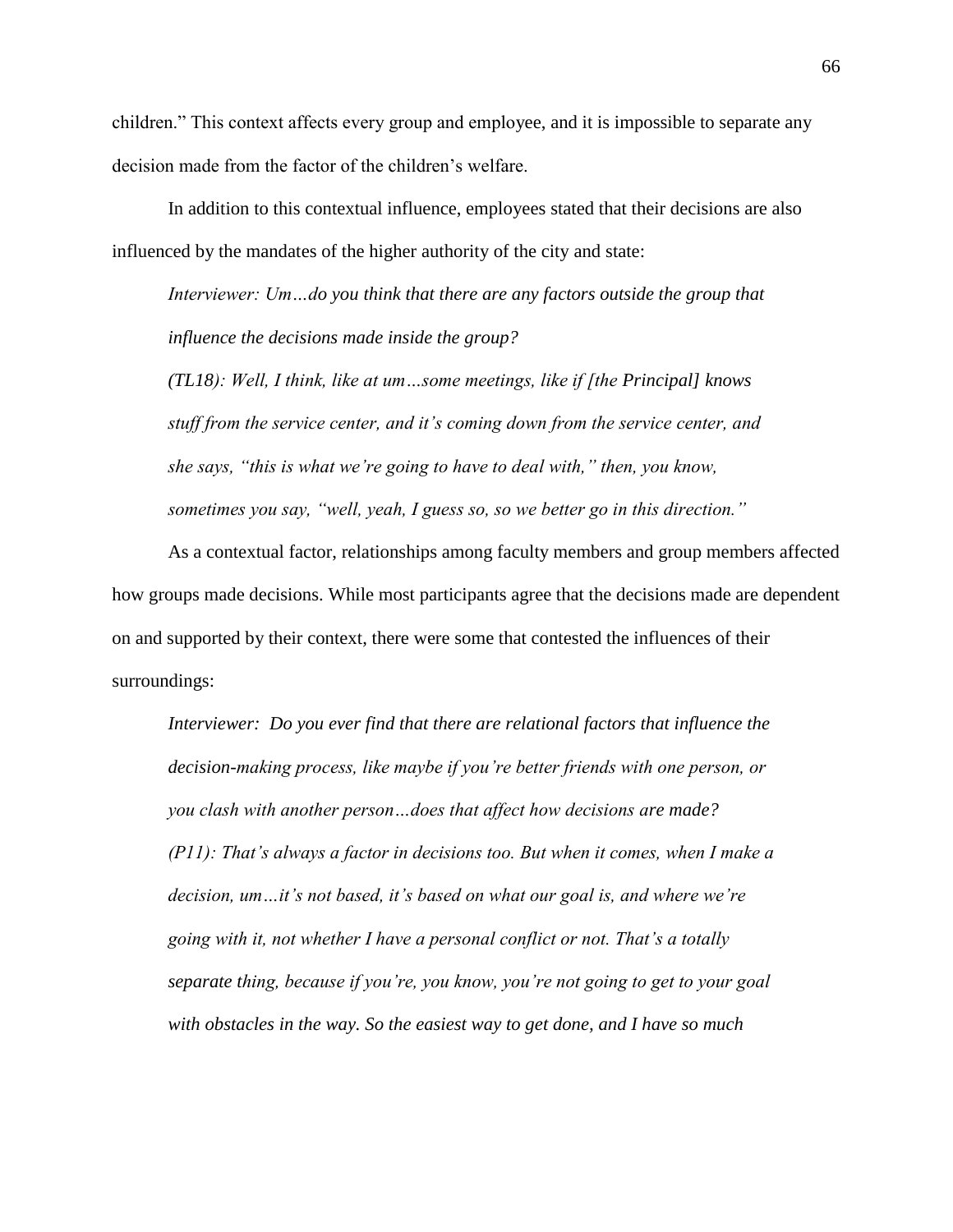children." This context affects every group and employee, and it is impossible to separate any decision made from the factor of the children's welfare.

In addition to this contextual influence, employees stated that their decisions are also influenced by the mandates of the higher authority of the city and state:

*Interviewer: Um…do you think that there are any factors outside the group that influence the decisions made inside the group?*

*(TL18): Well, I think, like at um…some meetings, like if [the Principal] knows stuff from the service center, and it's coming down from the service center, and she says, "this is what we're going to have to deal with," then, you know, sometimes you say, "well, yeah, I guess so, so we better go in this direction."* 

As a contextual factor, relationships among faculty members and group members affected how groups made decisions. While most participants agree that the decisions made are dependent on and supported by their context, there were some that contested the influences of their surroundings:

*Interviewer: Do you ever find that there are relational factors that influence the decision-making process, like maybe if you're better friends with one person, or you clash with another person…does that affect how decisions are made? (P11): That's always a factor in decisions too. But when it comes, when I make a decision, um…it's not based, it's based on what our goal is, and where we're going with it, not whether I have a personal conflict or not. That's a totally separate thing, because if you're, you know, you're not going to get to your goal with obstacles in the way. So the easiest way to get done, and I have so much*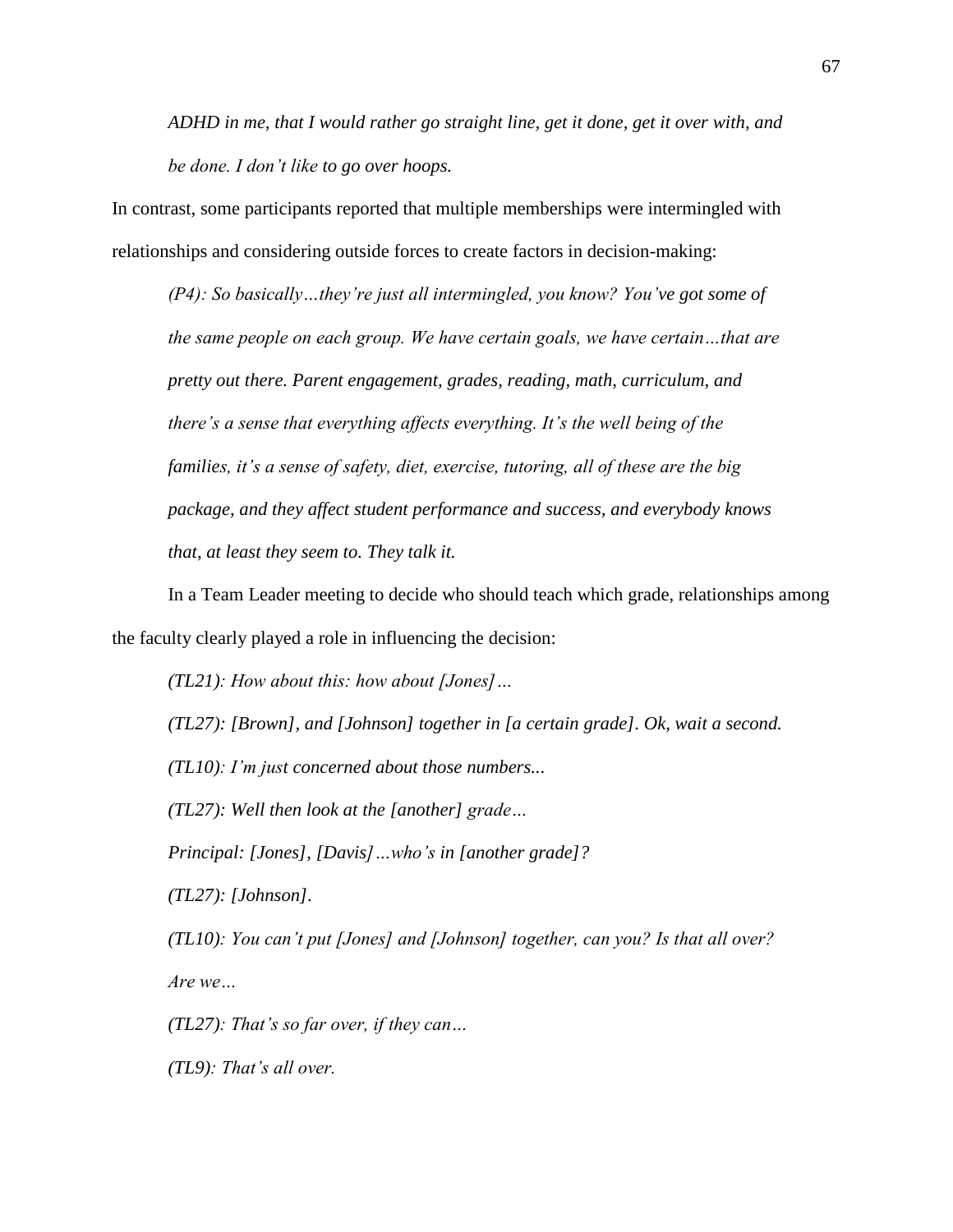*ADHD in me, that I would rather go straight line, get it done, get it over with, and be done. I don't like to go over hoops.* 

In contrast, some participants reported that multiple memberships were intermingled with relationships and considering outside forces to create factors in decision-making:

*(P4): So basically…they're just all intermingled, you know? You've got some of the same people on each group. We have certain goals, we have certain…that are pretty out there. Parent engagement, grades, reading, math, curriculum, and there's a sense that everything affects everything. It's the well being of the families, it's a sense of safety, diet, exercise, tutoring, all of these are the big package, and they affect student performance and success, and everybody knows that, at least they seem to. They talk it.* 

In a Team Leader meeting to decide who should teach which grade, relationships among the faculty clearly played a role in influencing the decision:

*(TL21): How about this: how about [Jones]… (TL27): [Brown], and [Johnson] together in [a certain grade]. Ok, wait a second. (TL10): I'm just concerned about those numbers... (TL27): Well then look at the [another] grade… Principal: [Jones], [Davis]…who's in [another grade]? (TL27): [Johnson]. (TL10): You can't put [Jones] and [Johnson] together, can you? Is that all over?* 

*Are we…*

*(TL27): That's so far over, if they can…*

*(TL9): That's all over.*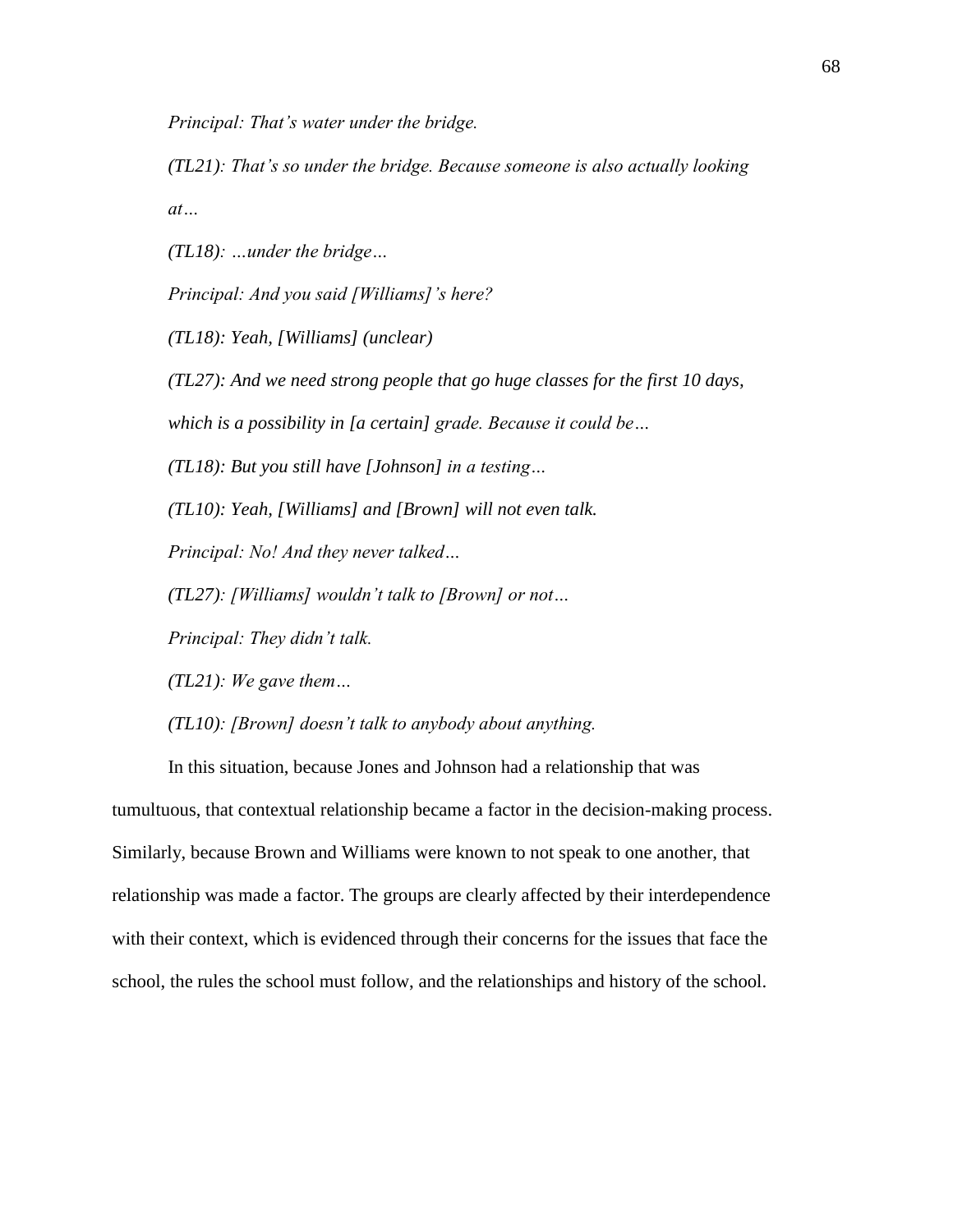*Principal: That's water under the bridge.* 

*(TL21): That's so under the bridge. Because someone is also actually looking at…*

*(TL18): …under the bridge…*

*Principal: And you said [Williams]'s here?*

*(TL18): Yeah, [Williams] (unclear)*

*(TL27): And we need strong people that go huge classes for the first 10 days,* 

*which is a possibility in [a certain] grade. Because it could be…*

*(TL18): But you still have [Johnson] in a testing…*

*(TL10): Yeah, [Williams] and [Brown] will not even talk.* 

*Principal: No! And they never talked…*

*(TL27): [Williams] wouldn't talk to [Brown] or not…*

*Principal: They didn't talk.* 

*(TL21): We gave them…*

*(TL10): [Brown] doesn't talk to anybody about anything.* 

In this situation, because Jones and Johnson had a relationship that was tumultuous, that contextual relationship became a factor in the decision-making process. Similarly, because Brown and Williams were known to not speak to one another, that relationship was made a factor. The groups are clearly affected by their interdependence with their context, which is evidenced through their concerns for the issues that face the school, the rules the school must follow, and the relationships and history of the school.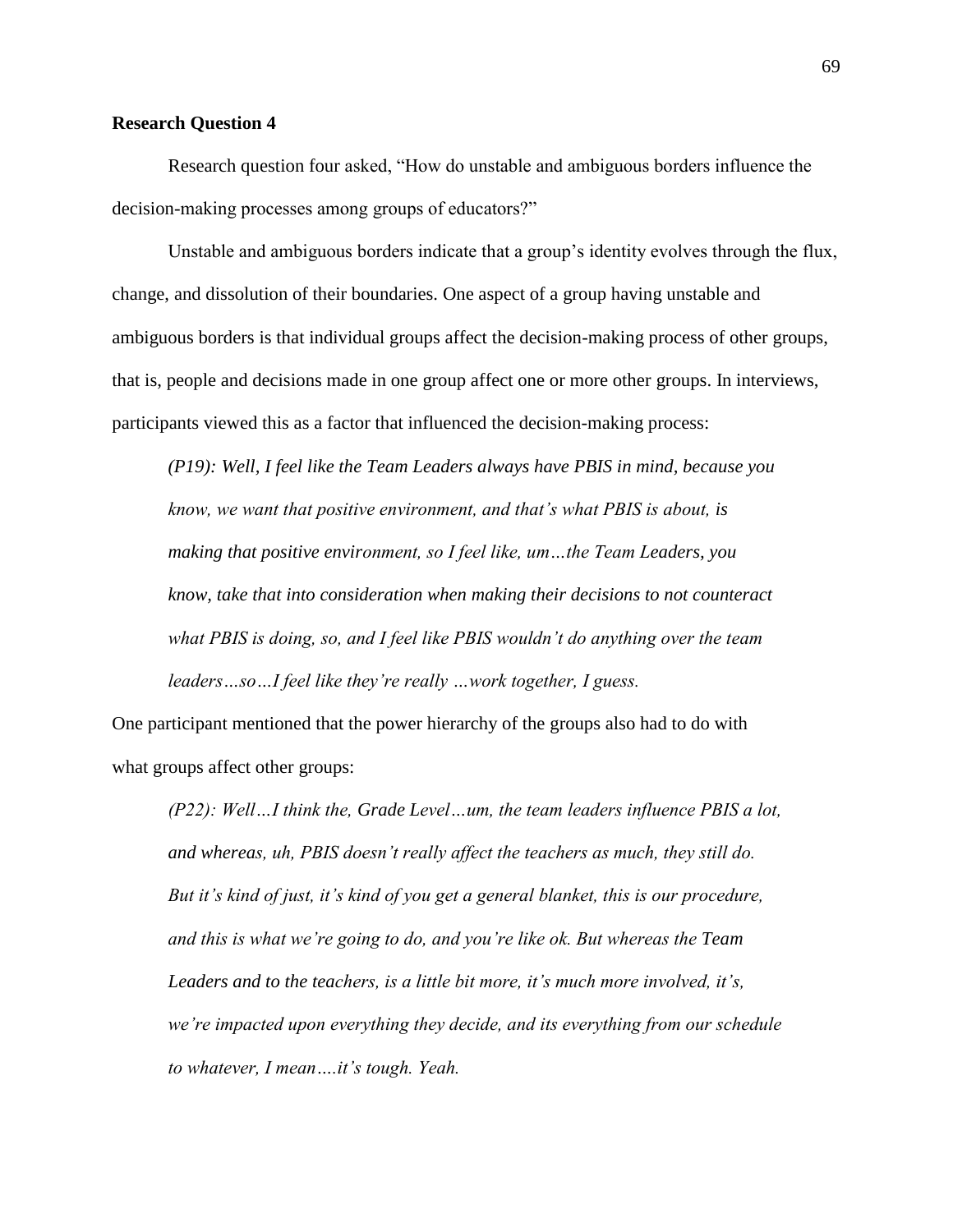# **Research Question 4**

Research question four asked, "How do unstable and ambiguous borders influence the decision-making processes among groups of educators?"

Unstable and ambiguous borders indicate that a group's identity evolves through the flux, change, and dissolution of their boundaries. One aspect of a group having unstable and ambiguous borders is that individual groups affect the decision-making process of other groups, that is, people and decisions made in one group affect one or more other groups. In interviews, participants viewed this as a factor that influenced the decision-making process:

*(P19): Well, I feel like the Team Leaders always have PBIS in mind, because you know, we want that positive environment, and that's what PBIS is about, is making that positive environment, so I feel like, um…the Team Leaders, you know, take that into consideration when making their decisions to not counteract what PBIS is doing, so, and I feel like PBIS wouldn't do anything over the team leaders…so…I feel like they're really …work together, I guess.* 

One participant mentioned that the power hierarchy of the groups also had to do with what groups affect other groups:

*(P22): Well…I think the, Grade Level…um, the team leaders influence PBIS a lot, and whereas, uh, PBIS doesn't really affect the teachers as much, they still do. But it's kind of just, it's kind of you get a general blanket, this is our procedure, and this is what we're going to do, and you're like ok. But whereas the Team Leaders and to the teachers, is a little bit more, it's much more involved, it's, we're impacted upon everything they decide, and its everything from our schedule to whatever, I mean….it's tough. Yeah.*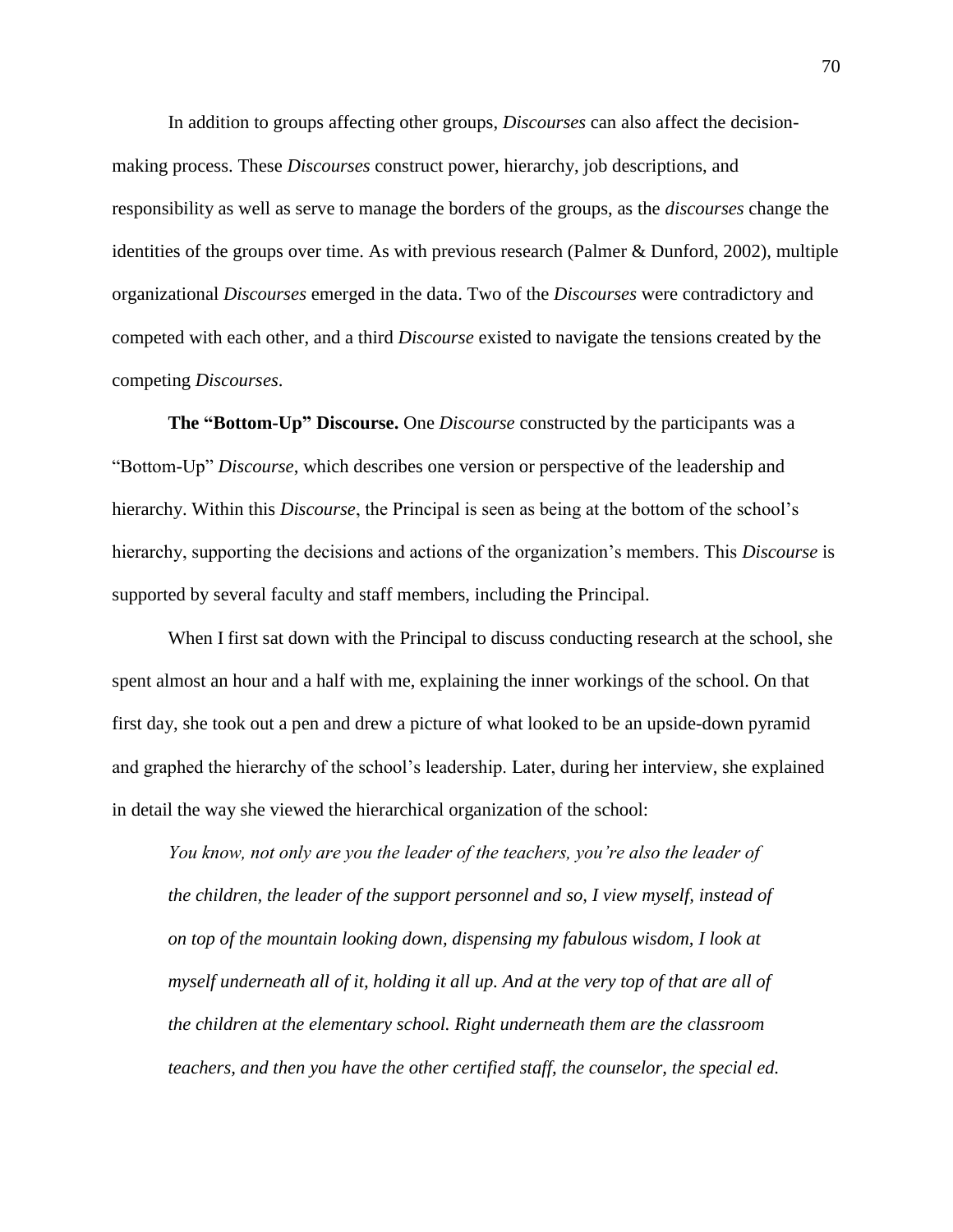In addition to groups affecting other groups, *Discourses* can also affect the decisionmaking process. These *Discourses* construct power, hierarchy, job descriptions, and responsibility as well as serve to manage the borders of the groups, as the *discourses* change the identities of the groups over time. As with previous research (Palmer & Dunford, 2002), multiple organizational *Discourses* emerged in the data. Two of the *Discourses* were contradictory and competed with each other, and a third *Discourse* existed to navigate the tensions created by the competing *Discourses*.

**The "Bottom-Up" Discourse.** One *Discourse* constructed by the participants was a "Bottom-Up" *Discourse*, which describes one version or perspective of the leadership and hierarchy. Within this *Discourse*, the Principal is seen as being at the bottom of the school's hierarchy, supporting the decisions and actions of the organization's members. This *Discourse* is supported by several faculty and staff members, including the Principal.

When I first sat down with the Principal to discuss conducting research at the school, she spent almost an hour and a half with me, explaining the inner workings of the school. On that first day, she took out a pen and drew a picture of what looked to be an upside-down pyramid and graphed the hierarchy of the school's leadership. Later, during her interview, she explained in detail the way she viewed the hierarchical organization of the school:

*You know, not only are you the leader of the teachers, you're also the leader of the children, the leader of the support personnel and so, I view myself, instead of on top of the mountain looking down, dispensing my fabulous wisdom, I look at myself underneath all of it, holding it all up. And at the very top of that are all of the children at the elementary school. Right underneath them are the classroom teachers, and then you have the other certified staff, the counselor, the special ed.*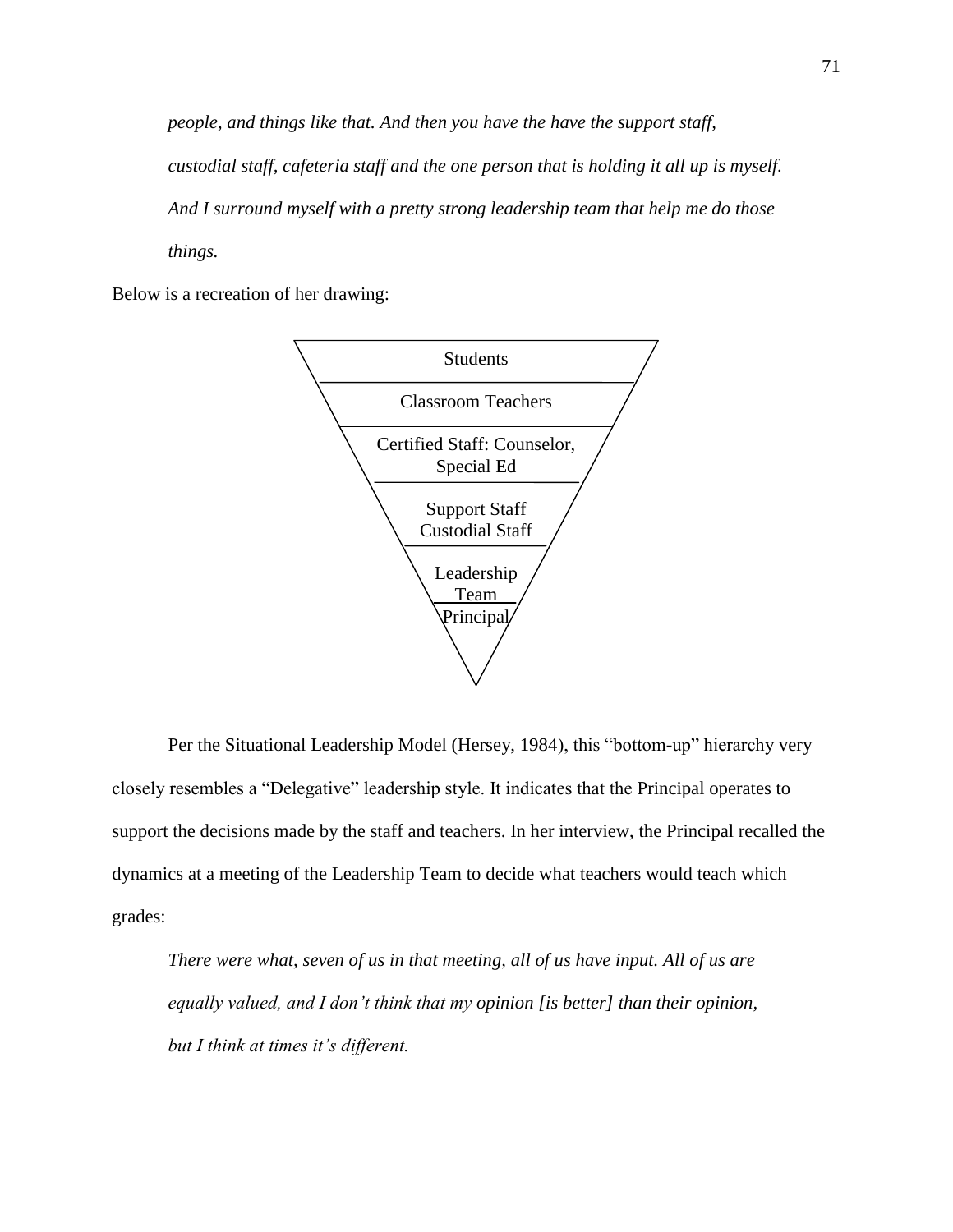*people, and things like that. And then you have the have the support staff, custodial staff, cafeteria staff and the one person that is holding it all up is myself. And I surround myself with a pretty strong leadership team that help me do those things.*

Below is a recreation of her drawing:



Per the Situational Leadership Model (Hersey, 1984), this "bottom-up" hierarchy very closely resembles a "Delegative" leadership style. It indicates that the Principal operates to support the decisions made by the staff and teachers. In her interview, the Principal recalled the dynamics at a meeting of the Leadership Team to decide what teachers would teach which grades:

*There were what, seven of us in that meeting, all of us have input. All of us are equally valued, and I don't think that my opinion [is better] than their opinion, but I think at times it's different.*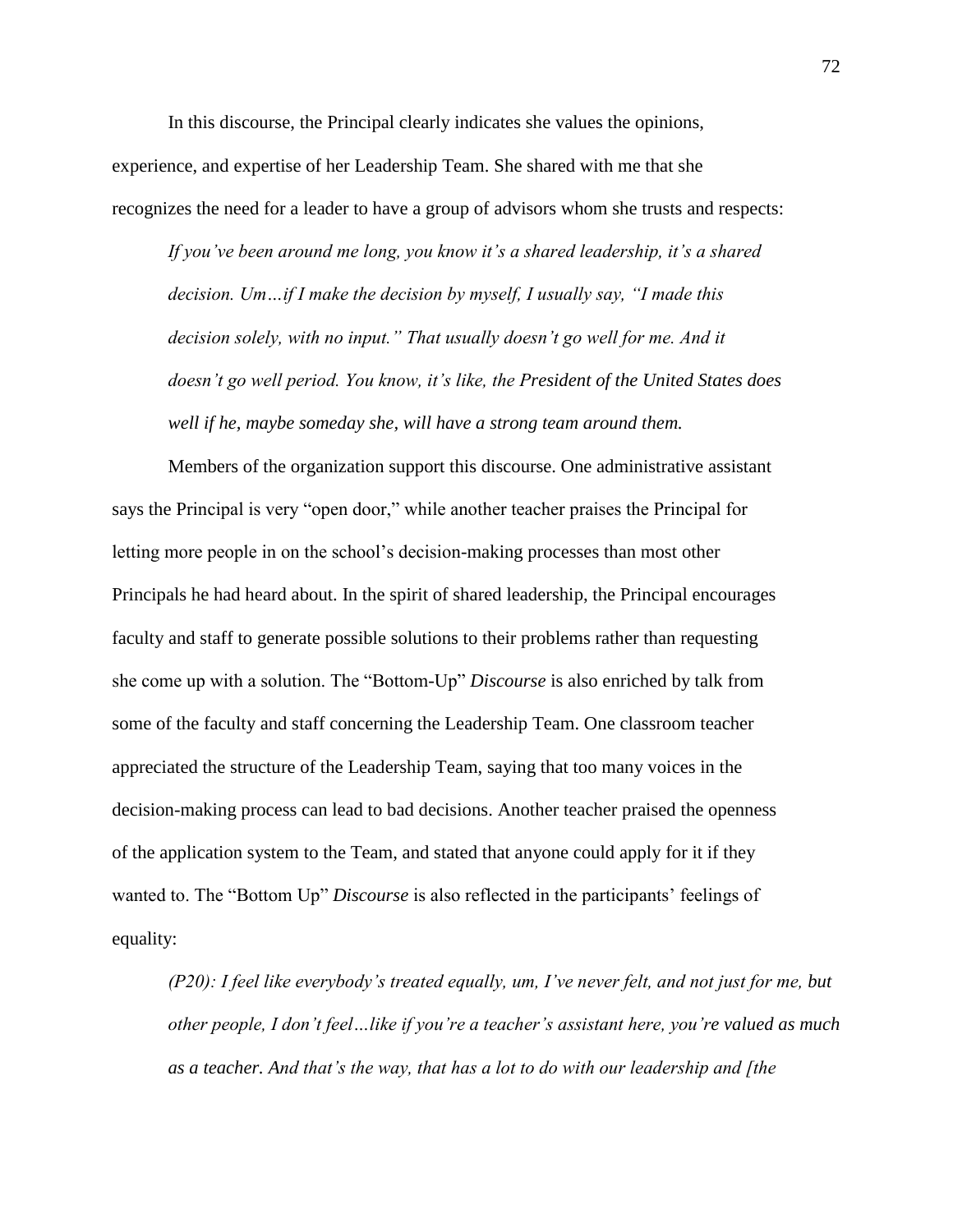In this discourse, the Principal clearly indicates she values the opinions, experience, and expertise of her Leadership Team. She shared with me that she recognizes the need for a leader to have a group of advisors whom she trusts and respects:

*If you've been around me long, you know it's a shared leadership, it's a shared decision. Um…if I make the decision by myself, I usually say, "I made this decision solely, with no input." That usually doesn't go well for me. And it doesn't go well period. You know, it's like, the President of the United States does well if he, maybe someday she, will have a strong team around them.*

Members of the organization support this discourse. One administrative assistant says the Principal is very "open door," while another teacher praises the Principal for letting more people in on the school's decision-making processes than most other Principals he had heard about. In the spirit of shared leadership, the Principal encourages faculty and staff to generate possible solutions to their problems rather than requesting she come up with a solution. The "Bottom-Up" *Discourse* is also enriched by talk from some of the faculty and staff concerning the Leadership Team. One classroom teacher appreciated the structure of the Leadership Team, saying that too many voices in the decision-making process can lead to bad decisions. Another teacher praised the openness of the application system to the Team, and stated that anyone could apply for it if they wanted to. The "Bottom Up" *Discourse* is also reflected in the participants' feelings of equality:

*(P20): I feel like everybody's treated equally, um, I've never felt, and not just for me, but other people, I don't feel…like if you're a teacher's assistant here, you're valued as much as a teacher. And that's the way, that has a lot to do with our leadership and [the*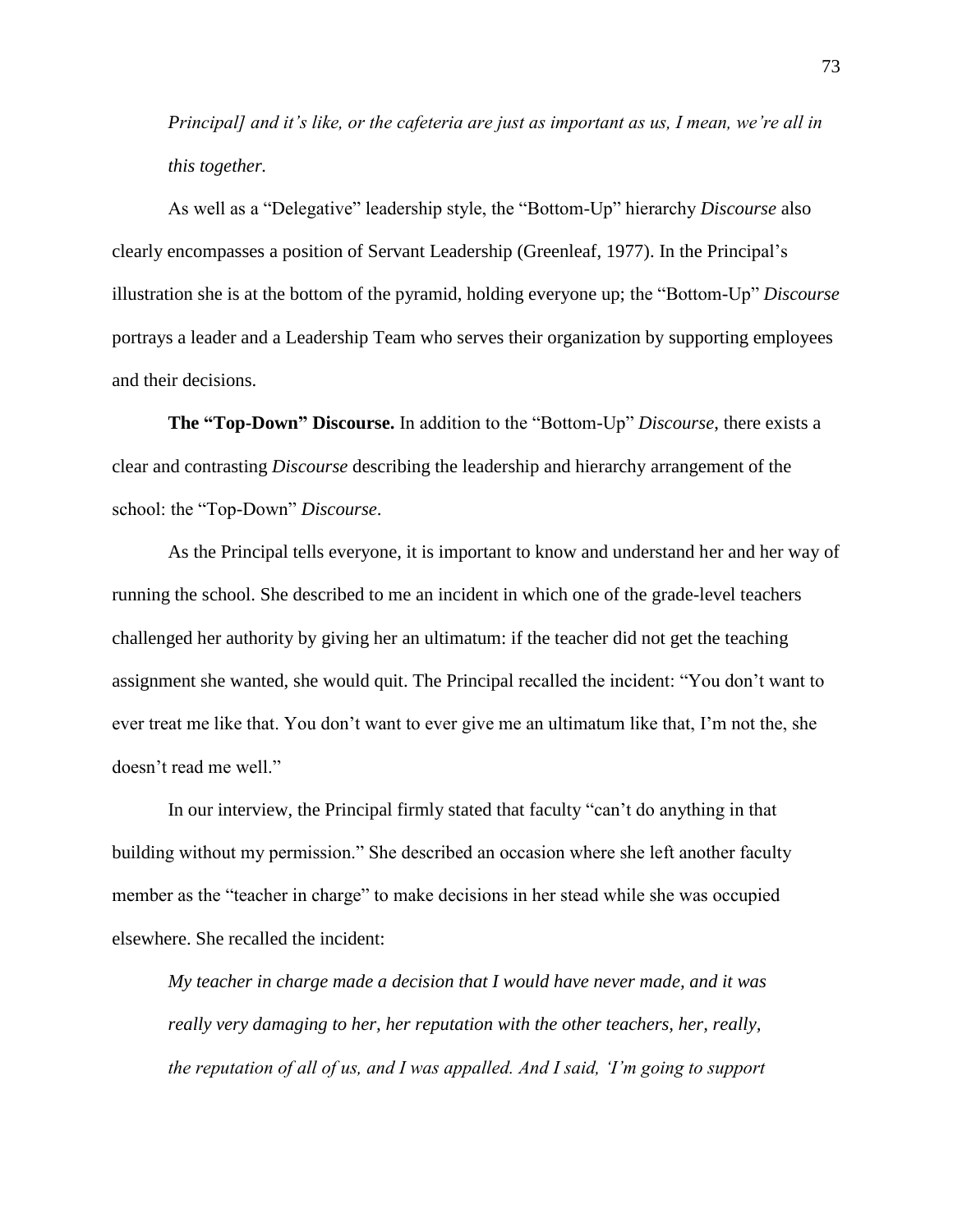*Principal] and it's like, or the cafeteria are just as important as us, I mean, we're all in this together.*

As well as a "Delegative" leadership style, the "Bottom-Up" hierarchy *Discourse* also clearly encompasses a position of Servant Leadership (Greenleaf, 1977). In the Principal's illustration she is at the bottom of the pyramid, holding everyone up; the "Bottom-Up" *Discourse* portrays a leader and a Leadership Team who serves their organization by supporting employees and their decisions.

**The "Top-Down" Discourse.** In addition to the "Bottom-Up" *Discourse*, there exists a clear and contrasting *Discourse* describing the leadership and hierarchy arrangement of the school: the "Top-Down" *Discourse*.

As the Principal tells everyone, it is important to know and understand her and her way of running the school. She described to me an incident in which one of the grade-level teachers challenged her authority by giving her an ultimatum: if the teacher did not get the teaching assignment she wanted, she would quit. The Principal recalled the incident: "You don't want to ever treat me like that. You don't want to ever give me an ultimatum like that, I'm not the, she doesn't read me well."

In our interview, the Principal firmly stated that faculty "can't do anything in that building without my permission." She described an occasion where she left another faculty member as the "teacher in charge" to make decisions in her stead while she was occupied elsewhere. She recalled the incident:

*My teacher in charge made a decision that I would have never made, and it was really very damaging to her, her reputation with the other teachers, her, really, the reputation of all of us, and I was appalled. And I said, 'I'm going to support*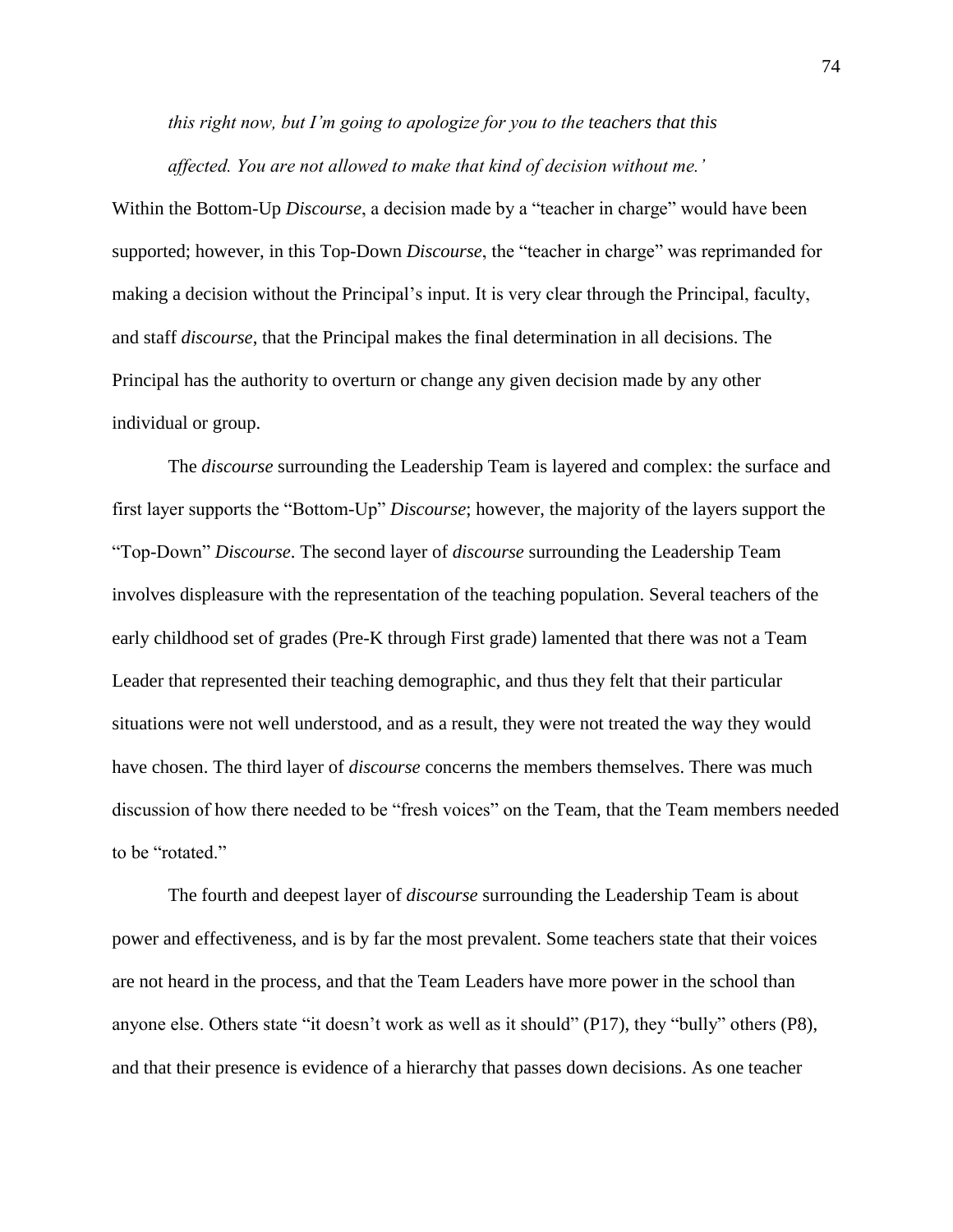*this right now, but I'm going to apologize for you to the teachers that this affected. You are not allowed to make that kind of decision without me.'*

Within the Bottom-Up *Discourse*, a decision made by a "teacher in charge" would have been supported; however, in this Top-Down *Discourse*, the "teacher in charge" was reprimanded for making a decision without the Principal's input. It is very clear through the Principal, faculty, and staff *discourse*, that the Principal makes the final determination in all decisions. The Principal has the authority to overturn or change any given decision made by any other individual or group.

The *discourse* surrounding the Leadership Team is layered and complex: the surface and first layer supports the "Bottom-Up" *Discourse*; however, the majority of the layers support the "Top-Down" *Discourse*. The second layer of *discourse* surrounding the Leadership Team involves displeasure with the representation of the teaching population. Several teachers of the early childhood set of grades (Pre-K through First grade) lamented that there was not a Team Leader that represented their teaching demographic, and thus they felt that their particular situations were not well understood, and as a result, they were not treated the way they would have chosen. The third layer of *discourse* concerns the members themselves. There was much discussion of how there needed to be "fresh voices" on the Team, that the Team members needed to be "rotated."

The fourth and deepest layer of *discourse* surrounding the Leadership Team is about power and effectiveness, and is by far the most prevalent. Some teachers state that their voices are not heard in the process, and that the Team Leaders have more power in the school than anyone else. Others state "it doesn't work as well as it should" (P17), they "bully" others (P8), and that their presence is evidence of a hierarchy that passes down decisions. As one teacher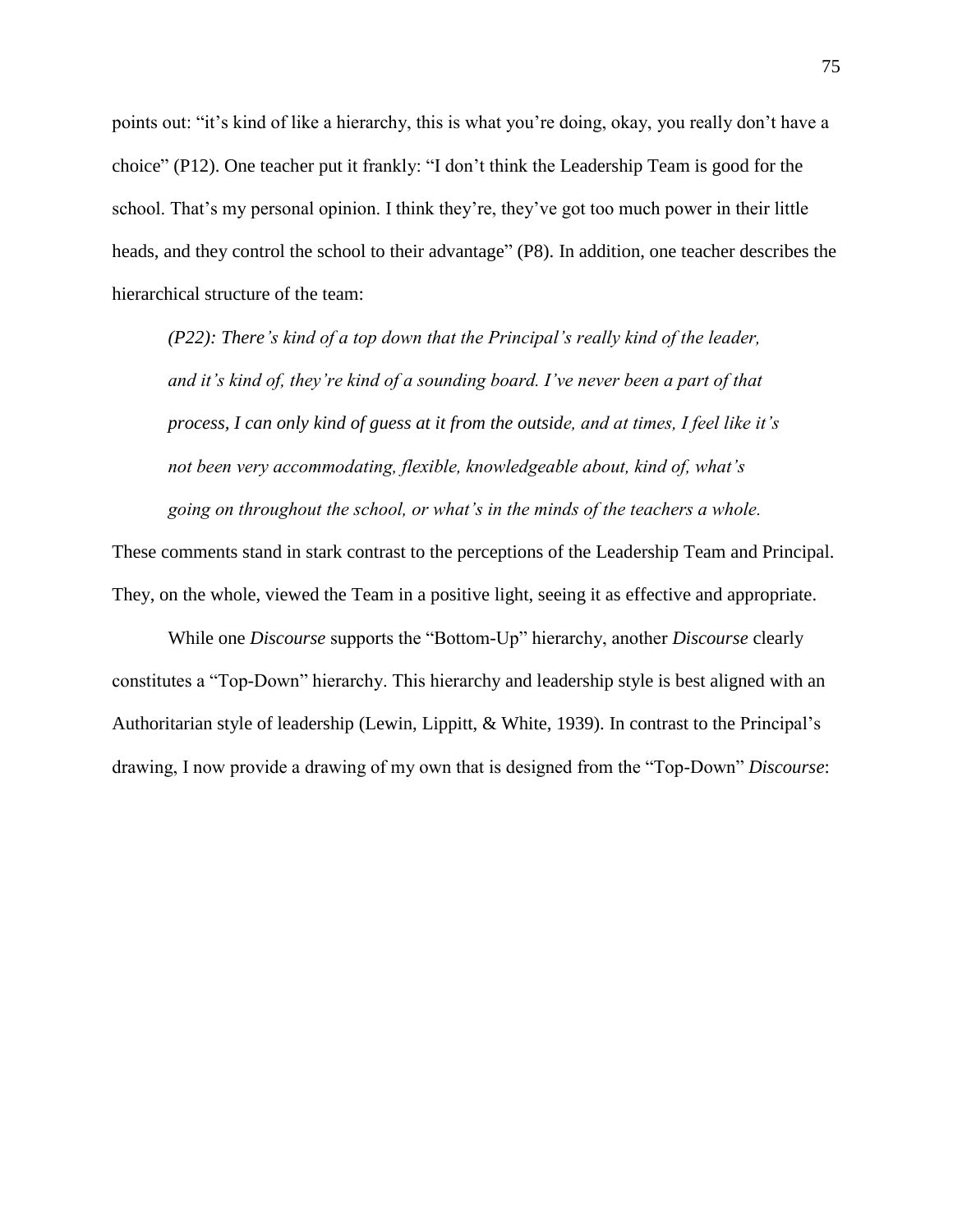points out: "it's kind of like a hierarchy, this is what you're doing, okay, you really don't have a choice" (P12). One teacher put it frankly: "I don't think the Leadership Team is good for the school. That's my personal opinion. I think they're, they've got too much power in their little heads, and they control the school to their advantage" (P8). In addition, one teacher describes the hierarchical structure of the team:

*(P22): There's kind of a top down that the Principal's really kind of the leader, and it's kind of, they're kind of a sounding board. I've never been a part of that process, I can only kind of guess at it from the outside, and at times, I feel like it's not been very accommodating, flexible, knowledgeable about, kind of, what's going on throughout the school, or what's in the minds of the teachers a whole.*

These comments stand in stark contrast to the perceptions of the Leadership Team and Principal. They, on the whole, viewed the Team in a positive light, seeing it as effective and appropriate.

While one *Discourse* supports the "Bottom-Up" hierarchy, another *Discourse* clearly constitutes a "Top-Down" hierarchy. This hierarchy and leadership style is best aligned with an Authoritarian style of leadership (Lewin, Lippitt, & White, 1939). In contrast to the Principal's drawing, I now provide a drawing of my own that is designed from the "Top-Down" *Discourse*: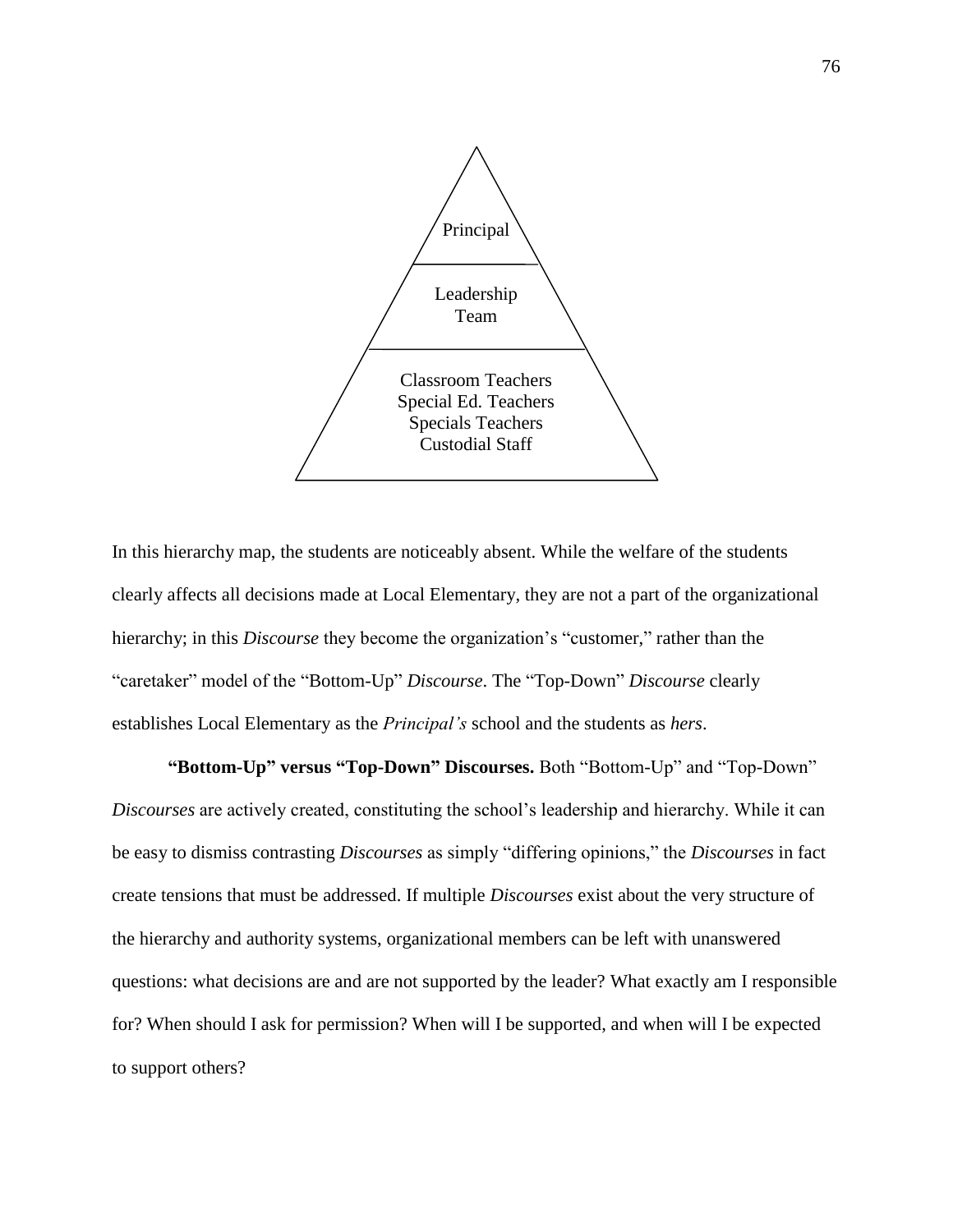

In this hierarchy map, the students are noticeably absent. While the welfare of the students clearly affects all decisions made at Local Elementary, they are not a part of the organizational hierarchy; in this *Discourse* they become the organization's "customer," rather than the "caretaker" model of the "Bottom-Up" *Discourse*. The "Top-Down" *Discourse* clearly establishes Local Elementary as the *Principal's* school and the students as *hers*.

**"Bottom-Up" versus "Top-Down" Discourses.** Both "Bottom-Up" and "Top-Down" *Discourses* are actively created, constituting the school's leadership and hierarchy. While it can be easy to dismiss contrasting *Discourses* as simply "differing opinions," the *Discourses* in fact create tensions that must be addressed. If multiple *Discourses* exist about the very structure of the hierarchy and authority systems, organizational members can be left with unanswered questions: what decisions are and are not supported by the leader? What exactly am I responsible for? When should I ask for permission? When will I be supported, and when will I be expected to support others?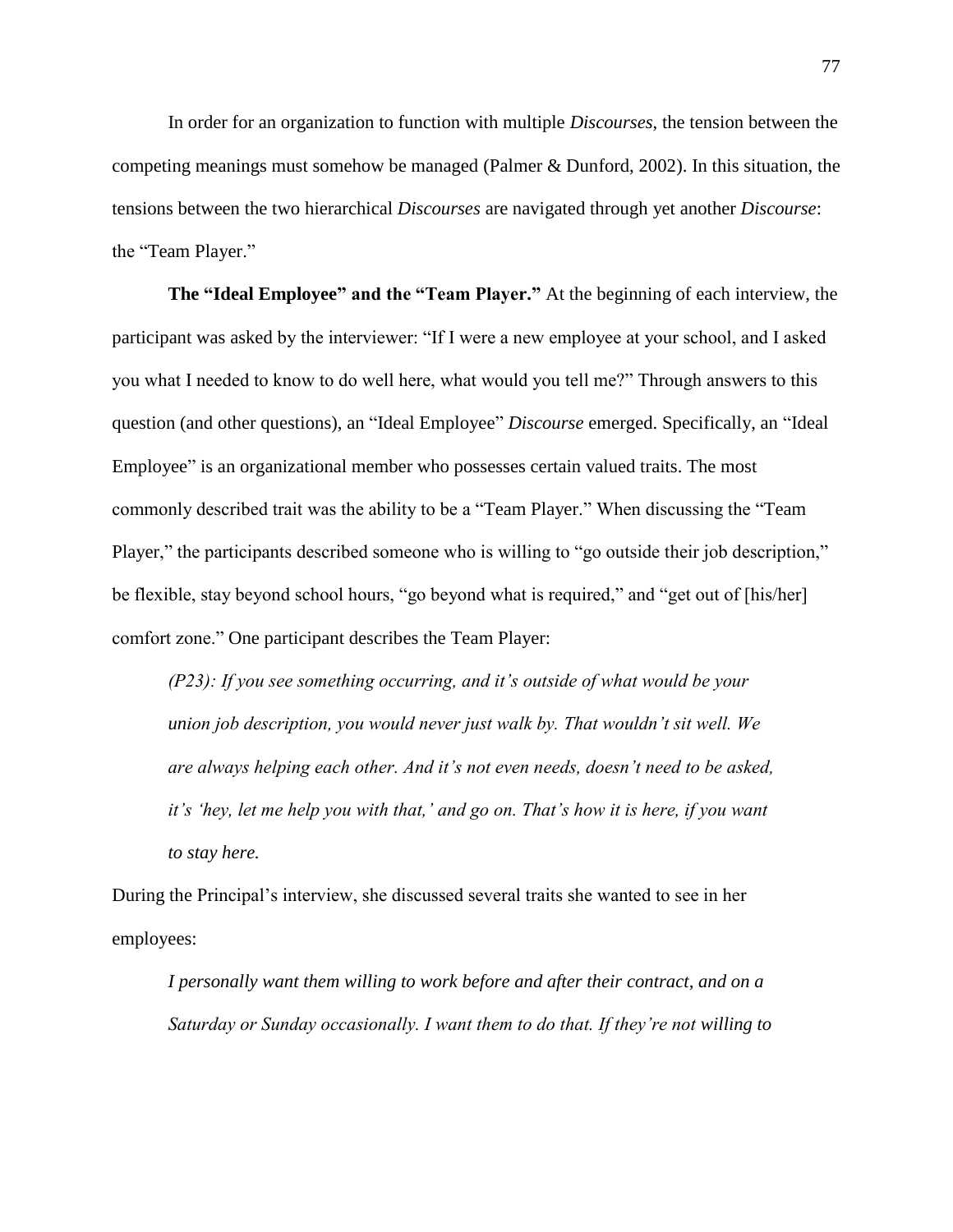In order for an organization to function with multiple *Discourses*, the tension between the competing meanings must somehow be managed (Palmer & Dunford, 2002). In this situation, the tensions between the two hierarchical *Discourses* are navigated through yet another *Discourse*: the "Team Player."

**The "Ideal Employee" and the "Team Player."** At the beginning of each interview, the participant was asked by the interviewer: "If I were a new employee at your school, and I asked you what I needed to know to do well here, what would you tell me?" Through answers to this question (and other questions), an "Ideal Employee" *Discourse* emerged. Specifically, an "Ideal Employee" is an organizational member who possesses certain valued traits. The most commonly described trait was the ability to be a "Team Player." When discussing the "Team Player," the participants described someone who is willing to "go outside their job description," be flexible, stay beyond school hours, "go beyond what is required," and "get out of [his/her] comfort zone." One participant describes the Team Player:

*(P23): If you see something occurring, and it's outside of what would be your union job description, you would never just walk by. That wouldn't sit well. We are always helping each other. And it's not even needs, doesn't need to be asked, it's 'hey, let me help you with that,' and go on. That's how it is here, if you want to stay here.*

During the Principal's interview, she discussed several traits she wanted to see in her employees:

*I personally want them willing to work before and after their contract, and on a Saturday or Sunday occasionally. I want them to do that. If they're not willing to*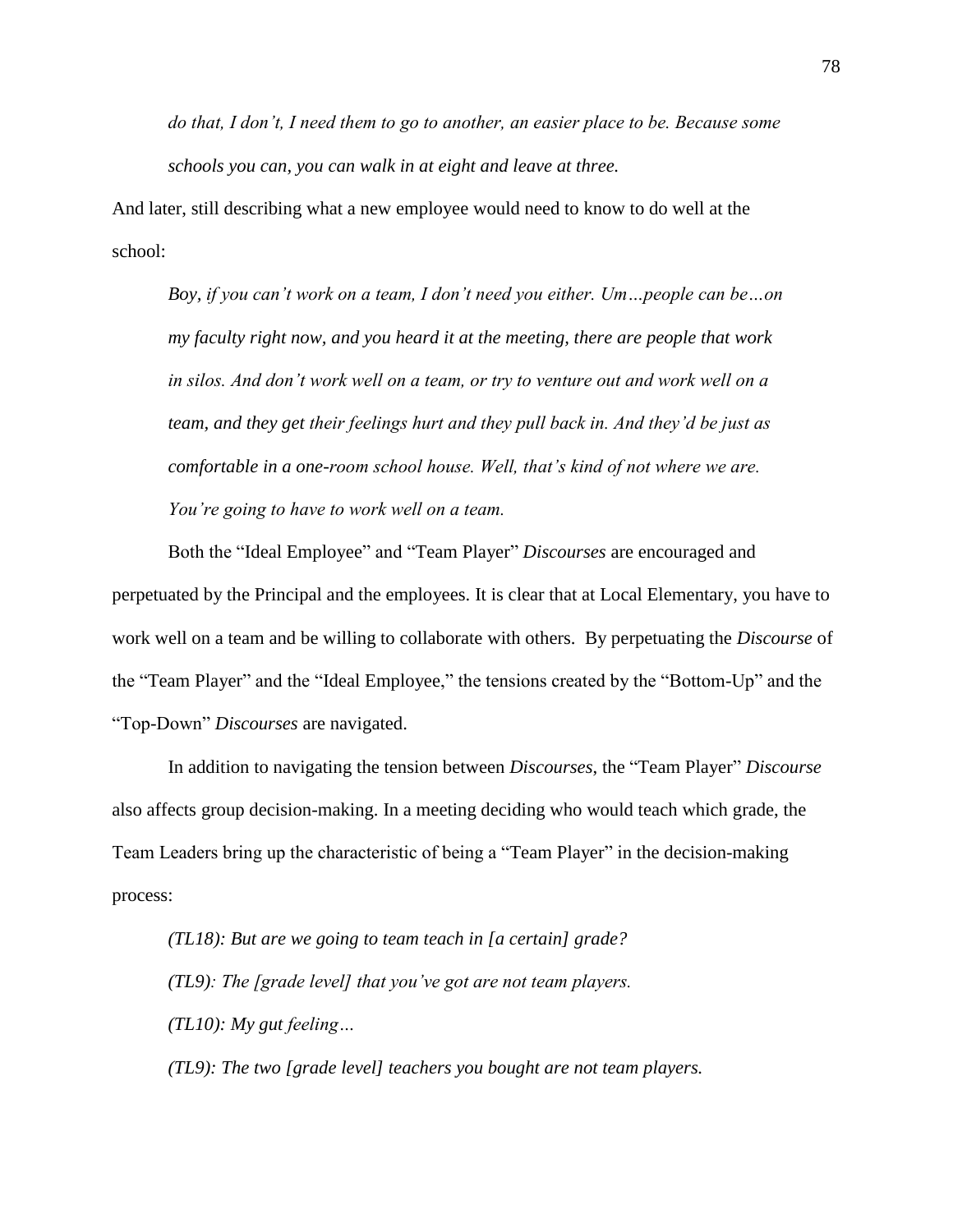*do that, I don't, I need them to go to another, an easier place to be. Because some schools you can, you can walk in at eight and leave at three.*

And later, still describing what a new employee would need to know to do well at the school:

*Boy, if you can't work on a team, I don't need you either. Um…people can be…on my faculty right now, and you heard it at the meeting, there are people that work*  in silos. And don't work well on a team, or try to venture out and work well on a *team, and they get their feelings hurt and they pull back in. And they'd be just as comfortable in a one-room school house. Well, that's kind of not where we are. You're going to have to work well on a team.*

Both the "Ideal Employee" and "Team Player" *Discourses* are encouraged and perpetuated by the Principal and the employees. It is clear that at Local Elementary, you have to work well on a team and be willing to collaborate with others. By perpetuating the *Discourse* of the "Team Player" and the "Ideal Employee," the tensions created by the "Bottom-Up" and the "Top-Down" *Discourses* are navigated.

In addition to navigating the tension between *Discourses*, the "Team Player" *Discourse* also affects group decision-making. In a meeting deciding who would teach which grade, the Team Leaders bring up the characteristic of being a "Team Player" in the decision-making process:

*(TL18): But are we going to team teach in [a certain] grade? (TL9): The [grade level] that you've got are not team players. (TL10): My gut feeling…*

*(TL9): The two [grade level] teachers you bought are not team players.*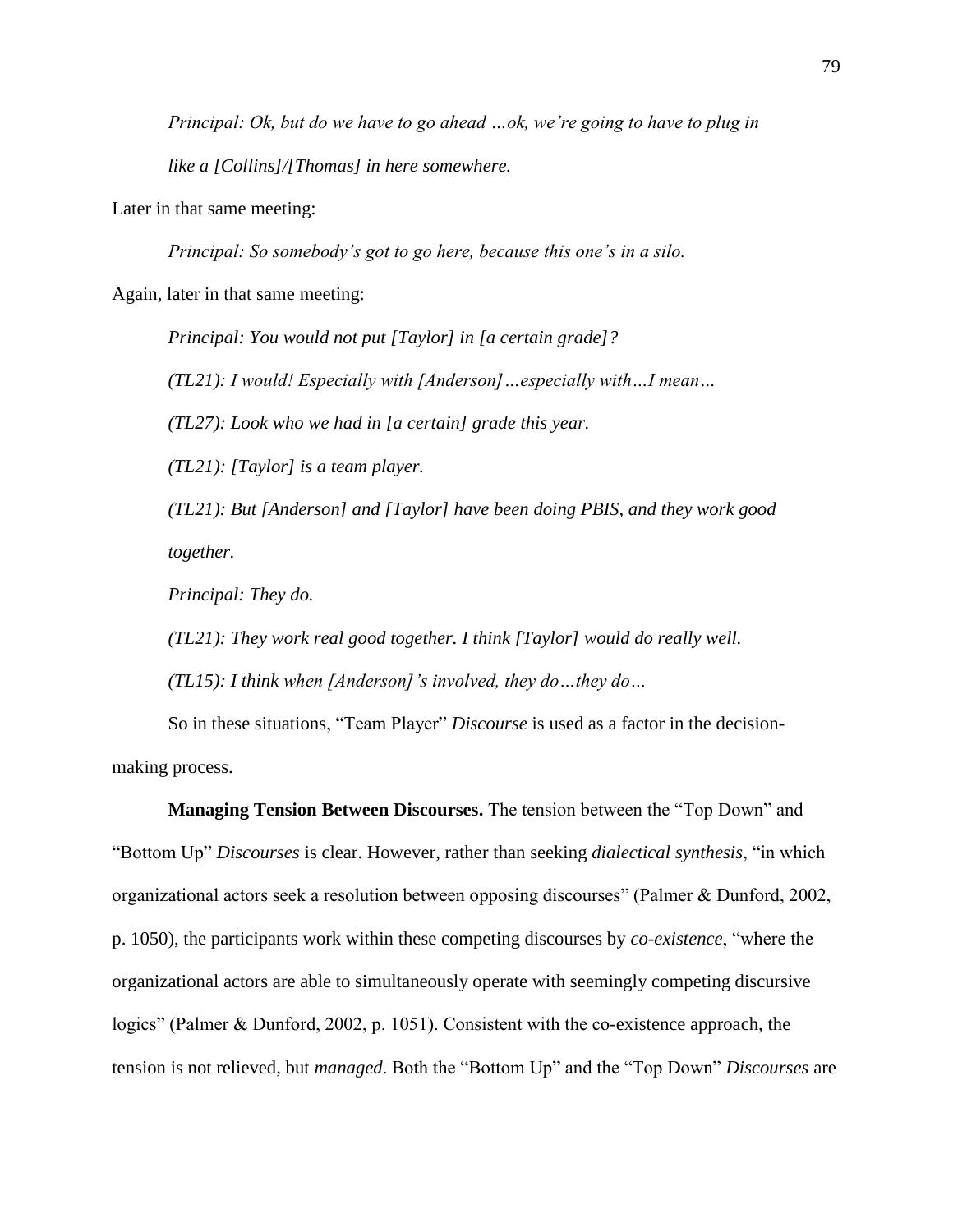*Principal: Ok, but do we have to go ahead …ok, we're going to have to plug in like a [Collins]/[Thomas] in here somewhere.* 

Later in that same meeting:

*Principal: So somebody's got to go here, because this one's in a silo.* 

Again, later in that same meeting:

*Principal: You would not put [Taylor] in [a certain grade]?*

*(TL21): I would! Especially with [Anderson]…especially with…I mean…*

*(TL27): Look who we had in [a certain] grade this year.* 

*(TL21): [Taylor] is a team player.* 

*(TL21): But [Anderson] and [Taylor] have been doing PBIS, and they work good together.* 

*Principal: They do.* 

*(TL21): They work real good together. I think [Taylor] would do really well.* 

*(TL15): I think when [Anderson]'s involved, they do…they do…*

So in these situations, "Team Player" *Discourse* is used as a factor in the decisionmaking process.

**Managing Tension Between Discourses.** The tension between the "Top Down" and "Bottom Up" *Discourses* is clear. However, rather than seeking *dialectical synthesis*, "in which organizational actors seek a resolution between opposing discourses" (Palmer & Dunford, 2002, p. 1050), the participants work within these competing discourses by *co-existence*, "where the organizational actors are able to simultaneously operate with seemingly competing discursive logics" (Palmer & Dunford, 2002, p. 1051). Consistent with the co-existence approach, the tension is not relieved, but *managed*. Both the "Bottom Up" and the "Top Down" *Discourses* are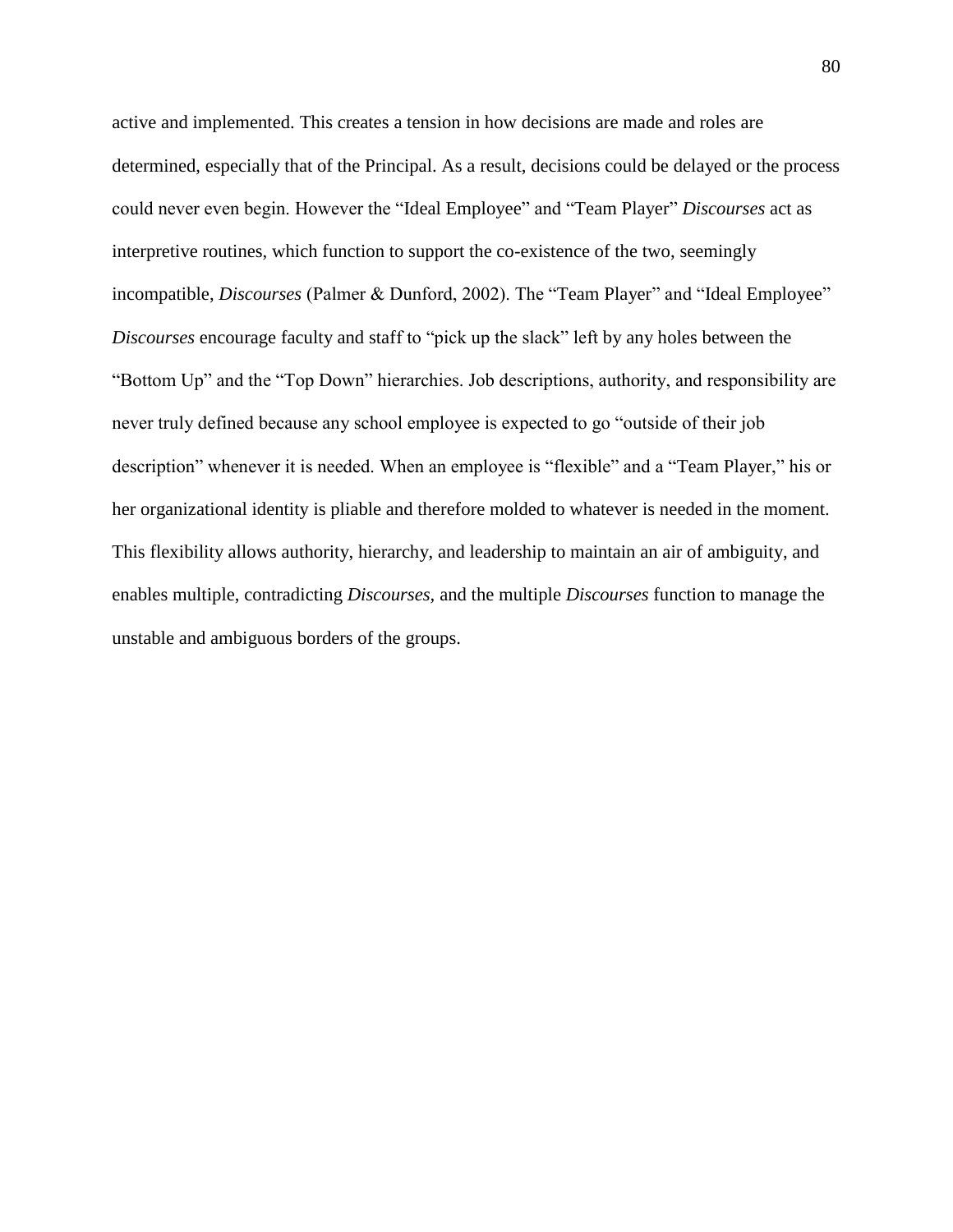active and implemented. This creates a tension in how decisions are made and roles are determined, especially that of the Principal. As a result, decisions could be delayed or the process could never even begin. However the "Ideal Employee" and "Team Player" *Discourses* act as interpretive routines, which function to support the co-existence of the two, seemingly incompatible, *Discourses* (Palmer & Dunford, 2002). The "Team Player" and "Ideal Employee" *Discourses* encourage faculty and staff to "pick up the slack" left by any holes between the "Bottom Up" and the "Top Down" hierarchies. Job descriptions, authority, and responsibility are never truly defined because any school employee is expected to go "outside of their job description" whenever it is needed. When an employee is "flexible" and a "Team Player," his or her organizational identity is pliable and therefore molded to whatever is needed in the moment. This flexibility allows authority, hierarchy, and leadership to maintain an air of ambiguity, and enables multiple, contradicting *Discourses,* and the multiple *Discourses* function to manage the unstable and ambiguous borders of the groups.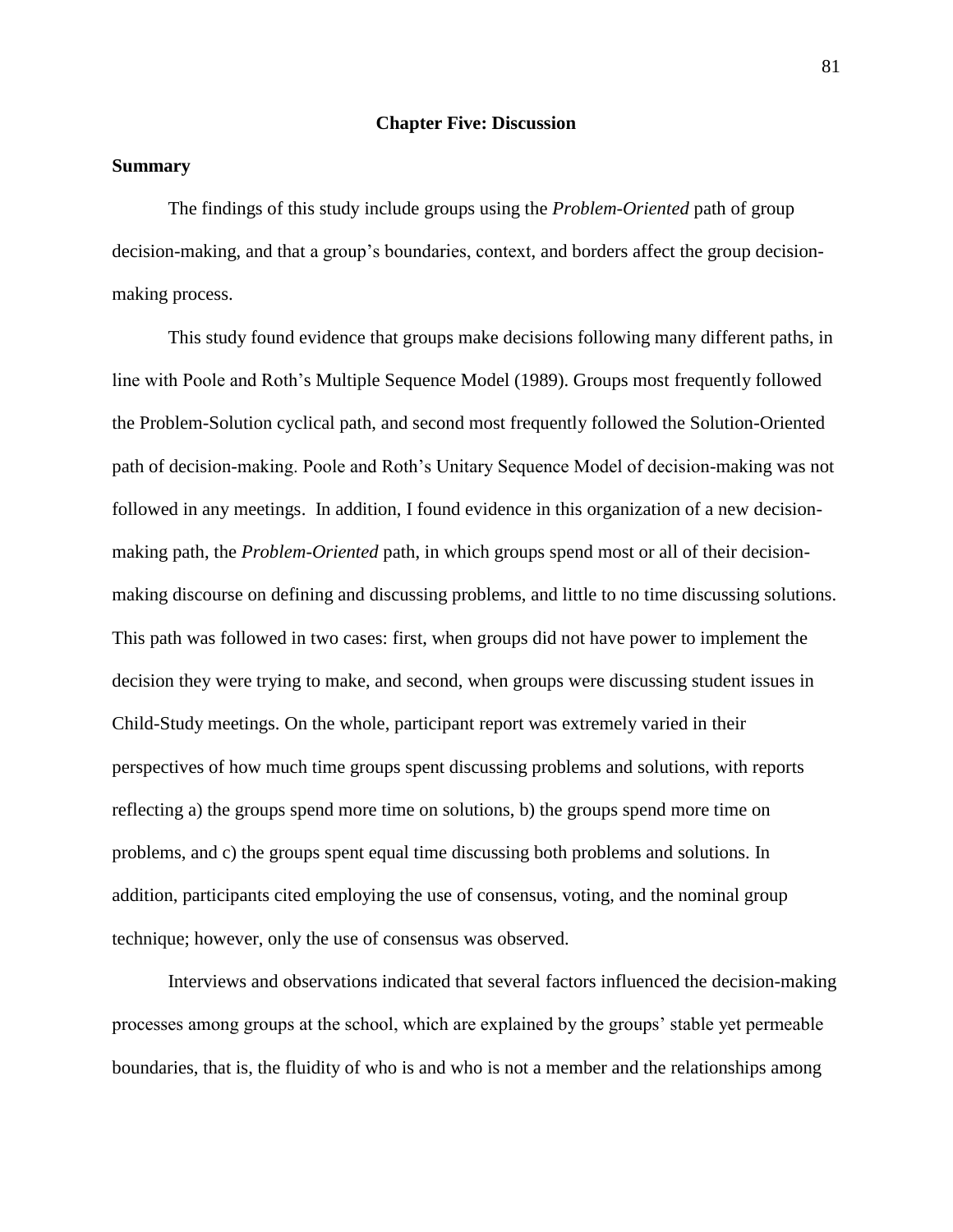## **Chapter Five: Discussion**

# **Summary**

The findings of this study include groups using the *Problem-Oriented* path of group decision-making, and that a group's boundaries, context, and borders affect the group decisionmaking process.

This study found evidence that groups make decisions following many different paths, in line with Poole and Roth's Multiple Sequence Model (1989). Groups most frequently followed the Problem-Solution cyclical path, and second most frequently followed the Solution-Oriented path of decision-making. Poole and Roth's Unitary Sequence Model of decision-making was not followed in any meetings. In addition, I found evidence in this organization of a new decisionmaking path, the *Problem-Oriented* path, in which groups spend most or all of their decisionmaking discourse on defining and discussing problems, and little to no time discussing solutions. This path was followed in two cases: first, when groups did not have power to implement the decision they were trying to make, and second, when groups were discussing student issues in Child-Study meetings. On the whole, participant report was extremely varied in their perspectives of how much time groups spent discussing problems and solutions, with reports reflecting a) the groups spend more time on solutions, b) the groups spend more time on problems, and c) the groups spent equal time discussing both problems and solutions. In addition, participants cited employing the use of consensus, voting, and the nominal group technique; however, only the use of consensus was observed.

Interviews and observations indicated that several factors influenced the decision-making processes among groups at the school, which are explained by the groups' stable yet permeable boundaries, that is, the fluidity of who is and who is not a member and the relationships among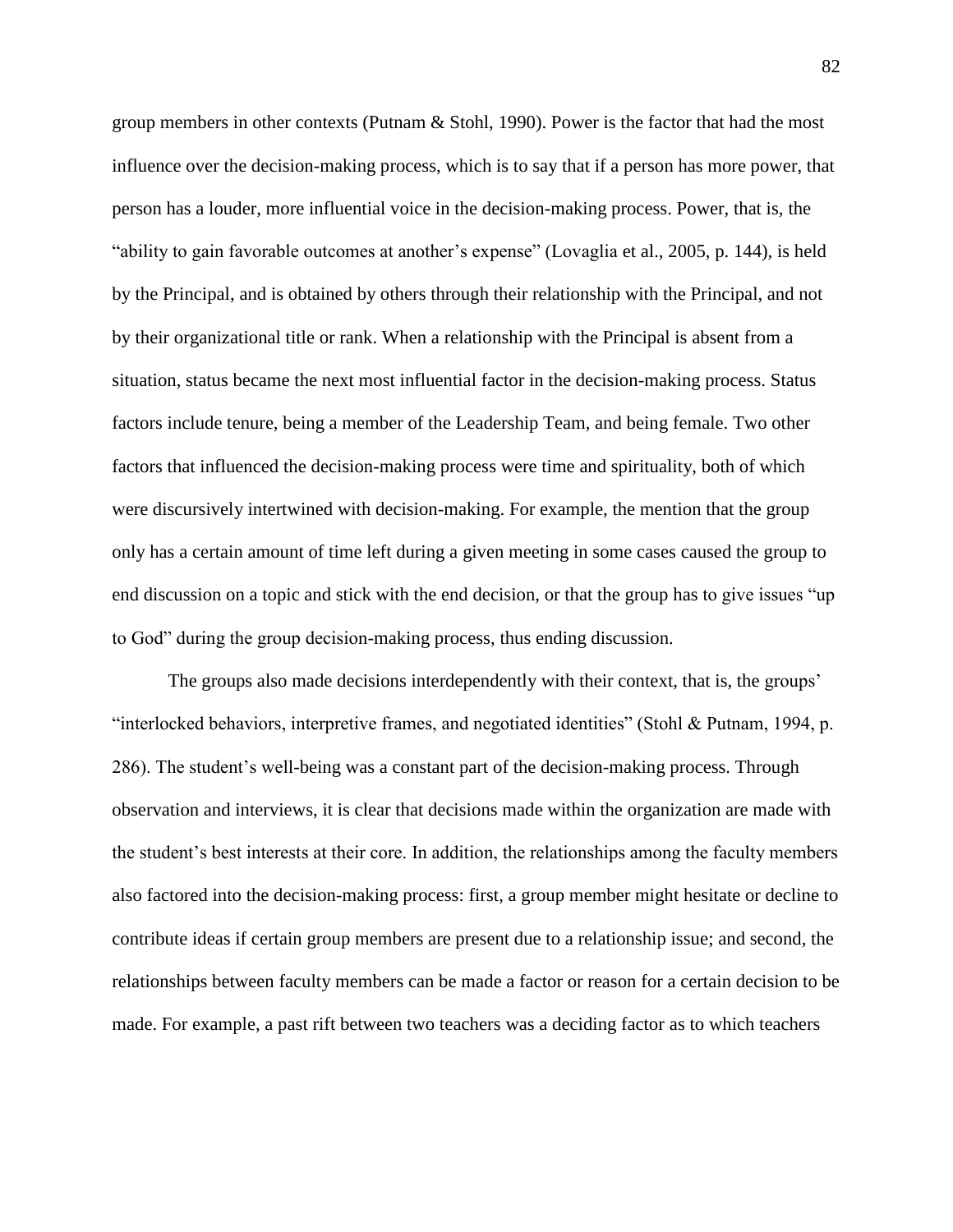group members in other contexts (Putnam & Stohl, 1990). Power is the factor that had the most influence over the decision-making process, which is to say that if a person has more power, that person has a louder, more influential voice in the decision-making process. Power, that is, the "ability to gain favorable outcomes at another's expense" (Lovaglia et al., 2005, p. 144)*,* is held by the Principal, and is obtained by others through their relationship with the Principal, and not by their organizational title or rank. When a relationship with the Principal is absent from a situation, status became the next most influential factor in the decision-making process. Status factors include tenure, being a member of the Leadership Team, and being female. Two other factors that influenced the decision-making process were time and spirituality, both of which were discursively intertwined with decision-making. For example, the mention that the group only has a certain amount of time left during a given meeting in some cases caused the group to end discussion on a topic and stick with the end decision, or that the group has to give issues "up to God" during the group decision-making process, thus ending discussion.

The groups also made decisions interdependently with their context, that is, the groups' "interlocked behaviors, interpretive frames, and negotiated identities" (Stohl & Putnam, 1994, p. 286). The student's well-being was a constant part of the decision-making process. Through observation and interviews, it is clear that decisions made within the organization are made with the student's best interests at their core. In addition, the relationships among the faculty members also factored into the decision-making process: first, a group member might hesitate or decline to contribute ideas if certain group members are present due to a relationship issue; and second, the relationships between faculty members can be made a factor or reason for a certain decision to be made. For example, a past rift between two teachers was a deciding factor as to which teachers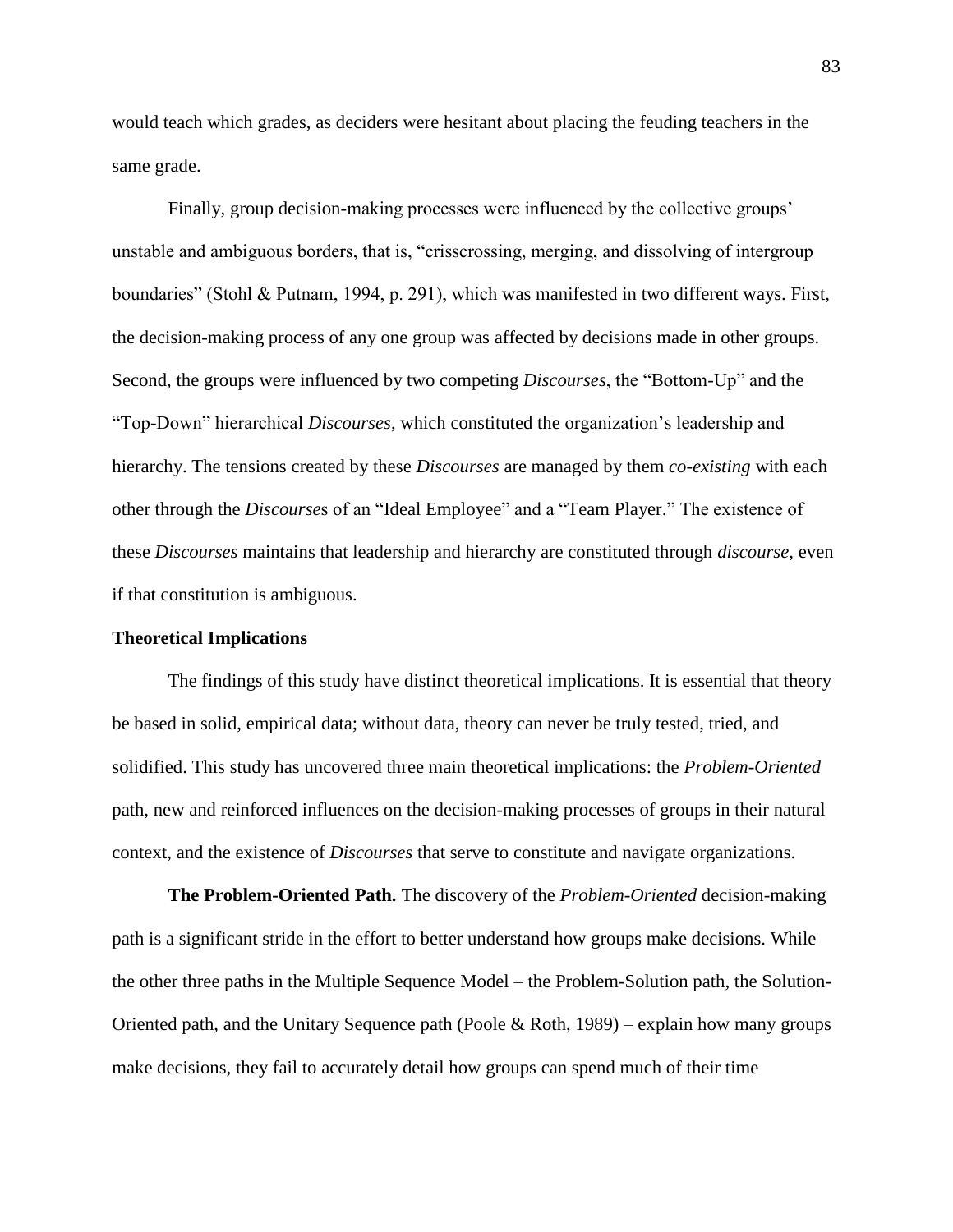would teach which grades, as deciders were hesitant about placing the feuding teachers in the same grade.

Finally, group decision-making processes were influenced by the collective groups' unstable and ambiguous borders, that is, "crisscrossing, merging, and dissolving of intergroup boundaries" (Stohl & Putnam, 1994, p. 291), which was manifested in two different ways. First, the decision-making process of any one group was affected by decisions made in other groups. Second, the groups were influenced by two competing *Discourses*, the "Bottom-Up" and the "Top-Down" hierarchical *Discourses*, which constituted the organization's leadership and hierarchy. The tensions created by these *Discourses* are managed by them *co-existing* with each other through the *Discourse*s of an "Ideal Employee" and a "Team Player." The existence of these *Discourses* maintains that leadership and hierarchy are constituted through *discourse*, even if that constitution is ambiguous.

#### **Theoretical Implications**

The findings of this study have distinct theoretical implications. It is essential that theory be based in solid, empirical data; without data, theory can never be truly tested, tried, and solidified. This study has uncovered three main theoretical implications: the *Problem-Oriented* path, new and reinforced influences on the decision-making processes of groups in their natural context, and the existence of *Discourses* that serve to constitute and navigate organizations.

**The Problem-Oriented Path.** The discovery of the *Problem-Oriented* decision-making path is a significant stride in the effort to better understand how groups make decisions. While the other three paths in the Multiple Sequence Model – the Problem-Solution path, the Solution-Oriented path, and the Unitary Sequence path (Poole  $\&$  Roth, 1989) – explain how many groups make decisions, they fail to accurately detail how groups can spend much of their time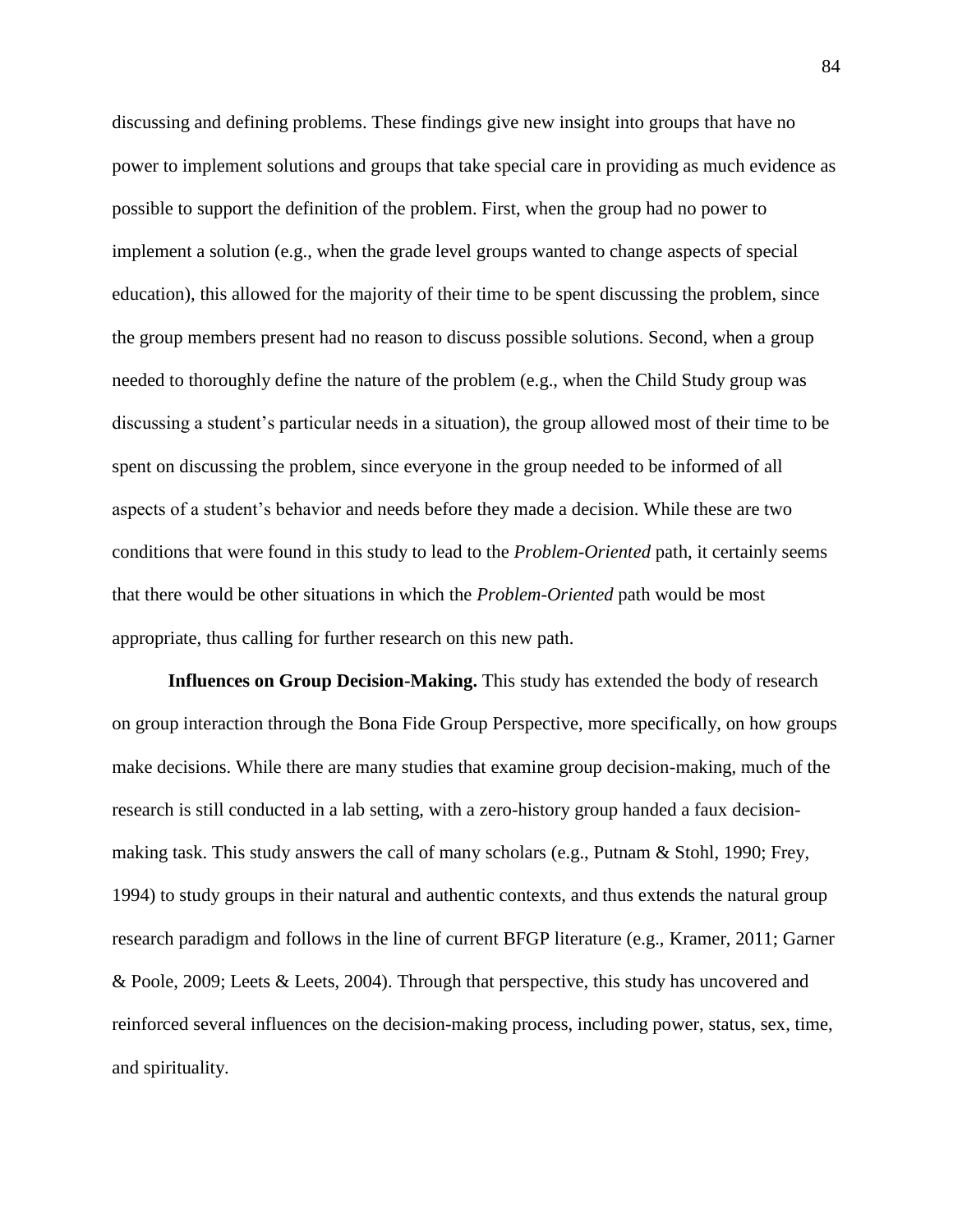discussing and defining problems. These findings give new insight into groups that have no power to implement solutions and groups that take special care in providing as much evidence as possible to support the definition of the problem. First, when the group had no power to implement a solution (e.g., when the grade level groups wanted to change aspects of special education), this allowed for the majority of their time to be spent discussing the problem, since the group members present had no reason to discuss possible solutions. Second, when a group needed to thoroughly define the nature of the problem (e.g., when the Child Study group was discussing a student's particular needs in a situation), the group allowed most of their time to be spent on discussing the problem, since everyone in the group needed to be informed of all aspects of a student's behavior and needs before they made a decision. While these are two conditions that were found in this study to lead to the *Problem-Oriented* path, it certainly seems that there would be other situations in which the *Problem-Oriented* path would be most appropriate, thus calling for further research on this new path.

**Influences on Group Decision-Making.** This study has extended the body of research on group interaction through the Bona Fide Group Perspective, more specifically, on how groups make decisions. While there are many studies that examine group decision-making, much of the research is still conducted in a lab setting, with a zero-history group handed a faux decisionmaking task. This study answers the call of many scholars (e.g., Putnam & Stohl, 1990; Frey, 1994) to study groups in their natural and authentic contexts, and thus extends the natural group research paradigm and follows in the line of current BFGP literature (e.g., Kramer, 2011; Garner & Poole, 2009; Leets & Leets, 2004). Through that perspective, this study has uncovered and reinforced several influences on the decision-making process, including power, status, sex, time, and spirituality.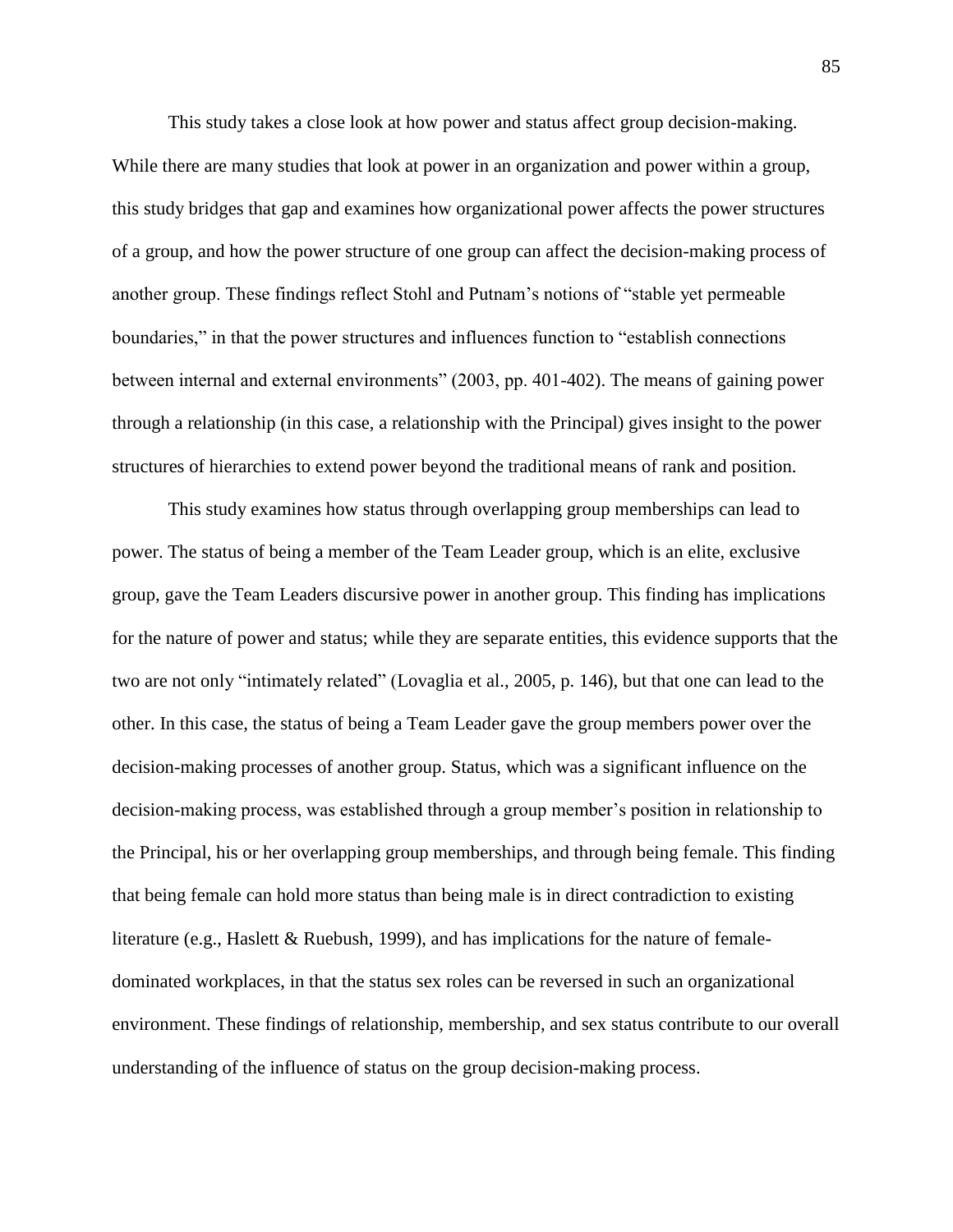This study takes a close look at how power and status affect group decision-making. While there are many studies that look at power in an organization and power within a group, this study bridges that gap and examines how organizational power affects the power structures of a group, and how the power structure of one group can affect the decision-making process of another group. These findings reflect Stohl and Putnam's notions of "stable yet permeable boundaries," in that the power structures and influences function to "establish connections between internal and external environments" (2003, pp. 401-402). The means of gaining power through a relationship (in this case, a relationship with the Principal) gives insight to the power structures of hierarchies to extend power beyond the traditional means of rank and position.

This study examines how status through overlapping group memberships can lead to power. The status of being a member of the Team Leader group, which is an elite, exclusive group, gave the Team Leaders discursive power in another group. This finding has implications for the nature of power and status; while they are separate entities, this evidence supports that the two are not only "intimately related" (Lovaglia et al., 2005, p. 146), but that one can lead to the other. In this case, the status of being a Team Leader gave the group members power over the decision-making processes of another group. Status, which was a significant influence on the decision-making process, was established through a group member's position in relationship to the Principal, his or her overlapping group memberships, and through being female. This finding that being female can hold more status than being male is in direct contradiction to existing literature (e.g., Haslett & Ruebush, 1999), and has implications for the nature of femaledominated workplaces, in that the status sex roles can be reversed in such an organizational environment. These findings of relationship, membership, and sex status contribute to our overall understanding of the influence of status on the group decision-making process.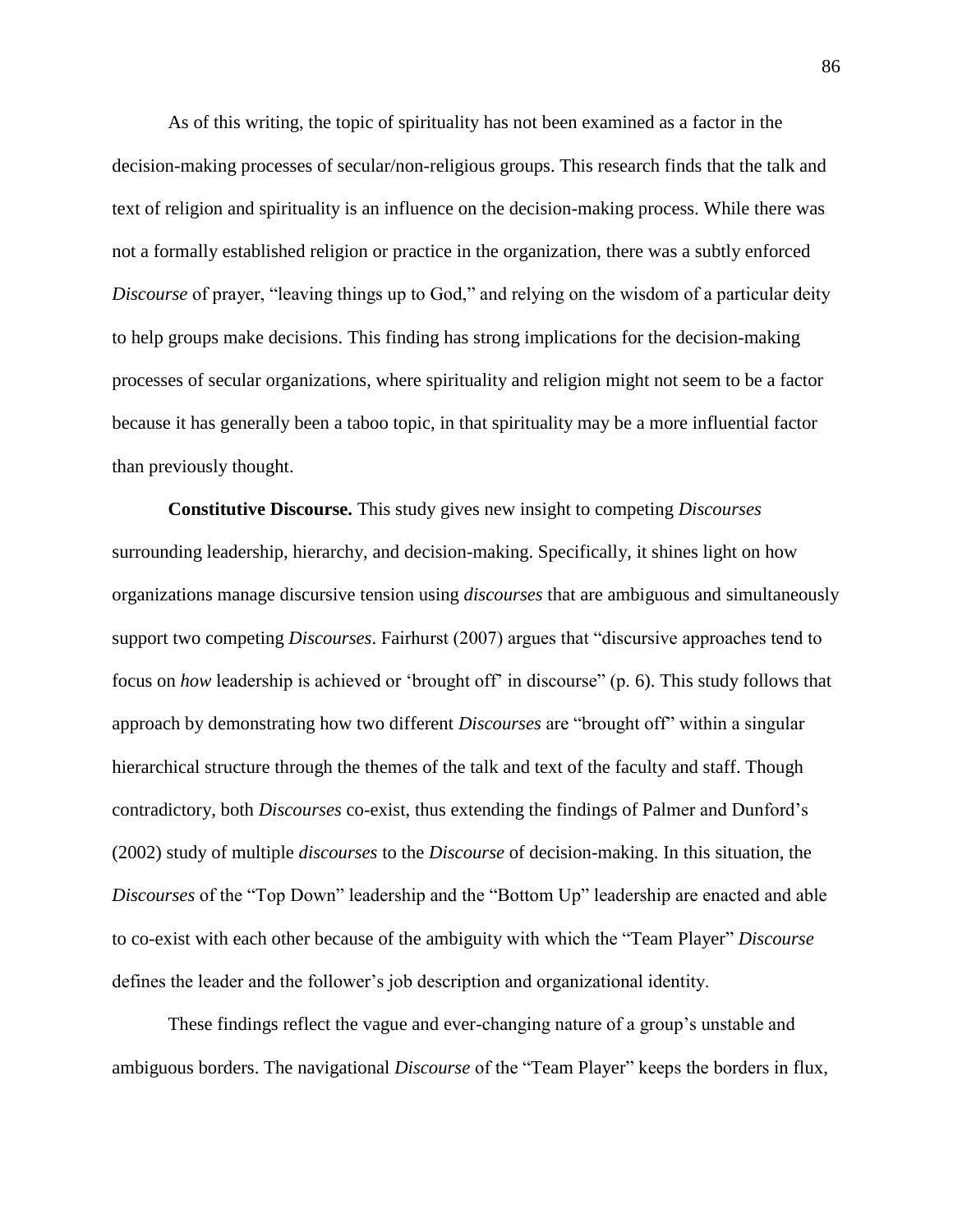As of this writing, the topic of spirituality has not been examined as a factor in the decision-making processes of secular/non-religious groups. This research finds that the talk and text of religion and spirituality is an influence on the decision-making process. While there was not a formally established religion or practice in the organization, there was a subtly enforced *Discourse* of prayer, "leaving things up to God," and relying on the wisdom of a particular deity to help groups make decisions. This finding has strong implications for the decision-making processes of secular organizations, where spirituality and religion might not seem to be a factor because it has generally been a taboo topic, in that spirituality may be a more influential factor than previously thought.

**Constitutive Discourse.** This study gives new insight to competing *Discourses* surrounding leadership, hierarchy, and decision-making. Specifically, it shines light on how organizations manage discursive tension using *discourses* that are ambiguous and simultaneously support two competing *Discourses*. Fairhurst (2007) argues that "discursive approaches tend to focus on *how* leadership is achieved or 'brought off' in discourse" (p. 6). This study follows that approach by demonstrating how two different *Discourses* are "brought off" within a singular hierarchical structure through the themes of the talk and text of the faculty and staff. Though contradictory, both *Discourses* co-exist, thus extending the findings of Palmer and Dunford's (2002) study of multiple *discourses* to the *Discourse* of decision-making. In this situation, the *Discourses* of the "Top Down" leadership and the "Bottom Up" leadership are enacted and able to co-exist with each other because of the ambiguity with which the "Team Player" *Discourse* defines the leader and the follower's job description and organizational identity.

These findings reflect the vague and ever-changing nature of a group's unstable and ambiguous borders. The navigational *Discourse* of the "Team Player" keeps the borders in flux,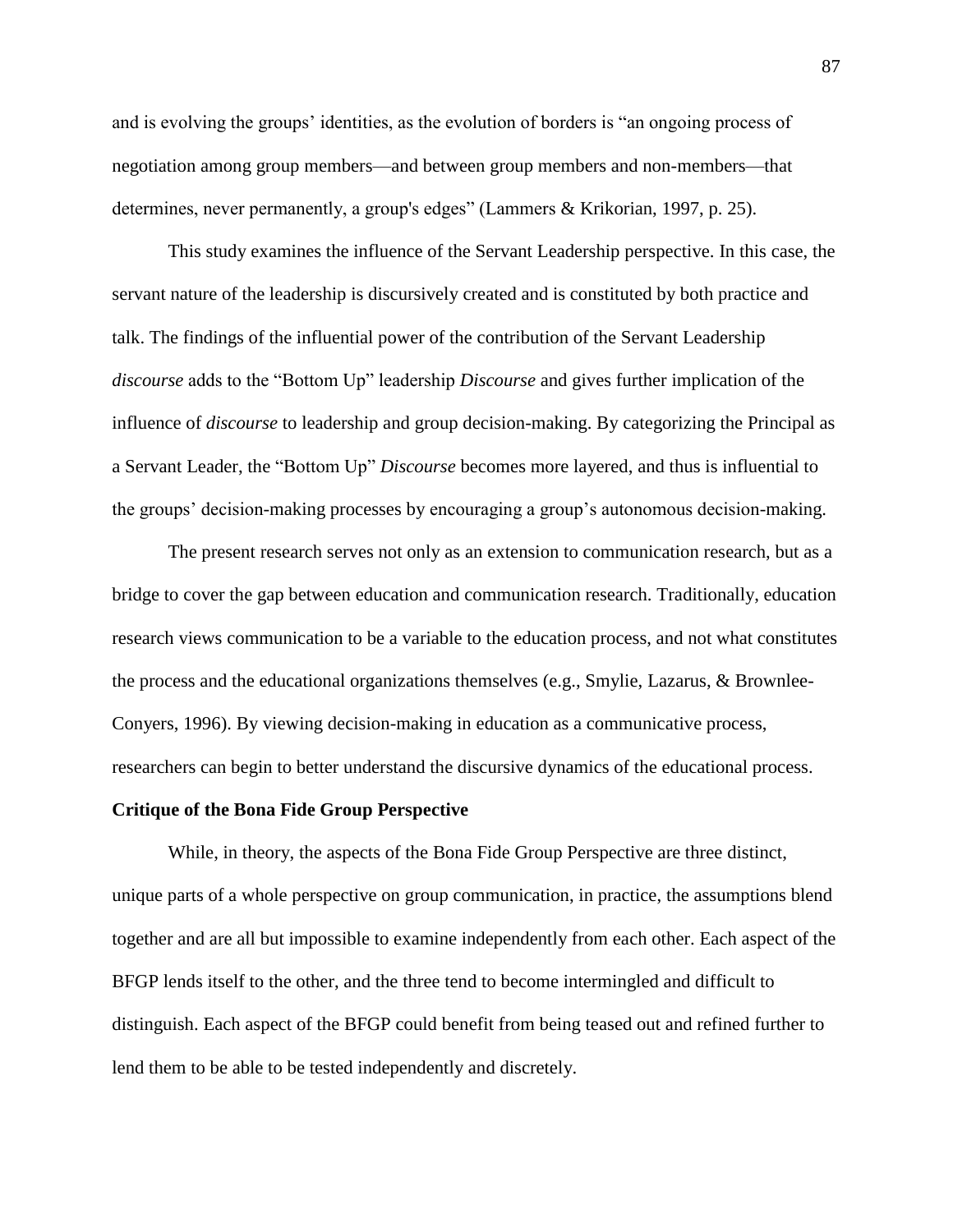and is evolving the groups' identities, as the evolution of borders is "an ongoing process of negotiation among group members—and between group members and non-members—that determines, never permanently, a group's edges" (Lammers & Krikorian, 1997, p. 25).

This study examines the influence of the Servant Leadership perspective. In this case, the servant nature of the leadership is discursively created and is constituted by both practice and talk. The findings of the influential power of the contribution of the Servant Leadership *discourse* adds to the "Bottom Up" leadership *Discourse* and gives further implication of the influence of *discourse* to leadership and group decision-making. By categorizing the Principal as a Servant Leader, the "Bottom Up" *Discourse* becomes more layered, and thus is influential to the groups' decision-making processes by encouraging a group's autonomous decision-making.

The present research serves not only as an extension to communication research, but as a bridge to cover the gap between education and communication research. Traditionally, education research views communication to be a variable to the education process, and not what constitutes the process and the educational organizations themselves (e.g., Smylie, Lazarus, & Brownlee-Conyers, 1996). By viewing decision-making in education as a communicative process, researchers can begin to better understand the discursive dynamics of the educational process.

### **Critique of the Bona Fide Group Perspective**

While, in theory, the aspects of the Bona Fide Group Perspective are three distinct, unique parts of a whole perspective on group communication, in practice, the assumptions blend together and are all but impossible to examine independently from each other. Each aspect of the BFGP lends itself to the other, and the three tend to become intermingled and difficult to distinguish. Each aspect of the BFGP could benefit from being teased out and refined further to lend them to be able to be tested independently and discretely.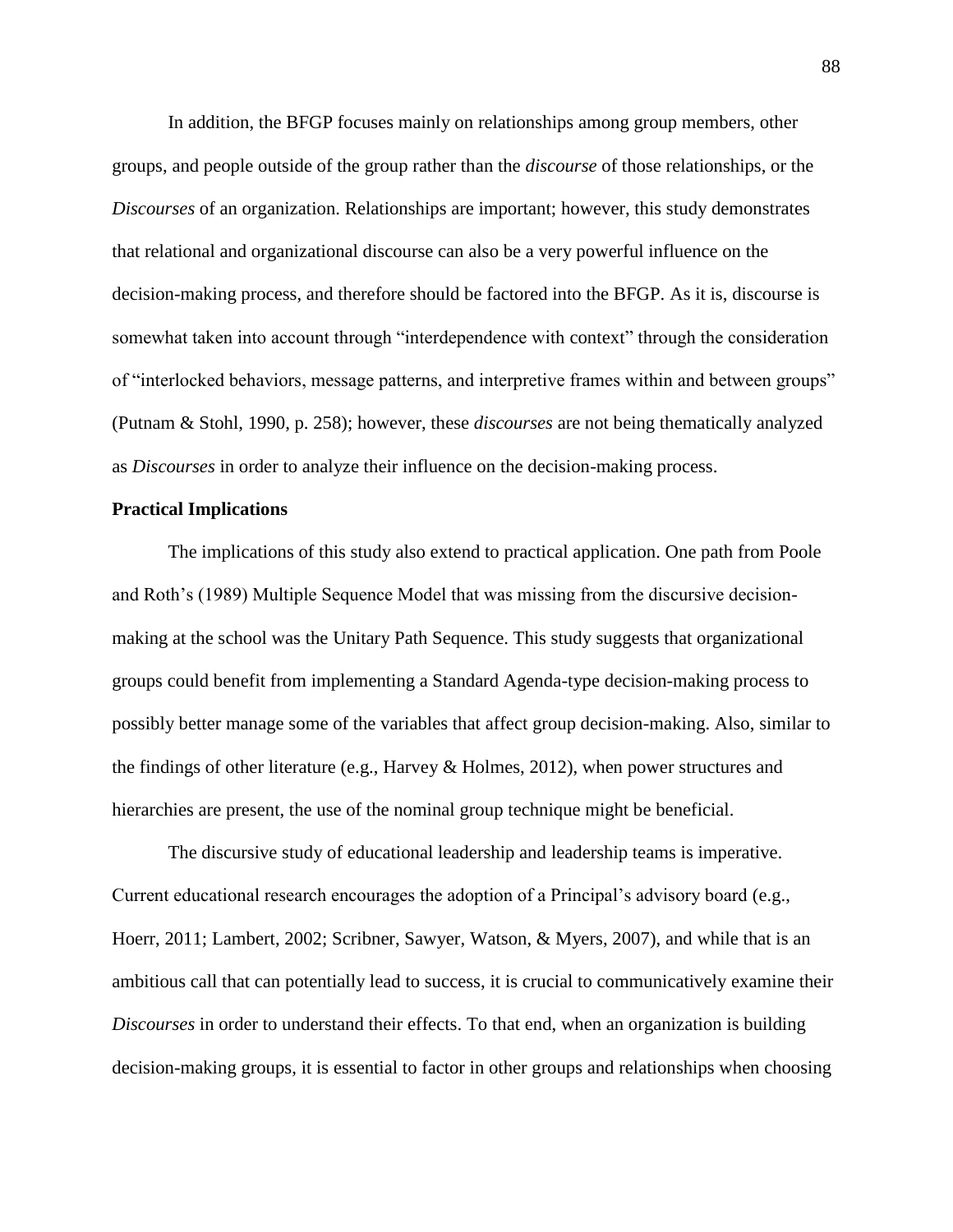In addition, the BFGP focuses mainly on relationships among group members, other groups, and people outside of the group rather than the *discourse* of those relationships, or the *Discourses* of an organization. Relationships are important; however, this study demonstrates that relational and organizational discourse can also be a very powerful influence on the decision-making process, and therefore should be factored into the BFGP. As it is, discourse is somewhat taken into account through "interdependence with context" through the consideration of "interlocked behaviors, message patterns, and interpretive frames within and between groups" (Putnam & Stohl, 1990, p. 258); however, these *discourses* are not being thematically analyzed as *Discourses* in order to analyze their influence on the decision-making process.

# **Practical Implications**

The implications of this study also extend to practical application. One path from Poole and Roth's (1989) Multiple Sequence Model that was missing from the discursive decisionmaking at the school was the Unitary Path Sequence. This study suggests that organizational groups could benefit from implementing a Standard Agenda-type decision-making process to possibly better manage some of the variables that affect group decision-making. Also, similar to the findings of other literature (e.g., Harvey & Holmes, 2012), when power structures and hierarchies are present, the use of the nominal group technique might be beneficial.

The discursive study of educational leadership and leadership teams is imperative. Current educational research encourages the adoption of a Principal's advisory board (e.g., Hoerr, 2011; Lambert, 2002; Scribner, Sawyer, Watson, & Myers, 2007), and while that is an ambitious call that can potentially lead to success, it is crucial to communicatively examine their *Discourses* in order to understand their effects. To that end, when an organization is building decision-making groups, it is essential to factor in other groups and relationships when choosing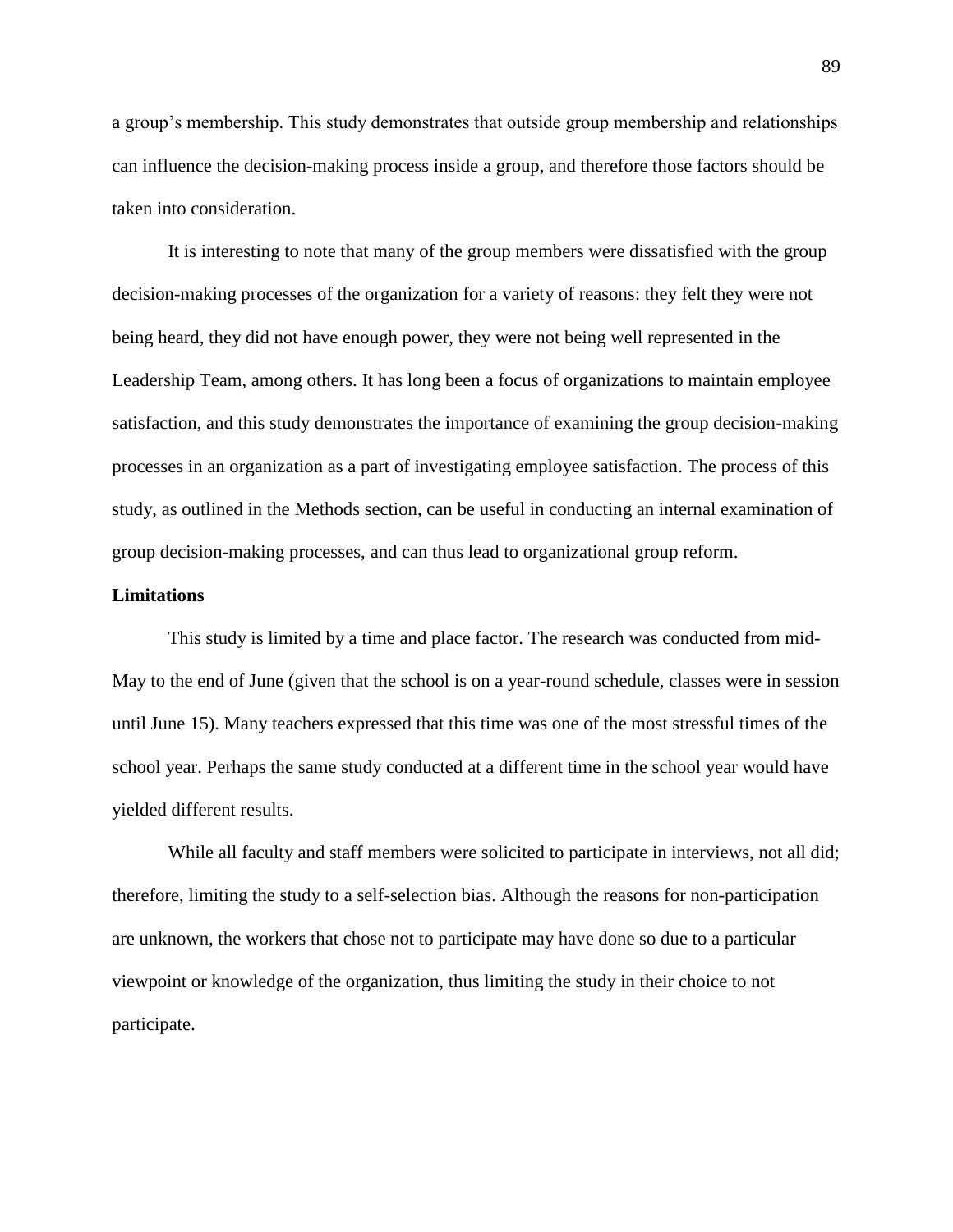a group's membership. This study demonstrates that outside group membership and relationships can influence the decision-making process inside a group, and therefore those factors should be taken into consideration.

It is interesting to note that many of the group members were dissatisfied with the group decision-making processes of the organization for a variety of reasons: they felt they were not being heard, they did not have enough power, they were not being well represented in the Leadership Team, among others. It has long been a focus of organizations to maintain employee satisfaction, and this study demonstrates the importance of examining the group decision-making processes in an organization as a part of investigating employee satisfaction. The process of this study, as outlined in the Methods section, can be useful in conducting an internal examination of group decision-making processes, and can thus lead to organizational group reform.

### **Limitations**

This study is limited by a time and place factor. The research was conducted from mid-May to the end of June (given that the school is on a year-round schedule, classes were in session until June 15). Many teachers expressed that this time was one of the most stressful times of the school year. Perhaps the same study conducted at a different time in the school year would have yielded different results.

While all faculty and staff members were solicited to participate in interviews, not all did; therefore, limiting the study to a self-selection bias. Although the reasons for non-participation are unknown, the workers that chose not to participate may have done so due to a particular viewpoint or knowledge of the organization, thus limiting the study in their choice to not participate.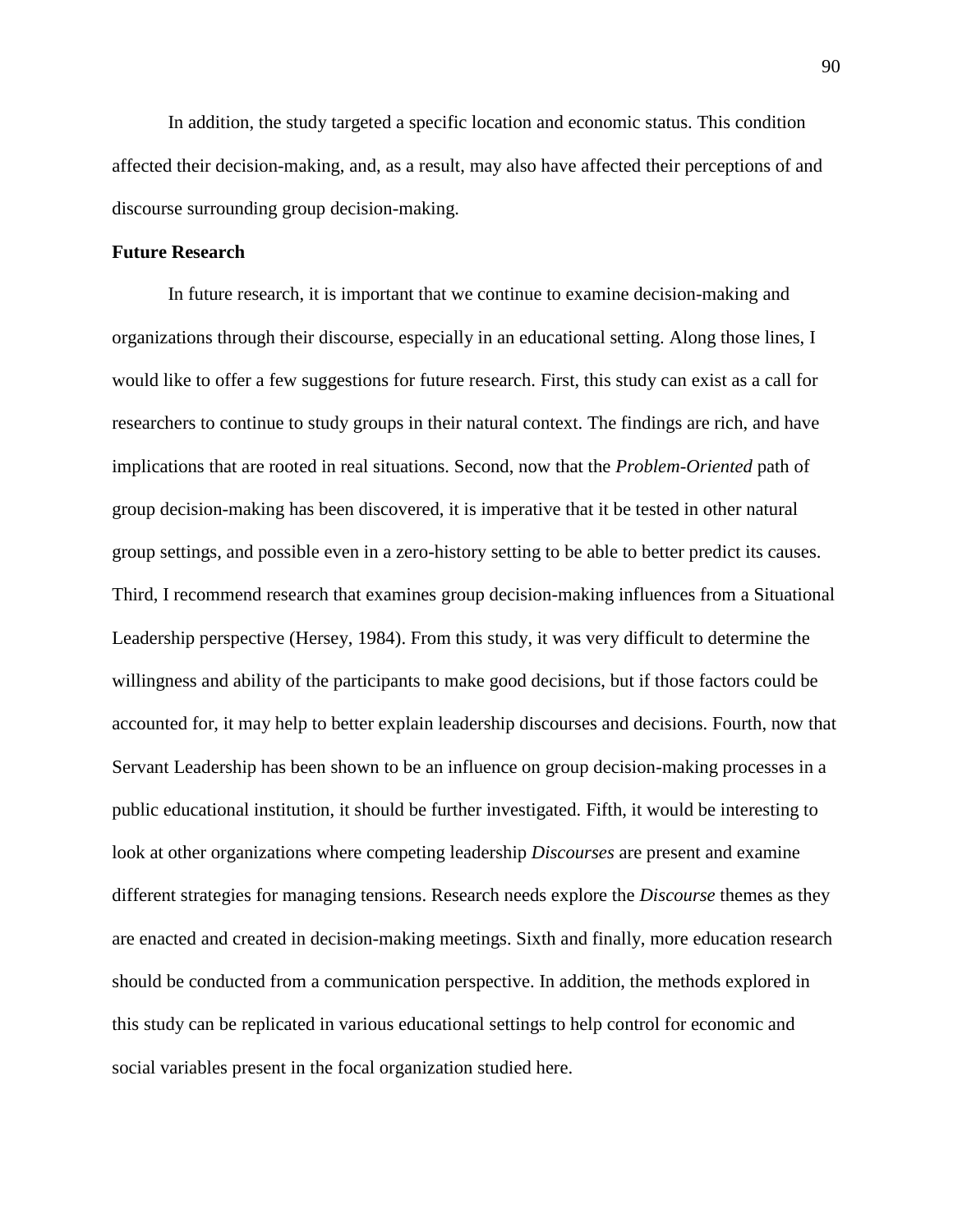In addition, the study targeted a specific location and economic status. This condition affected their decision-making, and, as a result, may also have affected their perceptions of and discourse surrounding group decision-making.

# **Future Research**

In future research, it is important that we continue to examine decision-making and organizations through their discourse, especially in an educational setting. Along those lines, I would like to offer a few suggestions for future research. First, this study can exist as a call for researchers to continue to study groups in their natural context. The findings are rich, and have implications that are rooted in real situations. Second, now that the *Problem-Oriented* path of group decision-making has been discovered, it is imperative that it be tested in other natural group settings, and possible even in a zero-history setting to be able to better predict its causes. Third, I recommend research that examines group decision-making influences from a Situational Leadership perspective (Hersey, 1984). From this study, it was very difficult to determine the willingness and ability of the participants to make good decisions, but if those factors could be accounted for, it may help to better explain leadership discourses and decisions. Fourth, now that Servant Leadership has been shown to be an influence on group decision-making processes in a public educational institution, it should be further investigated. Fifth, it would be interesting to look at other organizations where competing leadership *Discourses* are present and examine different strategies for managing tensions. Research needs explore the *Discourse* themes as they are enacted and created in decision-making meetings. Sixth and finally, more education research should be conducted from a communication perspective. In addition, the methods explored in this study can be replicated in various educational settings to help control for economic and social variables present in the focal organization studied here.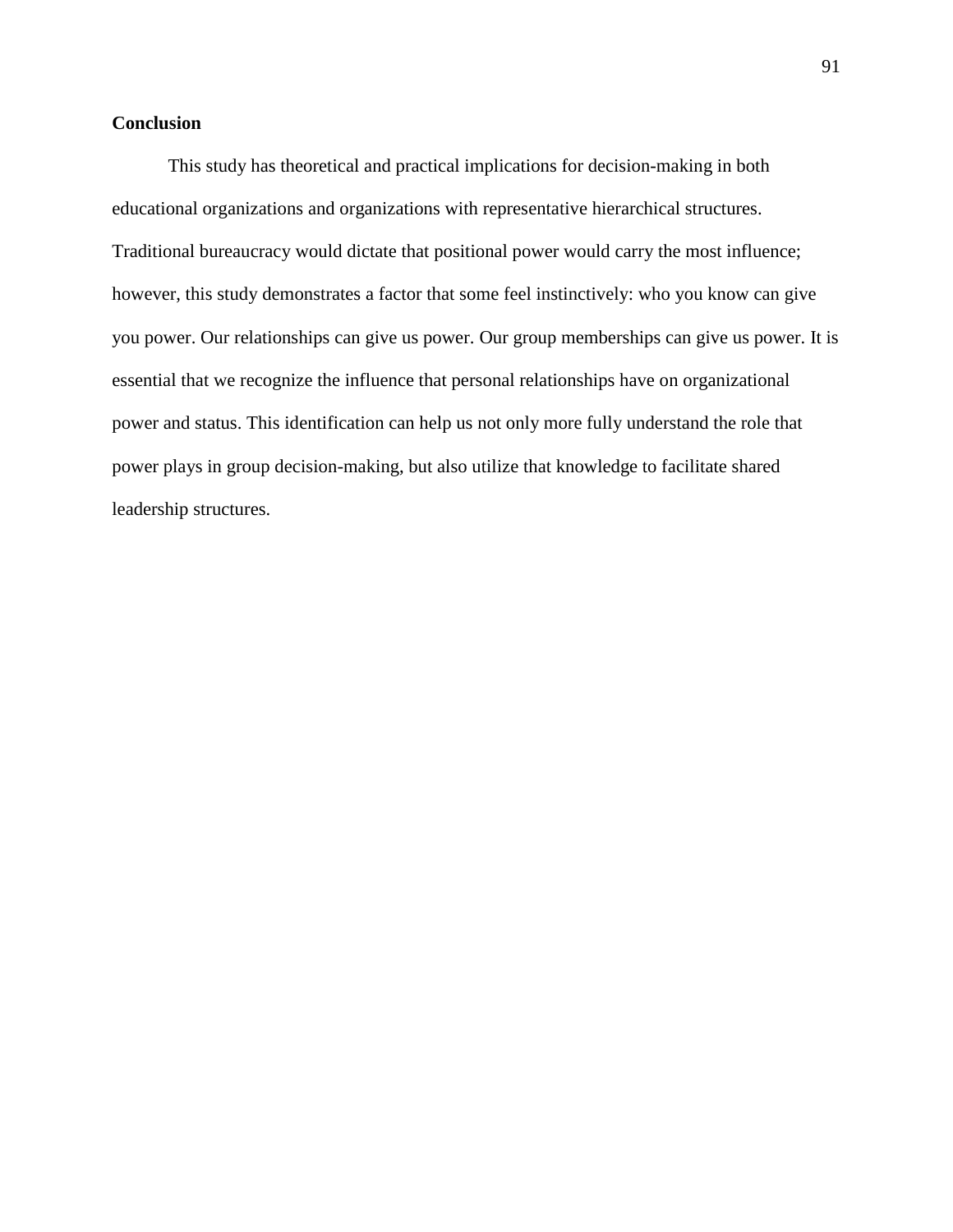# **Conclusion**

This study has theoretical and practical implications for decision-making in both educational organizations and organizations with representative hierarchical structures. Traditional bureaucracy would dictate that positional power would carry the most influence; however, this study demonstrates a factor that some feel instinctively: who you know can give you power. Our relationships can give us power. Our group memberships can give us power. It is essential that we recognize the influence that personal relationships have on organizational power and status. This identification can help us not only more fully understand the role that power plays in group decision-making, but also utilize that knowledge to facilitate shared leadership structures.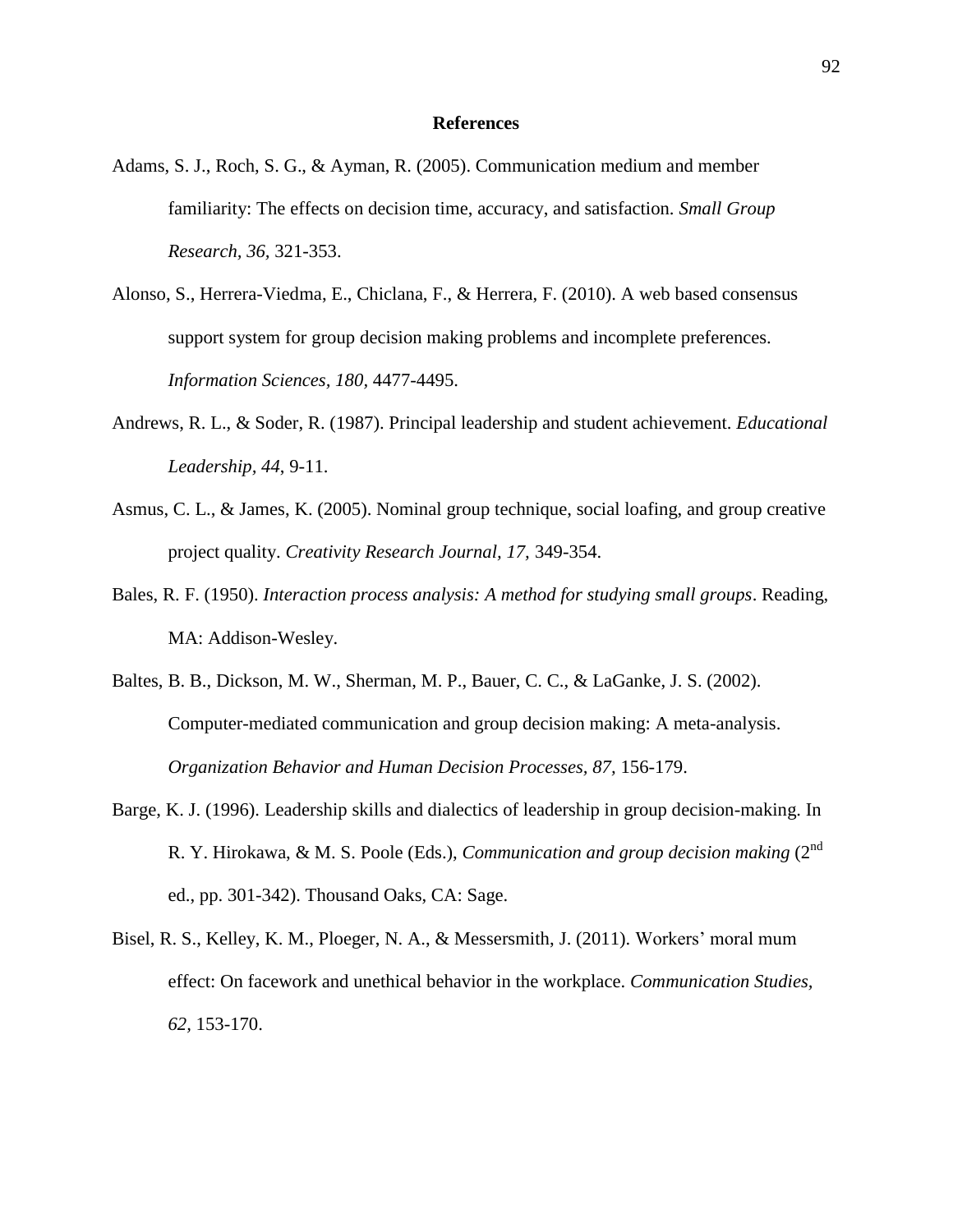### **References**

- Adams, S. J., Roch, S. G., & Ayman, R. (2005). Communication medium and member familiarity: The effects on decision time, accuracy, and satisfaction. *Small Group Research, 36,* 321-353.
- Alonso, S., Herrera-Viedma, E., Chiclana, F., & Herrera, F. (2010). A web based consensus support system for group decision making problems and incomplete preferences. *Information Sciences, 180,* 4477-4495.
- Andrews, R. L., & Soder, R. (1987). Principal leadership and student achievement. *Educational Leadership, 44*, 9-11.
- Asmus, C. L., & James, K. (2005). Nominal group technique, social loafing, and group creative project quality. *Creativity Research Journal, 17,* 349-354.
- Bales, R. F. (1950). *Interaction process analysis: A method for studying small groups*. Reading, MA: Addison-Wesley.
- Baltes, B. B., Dickson, M. W., Sherman, M. P., Bauer, C. C., & LaGanke, J. S. (2002). Computer-mediated communication and group decision making: A meta-analysis. *Organization Behavior and Human Decision Processes, 87,* 156-179.
- Barge, K. J. (1996). Leadership skills and dialectics of leadership in group decision-making. In R. Y. Hirokawa, & M. S. Poole (Eds.), *Communication and group decision making* (2<sup>nd</sup>) ed., pp. 301-342). Thousand Oaks, CA: Sage.
- Bisel, R. S., Kelley, K. M., Ploeger, N. A., & Messersmith, J. (2011). Workers' moral mum effect: On facework and unethical behavior in the workplace. *Communication Studies, 62,* 153-170.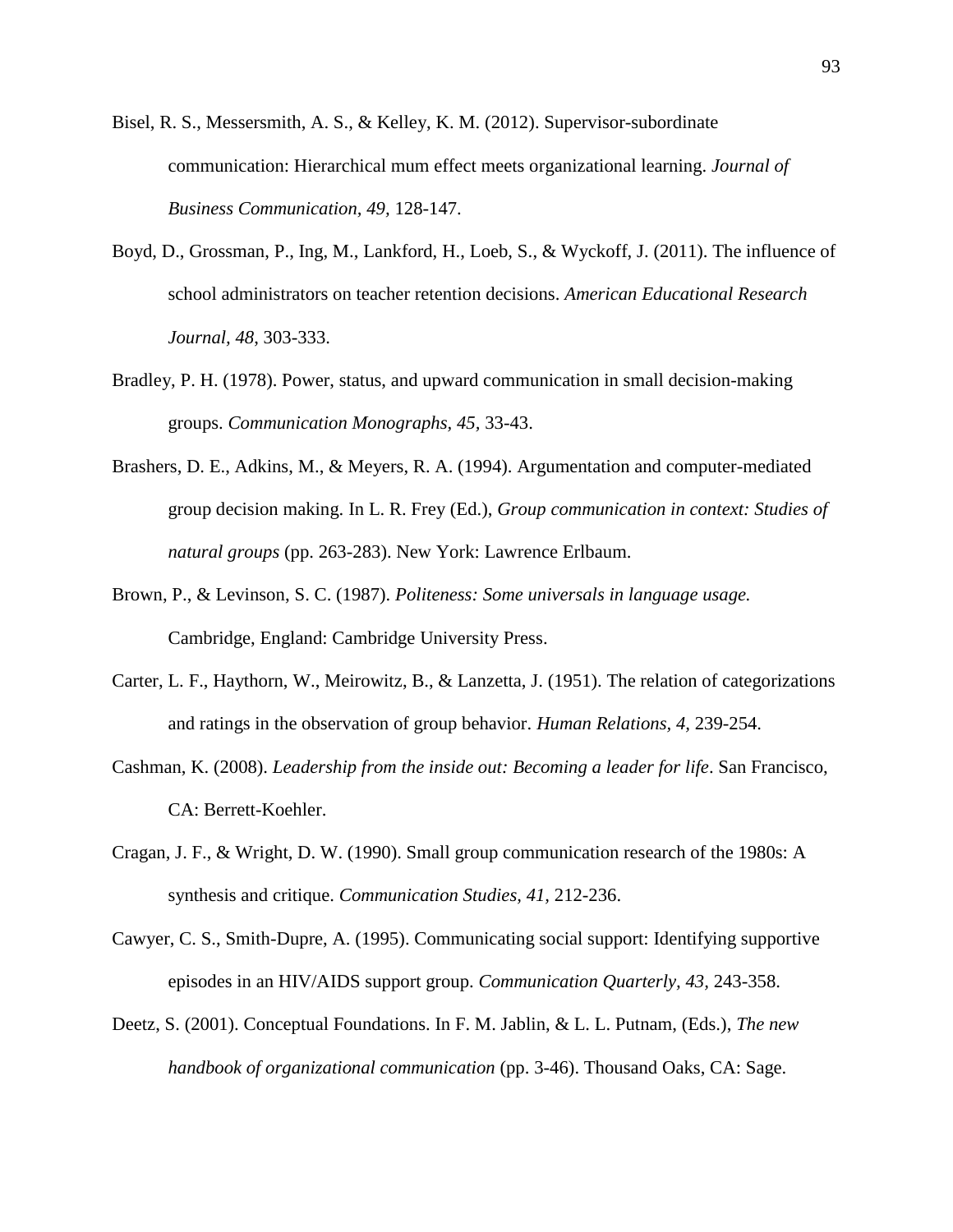- Bisel, R. S., Messersmith, A. S., & Kelley, K. M. (2012). Supervisor-subordinate communication: Hierarchical mum effect meets organizational learning. *Journal of Business Communication, 49,* 128-147.
- Boyd, D., Grossman, P., Ing, M., Lankford, H., Loeb, S., & Wyckoff, J. (2011). The influence of school administrators on teacher retention decisions. *American Educational Research Journal, 48*, 303-333.
- Bradley, P. H. (1978). Power, status, and upward communication in small decision-making groups. *Communication Monographs, 45,* 33-43.
- Brashers, D. E., Adkins, M., & Meyers, R. A. (1994). Argumentation and computer-mediated group decision making. In L. R. Frey (Ed.), *Group communication in context: Studies of natural groups* (pp. 263-283). New York: Lawrence Erlbaum.
- Brown, P., & Levinson, S. C. (1987). *Politeness: Some universals in language usage.*  Cambridge, England: Cambridge University Press.
- Carter, L. F., Haythorn, W., Meirowitz, B., & Lanzetta, J. (1951). The relation of categorizations and ratings in the observation of group behavior. *Human Relations, 4,* 239-254.
- Cashman, K. (2008). *Leadership from the inside out: Becoming a leader for life*. San Francisco, CA: Berrett-Koehler.
- Cragan, J. F., & Wright, D. W. (1990). Small group communication research of the 1980s: A synthesis and critique. *Communication Studies, 41,* 212-236.
- Cawyer, C. S., Smith-Dupre, A. (1995). Communicating social support: Identifying supportive episodes in an HIV/AIDS support group. *Communication Quarterly, 43,* 243-358.
- Deetz, S. (2001). Conceptual Foundations. In F. M. Jablin, & L. L. Putnam, (Eds.), *The new handbook of organizational communication* (pp. 3-46). Thousand Oaks, CA: Sage.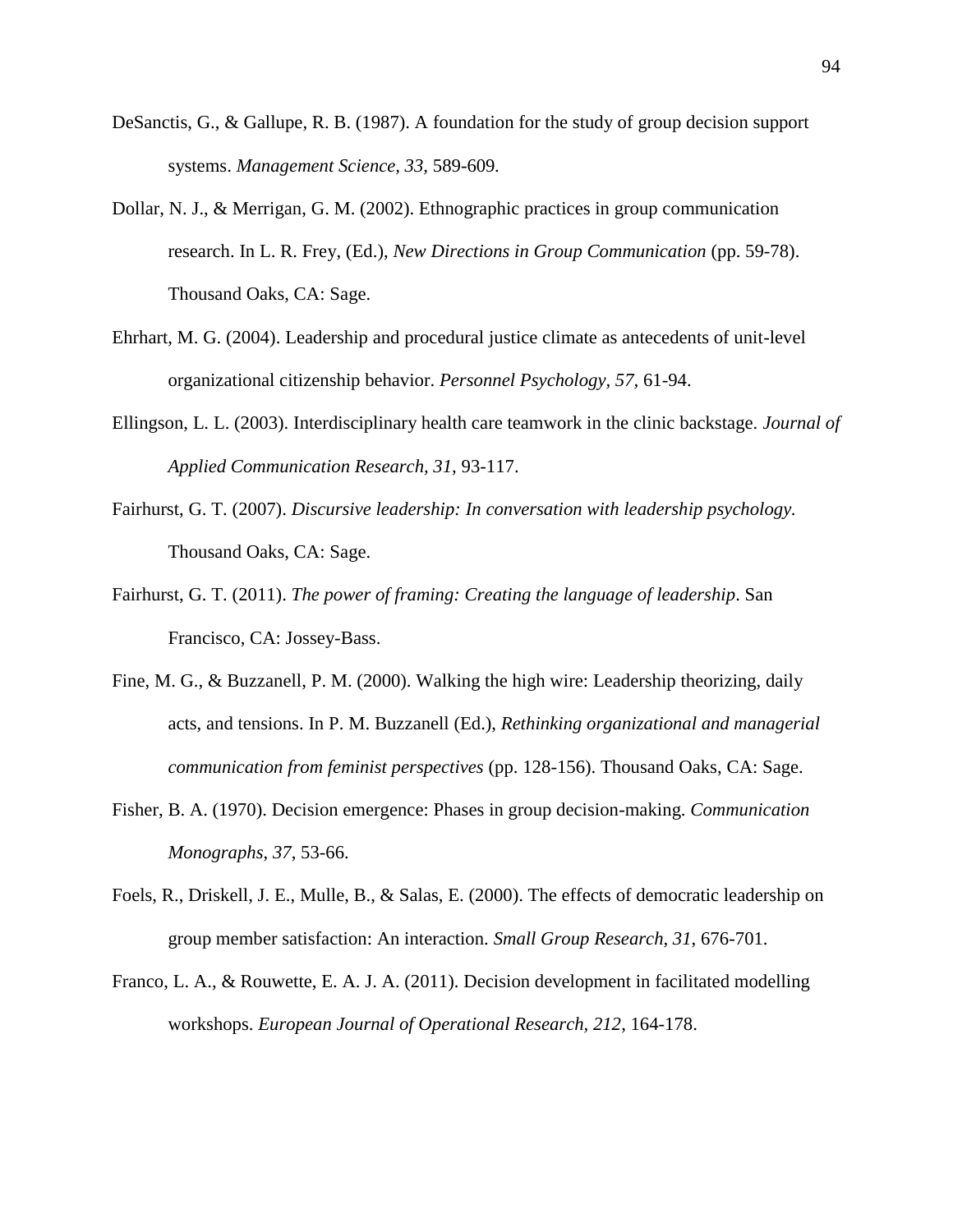- DeSanctis, G., & Gallupe, R. B. (1987). A foundation for the study of group decision support systems. *Management Science, 33,* 589-609*.*
- Dollar, N. J., & Merrigan, G. M. (2002). Ethnographic practices in group communication research. In L. R. Frey, (Ed.), *New Directions in Group Communication* (pp. 59-78). Thousand Oaks, CA: Sage.
- Ehrhart, M. G. (2004). Leadership and procedural justice climate as antecedents of unit-level organizational citizenship behavior. *Personnel Psychology, 57,* 61-94.
- Ellingson, L. L. (2003). Interdisciplinary health care teamwork in the clinic backstage. *Journal of Applied Communication Research, 31,* 93-117.
- Fairhurst, G. T. (2007). *Discursive leadership: In conversation with leadership psychology.* Thousand Oaks, CA: Sage.
- Fairhurst, G. T. (2011). *The power of framing: Creating the language of leadership*. San Francisco, CA: Jossey-Bass.
- Fine, M. G., & Buzzanell, P. M. (2000). Walking the high wire: Leadership theorizing, daily acts, and tensions. In P. M. Buzzanell (Ed.), *Rethinking organizational and managerial communication from feminist perspectives* (pp. 128-156). Thousand Oaks, CA: Sage.
- Fisher, B. A. (1970). Decision emergence: Phases in group decision-making. *Communication Monographs*, *37*, 53-66.
- Foels, R., Driskell, J. E., Mulle, B., & Salas, E. (2000). The effects of democratic leadership on group member satisfaction: An interaction. *Small Group Research, 31*, 676-701.
- Franco, L. A., & Rouwette, E. A. J. A. (2011). Decision development in facilitated modelling workshops. *European Journal of Operational Research, 212*, 164-178.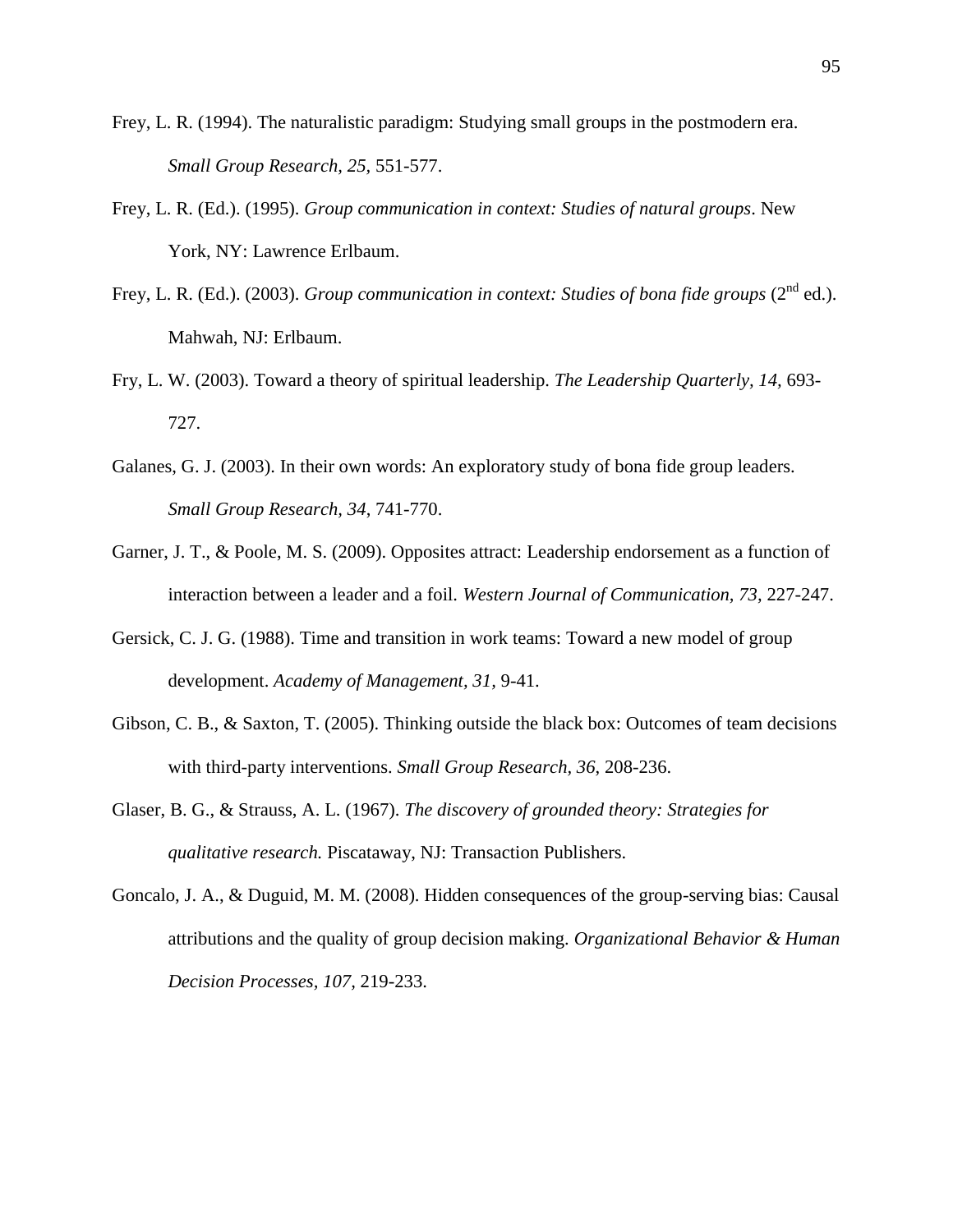- Frey, L. R. (1994). The naturalistic paradigm: Studying small groups in the postmodern era. *Small Group Research, 25,* 551-577.
- Frey, L. R. (Ed.). (1995). *Group communication in context: Studies of natural groups*. New York, NY: Lawrence Erlbaum.
- Frey, L. R. (Ed.). (2003). *Group communication in context: Studies of bona fide groups* (2<sup>nd</sup> ed.). Mahwah, NJ: Erlbaum.
- Fry, L. W. (2003). Toward a theory of spiritual leadership. *The Leadership Quarterly, 14,* 693- 727.
- Galanes, G. J. (2003). In their own words: An exploratory study of bona fide group leaders. *Small Group Research, 34*, 741-770.
- Garner, J. T., & Poole, M. S. (2009). Opposites attract: Leadership endorsement as a function of interaction between a leader and a foil. *Western Journal of Communication, 73,* 227-247.
- Gersick, C. J. G. (1988). Time and transition in work teams: Toward a new model of group development. *Academy of Management, 31,* 9-41.
- Gibson, C. B., & Saxton, T. (2005). Thinking outside the black box: Outcomes of team decisions with third-party interventions. *Small Group Research, 36*, 208-236.
- Glaser, B. G., & Strauss, A. L. (1967). *The discovery of grounded theory: Strategies for qualitative research.* Piscataway, NJ: Transaction Publishers.
- Goncalo, J. A., & Duguid, M. M. (2008). Hidden consequences of the group-serving bias: Causal attributions and the quality of group decision making. *Organizational Behavior & Human Decision Processes, 107,* 219-233.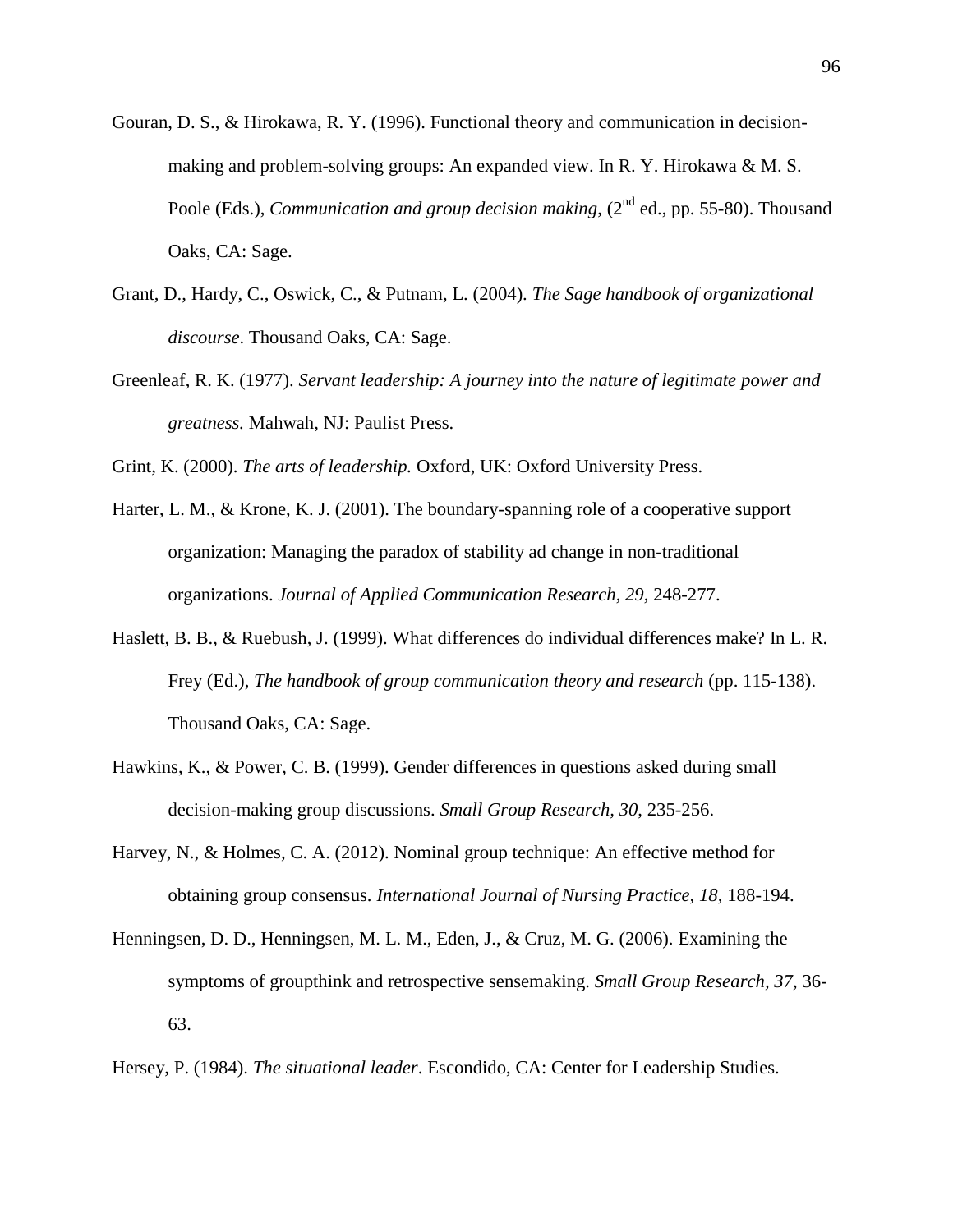- Gouran, D. S., & Hirokawa, R. Y. (1996). Functional theory and communication in decisionmaking and problem-solving groups: An expanded view. In R. Y. Hirokawa & M. S. Poole (Eds.), *Communication and group decision making*, (2<sup>nd</sup> ed., pp. 55-80). Thousand Oaks, CA: Sage.
- Grant, D., Hardy, C., Oswick, C., & Putnam, L. (2004). *The Sage handbook of organizational discourse*. Thousand Oaks, CA: Sage.
- Greenleaf, R. K. (1977). *Servant leadership: A journey into the nature of legitimate power and greatness.* Mahwah, NJ: Paulist Press.

Grint, K. (2000). *The arts of leadership.* Oxford, UK: Oxford University Press.

- Harter, L. M., & Krone, K. J. (2001). The boundary-spanning role of a cooperative support organization: Managing the paradox of stability ad change in non-traditional organizations. *Journal of Applied Communication Research, 29,* 248-277.
- Haslett, B. B., & Ruebush, J. (1999). What differences do individual differences make? In L. R. Frey (Ed.), *The handbook of group communication theory and research* (pp. 115-138). Thousand Oaks, CA: Sage.
- Hawkins, K., & Power, C. B. (1999). Gender differences in questions asked during small decision-making group discussions. *Small Group Research, 30*, 235-256.
- Harvey, N., & Holmes, C. A. (2012). Nominal group technique: An effective method for obtaining group consensus. *International Journal of Nursing Practice, 18,* 188-194.
- Henningsen, D. D., Henningsen, M. L. M., Eden, J., & Cruz, M. G. (2006). Examining the symptoms of groupthink and retrospective sensemaking. *Small Group Research, 37,* 36- 63.
- Hersey, P. (1984). *The situational leader*. Escondido, CA: Center for Leadership Studies.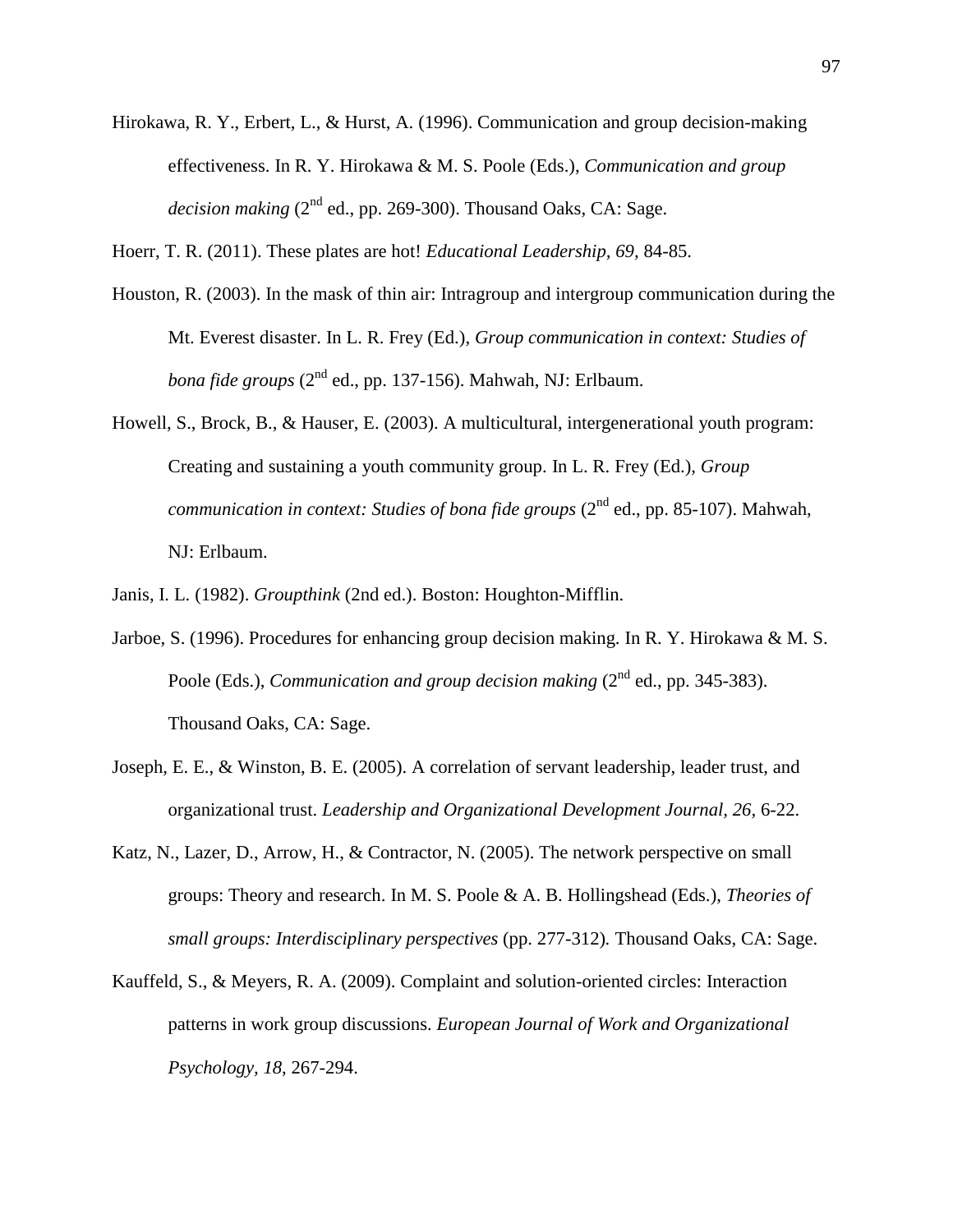- Hirokawa, R. Y., Erbert, L., & Hurst, A. (1996). Communication and group decision-making effectiveness. In R. Y. Hirokawa & M. S. Poole (Eds.), *Communication and group decision making* (2<sup>nd</sup> ed., pp. 269-300). Thousand Oaks, CA: Sage.
- Hoerr, T. R. (2011). These plates are hot! *Educational Leadership, 69,* 84-85.
- Houston, R. (2003). In the mask of thin air: Intragroup and intergroup communication during the Mt. Everest disaster. In L. R. Frey (Ed.), *Group communication in context: Studies of bona fide groups* (2<sup>nd</sup> ed., pp. 137-156). Mahwah, NJ: Erlbaum.
- Howell, S., Brock, B., & Hauser, E. (2003). A multicultural, intergenerational youth program: Creating and sustaining a youth community group. In L. R. Frey (Ed.), *Group communication in context: Studies of bona fide groups* (2<sup>nd</sup> ed., pp. 85-107). Mahwah, NJ: Erlbaum.
- Janis, I. L. (1982). *Groupthink* (2nd ed.). Boston: Houghton-Mifflin.
- Jarboe, S. (1996). Procedures for enhancing group decision making. In R. Y. Hirokawa & M. S. Poole (Eds.), *Communication and group decision making* (2<sup>nd</sup> ed., pp. 345-383). Thousand Oaks, CA: Sage.
- Joseph, E. E., & Winston, B. E. (2005). A correlation of servant leadership, leader trust, and organizational trust. *Leadership and Organizational Development Journal, 26,* 6-22.
- Katz, N., Lazer, D., Arrow, H., & Contractor, N. (2005). The network perspective on small groups: Theory and research. In M. S. Poole & A. B. Hollingshead (Eds.), *Theories of small groups: Interdisciplinary perspectives* (pp. 277-312)*.* Thousand Oaks, CA: Sage.
- Kauffeld, S., & Meyers, R. A. (2009). Complaint and solution-oriented circles: Interaction patterns in work group discussions. *European Journal of Work and Organizational Psychology, 18*, 267-294.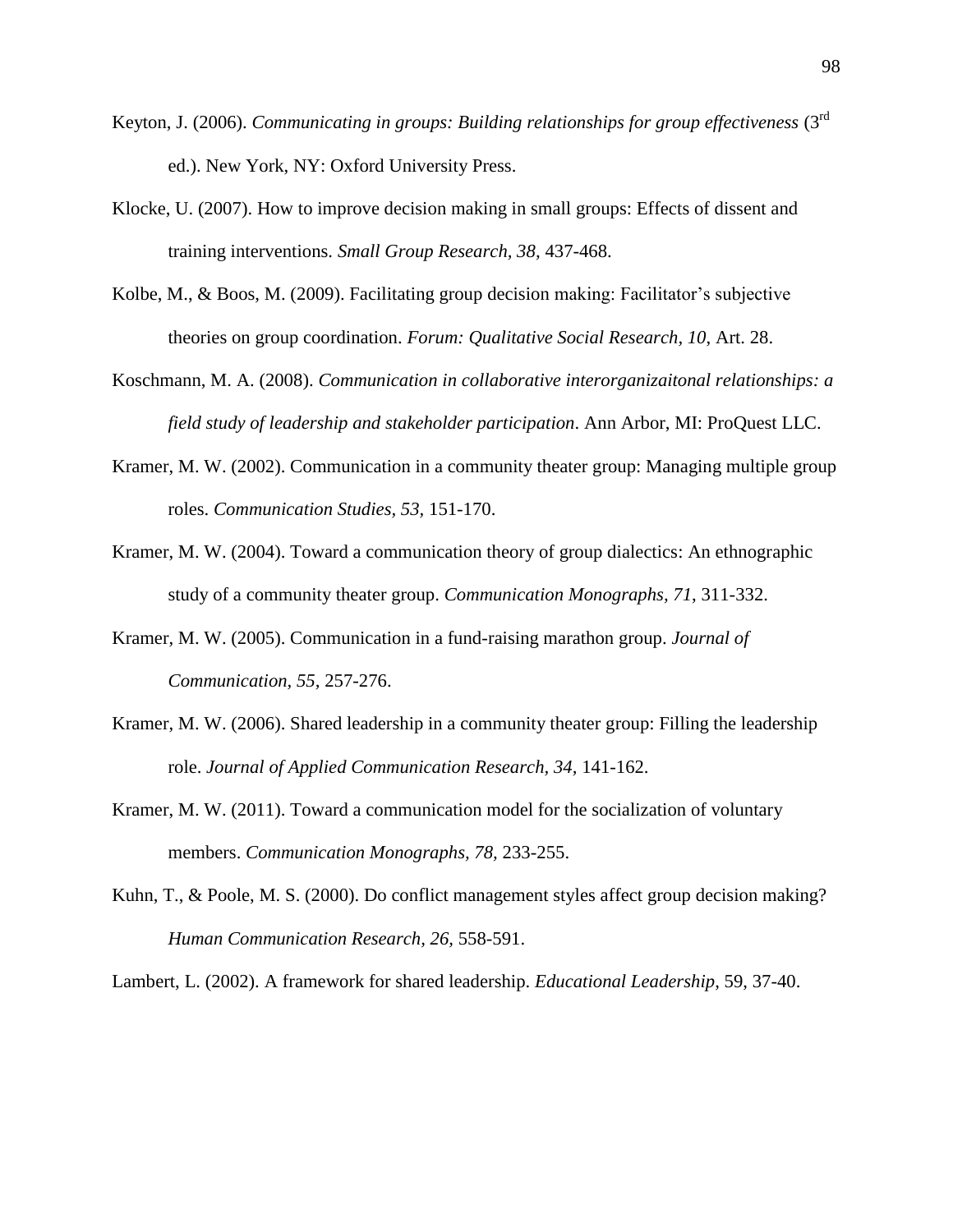- Keyton, J. (2006). *Communicating in groups: Building relationships for group effectiveness* (3<sup>rd</sup> ed.). New York, NY: Oxford University Press.
- Klocke, U. (2007). How to improve decision making in small groups: Effects of dissent and training interventions. *Small Group Research, 38,* 437-468.
- Kolbe, M., & Boos, M. (2009). Facilitating group decision making: Facilitator's subjective theories on group coordination. *Forum: Qualitative Social Research, 10*, Art. 28.
- Koschmann, M. A. (2008). *Communication in collaborative interorganizaitonal relationships: a field study of leadership and stakeholder participation*. Ann Arbor, MI: ProQuest LLC.
- Kramer, M. W. (2002). Communication in a community theater group: Managing multiple group roles. *Communication Studies, 53,* 151-170.
- Kramer, M. W. (2004). Toward a communication theory of group dialectics: An ethnographic study of a community theater group. *Communication Monographs, 71*, 311-332.
- Kramer, M. W. (2005). Communication in a fund-raising marathon group. *Journal of Communication, 55,* 257-276.
- Kramer, M. W. (2006). Shared leadership in a community theater group: Filling the leadership role. *Journal of Applied Communication Research, 34,* 141-162.
- Kramer, M. W. (2011). Toward a communication model for the socialization of voluntary members. *Communication Monographs, 78,* 233-255.
- Kuhn, T., & Poole, M. S. (2000). Do conflict management styles affect group decision making? *Human Communication Research, 26,* 558-591.

Lambert, L. (2002). A framework for shared leadership. *Educational Leadership*, 59, 37-40.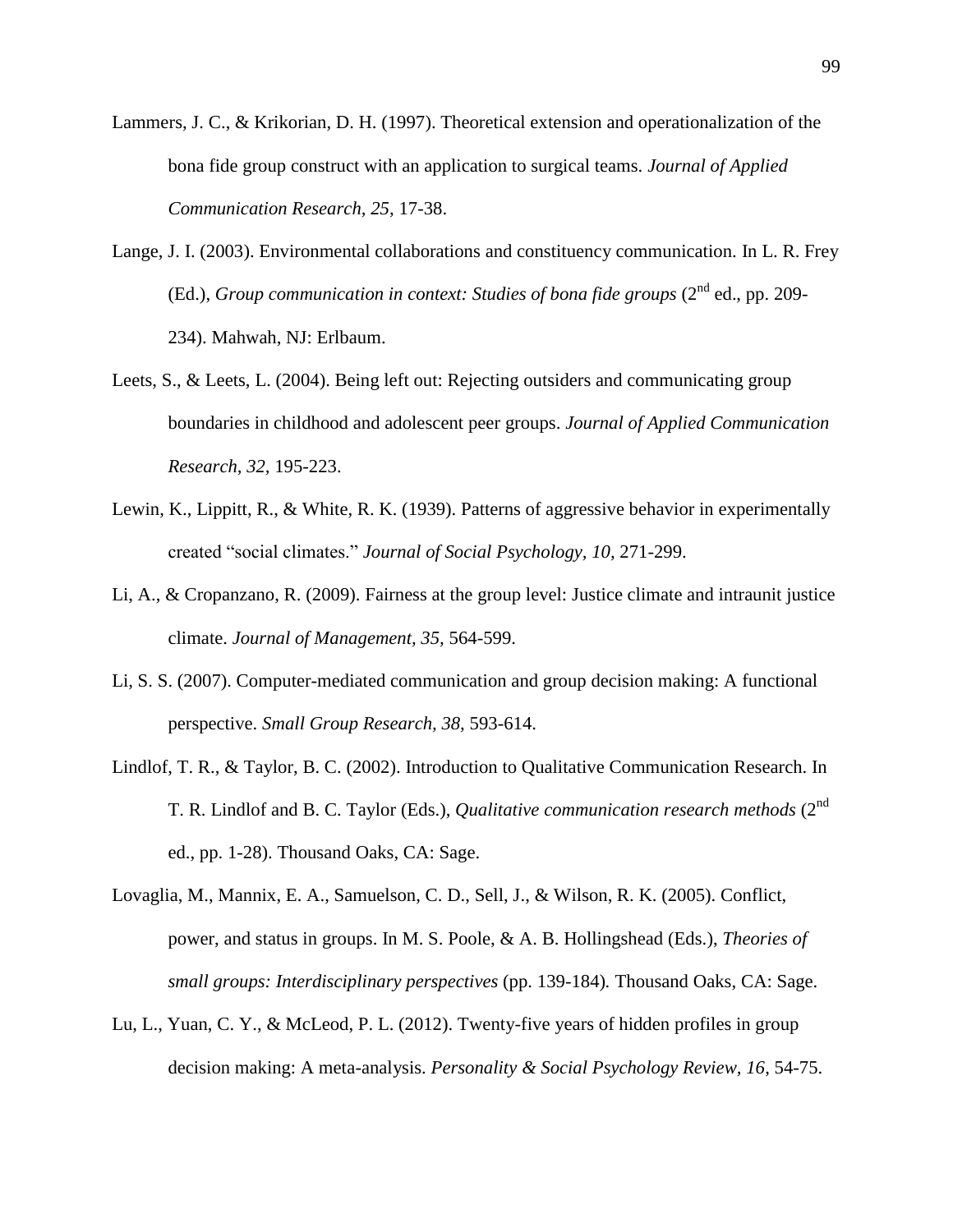- Lammers, J. C., & Krikorian, D. H. (1997). Theoretical extension and operationalization of the bona fide group construct with an application to surgical teams. *Journal of Applied Communication Research, 25*, 17-38.
- Lange, J. I. (2003). Environmental collaborations and constituency communication. In L. R. Frey (Ed.), *Group communication in context: Studies of bona fide groups* (2<sup>nd</sup> ed., pp. 209-234). Mahwah, NJ: Erlbaum.
- Leets, S., & Leets, L. (2004). Being left out: Rejecting outsiders and communicating group boundaries in childhood and adolescent peer groups. *Journal of Applied Communication Research, 32,* 195-223.
- Lewin, K., Lippitt, R., & White, R. K. (1939). Patterns of aggressive behavior in experimentally created "social climates." *Journal of Social Psychology, 10,* 271-299.
- Li, A., & Cropanzano, R. (2009). Fairness at the group level: Justice climate and intraunit justice climate. *Journal of Management, 35,* 564-599.
- Li, S. S. (2007). Computer-mediated communication and group decision making: A functional perspective. *Small Group Research, 38,* 593-614.
- Lindlof, T. R., & Taylor, B. C. (2002). Introduction to Qualitative Communication Research. In T. R. Lindlof and B. C. Taylor (Eds.), *Qualitative communication research methods* (2<sup>nd</sup>) ed., pp. 1-28). Thousand Oaks, CA: Sage.
- Lovaglia, M., Mannix, E. A., Samuelson, C. D., Sell, J., & Wilson, R. K. (2005). Conflict, power, and status in groups. In M. S. Poole, & A. B. Hollingshead (Eds.), *Theories of small groups: Interdisciplinary perspectives* (pp. 139-184)*.* Thousand Oaks, CA: Sage.
- Lu, L., Yuan, C. Y., & McLeod, P. L. (2012). Twenty-five years of hidden profiles in group decision making: A meta-analysis. *Personality & Social Psychology Review, 16*, 54-75.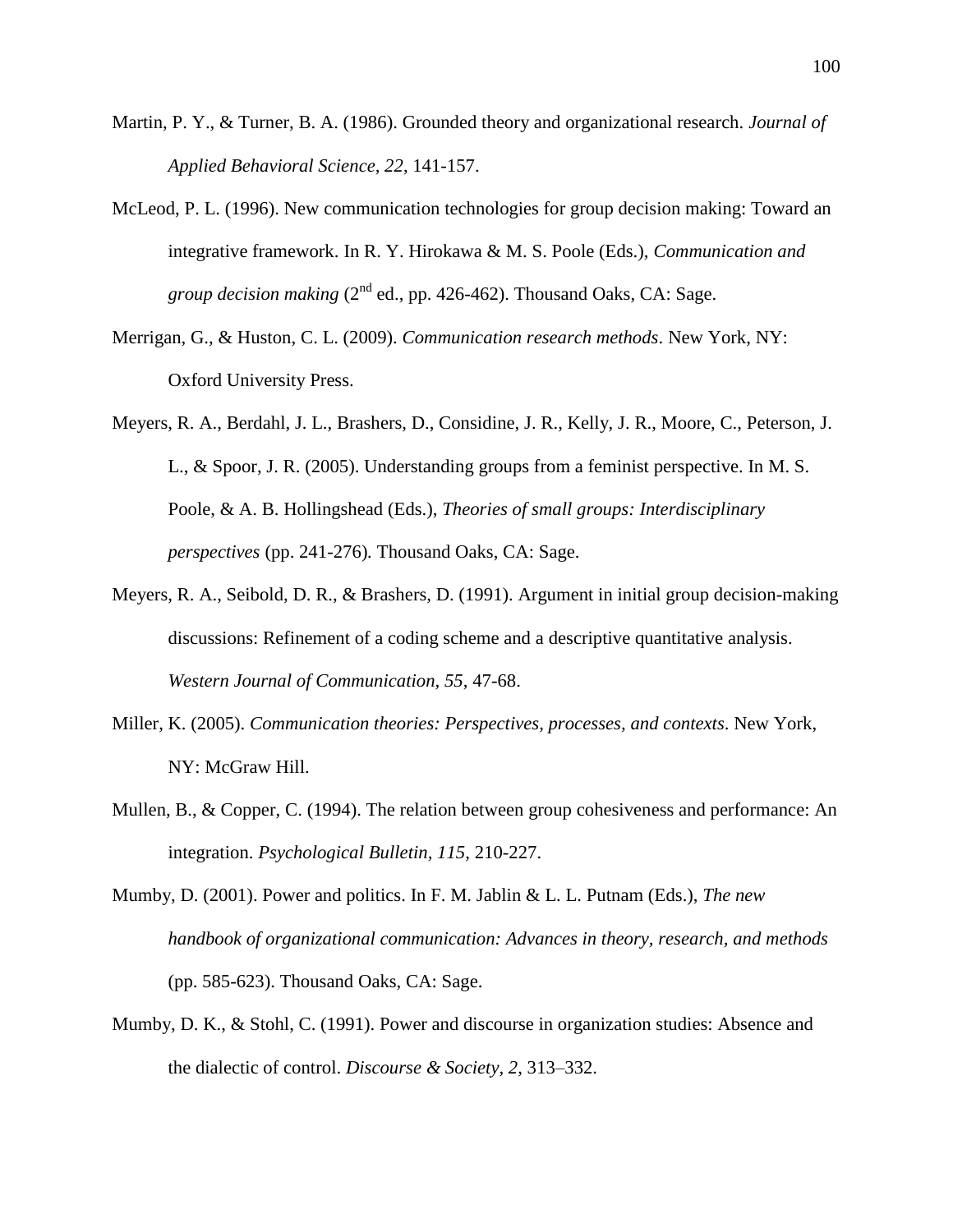- Martin, P. Y., & Turner, B. A. (1986). Grounded theory and organizational research. *Journal of Applied Behavioral Science, 22*, 141-157.
- McLeod, P. L. (1996). New communication technologies for group decision making: Toward an integrative framework. In R. Y. Hirokawa & M. S. Poole (Eds.), *Communication and group decision making*  $(2^{nd}$  ed., pp. 426-462). Thousand Oaks, CA: Sage.
- Merrigan, G., & Huston, C. L. (2009). *Communication research methods*. New York, NY: Oxford University Press.
- Meyers, R. A., Berdahl, J. L., Brashers, D., Considine, J. R., Kelly, J. R., Moore, C., Peterson, J. L., & Spoor, J. R. (2005). Understanding groups from a feminist perspective. In M. S. Poole, & A. B. Hollingshead (Eds.), *Theories of small groups: Interdisciplinary perspectives* (pp. 241-276)*.* Thousand Oaks, CA: Sage.
- Meyers, R. A., Seibold, D. R., & Brashers, D. (1991). Argument in initial group decision-making discussions: Refinement of a coding scheme and a descriptive quantitative analysis. *Western Journal of Communication, 55*, 47-68.
- Miller, K. (2005). *Communication theories: Perspectives, processes, and contexts*. New York, NY: McGraw Hill.
- Mullen, B., & Copper, C. (1994). The relation between group cohesiveness and performance: An integration. *Psychological Bulletin, 115*, 210-227.
- Mumby, D. (2001). Power and politics. In F. M. Jablin & L. L. Putnam (Eds.), *The new handbook of organizational communication: Advances in theory, research, and methods*  (pp. 585-623). Thousand Oaks, CA: Sage.
- Mumby, D. K., & Stohl, C. (1991). Power and discourse in organization studies: Absence and the dialectic of control. *Discourse & Society, 2*, 313–332.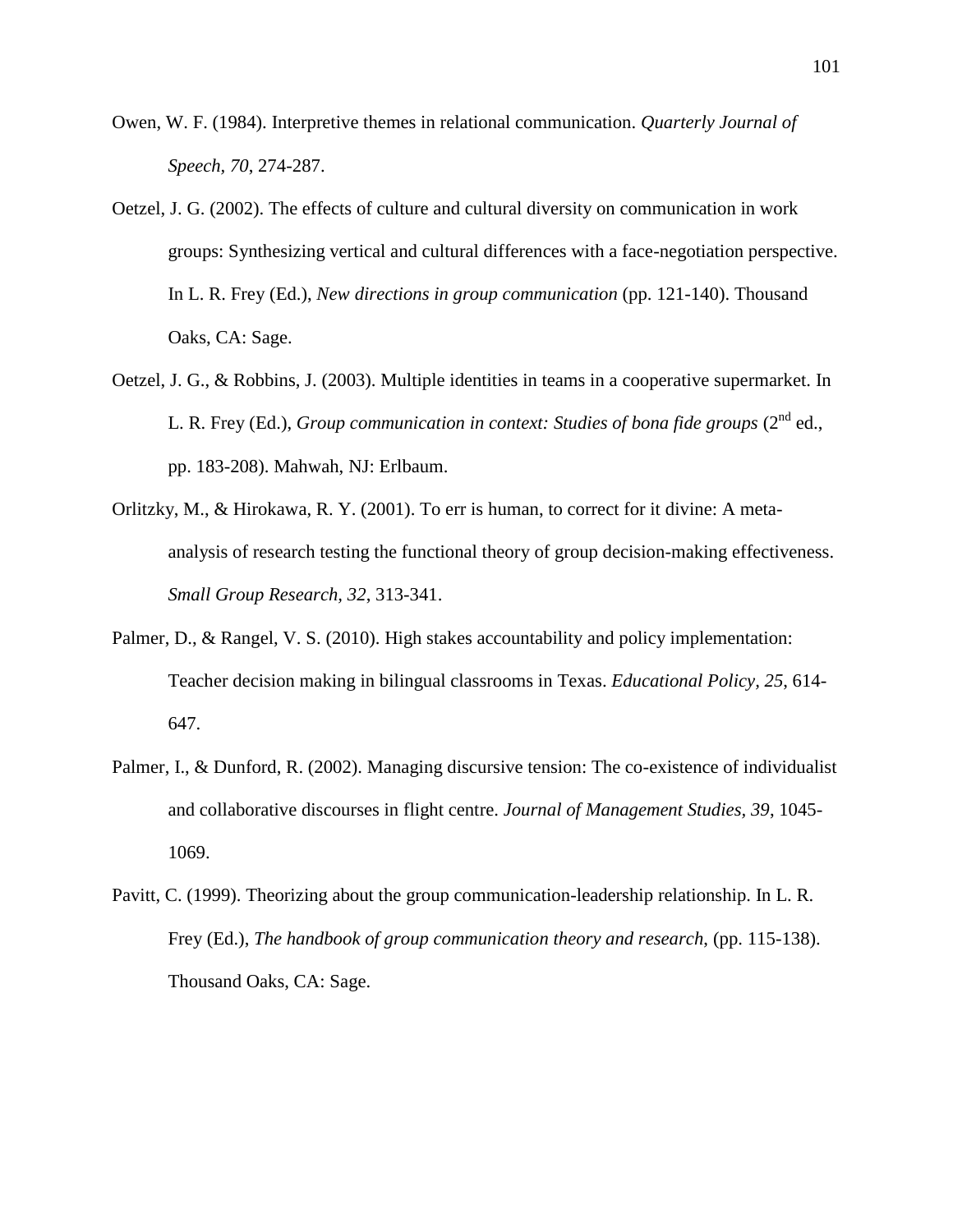- Owen, W. F. (1984). Interpretive themes in relational communication. *Quarterly Journal of Speech, 70*, 274-287.
- Oetzel, J. G. (2002). The effects of culture and cultural diversity on communication in work groups: Synthesizing vertical and cultural differences with a face-negotiation perspective. In L. R. Frey (Ed.), *New directions in group communication* (pp. 121-140). Thousand Oaks, CA: Sage.
- Oetzel, J. G., & Robbins, J. (2003). Multiple identities in teams in a cooperative supermarket. In L. R. Frey (Ed.), *Group communication in context: Studies of bona fide groups* (2<sup>nd</sup> ed., pp. 183-208). Mahwah, NJ: Erlbaum.
- Orlitzky, M., & Hirokawa, R. Y. (2001). To err is human, to correct for it divine: A metaanalysis of research testing the functional theory of group decision-making effectiveness. *Small Group Research, 32*, 313-341.
- Palmer, D., & Rangel, V. S. (2010). High stakes accountability and policy implementation: Teacher decision making in bilingual classrooms in Texas. *Educational Policy, 25*, 614- 647.
- Palmer, I., & Dunford, R. (2002). Managing discursive tension: The co-existence of individualist and collaborative discourses in flight centre. *Journal of Management Studies, 39*, 1045- 1069.
- Pavitt, C. (1999). Theorizing about the group communication-leadership relationship. In L. R. Frey (Ed.), *The handbook of group communication theory and research*, (pp. 115-138). Thousand Oaks, CA: Sage.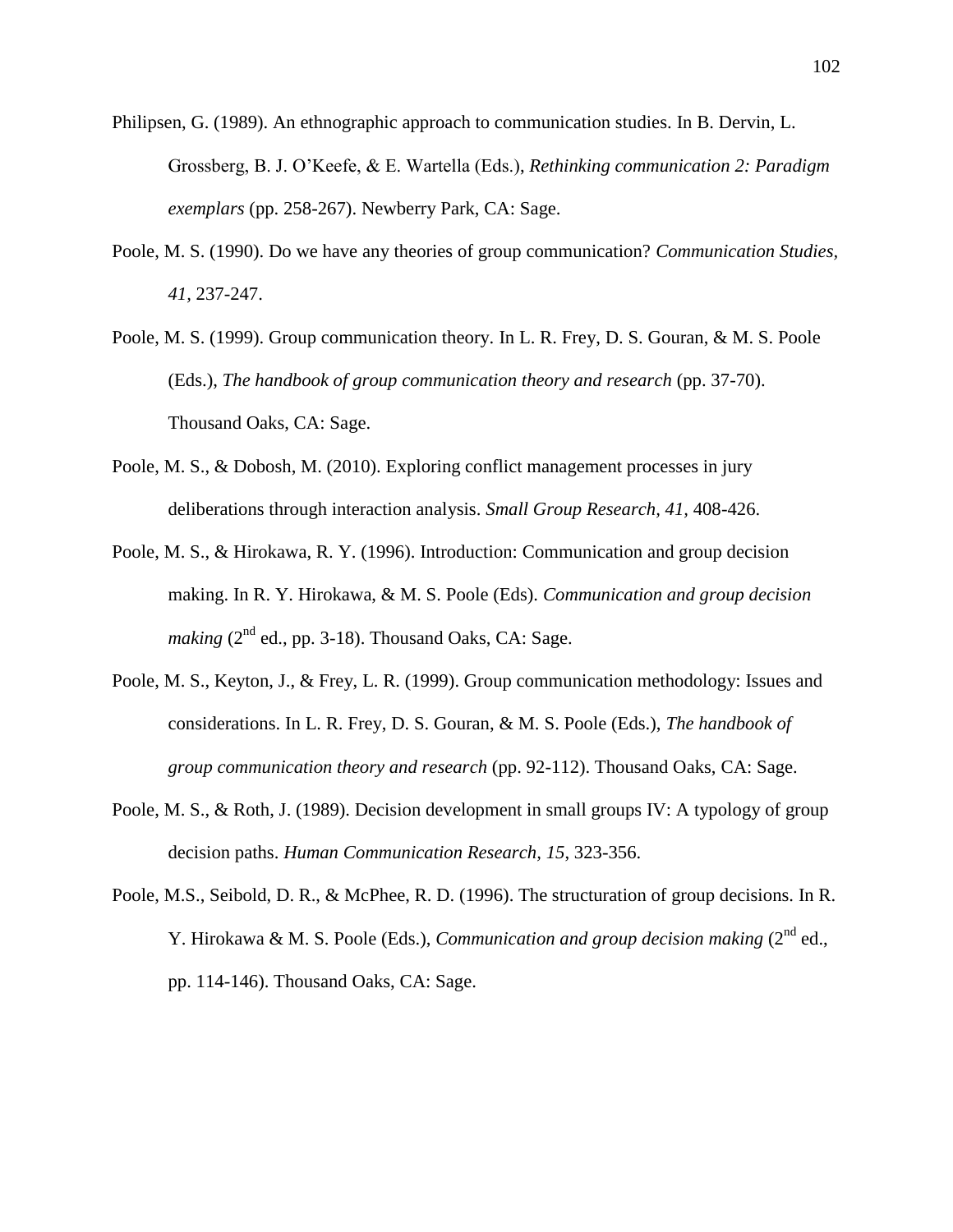- Philipsen, G. (1989). An ethnographic approach to communication studies. In B. Dervin, L. Grossberg, B. J. O'Keefe, & E. Wartella (Eds.), *Rethinking communication 2: Paradigm exemplars* (pp. 258-267). Newberry Park, CA: Sage.
- Poole, M. S. (1990). Do we have any theories of group communication? *Communication Studies, 41,* 237-247.
- Poole, M. S. (1999). Group communication theory. In L. R. Frey, D. S. Gouran, & M. S. Poole (Eds.), *The handbook of group communication theory and research* (pp. 37-70). Thousand Oaks, CA: Sage.
- Poole, M. S., & Dobosh, M. (2010). Exploring conflict management processes in jury deliberations through interaction analysis. *Small Group Research, 41,* 408-426.
- Poole, M. S., & Hirokawa, R. Y. (1996). Introduction: Communication and group decision making. In R. Y. Hirokawa, & M. S. Poole (Eds). *Communication and group decision making* ( $2<sup>nd</sup>$  ed., pp. 3-18). Thousand Oaks, CA: Sage.
- Poole, M. S., Keyton, J., & Frey, L. R. (1999). Group communication methodology: Issues and considerations. In L. R. Frey, D. S. Gouran, & M. S. Poole (Eds.), *The handbook of group communication theory and research* (pp. 92-112). Thousand Oaks, CA: Sage.
- Poole, M. S., & Roth, J. (1989). Decision development in small groups IV: A typology of group decision paths. *Human Communication Research, 15*, 323-356.
- Poole, M.S., Seibold, D. R., & McPhee, R. D. (1996). The structuration of group decisions. In R. Y. Hirokawa & M. S. Poole (Eds.), *Communication and group decision making* (2<sup>nd</sup> ed., pp. 114-146). Thousand Oaks, CA: Sage.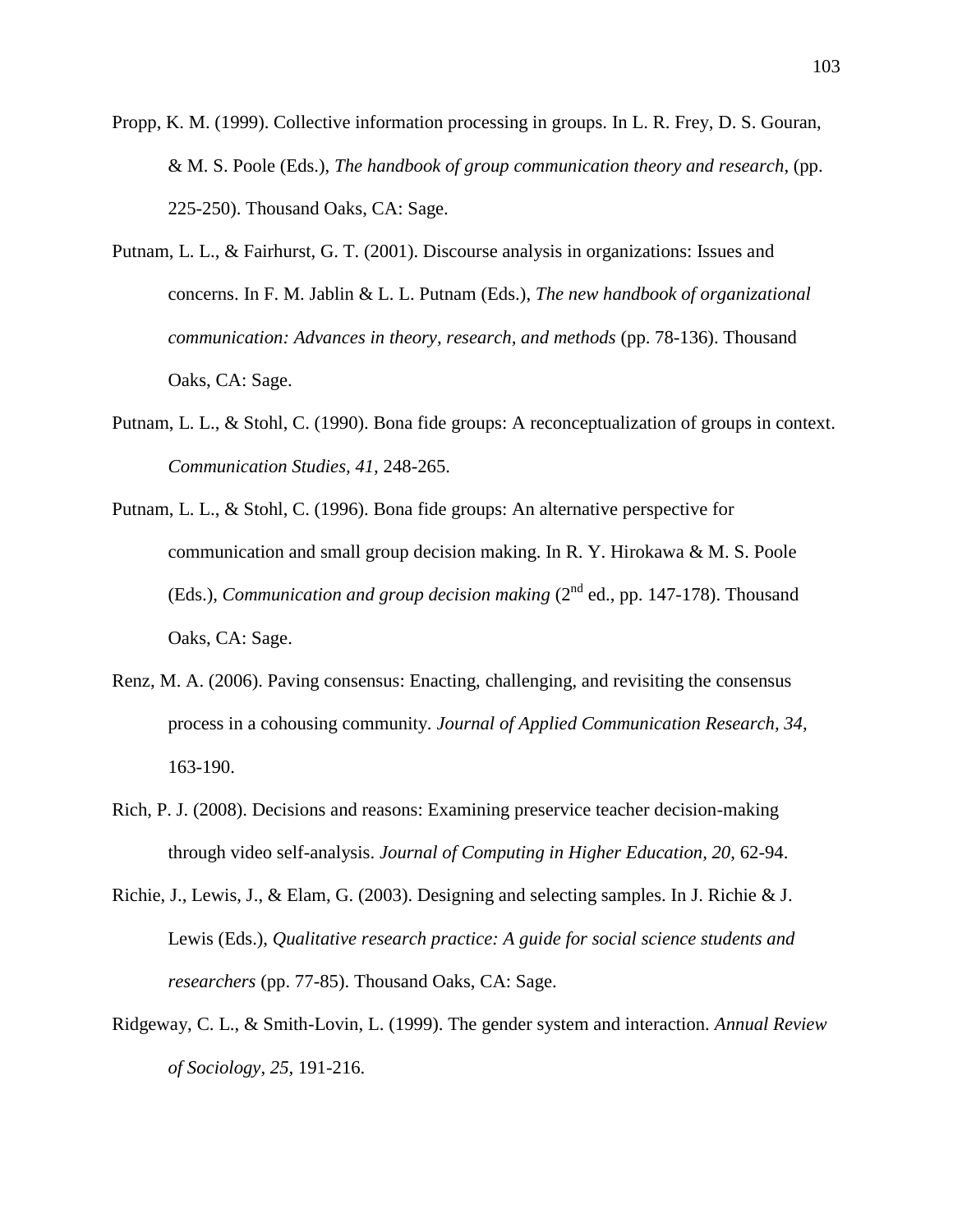- Propp, K. M. (1999). Collective information processing in groups. In L. R. Frey, D. S. Gouran, & M. S. Poole (Eds.), *The handbook of group communication theory and research*, (pp. 225-250). Thousand Oaks, CA: Sage.
- Putnam, L. L., & Fairhurst, G. T. (2001). Discourse analysis in organizations: Issues and concerns. In F. M. Jablin & L. L. Putnam (Eds.), *The new handbook of organizational communication: Advances in theory, research, and methods* (pp. 78-136). Thousand Oaks, CA: Sage.
- Putnam, L. L., & Stohl, C. (1990). Bona fide groups: A reconceptualization of groups in context. *Communication Studies, 41,* 248-265.
- Putnam, L. L., & Stohl, C. (1996). Bona fide groups: An alternative perspective for communication and small group decision making. In R. Y. Hirokawa & M. S. Poole (Eds.), *Communication and group decision making*  $(2^{nd}$  ed., pp. 147-178). Thousand Oaks, CA: Sage.
- Renz, M. A. (2006). Paving consensus: Enacting, challenging, and revisiting the consensus process in a cohousing community. *Journal of Applied Communication Research, 34,*  163-190.
- Rich, P. J. (2008). Decisions and reasons: Examining preservice teacher decision-making through video self-analysis. *Journal of Computing in Higher Education, 20*, 62-94.
- Richie, J., Lewis, J., & Elam, G. (2003). Designing and selecting samples. In J. Richie & J. Lewis (Eds.), *Qualitative research practice: A guide for social science students and researchers* (pp. 77-85). Thousand Oaks, CA: Sage.
- Ridgeway, C. L., & Smith-Lovin, L. (1999). The gender system and interaction. *Annual Review of Sociology, 25,* 191-216.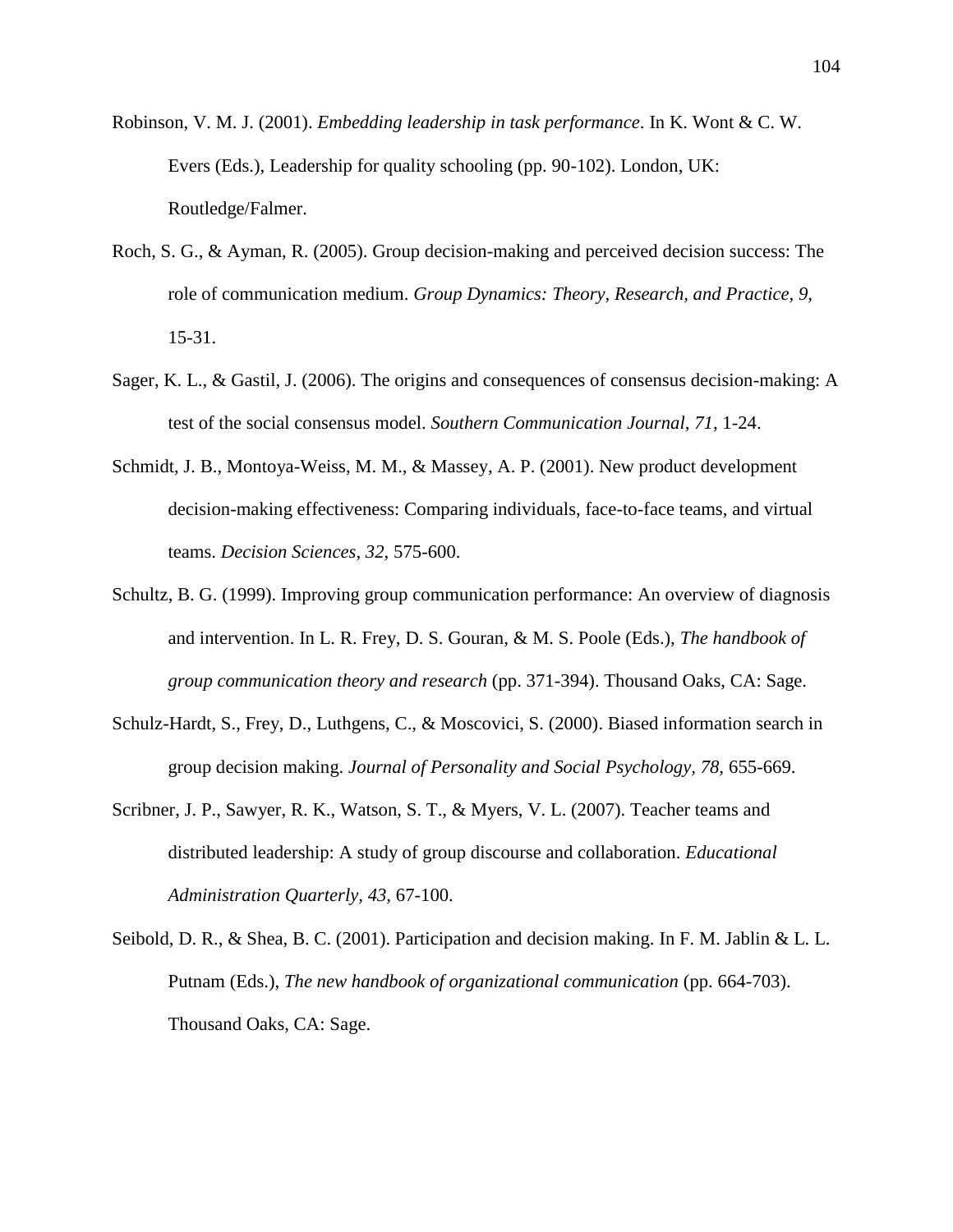Robinson, V. M. J. (2001). *Embedding leadership in task performance*. In K. Wont & C. W. Evers (Eds.), Leadership for quality schooling (pp. 90-102). London, UK: Routledge/Falmer.

- Roch, S. G., & Ayman, R. (2005). Group decision-making and perceived decision success: The role of communication medium. *Group Dynamics: Theory, Research, and Practice, 9,*  15-31.
- Sager, K. L., & Gastil, J. (2006). The origins and consequences of consensus decision-making: A test of the social consensus model. *Southern Communication Journal, 71,* 1-24.
- Schmidt, J. B., Montoya-Weiss, M. M., & Massey, A. P. (2001). New product development decision-making effectiveness: Comparing individuals, face-to-face teams, and virtual teams. *Decision Sciences, 32,* 575-600.
- Schultz, B. G. (1999). Improving group communication performance: An overview of diagnosis and intervention. In L. R. Frey, D. S. Gouran, & M. S. Poole (Eds.), *The handbook of group communication theory and research* (pp. 371-394). Thousand Oaks, CA: Sage.
- Schulz-Hardt, S., Frey, D., Luthgens, C., & Moscovici, S. (2000). Biased information search in group decision making. *Journal of Personality and Social Psychology, 78,* 655-669.
- Scribner, J. P., Sawyer, R. K., Watson, S. T., & Myers, V. L. (2007). Teacher teams and distributed leadership: A study of group discourse and collaboration. *Educational Administration Quarterly, 43,* 67-100.
- Seibold, D. R., & Shea, B. C. (2001). Participation and decision making. In F. M. Jablin & L. L. Putnam (Eds.), *The new handbook of organizational communication* (pp. 664-703). Thousand Oaks, CA: Sage.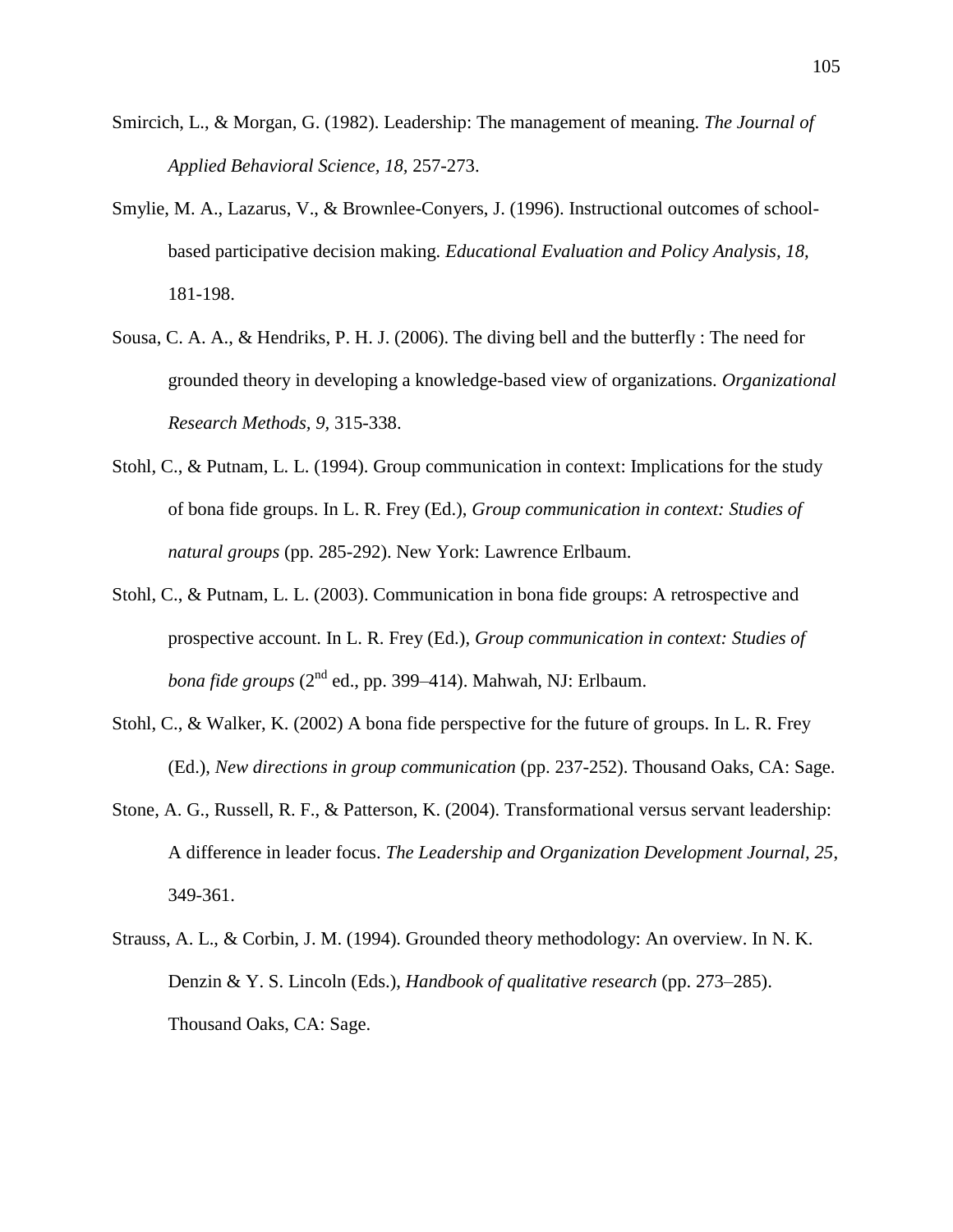- Smircich, L., & Morgan, G. (1982). Leadership: The management of meaning. *The Journal of Applied Behavioral Science, 18,* 257-273.
- Smylie, M. A., Lazarus, V., & Brownlee-Conyers, J. (1996). Instructional outcomes of schoolbased participative decision making. *Educational Evaluation and Policy Analysis, 18,*  181-198.
- Sousa, C. A. A., & Hendriks, P. H. J. (2006). The diving bell and the butterfly : The need for grounded theory in developing a knowledge-based view of organizations. *Organizational Research Methods, 9,* 315-338.
- Stohl, C., & Putnam, L. L. (1994). Group communication in context: Implications for the study of bona fide groups. In L. R. Frey (Ed.), *Group communication in context: Studies of natural groups* (pp. 285-292). New York: Lawrence Erlbaum.
- Stohl, C., & Putnam, L. L. (2003). Communication in bona fide groups: A retrospective and prospective account. In L. R. Frey (Ed.), *Group communication in context: Studies of bona fide groups* (2<sup>nd</sup> ed., pp. 399–414). Mahwah, NJ: Erlbaum.
- Stohl, C., & Walker, K. (2002) A bona fide perspective for the future of groups. In L. R. Frey (Ed.), *New directions in group communication* (pp. 237-252). Thousand Oaks, CA: Sage.
- Stone, A. G., Russell, R. F., & Patterson, K. (2004). Transformational versus servant leadership: A difference in leader focus. *The Leadership and Organization Development Journal, 25*, 349-361.
- Strauss, A. L., & Corbin, J. M. (1994). Grounded theory methodology: An overview. In N. K. Denzin & Y. S. Lincoln (Eds.), *Handbook of qualitative research* (pp. 273–285). Thousand Oaks, CA: Sage.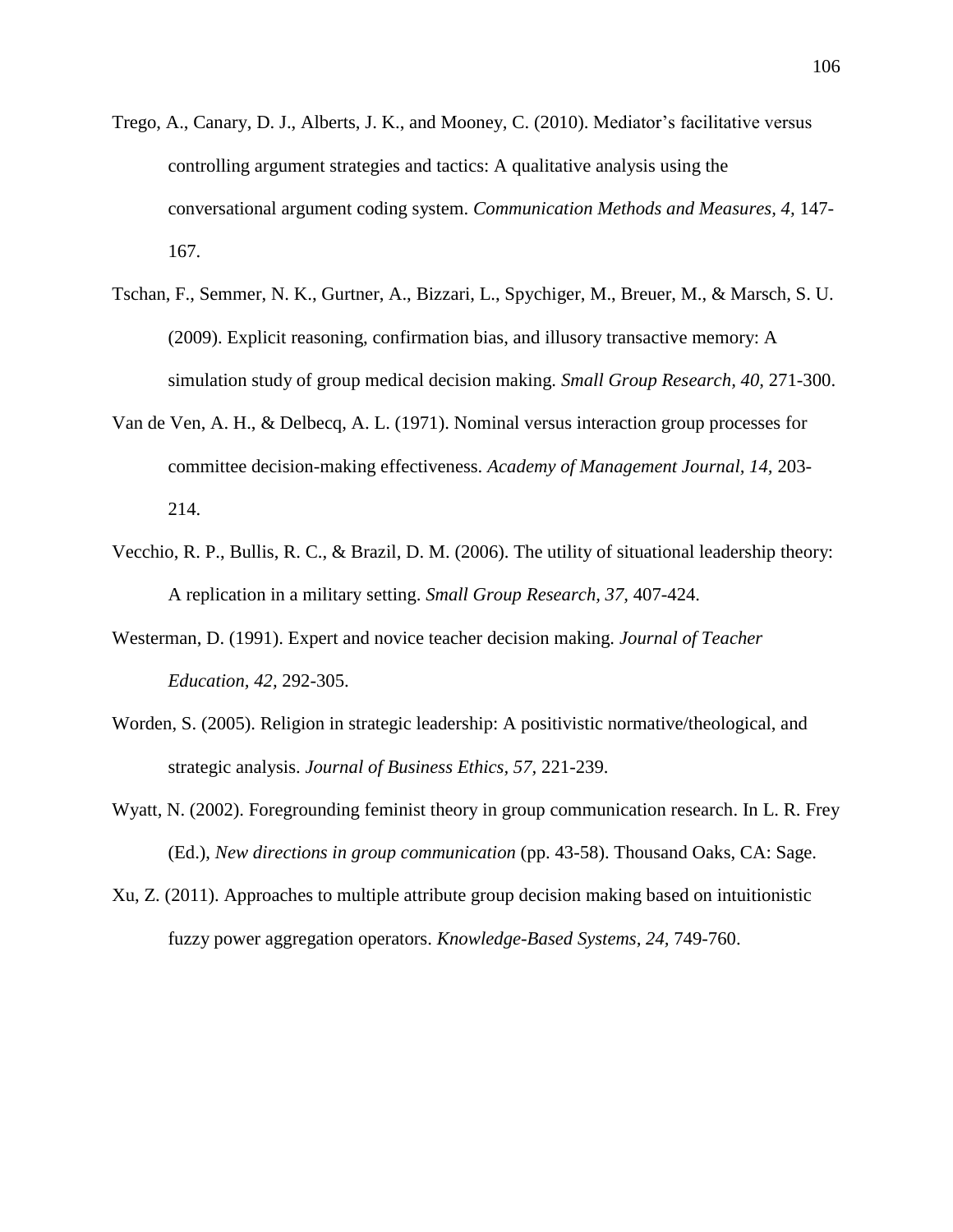- Trego, A., Canary, D. J., Alberts, J. K., and Mooney, C. (2010). Mediator's facilitative versus controlling argument strategies and tactics: A qualitative analysis using the conversational argument coding system. *Communication Methods and Measures, 4,* 147- 167.
- Tschan, F., Semmer, N. K., Gurtner, A., Bizzari, L., Spychiger, M., Breuer, M., & Marsch, S. U. (2009). Explicit reasoning, confirmation bias, and illusory transactive memory: A simulation study of group medical decision making. *Small Group Research, 40,* 271-300.
- Van de Ven, A. H., & Delbecq, A. L. (1971). Nominal versus interaction group processes for committee decision-making effectiveness. *Academy of Management Journal, 14,* 203- 214.
- Vecchio, R. P., Bullis, R. C., & Brazil, D. M. (2006). The utility of situational leadership theory: A replication in a military setting. *Small Group Research, 37,* 407-424.
- Westerman, D. (1991). Expert and novice teacher decision making. *Journal of Teacher Education, 42,* 292-305.
- Worden, S. (2005). Religion in strategic leadership: A positivistic normative/theological, and strategic analysis. *Journal of Business Ethics, 57,* 221-239.
- Wyatt, N. (2002). Foregrounding feminist theory in group communication research. In L. R. Frey (Ed.), *New directions in group communication* (pp. 43-58). Thousand Oaks, CA: Sage.
- Xu, Z. (2011). Approaches to multiple attribute group decision making based on intuitionistic fuzzy power aggregation operators. *Knowledge-Based Systems, 24,* 749-760.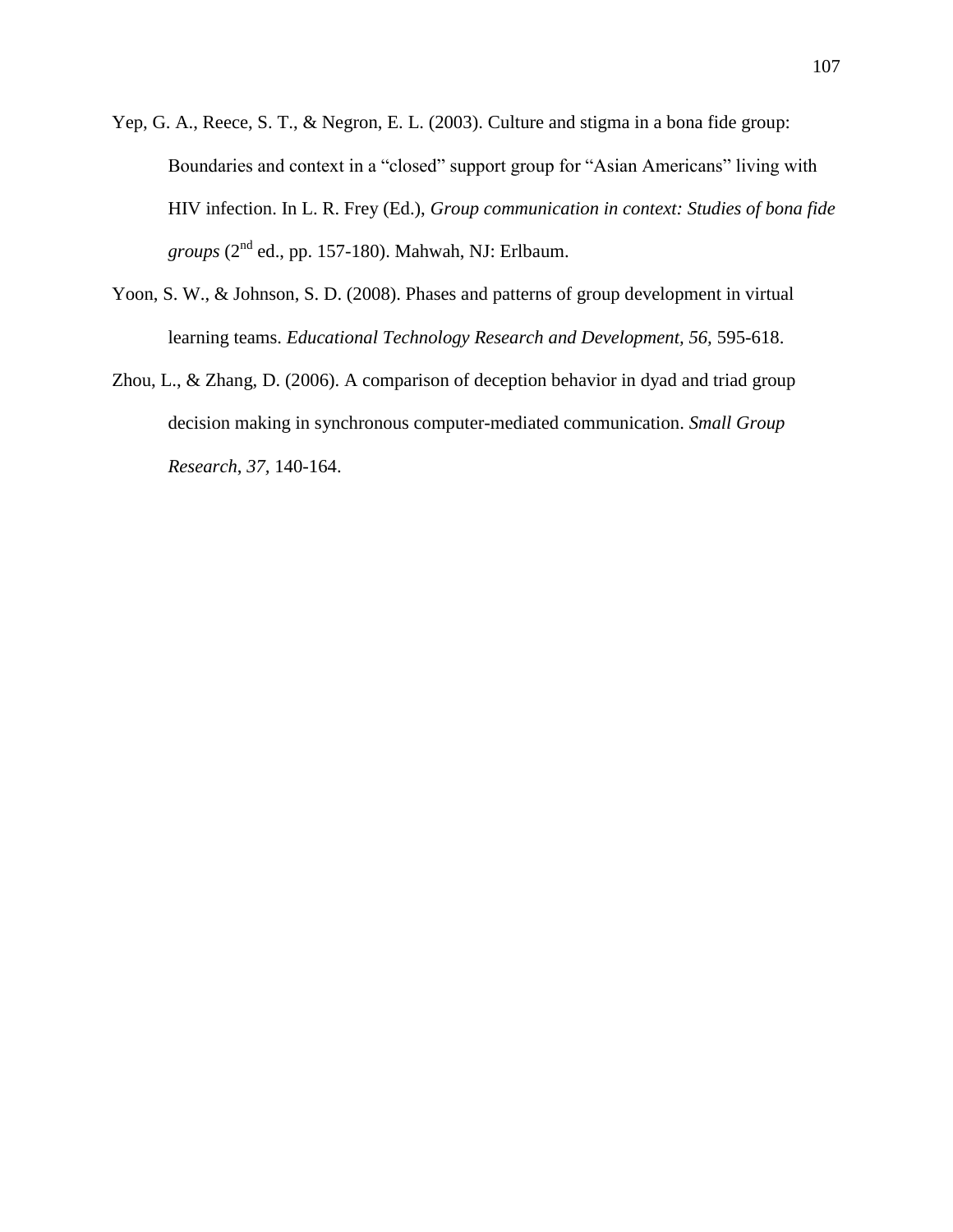- Yep, G. A., Reece, S. T., & Negron, E. L. (2003). Culture and stigma in a bona fide group: Boundaries and context in a "closed" support group for "Asian Americans" living with HIV infection. In L. R. Frey (Ed.), *Group communication in context: Studies of bona fide*   $groups (2<sup>nd</sup> ed., pp. 157-180)$ . Mahwah, NJ: Erlbaum.
- Yoon, S. W., & Johnson, S. D. (2008). Phases and patterns of group development in virtual learning teams. *Educational Technology Research and Development, 56, 595-618.*
- Zhou, L., & Zhang, D. (2006). A comparison of deception behavior in dyad and triad group decision making in synchronous computer-mediated communication. *Small Group Research*, *37,* 140-164.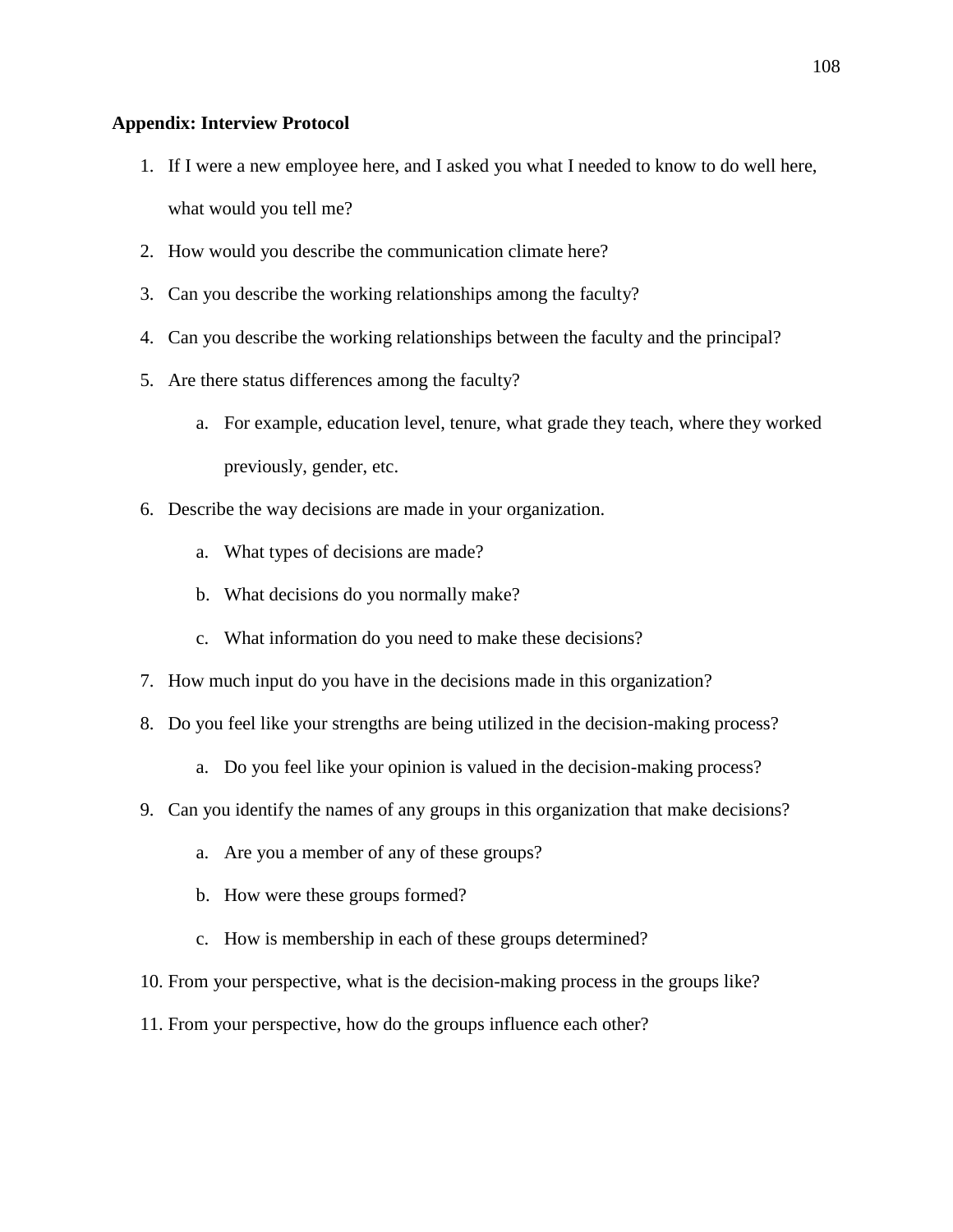## **Appendix: Interview Protocol**

- 1. If I were a new employee here, and I asked you what I needed to know to do well here, what would you tell me?
- 2. How would you describe the communication climate here?
- 3. Can you describe the working relationships among the faculty?
- 4. Can you describe the working relationships between the faculty and the principal?
- 5. Are there status differences among the faculty?
	- a. For example, education level, tenure, what grade they teach, where they worked previously, gender, etc.
- 6. Describe the way decisions are made in your organization.
	- a. What types of decisions are made?
	- b. What decisions do you normally make?
	- c. What information do you need to make these decisions?
- 7. How much input do you have in the decisions made in this organization?
- 8. Do you feel like your strengths are being utilized in the decision-making process?
	- a. Do you feel like your opinion is valued in the decision-making process?
- 9. Can you identify the names of any groups in this organization that make decisions?
	- a. Are you a member of any of these groups?
	- b. How were these groups formed?
	- c. How is membership in each of these groups determined?
- 10. From your perspective, what is the decision-making process in the groups like?
- 11. From your perspective, how do the groups influence each other?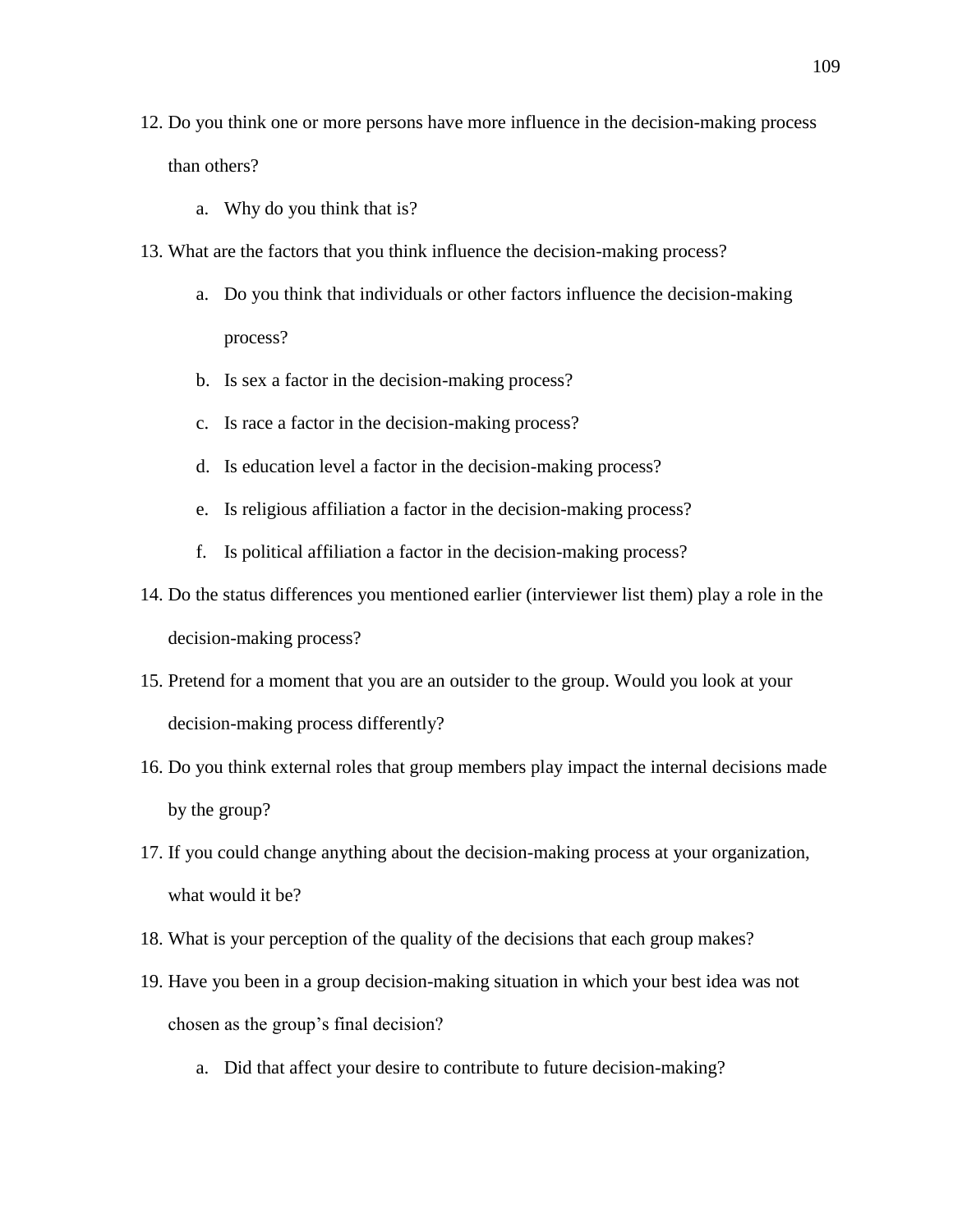- 12. Do you think one or more persons have more influence in the decision-making process than others?
	- a. Why do you think that is?
- 13. What are the factors that you think influence the decision-making process?
	- a. Do you think that individuals or other factors influence the decision-making process?
	- b. Is sex a factor in the decision-making process?
	- c. Is race a factor in the decision-making process?
	- d. Is education level a factor in the decision-making process?
	- e. Is religious affiliation a factor in the decision-making process?
	- f. Is political affiliation a factor in the decision-making process?
- 14. Do the status differences you mentioned earlier (interviewer list them) play a role in the decision-making process?
- 15. Pretend for a moment that you are an outsider to the group. Would you look at your decision-making process differently?
- 16. Do you think external roles that group members play impact the internal decisions made by the group?
- 17. If you could change anything about the decision-making process at your organization, what would it be?
- 18. What is your perception of the quality of the decisions that each group makes?
- 19. Have you been in a group decision-making situation in which your best idea was not chosen as the group's final decision?
	- a. Did that affect your desire to contribute to future decision-making?